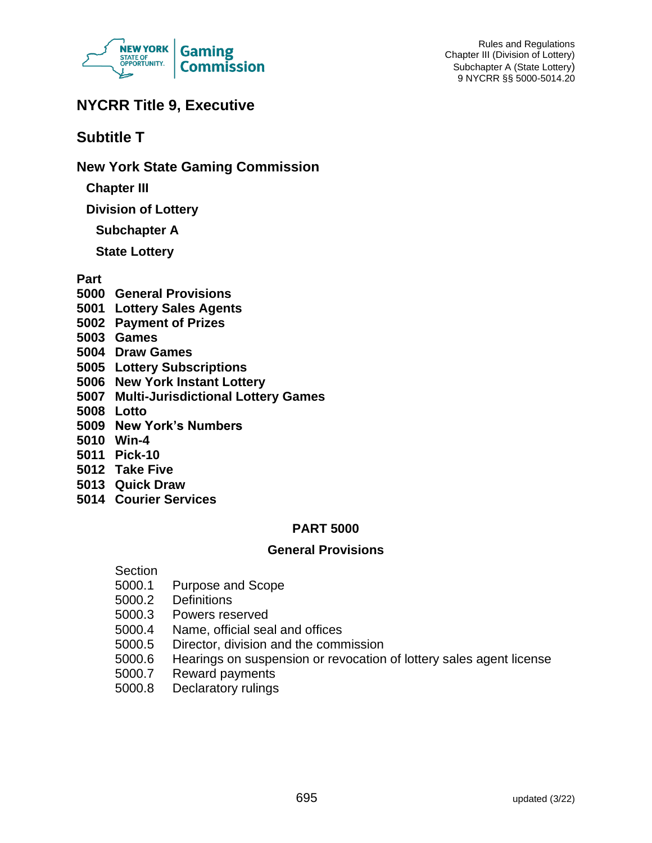

# **NYCRR Title 9, Executive**

# **Subtitle T**

**New York State Gaming Commission**

**Chapter III**

**Division of Lottery**

**Subchapter A**

**State Lottery**

**Part**

- **5000 General Provisions**
- **5001 Lottery Sales Agents**
- **5002 Payment of Prizes**
- **5003 Games**
- **5004 Draw Games**
- **5005 Lottery Subscriptions**
- **5006 New York Instant Lottery**
- **5007 Multi-Jurisdictional Lottery Games**
- **5008 Lotto**
- **5009 New York's Numbers**
- **5010 Win-4**
- **5011 Pick-10**
- **5012 Take Five**
- **5013 Quick Draw**
- **5014 Courier Services**

## **PART 5000**

#### **General Provisions**

#### Section

- 5000.1 Purpose and Scope
- 5000.2 Definitions
- 5000.3 Powers reserved
- 5000.4 Name, official seal and offices
- 5000.5 Director, division and the commission
- 5000.6 Hearings on suspension or revocation of lottery sales agent license
- 5000.7 Reward payments
- 5000.8 Declaratory rulings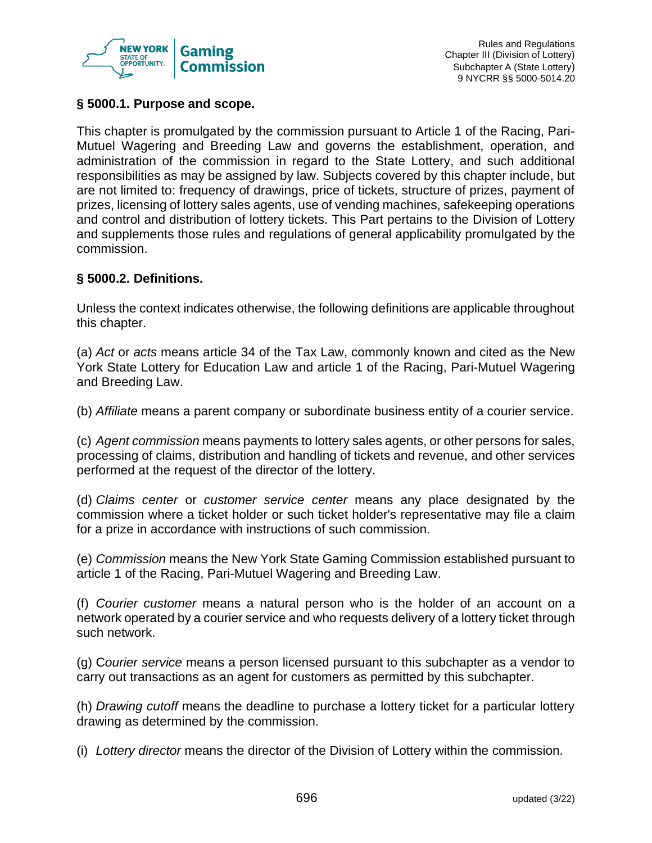

## **§ 5000.1. Purpose and scope.**

This chapter is promulgated by the commission pursuant to Article 1 of the Racing, Pari-Mutuel Wagering and Breeding Law and governs the establishment, operation, and administration of the commission in regard to the State Lottery, and such additional responsibilities as may be assigned by law. Subjects covered by this chapter include, but are not limited to: frequency of drawings, price of tickets, structure of prizes, payment of prizes, licensing of lottery sales agents, use of vending machines, safekeeping operations and control and distribution of lottery tickets. This Part pertains to the Division of Lottery and supplements those rules and regulations of general applicability promulgated by the commission.

## **§ 5000.2. Definitions.**

Unless the context indicates otherwise, the following definitions are applicable throughout this chapter.

(a) *Act* or *acts* means article 34 of the Tax Law, commonly known and cited as the New York State Lottery for Education Law and article 1 of the Racing, Pari-Mutuel Wagering and Breeding Law.

(b) *Affiliate* means a parent company or subordinate business entity of a courier service.

(c) *Agent commission* means payments to lottery sales agents, or other persons for sales, processing of claims, distribution and handling of tickets and revenue, and other services performed at the request of the director of the lottery.

(d) *Claims center* or *customer service center* means any place designated by the commission where a ticket holder or such ticket holder's representative may file a claim for a prize in accordance with instructions of such commission.

(e) *Commission* means the New York State Gaming Commission established pursuant to article 1 of the Racing, Pari-Mutuel Wagering and Breeding Law.

(f) *Courier customer* means a natural person who is the holder of an account on a network operated by a courier service and who requests delivery of a lottery ticket through such network.

(g) C*ourier service* means a person licensed pursuant to this subchapter as a vendor to carry out transactions as an agent for customers as permitted by this subchapter.

(h) *Drawing cutoff* means the deadline to purchase a lottery ticket for a particular lottery drawing as determined by the commission.

(i) *Lottery director* means the director of the Division of Lottery within the commission.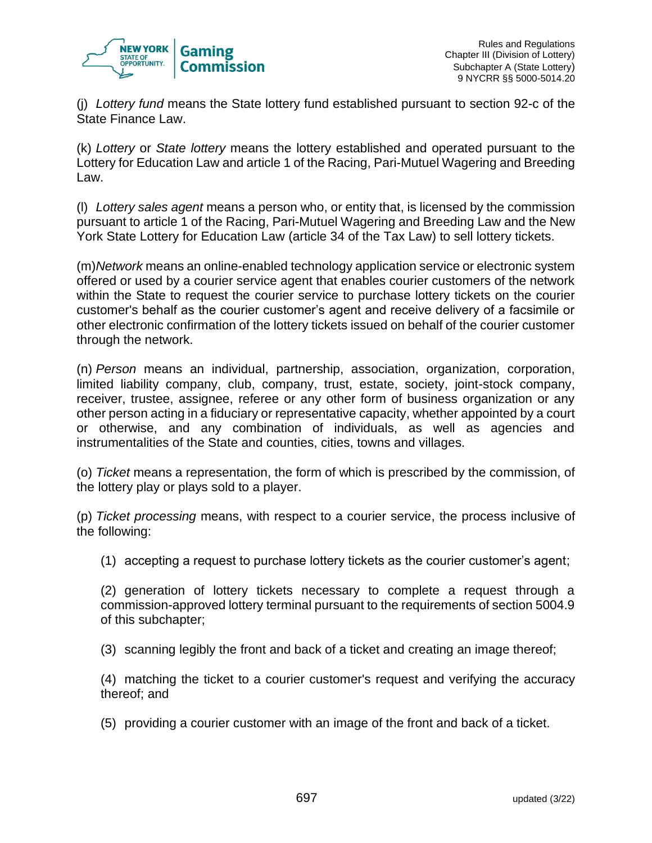

(j) *Lottery fund* means the State lottery fund established pursuant to section 92-c of the State Finance Law.

(k) *Lottery* or *State lottery* means the lottery established and operated pursuant to the Lottery for Education Law and article 1 of the Racing, Pari-Mutuel Wagering and Breeding Law.

(l) *Lottery sales agent* means a person who, or entity that, is licensed by the commission pursuant to article 1 of the Racing, Pari-Mutuel Wagering and Breeding Law and the New York State Lottery for Education Law (article 34 of the Tax Law) to sell lottery tickets.

(m)*Network* means an online-enabled technology application service or electronic system offered or used by a courier service agent that enables courier customers of the network within the State to request the courier service to purchase lottery tickets on the courier customer's behalf as the courier customer's agent and receive delivery of a facsimile or other electronic confirmation of the lottery tickets issued on behalf of the courier customer through the network.

(n) *Person* means an individual, partnership, association, organization, corporation, limited liability company, club, company, trust, estate, society, joint-stock company, receiver, trustee, assignee, referee or any other form of business organization or any other person acting in a fiduciary or representative capacity, whether appointed by a court or otherwise, and any combination of individuals, as well as agencies and instrumentalities of the State and counties, cities, towns and villages.

(o) *Ticket* means a representation, the form of which is prescribed by the commission, of the lottery play or plays sold to a player.

(p) *Ticket processing* means, with respect to a courier service, the process inclusive of the following:

(1) accepting a request to purchase lottery tickets as the courier customer's agent;

(2) generation of lottery tickets necessary to complete a request through a commission-approved lottery terminal pursuant to the requirements of section 5004.9 of this subchapter;

(3) scanning legibly the front and back of a ticket and creating an image thereof;

(4) matching the ticket to a courier customer's request and verifying the accuracy thereof; and

(5) providing a courier customer with an image of the front and back of a ticket.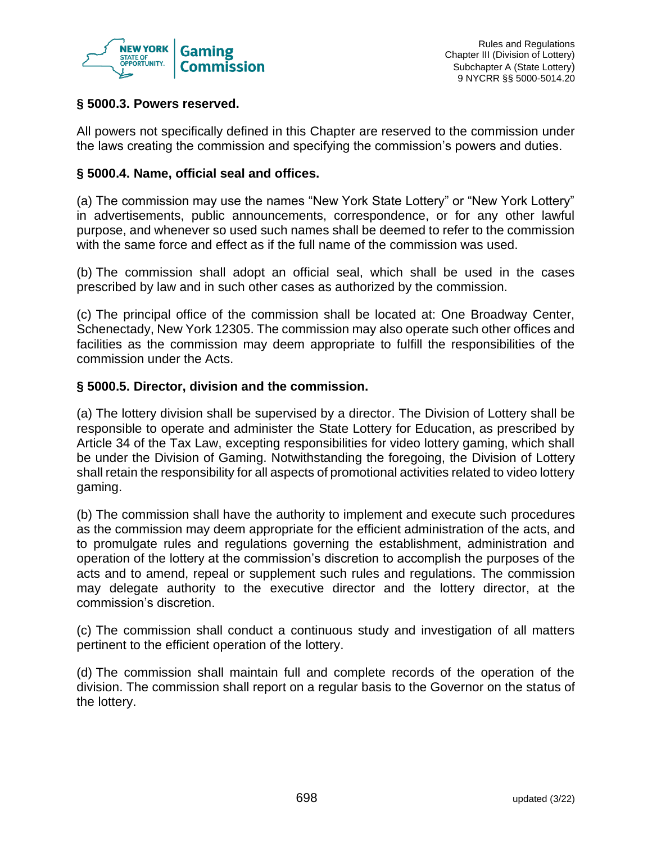

## **§ 5000.3. Powers reserved.**

All powers not specifically defined in this Chapter are reserved to the commission under the laws creating the commission and specifying the commission's powers and duties.

## **§ 5000.4. Name, official seal and offices.**

(a) The commission may use the names "New York State Lottery" or "New York Lottery" in advertisements, public announcements, correspondence, or for any other lawful purpose, and whenever so used such names shall be deemed to refer to the commission with the same force and effect as if the full name of the commission was used.

(b) The commission shall adopt an official seal, which shall be used in the cases prescribed by law and in such other cases as authorized by the commission.

(c) The principal office of the commission shall be located at: One Broadway Center, Schenectady, New York 12305. The commission may also operate such other offices and facilities as the commission may deem appropriate to fulfill the responsibilities of the commission under the Acts.

## **§ 5000.5. Director, division and the commission.**

(a) The lottery division shall be supervised by a director. The Division of Lottery shall be responsible to operate and administer the State Lottery for Education, as prescribed by Article 34 of the Tax Law, excepting responsibilities for video lottery gaming, which shall be under the Division of Gaming. Notwithstanding the foregoing, the Division of Lottery shall retain the responsibility for all aspects of promotional activities related to video lottery gaming.

(b) The commission shall have the authority to implement and execute such procedures as the commission may deem appropriate for the efficient administration of the acts, and to promulgate rules and regulations governing the establishment, administration and operation of the lottery at the commission's discretion to accomplish the purposes of the acts and to amend, repeal or supplement such rules and regulations. The commission may delegate authority to the executive director and the lottery director, at the commission's discretion.

(c) The commission shall conduct a continuous study and investigation of all matters pertinent to the efficient operation of the lottery.

(d) The commission shall maintain full and complete records of the operation of the division. The commission shall report on a regular basis to the Governor on the status of the lottery.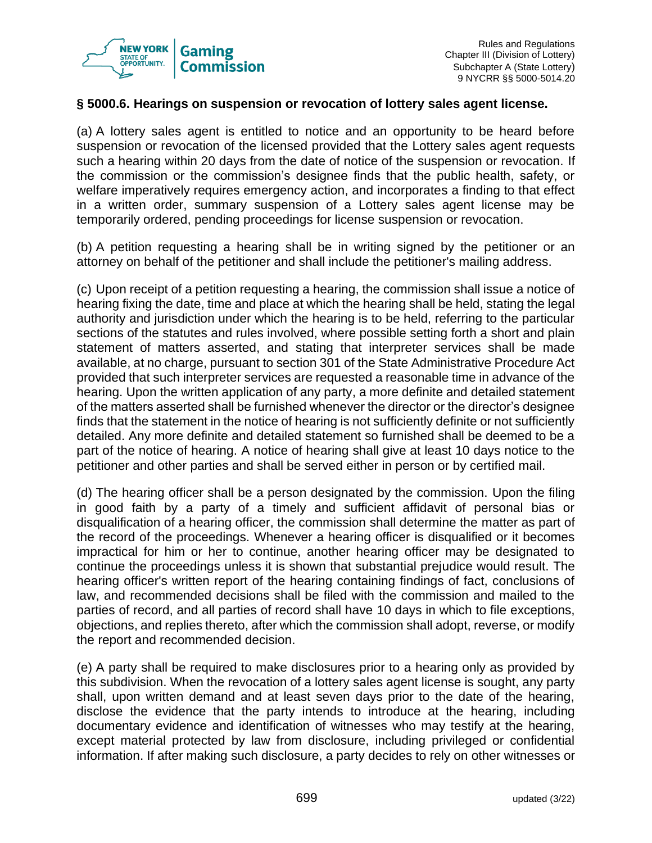

## **§ 5000.6. Hearings on suspension or revocation of lottery sales agent license.**

(a) A lottery sales agent is entitled to notice and an opportunity to be heard before suspension or revocation of the licensed provided that the Lottery sales agent requests such a hearing within 20 days from the date of notice of the suspension or revocation. If the commission or the commission's designee finds that the public health, safety, or welfare imperatively requires emergency action, and incorporates a finding to that effect in a written order, summary suspension of a Lottery sales agent license may be temporarily ordered, pending proceedings for license suspension or revocation.

(b) A petition requesting a hearing shall be in writing signed by the petitioner or an attorney on behalf of the petitioner and shall include the petitioner's mailing address.

(c) Upon receipt of a petition requesting a hearing, the commission shall issue a notice of hearing fixing the date, time and place at which the hearing shall be held, stating the legal authority and jurisdiction under which the hearing is to be held, referring to the particular sections of the statutes and rules involved, where possible setting forth a short and plain statement of matters asserted, and stating that interpreter services shall be made available, at no charge, pursuant to section 301 of the State Administrative Procedure Act provided that such interpreter services are requested a reasonable time in advance of the hearing. Upon the written application of any party, a more definite and detailed statement of the matters asserted shall be furnished whenever the director or the director's designee finds that the statement in the notice of hearing is not sufficiently definite or not sufficiently detailed. Any more definite and detailed statement so furnished shall be deemed to be a part of the notice of hearing. A notice of hearing shall give at least 10 days notice to the petitioner and other parties and shall be served either in person or by certified mail.

(d) The hearing officer shall be a person designated by the commission. Upon the filing in good faith by a party of a timely and sufficient affidavit of personal bias or disqualification of a hearing officer, the commission shall determine the matter as part of the record of the proceedings. Whenever a hearing officer is disqualified or it becomes impractical for him or her to continue, another hearing officer may be designated to continue the proceedings unless it is shown that substantial prejudice would result. The hearing officer's written report of the hearing containing findings of fact, conclusions of law, and recommended decisions shall be filed with the commission and mailed to the parties of record, and all parties of record shall have 10 days in which to file exceptions, objections, and replies thereto, after which the commission shall adopt, reverse, or modify the report and recommended decision.

(e) A party shall be required to make disclosures prior to a hearing only as provided by this subdivision. When the revocation of a lottery sales agent license is sought, any party shall, upon written demand and at least seven days prior to the date of the hearing, disclose the evidence that the party intends to introduce at the hearing, including documentary evidence and identification of witnesses who may testify at the hearing, except material protected by law from disclosure, including privileged or confidential information. If after making such disclosure, a party decides to rely on other witnesses or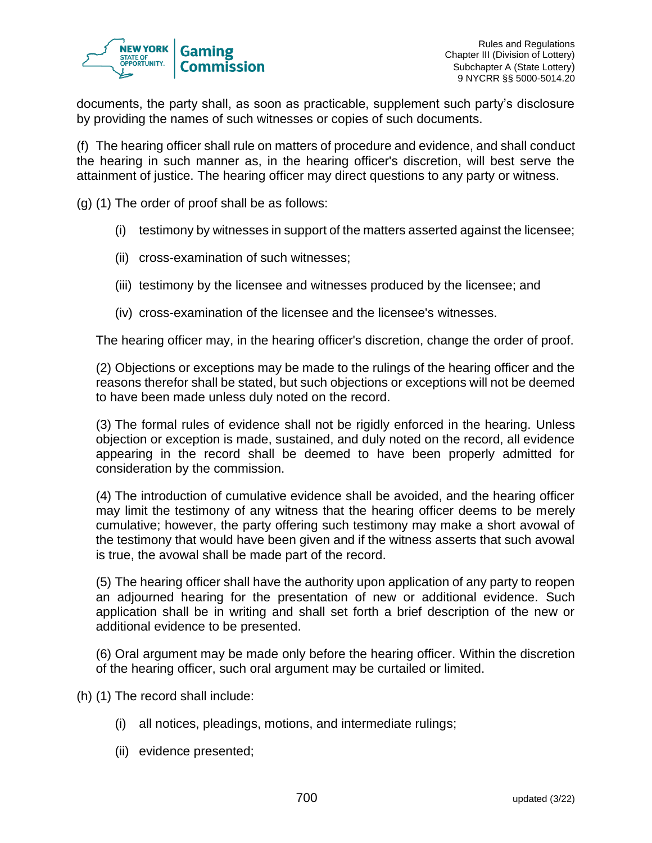

documents, the party shall, as soon as practicable, supplement such party's disclosure by providing the names of such witnesses or copies of such documents.

(f) The hearing officer shall rule on matters of procedure and evidence, and shall conduct the hearing in such manner as, in the hearing officer's discretion, will best serve the attainment of justice. The hearing officer may direct questions to any party or witness.

(g) (1) The order of proof shall be as follows:

- (i) testimony by witnesses in support of the matters asserted against the licensee;
- (ii) cross-examination of such witnesses;
- (iii) testimony by the licensee and witnesses produced by the licensee; and
- (iv) cross-examination of the licensee and the licensee's witnesses.

The hearing officer may, in the hearing officer's discretion, change the order of proof.

(2) Objections or exceptions may be made to the rulings of the hearing officer and the reasons therefor shall be stated, but such objections or exceptions will not be deemed to have been made unless duly noted on the record.

(3) The formal rules of evidence shall not be rigidly enforced in the hearing. Unless objection or exception is made, sustained, and duly noted on the record, all evidence appearing in the record shall be deemed to have been properly admitted for consideration by the commission.

(4) The introduction of cumulative evidence shall be avoided, and the hearing officer may limit the testimony of any witness that the hearing officer deems to be merely cumulative; however, the party offering such testimony may make a short avowal of the testimony that would have been given and if the witness asserts that such avowal is true, the avowal shall be made part of the record.

(5) The hearing officer shall have the authority upon application of any party to reopen an adjourned hearing for the presentation of new or additional evidence. Such application shall be in writing and shall set forth a brief description of the new or additional evidence to be presented.

(6) Oral argument may be made only before the hearing officer. Within the discretion of the hearing officer, such oral argument may be curtailed or limited.

(h) (1) The record shall include:

- (i) all notices, pleadings, motions, and intermediate rulings;
- (ii) evidence presented;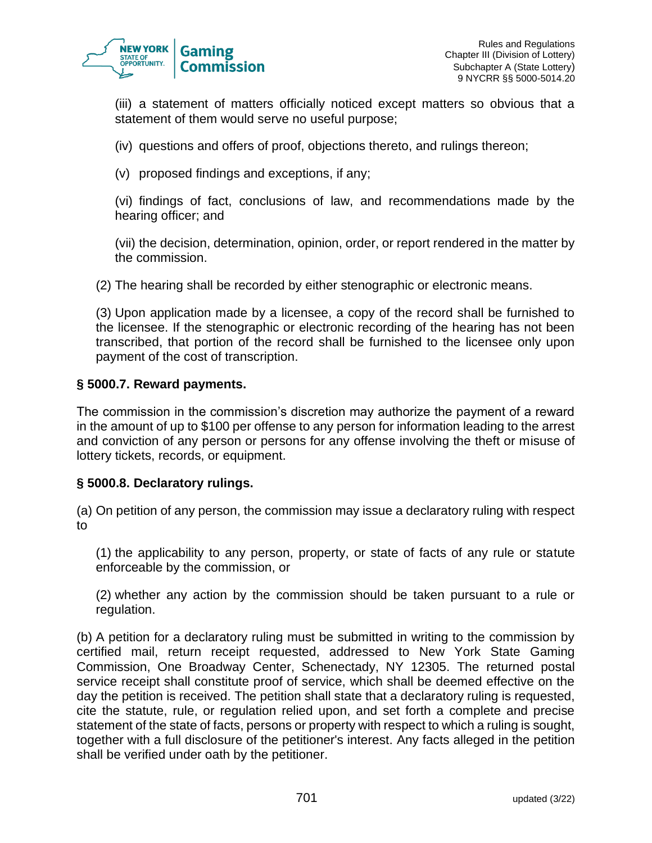

(iii) a statement of matters officially noticed except matters so obvious that a statement of them would serve no useful purpose;

(iv) questions and offers of proof, objections thereto, and rulings thereon;

(v) proposed findings and exceptions, if any;

(vi) findings of fact, conclusions of law, and recommendations made by the hearing officer; and

(vii) the decision, determination, opinion, order, or report rendered in the matter by the commission.

(2) The hearing shall be recorded by either stenographic or electronic means.

(3) Upon application made by a licensee, a copy of the record shall be furnished to the licensee. If the stenographic or electronic recording of the hearing has not been transcribed, that portion of the record shall be furnished to the licensee only upon payment of the cost of transcription.

## **§ 5000.7. Reward payments.**

The commission in the commission's discretion may authorize the payment of a reward in the amount of up to \$100 per offense to any person for information leading to the arrest and conviction of any person or persons for any offense involving the theft or misuse of lottery tickets, records, or equipment.

#### **§ 5000.8. Declaratory rulings.**

(a) On petition of any person, the commission may issue a declaratory ruling with respect to

(1) the applicability to any person, property, or state of facts of any rule or statute enforceable by the commission, or

(2) whether any action by the commission should be taken pursuant to a rule or regulation.

(b) A petition for a declaratory ruling must be submitted in writing to the commission by certified mail, return receipt requested, addressed to New York State Gaming Commission, One Broadway Center, Schenectady, NY 12305. The returned postal service receipt shall constitute proof of service, which shall be deemed effective on the day the petition is received. The petition shall state that a declaratory ruling is requested, cite the statute, rule, or regulation relied upon, and set forth a complete and precise statement of the state of facts, persons or property with respect to which a ruling is sought, together with a full disclosure of the petitioner's interest. Any facts alleged in the petition shall be verified under oath by the petitioner.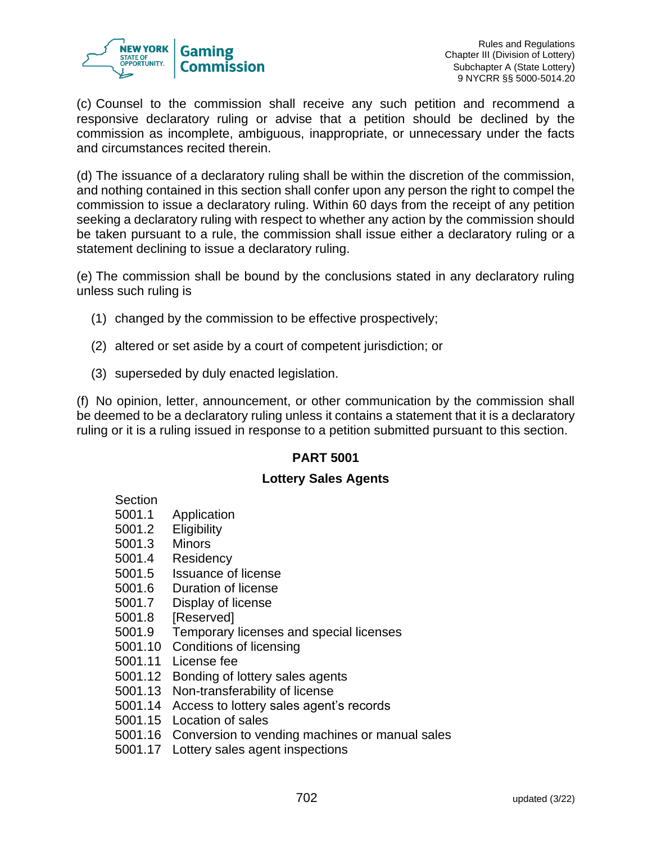

(c) Counsel to the commission shall receive any such petition and recommend a responsive declaratory ruling or advise that a petition should be declined by the commission as incomplete, ambiguous, inappropriate, or unnecessary under the facts and circumstances recited therein.

(d) The issuance of a declaratory ruling shall be within the discretion of the commission, and nothing contained in this section shall confer upon any person the right to compel the commission to issue a declaratory ruling. Within 60 days from the receipt of any petition seeking a declaratory ruling with respect to whether any action by the commission should be taken pursuant to a rule, the commission shall issue either a declaratory ruling or a statement declining to issue a declaratory ruling.

(e) The commission shall be bound by the conclusions stated in any declaratory ruling unless such ruling is

- (1) changed by the commission to be effective prospectively;
- (2) altered or set aside by a court of competent jurisdiction; or
- (3) superseded by duly enacted legislation.

(f) No opinion, letter, announcement, or other communication by the commission shall be deemed to be a declaratory ruling unless it contains a statement that it is a declaratory ruling or it is a ruling issued in response to a petition submitted pursuant to this section.

## **PART 5001**

## **Lottery Sales Agents**

#### **Section**

- 5001.1 Application
- 5001.2 Eligibility
- 5001.3 Minors
- 5001.4 Residency
- 5001.5 Issuance of license
- 5001.6 Duration of license
- 5001.7 Display of license
- 5001.8 [Reserved]
- 5001.9 Temporary licenses and special licenses
- 5001.10 Conditions of licensing
- 5001.11 License fee
- 5001.12 Bonding of lottery sales agents
- 5001.13 Non-transferability of license
- 5001.14 Access to lottery sales agent's records
- 5001.15 Location of sales
- 5001.16 Conversion to vending machines or manual sales
- 5001.17 Lottery sales agent inspections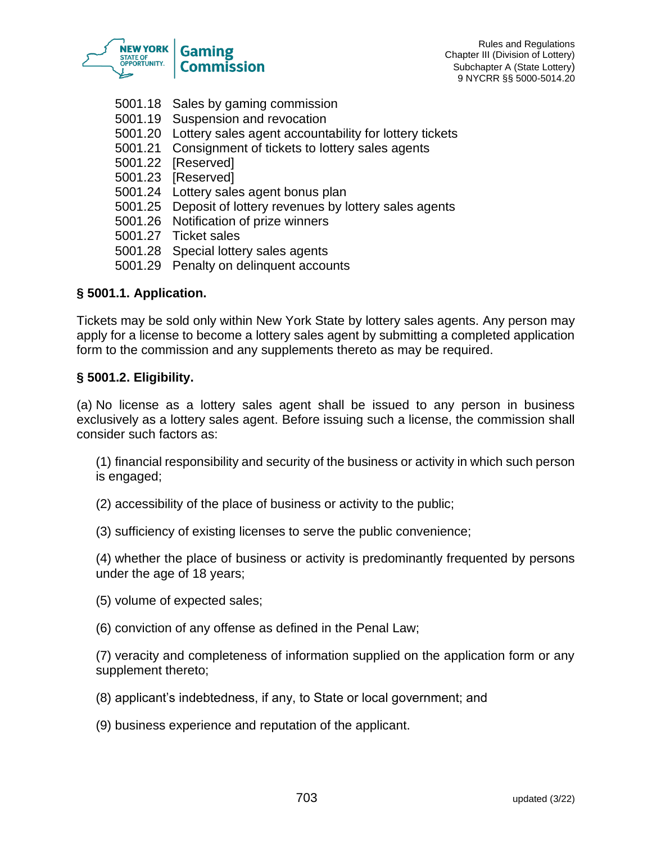

Rules and Regulations Chapter III (Division of Lottery) Subchapter A (State Lottery) 9 NYCRR §§ 5000-5014.20

- 5001.18 Sales by gaming commission
- 5001.19 Suspension and revocation
- 5001.20 Lottery sales agent accountability for lottery tickets
- 5001.21 Consignment of tickets to lottery sales agents
- 5001.22 [Reserved]
- 5001.23 [Reserved]
- 5001.24 Lottery sales agent bonus plan
- 5001.25 Deposit of lottery revenues by lottery sales agents
- 5001.26 Notification of prize winners
- 5001.27 Ticket sales
- 5001.28 Special lottery sales agents
- 5001.29 Penalty on delinquent accounts

## **§ 5001.1. Application.**

Tickets may be sold only within New York State by lottery sales agents. Any person may apply for a license to become a lottery sales agent by submitting a completed application form to the commission and any supplements thereto as may be required.

#### **§ 5001.2. Eligibility.**

(a) No license as a lottery sales agent shall be issued to any person in business exclusively as a lottery sales agent. Before issuing such a license, the commission shall consider such factors as:

(1) financial responsibility and security of the business or activity in which such person is engaged;

(2) accessibility of the place of business or activity to the public;

(3) sufficiency of existing licenses to serve the public convenience;

(4) whether the place of business or activity is predominantly frequented by persons under the age of 18 years;

(5) volume of expected sales;

(6) conviction of any offense as defined in the Penal Law;

(7) veracity and completeness of information supplied on the application form or any supplement thereto;

(8) applicant's indebtedness, if any, to State or local government; and

(9) business experience and reputation of the applicant.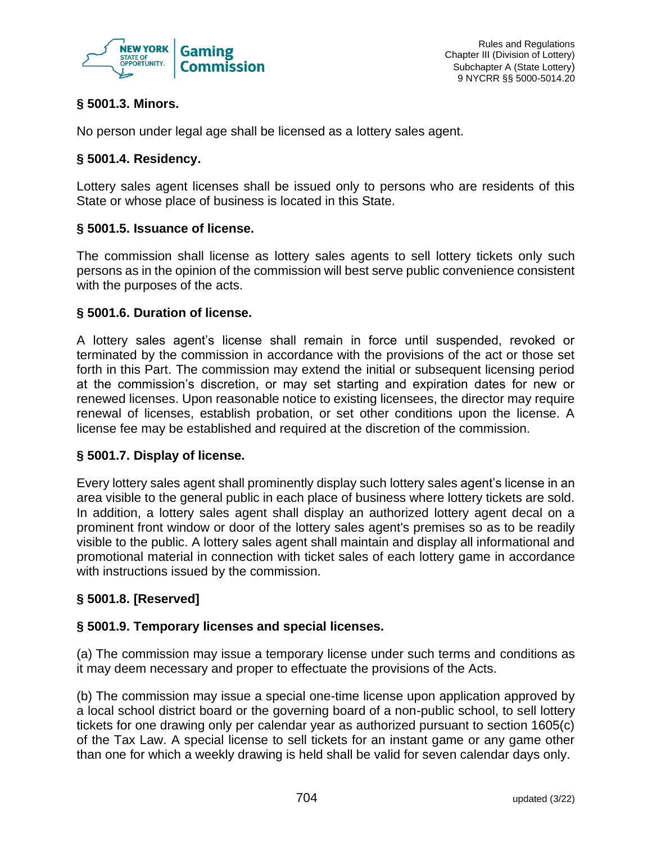

## **§ 5001.3. Minors.**

No person under legal age shall be licensed as a lottery sales agent.

## **§ 5001.4. Residency.**

Lottery sales agent licenses shall be issued only to persons who are residents of this State or whose place of business is located in this State.

## **§ 5001.5. Issuance of license.**

The commission shall license as lottery sales agents to sell lottery tickets only such persons as in the opinion of the commission will best serve public convenience consistent with the purposes of the acts.

## **§ 5001.6. Duration of license.**

A lottery sales agent's license shall remain in force until suspended, revoked or terminated by the commission in accordance with the provisions of the act or those set forth in this Part. The commission may extend the initial or subsequent licensing period at the commission's discretion, or may set starting and expiration dates for new or renewed licenses. Upon reasonable notice to existing licensees, the director may require renewal of licenses, establish probation, or set other conditions upon the license. A license fee may be established and required at the discretion of the commission.

## **§ 5001.7. Display of license.**

Every lottery sales agent shall prominently display such lottery sales agent's license in an area visible to the general public in each place of business where lottery tickets are sold. In addition, a lottery sales agent shall display an authorized lottery agent decal on a prominent front window or door of the lottery sales agent's premises so as to be readily visible to the public. A lottery sales agent shall maintain and display all informational and promotional material in connection with ticket sales of each lottery game in accordance with instructions issued by the commission.

## **§ 5001.8. [Reserved]**

## **§ 5001.9. Temporary licenses and special licenses.**

(a) The commission may issue a temporary license under such terms and conditions as it may deem necessary and proper to effectuate the provisions of the Acts.

(b) The commission may issue a special one-time license upon application approved by a local school district board or the governing board of a non-public school, to sell lottery tickets for one drawing only per calendar year as authorized pursuant to section 1605(c) of the Tax Law. A special license to sell tickets for an instant game or any game other than one for which a weekly drawing is held shall be valid for seven calendar days only.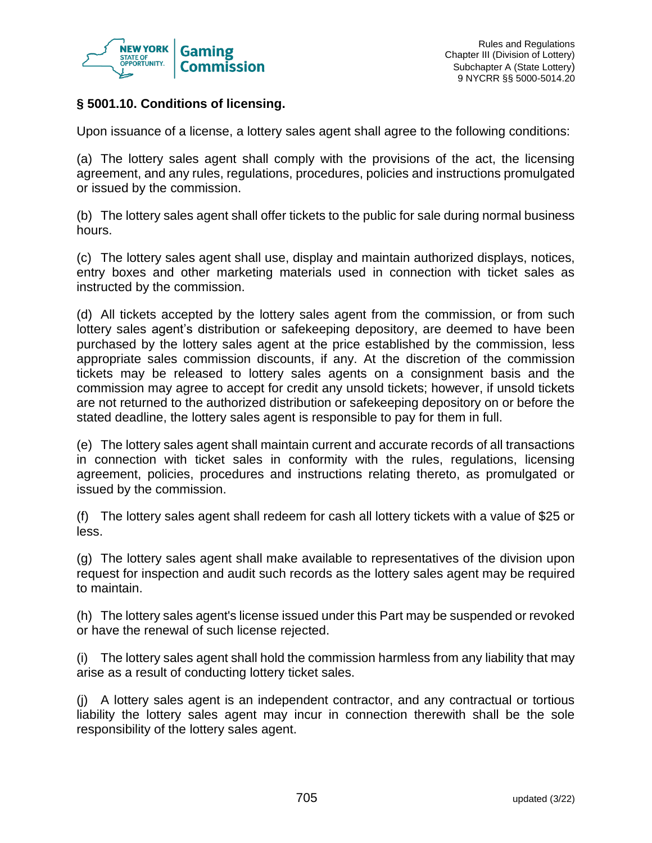

## **§ 5001.10. Conditions of licensing.**

Upon issuance of a license, a lottery sales agent shall agree to the following conditions:

(a) The lottery sales agent shall comply with the provisions of the act, the licensing agreement, and any rules, regulations, procedures, policies and instructions promulgated or issued by the commission.

(b) The lottery sales agent shall offer tickets to the public for sale during normal business hours.

(c) The lottery sales agent shall use, display and maintain authorized displays, notices, entry boxes and other marketing materials used in connection with ticket sales as instructed by the commission.

(d) All tickets accepted by the lottery sales agent from the commission, or from such lottery sales agent's distribution or safekeeping depository, are deemed to have been purchased by the lottery sales agent at the price established by the commission, less appropriate sales commission discounts, if any. At the discretion of the commission tickets may be released to lottery sales agents on a consignment basis and the commission may agree to accept for credit any unsold tickets; however, if unsold tickets are not returned to the authorized distribution or safekeeping depository on or before the stated deadline, the lottery sales agent is responsible to pay for them in full.

(e) The lottery sales agent shall maintain current and accurate records of all transactions in connection with ticket sales in conformity with the rules, regulations, licensing agreement, policies, procedures and instructions relating thereto, as promulgated or issued by the commission.

(f) The lottery sales agent shall redeem for cash all lottery tickets with a value of \$25 or less.

(g) The lottery sales agent shall make available to representatives of the division upon request for inspection and audit such records as the lottery sales agent may be required to maintain.

(h) The lottery sales agent's license issued under this Part may be suspended or revoked or have the renewal of such license rejected.

(i) The lottery sales agent shall hold the commission harmless from any liability that may arise as a result of conducting lottery ticket sales.

(j) A lottery sales agent is an independent contractor, and any contractual or tortious liability the lottery sales agent may incur in connection therewith shall be the sole responsibility of the lottery sales agent.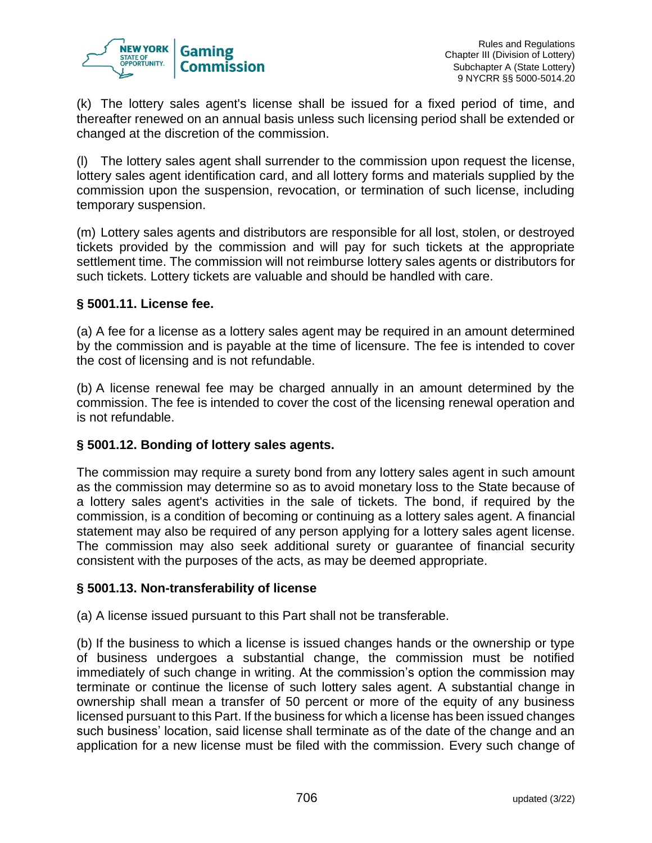

(k) The lottery sales agent's license shall be issued for a fixed period of time, and thereafter renewed on an annual basis unless such licensing period shall be extended or changed at the discretion of the commission.

(l) The lottery sales agent shall surrender to the commission upon request the license, lottery sales agent identification card, and all lottery forms and materials supplied by the commission upon the suspension, revocation, or termination of such license, including temporary suspension.

(m) Lottery sales agents and distributors are responsible for all lost, stolen, or destroyed tickets provided by the commission and will pay for such tickets at the appropriate settlement time. The commission will not reimburse lottery sales agents or distributors for such tickets. Lottery tickets are valuable and should be handled with care.

## **§ 5001.11. License fee.**

(a) A fee for a license as a lottery sales agent may be required in an amount determined by the commission and is payable at the time of licensure. The fee is intended to cover the cost of licensing and is not refundable.

(b) A license renewal fee may be charged annually in an amount determined by the commission. The fee is intended to cover the cost of the licensing renewal operation and is not refundable.

## **§ 5001.12. Bonding of lottery sales agents.**

The commission may require a surety bond from any lottery sales agent in such amount as the commission may determine so as to avoid monetary loss to the State because of a lottery sales agent's activities in the sale of tickets. The bond, if required by the commission, is a condition of becoming or continuing as a lottery sales agent. A financial statement may also be required of any person applying for a lottery sales agent license. The commission may also seek additional surety or guarantee of financial security consistent with the purposes of the acts, as may be deemed appropriate.

## **§ 5001.13. Non-transferability of license**

(a) A license issued pursuant to this Part shall not be transferable.

(b) If the business to which a license is issued changes hands or the ownership or type of business undergoes a substantial change, the commission must be notified immediately of such change in writing. At the commission's option the commission may terminate or continue the license of such lottery sales agent. A substantial change in ownership shall mean a transfer of 50 percent or more of the equity of any business licensed pursuant to this Part. If the business for which a license has been issued changes such business' location, said license shall terminate as of the date of the change and an application for a new license must be filed with the commission. Every such change of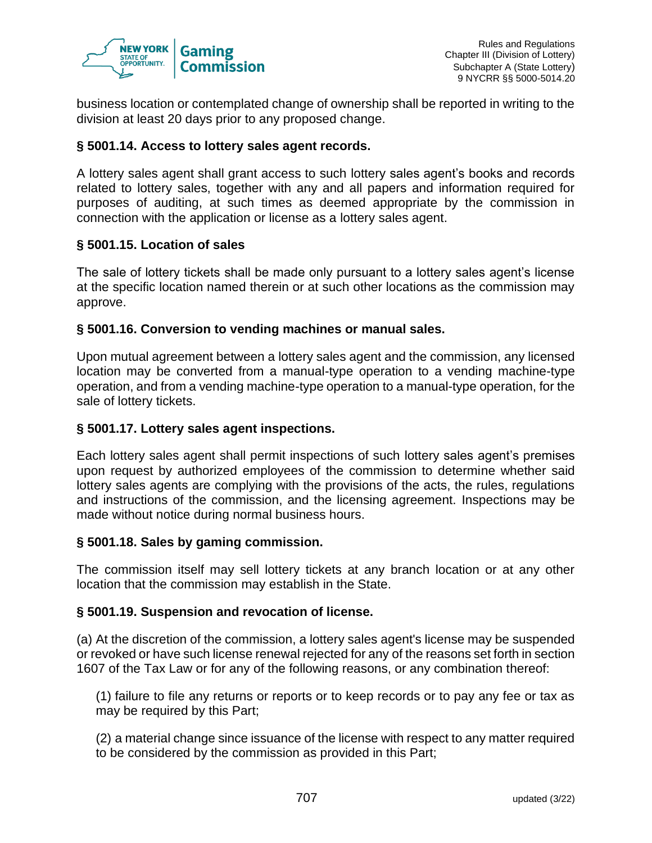

business location or contemplated change of ownership shall be reported in writing to the division at least 20 days prior to any proposed change.

## **§ 5001.14. Access to lottery sales agent records.**

A lottery sales agent shall grant access to such lottery sales agent's books and records related to lottery sales, together with any and all papers and information required for purposes of auditing, at such times as deemed appropriate by the commission in connection with the application or license as a lottery sales agent.

## **§ 5001.15. Location of sales**

The sale of lottery tickets shall be made only pursuant to a lottery sales agent's license at the specific location named therein or at such other locations as the commission may approve.

## **§ 5001.16. Conversion to vending machines or manual sales.**

Upon mutual agreement between a lottery sales agent and the commission, any licensed location may be converted from a manual-type operation to a vending machine-type operation, and from a vending machine-type operation to a manual-type operation, for the sale of lottery tickets.

#### **§ 5001.17. Lottery sales agent inspections.**

Each lottery sales agent shall permit inspections of such lottery sales agent's premises upon request by authorized employees of the commission to determine whether said lottery sales agents are complying with the provisions of the acts, the rules, regulations and instructions of the commission, and the licensing agreement. Inspections may be made without notice during normal business hours.

#### **§ 5001.18. Sales by gaming commission.**

The commission itself may sell lottery tickets at any branch location or at any other location that the commission may establish in the State.

#### **§ 5001.19. Suspension and revocation of license.**

(a) At the discretion of the commission, a lottery sales agent's license may be suspended or revoked or have such license renewal rejected for any of the reasons set forth in section 1607 of the Tax Law or for any of the following reasons, or any combination thereof:

(1) failure to file any returns or reports or to keep records or to pay any fee or tax as may be required by this Part;

(2) a material change since issuance of the license with respect to any matter required to be considered by the commission as provided in this Part;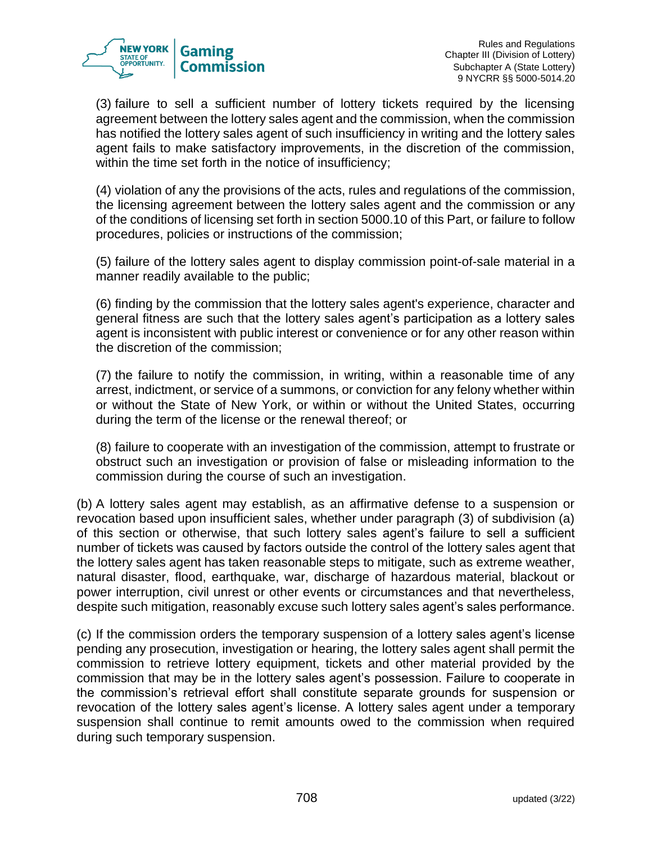

(3) failure to sell a sufficient number of lottery tickets required by the licensing agreement between the lottery sales agent and the commission, when the commission has notified the lottery sales agent of such insufficiency in writing and the lottery sales agent fails to make satisfactory improvements, in the discretion of the commission, within the time set forth in the notice of insufficiency;

(4) violation of any the provisions of the acts, rules and regulations of the commission, the licensing agreement between the lottery sales agent and the commission or any of the conditions of licensing set forth in section 5000.10 of this Part, or failure to follow procedures, policies or instructions of the commission;

(5) failure of the lottery sales agent to display commission point-of-sale material in a manner readily available to the public;

(6) finding by the commission that the lottery sales agent's experience, character and general fitness are such that the lottery sales agent's participation as a lottery sales agent is inconsistent with public interest or convenience or for any other reason within the discretion of the commission;

(7) the failure to notify the commission, in writing, within a reasonable time of any arrest, indictment, or service of a summons, or conviction for any felony whether within or without the State of New York, or within or without the United States, occurring during the term of the license or the renewal thereof; or

(8) failure to cooperate with an investigation of the commission, attempt to frustrate or obstruct such an investigation or provision of false or misleading information to the commission during the course of such an investigation.

(b) A lottery sales agent may establish, as an affirmative defense to a suspension or revocation based upon insufficient sales, whether under paragraph (3) of subdivision (a) of this section or otherwise, that such lottery sales agent's failure to sell a sufficient number of tickets was caused by factors outside the control of the lottery sales agent that the lottery sales agent has taken reasonable steps to mitigate, such as extreme weather, natural disaster, flood, earthquake, war, discharge of hazardous material, blackout or power interruption, civil unrest or other events or circumstances and that nevertheless, despite such mitigation, reasonably excuse such lottery sales agent's sales performance.

(c) If the commission orders the temporary suspension of a lottery sales agent's license pending any prosecution, investigation or hearing, the lottery sales agent shall permit the commission to retrieve lottery equipment, tickets and other material provided by the commission that may be in the lottery sales agent's possession. Failure to cooperate in the commission's retrieval effort shall constitute separate grounds for suspension or revocation of the lottery sales agent's license. A lottery sales agent under a temporary suspension shall continue to remit amounts owed to the commission when required during such temporary suspension.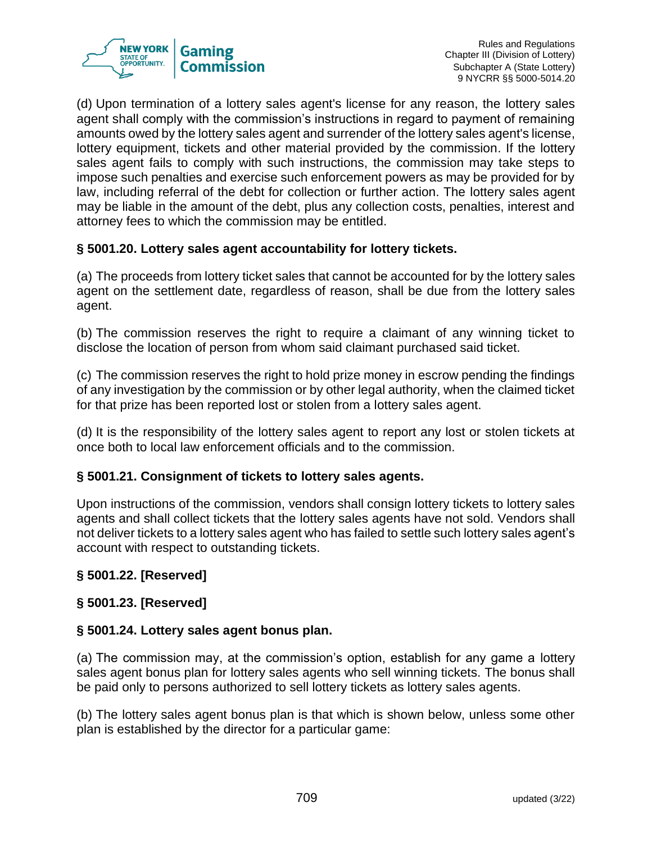

(d) Upon termination of a lottery sales agent's license for any reason, the lottery sales agent shall comply with the commission's instructions in regard to payment of remaining amounts owed by the lottery sales agent and surrender of the lottery sales agent's license, lottery equipment, tickets and other material provided by the commission. If the lottery sales agent fails to comply with such instructions, the commission may take steps to impose such penalties and exercise such enforcement powers as may be provided for by law, including referral of the debt for collection or further action. The lottery sales agent may be liable in the amount of the debt, plus any collection costs, penalties, interest and attorney fees to which the commission may be entitled.

## **§ 5001.20. Lottery sales agent accountability for lottery tickets.**

(a) The proceeds from lottery ticket sales that cannot be accounted for by the lottery sales agent on the settlement date, regardless of reason, shall be due from the lottery sales agent.

(b) The commission reserves the right to require a claimant of any winning ticket to disclose the location of person from whom said claimant purchased said ticket.

(c) The commission reserves the right to hold prize money in escrow pending the findings of any investigation by the commission or by other legal authority, when the claimed ticket for that prize has been reported lost or stolen from a lottery sales agent.

(d) It is the responsibility of the lottery sales agent to report any lost or stolen tickets at once both to local law enforcement officials and to the commission.

## **§ 5001.21. Consignment of tickets to lottery sales agents.**

Upon instructions of the commission, vendors shall consign lottery tickets to lottery sales agents and shall collect tickets that the lottery sales agents have not sold. Vendors shall not deliver tickets to a lottery sales agent who has failed to settle such lottery sales agent's account with respect to outstanding tickets.

## **§ 5001.22. [Reserved]**

## **§ 5001.23. [Reserved]**

## **§ 5001.24. Lottery sales agent bonus plan.**

(a) The commission may, at the commission's option, establish for any game a lottery sales agent bonus plan for lottery sales agents who sell winning tickets. The bonus shall be paid only to persons authorized to sell lottery tickets as lottery sales agents.

(b) The lottery sales agent bonus plan is that which is shown below, unless some other plan is established by the director for a particular game: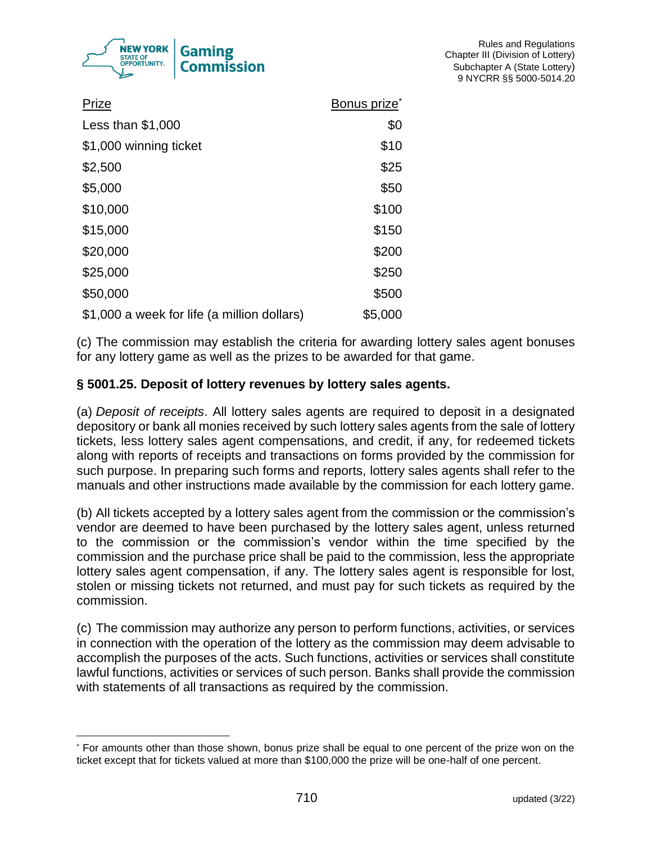

| Prize                                       | Bonus prize <sup>®</sup> |
|---------------------------------------------|--------------------------|
| Less than $$1,000$                          | \$0                      |
| \$1,000 winning ticket                      | \$10                     |
| \$2,500                                     | \$25                     |
| \$5,000                                     | \$50                     |
| \$10,000                                    | \$100                    |
| \$15,000                                    | \$150                    |
| \$20,000                                    | \$200                    |
| \$25,000                                    | \$250                    |
| \$50,000                                    | \$500                    |
| \$1,000 a week for life (a million dollars) | \$5,000                  |

(c) The commission may establish the criteria for awarding lottery sales agent bonuses for any lottery game as well as the prizes to be awarded for that game.

## **§ 5001.25. Deposit of lottery revenues by lottery sales agents.**

(a) *Deposit of receipts*. All lottery sales agents are required to deposit in a designated depository or bank all monies received by such lottery sales agents from the sale of lottery tickets, less lottery sales agent compensations, and credit, if any, for redeemed tickets along with reports of receipts and transactions on forms provided by the commission for such purpose. In preparing such forms and reports, lottery sales agents shall refer to the manuals and other instructions made available by the commission for each lottery game.

(b) All tickets accepted by a lottery sales agent from the commission or the commission's vendor are deemed to have been purchased by the lottery sales agent, unless returned to the commission or the commission's vendor within the time specified by the commission and the purchase price shall be paid to the commission, less the appropriate lottery sales agent compensation, if any. The lottery sales agent is responsible for lost, stolen or missing tickets not returned, and must pay for such tickets as required by the commission.

(c) The commission may authorize any person to perform functions, activities, or services in connection with the operation of the lottery as the commission may deem advisable to accomplish the purposes of the acts. Such functions, activities or services shall constitute lawful functions, activities or services of such person. Banks shall provide the commission with statements of all transactions as required by the commission.

<sup>\*</sup> For amounts other than those shown, bonus prize shall be equal to one percent of the prize won on the ticket except that for tickets valued at more than \$100,000 the prize will be one-half of one percent.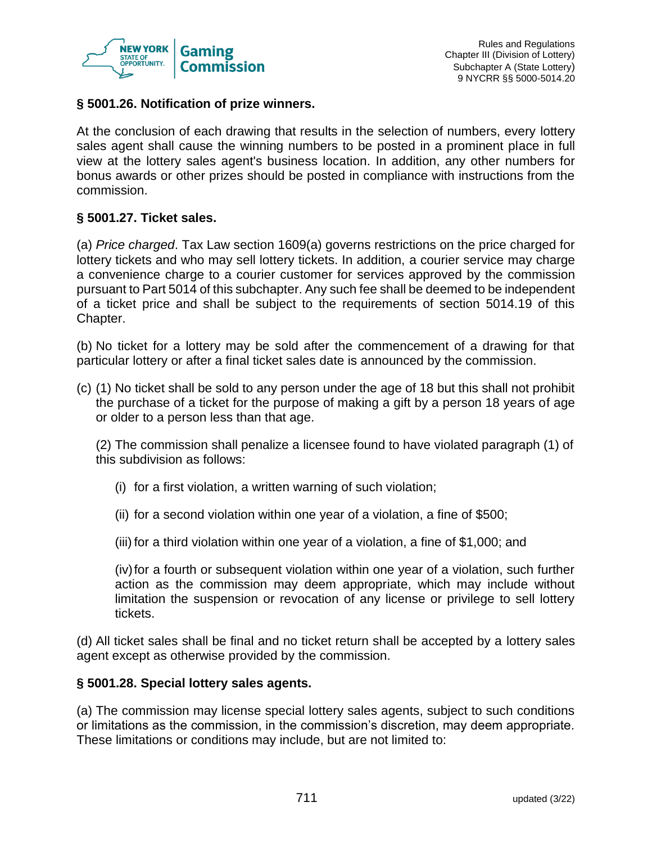

## **§ 5001.26. Notification of prize winners.**

At the conclusion of each drawing that results in the selection of numbers, every lottery sales agent shall cause the winning numbers to be posted in a prominent place in full view at the lottery sales agent's business location. In addition, any other numbers for bonus awards or other prizes should be posted in compliance with instructions from the commission.

### **§ 5001.27. Ticket sales.**

(a) *Price charged*. Tax Law section 1609(a) governs restrictions on the price charged for lottery tickets and who may sell lottery tickets. In addition, a courier service may charge a convenience charge to a courier customer for services approved by the commission pursuant to Part 5014 of this subchapter. Any such fee shall be deemed to be independent of a ticket price and shall be subject to the requirements of section 5014.19 of this Chapter.

(b) No ticket for a lottery may be sold after the commencement of a drawing for that particular lottery or after a final ticket sales date is announced by the commission.

(c) (1) No ticket shall be sold to any person under the age of 18 but this shall not prohibit the purchase of a ticket for the purpose of making a gift by a person 18 years of age or older to a person less than that age.

(2) The commission shall penalize a licensee found to have violated paragraph (1) of this subdivision as follows:

- (i) for a first violation, a written warning of such violation;
- (ii) for a second violation within one year of a violation, a fine of \$500;
- (iii) for a third violation within one year of a violation, a fine of \$1,000; and

(iv)for a fourth or subsequent violation within one year of a violation, such further action as the commission may deem appropriate, which may include without limitation the suspension or revocation of any license or privilege to sell lottery tickets.

(d) All ticket sales shall be final and no ticket return shall be accepted by a lottery sales agent except as otherwise provided by the commission.

#### **§ 5001.28. Special lottery sales agents.**

(a) The commission may license special lottery sales agents, subject to such conditions or limitations as the commission, in the commission's discretion, may deem appropriate. These limitations or conditions may include, but are not limited to: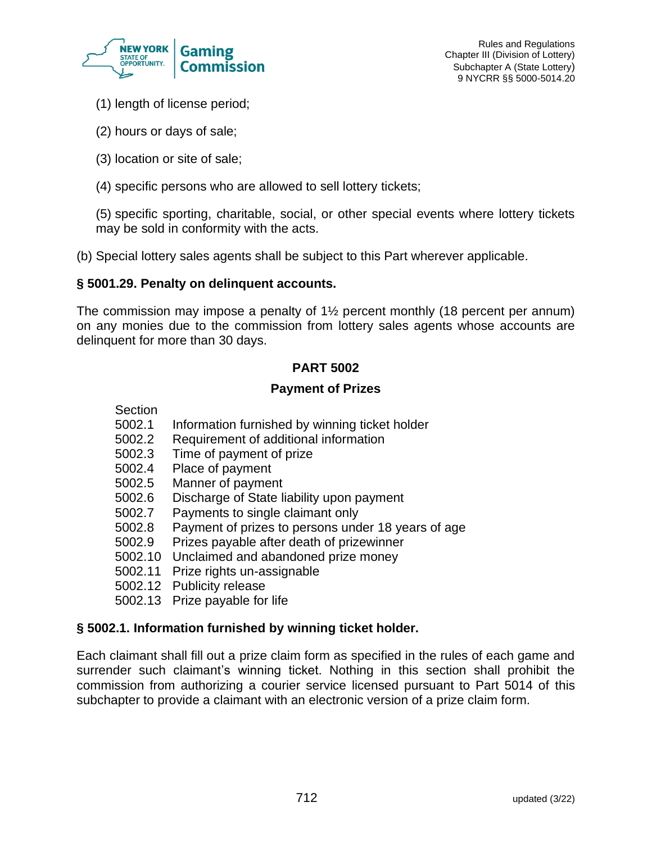

- (1) length of license period;
- (2) hours or days of sale;
- (3) location or site of sale;
- (4) specific persons who are allowed to sell lottery tickets;

(5) specific sporting, charitable, social, or other special events where lottery tickets may be sold in conformity with the acts.

(b) Special lottery sales agents shall be subject to this Part wherever applicable.

#### **§ 5001.29. Penalty on delinquent accounts.**

The commission may impose a penalty of 1½ percent monthly (18 percent per annum) on any monies due to the commission from lottery sales agents whose accounts are delinquent for more than 30 days.

## **PART 5002**

#### **Payment of Prizes**

- Section
- 5002.1 Information furnished by winning ticket holder
- 5002.2 Requirement of additional information
- 5002.3 Time of payment of prize
- 5002.4 Place of payment
- 5002.5 Manner of payment
- 5002.6 Discharge of State liability upon payment
- 5002.7 Payments to single claimant only
- 5002.8 Payment of prizes to persons under 18 years of age
- 5002.9 Prizes payable after death of prizewinner
- 5002.10 Unclaimed and abandoned prize money
- 5002.11 Prize rights un-assignable
- 5002.12 Publicity release
- 5002.13 Prize payable for life

#### **§ 5002.1. Information furnished by winning ticket holder.**

Each claimant shall fill out a prize claim form as specified in the rules of each game and surrender such claimant's winning ticket. Nothing in this section shall prohibit the commission from authorizing a courier service licensed pursuant to Part 5014 of this subchapter to provide a claimant with an electronic version of a prize claim form.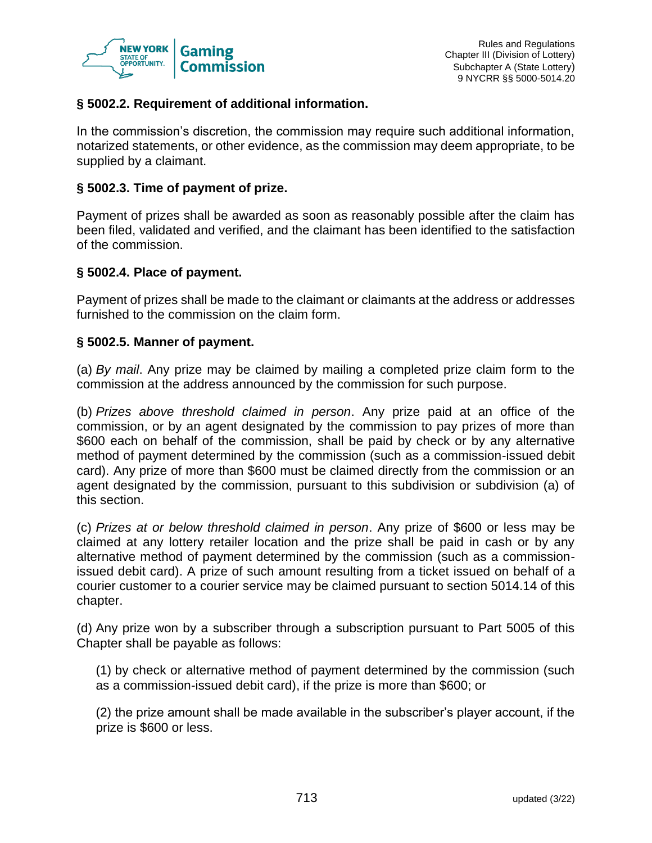

## **§ 5002.2. Requirement of additional information.**

In the commission's discretion, the commission may require such additional information, notarized statements, or other evidence, as the commission may deem appropriate, to be supplied by a claimant.

## **§ 5002.3. Time of payment of prize.**

Payment of prizes shall be awarded as soon as reasonably possible after the claim has been filed, validated and verified, and the claimant has been identified to the satisfaction of the commission.

#### **§ 5002.4. Place of payment.**

Payment of prizes shall be made to the claimant or claimants at the address or addresses furnished to the commission on the claim form.

## **§ 5002.5. Manner of payment.**

(a) *By mail*. Any prize may be claimed by mailing a completed prize claim form to the commission at the address announced by the commission for such purpose.

(b) *Prizes above threshold claimed in person*. Any prize paid at an office of the commission, or by an agent designated by the commission to pay prizes of more than \$600 each on behalf of the commission, shall be paid by check or by any alternative method of payment determined by the commission (such as a commission-issued debit card). Any prize of more than \$600 must be claimed directly from the commission or an agent designated by the commission, pursuant to this subdivision or subdivision (a) of this section.

(c) *Prizes at or below threshold claimed in person*. Any prize of \$600 or less may be claimed at any lottery retailer location and the prize shall be paid in cash or by any alternative method of payment determined by the commission (such as a commissionissued debit card). A prize of such amount resulting from a ticket issued on behalf of a courier customer to a courier service may be claimed pursuant to section 5014.14 of this chapter.

(d) Any prize won by a subscriber through a subscription pursuant to Part 5005 of this Chapter shall be payable as follows:

(1) by check or alternative method of payment determined by the commission (such as a commission-issued debit card), if the prize is more than \$600; or

(2) the prize amount shall be made available in the subscriber's player account, if the prize is \$600 or less.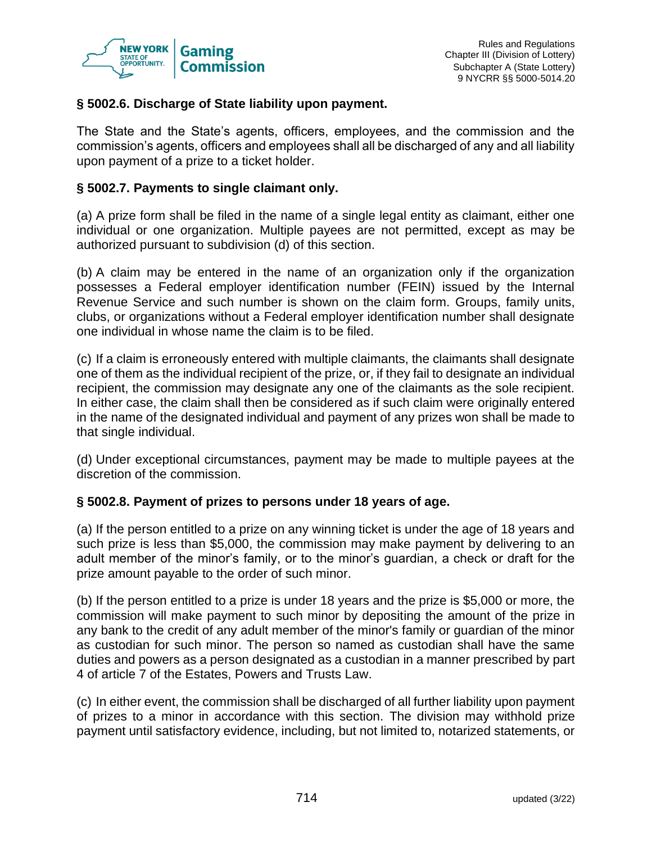

## **§ 5002.6. Discharge of State liability upon payment.**

The State and the State's agents, officers, employees, and the commission and the commission's agents, officers and employees shall all be discharged of any and all liability upon payment of a prize to a ticket holder.

## **§ 5002.7. Payments to single claimant only.**

(a) A prize form shall be filed in the name of a single legal entity as claimant, either one individual or one organization. Multiple payees are not permitted, except as may be authorized pursuant to subdivision (d) of this section.

(b) A claim may be entered in the name of an organization only if the organization possesses a Federal employer identification number (FEIN) issued by the Internal Revenue Service and such number is shown on the claim form. Groups, family units, clubs, or organizations without a Federal employer identification number shall designate one individual in whose name the claim is to be filed.

(c) If a claim is erroneously entered with multiple claimants, the claimants shall designate one of them as the individual recipient of the prize, or, if they fail to designate an individual recipient, the commission may designate any one of the claimants as the sole recipient. In either case, the claim shall then be considered as if such claim were originally entered in the name of the designated individual and payment of any prizes won shall be made to that single individual.

(d) Under exceptional circumstances, payment may be made to multiple payees at the discretion of the commission.

#### **§ 5002.8. Payment of prizes to persons under 18 years of age.**

(a) If the person entitled to a prize on any winning ticket is under the age of 18 years and such prize is less than \$5,000, the commission may make payment by delivering to an adult member of the minor's family, or to the minor's guardian, a check or draft for the prize amount payable to the order of such minor.

(b) If the person entitled to a prize is under 18 years and the prize is \$5,000 or more, the commission will make payment to such minor by depositing the amount of the prize in any bank to the credit of any adult member of the minor's family or guardian of the minor as custodian for such minor. The person so named as custodian shall have the same duties and powers as a person designated as a custodian in a manner prescribed by part 4 of article 7 of the Estates, Powers and Trusts Law.

(c) In either event, the commission shall be discharged of all further liability upon payment of prizes to a minor in accordance with this section. The division may withhold prize payment until satisfactory evidence, including, but not limited to, notarized statements, or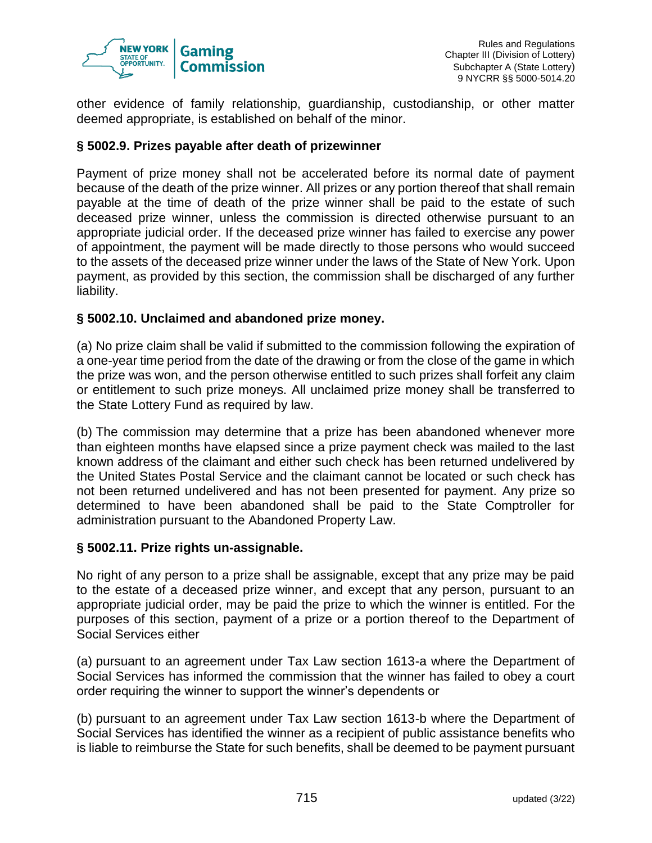

other evidence of family relationship, guardianship, custodianship, or other matter deemed appropriate, is established on behalf of the minor.

## **§ 5002.9. Prizes payable after death of prizewinner**

Payment of prize money shall not be accelerated before its normal date of payment because of the death of the prize winner. All prizes or any portion thereof that shall remain payable at the time of death of the prize winner shall be paid to the estate of such deceased prize winner, unless the commission is directed otherwise pursuant to an appropriate judicial order. If the deceased prize winner has failed to exercise any power of appointment, the payment will be made directly to those persons who would succeed to the assets of the deceased prize winner under the laws of the State of New York. Upon payment, as provided by this section, the commission shall be discharged of any further liability.

## **§ 5002.10. Unclaimed and abandoned prize money.**

(a) No prize claim shall be valid if submitted to the commission following the expiration of a one-year time period from the date of the drawing or from the close of the game in which the prize was won, and the person otherwise entitled to such prizes shall forfeit any claim or entitlement to such prize moneys. All unclaimed prize money shall be transferred to the State Lottery Fund as required by law.

(b) The commission may determine that a prize has been abandoned whenever more than eighteen months have elapsed since a prize payment check was mailed to the last known address of the claimant and either such check has been returned undelivered by the United States Postal Service and the claimant cannot be located or such check has not been returned undelivered and has not been presented for payment. Any prize so determined to have been abandoned shall be paid to the State Comptroller for administration pursuant to the Abandoned Property Law.

#### **§ 5002.11. Prize rights un-assignable.**

No right of any person to a prize shall be assignable, except that any prize may be paid to the estate of a deceased prize winner, and except that any person, pursuant to an appropriate judicial order, may be paid the prize to which the winner is entitled. For the purposes of this section, payment of a prize or a portion thereof to the Department of Social Services either

(a) pursuant to an agreement under Tax Law section 1613-a where the Department of Social Services has informed the commission that the winner has failed to obey a court order requiring the winner to support the winner's dependents or

(b) pursuant to an agreement under Tax Law section 1613-b where the Department of Social Services has identified the winner as a recipient of public assistance benefits who is liable to reimburse the State for such benefits, shall be deemed to be payment pursuant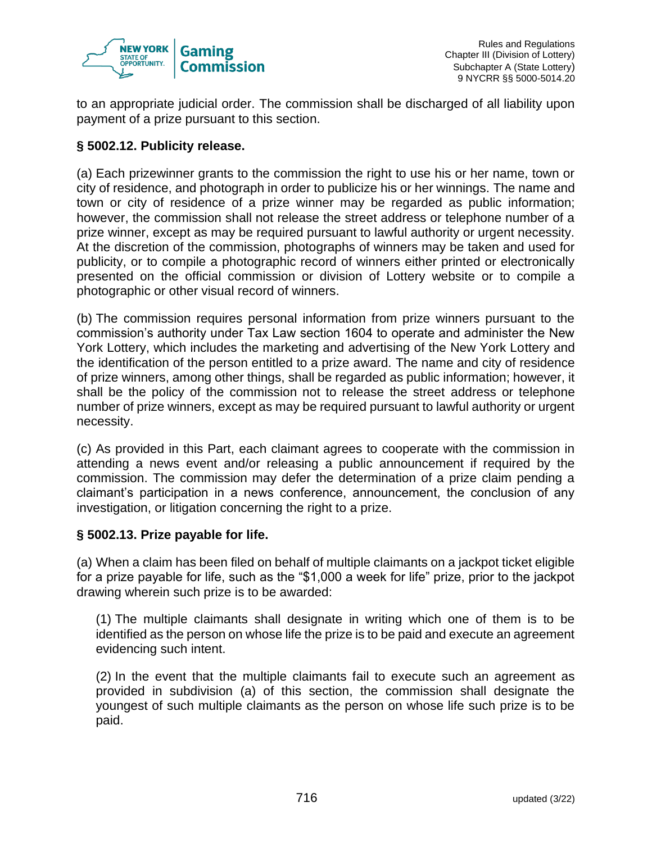

to an appropriate judicial order. The commission shall be discharged of all liability upon payment of a prize pursuant to this section.

## **§ 5002.12. Publicity release.**

(a) Each prizewinner grants to the commission the right to use his or her name, town or city of residence, and photograph in order to publicize his or her winnings. The name and town or city of residence of a prize winner may be regarded as public information; however, the commission shall not release the street address or telephone number of a prize winner, except as may be required pursuant to lawful authority or urgent necessity. At the discretion of the commission, photographs of winners may be taken and used for publicity, or to compile a photographic record of winners either printed or electronically presented on the official commission or division of Lottery website or to compile a photographic or other visual record of winners.

(b) The commission requires personal information from prize winners pursuant to the commission's authority under Tax Law section 1604 to operate and administer the New York Lottery, which includes the marketing and advertising of the New York Lottery and the identification of the person entitled to a prize award. The name and city of residence of prize winners, among other things, shall be regarded as public information; however, it shall be the policy of the commission not to release the street address or telephone number of prize winners, except as may be required pursuant to lawful authority or urgent necessity.

(c) As provided in this Part, each claimant agrees to cooperate with the commission in attending a news event and/or releasing a public announcement if required by the commission. The commission may defer the determination of a prize claim pending a claimant's participation in a news conference, announcement, the conclusion of any investigation, or litigation concerning the right to a prize.

## **§ 5002.13. Prize payable for life.**

(a) When a claim has been filed on behalf of multiple claimants on a jackpot ticket eligible for a prize payable for life, such as the "\$1,000 a week for life" prize, prior to the jackpot drawing wherein such prize is to be awarded:

(1) The multiple claimants shall designate in writing which one of them is to be identified as the person on whose life the prize is to be paid and execute an agreement evidencing such intent.

(2) In the event that the multiple claimants fail to execute such an agreement as provided in subdivision (a) of this section, the commission shall designate the youngest of such multiple claimants as the person on whose life such prize is to be paid.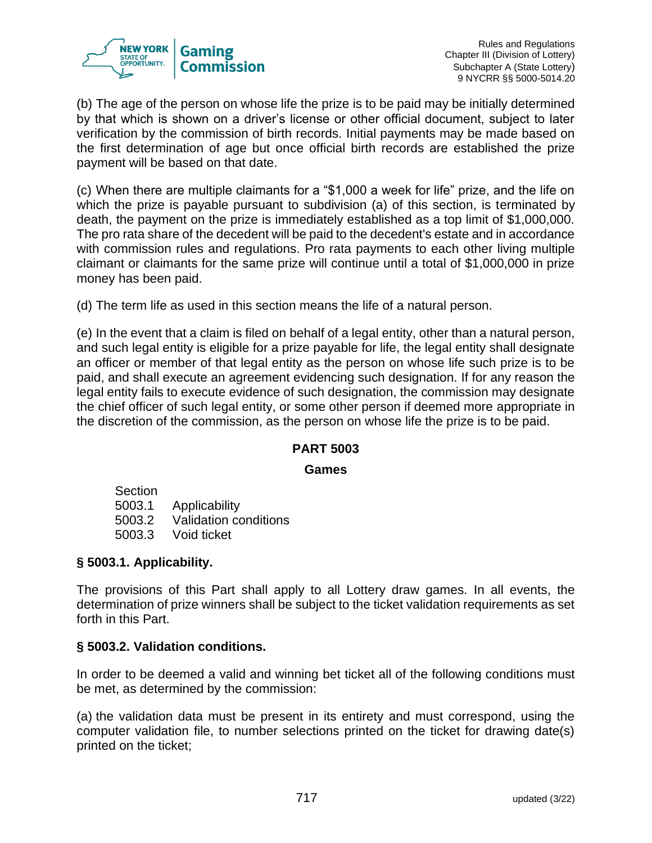

Rules and Regulations Chapter III (Division of Lottery) Subchapter A (State Lottery) 9 NYCRR §§ 5000-5014.20

(b) The age of the person on whose life the prize is to be paid may be initially determined by that which is shown on a driver's license or other official document, subject to later verification by the commission of birth records. Initial payments may be made based on the first determination of age but once official birth records are established the prize payment will be based on that date.

(c) When there are multiple claimants for a "\$1,000 a week for life" prize, and the life on which the prize is payable pursuant to subdivision (a) of this section, is terminated by death, the payment on the prize is immediately established as a top limit of \$1,000,000. The pro rata share of the decedent will be paid to the decedent's estate and in accordance with commission rules and regulations. Pro rata payments to each other living multiple claimant or claimants for the same prize will continue until a total of \$1,000,000 in prize money has been paid.

(d) The term life as used in this section means the life of a natural person.

(e) In the event that a claim is filed on behalf of a legal entity, other than a natural person, and such legal entity is eligible for a prize payable for life, the legal entity shall designate an officer or member of that legal entity as the person on whose life such prize is to be paid, and shall execute an agreement evidencing such designation. If for any reason the legal entity fails to execute evidence of such designation, the commission may designate the chief officer of such legal entity, or some other person if deemed more appropriate in the discretion of the commission, as the person on whose life the prize is to be paid.

## **PART 5003**

#### **Games**

Section 5003.1 Applicability 5003.2 Validation conditions 5003.3 Void ticket

#### **§ 5003.1. Applicability.**

The provisions of this Part shall apply to all Lottery draw games. In all events, the determination of prize winners shall be subject to the ticket validation requirements as set forth in this Part.

## **§ 5003.2. Validation conditions.**

In order to be deemed a valid and winning bet ticket all of the following conditions must be met, as determined by the commission:

(a) the validation data must be present in its entirety and must correspond, using the computer validation file, to number selections printed on the ticket for drawing date(s) printed on the ticket;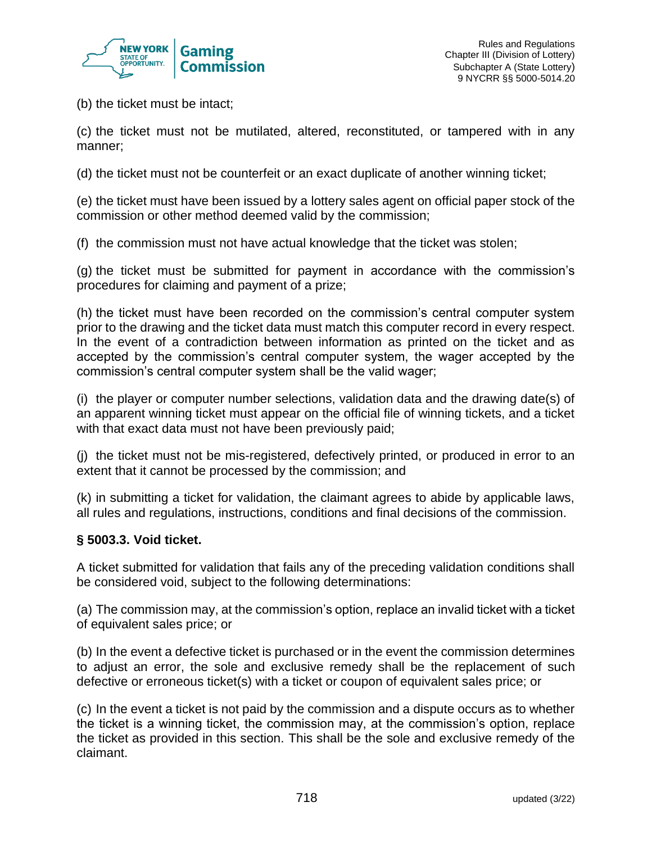

(b) the ticket must be intact;

(c) the ticket must not be mutilated, altered, reconstituted, or tampered with in any manner;

(d) the ticket must not be counterfeit or an exact duplicate of another winning ticket;

(e) the ticket must have been issued by a lottery sales agent on official paper stock of the commission or other method deemed valid by the commission;

(f) the commission must not have actual knowledge that the ticket was stolen;

(g) the ticket must be submitted for payment in accordance with the commission's procedures for claiming and payment of a prize;

(h) the ticket must have been recorded on the commission's central computer system prior to the drawing and the ticket data must match this computer record in every respect. In the event of a contradiction between information as printed on the ticket and as accepted by the commission's central computer system, the wager accepted by the commission's central computer system shall be the valid wager;

(i) the player or computer number selections, validation data and the drawing date(s) of an apparent winning ticket must appear on the official file of winning tickets, and a ticket with that exact data must not have been previously paid;

(j) the ticket must not be mis-registered, defectively printed, or produced in error to an extent that it cannot be processed by the commission; and

(k) in submitting a ticket for validation, the claimant agrees to abide by applicable laws, all rules and regulations, instructions, conditions and final decisions of the commission.

## **§ 5003.3. Void ticket.**

A ticket submitted for validation that fails any of the preceding validation conditions shall be considered void, subject to the following determinations:

(a) The commission may, at the commission's option, replace an invalid ticket with a ticket of equivalent sales price; or

(b) In the event a defective ticket is purchased or in the event the commission determines to adjust an error, the sole and exclusive remedy shall be the replacement of such defective or erroneous ticket(s) with a ticket or coupon of equivalent sales price; or

(c) In the event a ticket is not paid by the commission and a dispute occurs as to whether the ticket is a winning ticket, the commission may, at the commission's option, replace the ticket as provided in this section. This shall be the sole and exclusive remedy of the claimant.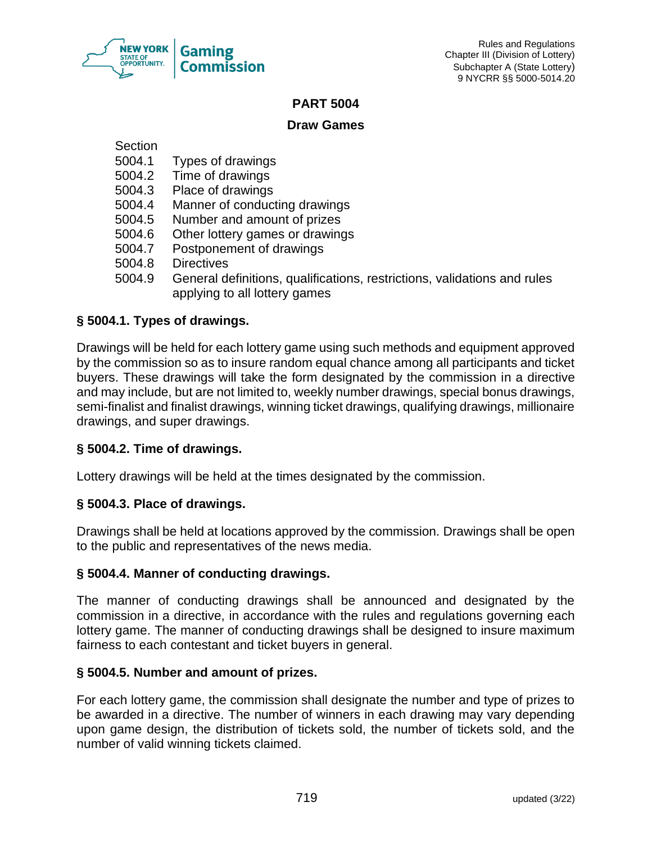

## **PART 5004**

## **Draw Games**

**Section** 

- 5004.1 Types of drawings
- Time of drawings
- 5004.3 Place of drawings
- 5004.4 Manner of conducting drawings
- 5004.5 Number and amount of prizes
- 5004.6 Other lottery games or drawings
- 5004.7 Postponement of drawings
- 5004.8 Directives
- 5004.9 General definitions, qualifications, restrictions, validations and rules applying to all lottery games

## **§ 5004.1. Types of drawings.**

Drawings will be held for each lottery game using such methods and equipment approved by the commission so as to insure random equal chance among all participants and ticket buyers. These drawings will take the form designated by the commission in a directive and may include, but are not limited to, weekly number drawings, special bonus drawings, semi-finalist and finalist drawings, winning ticket drawings, qualifying drawings, millionaire drawings, and super drawings.

## **§ 5004.2. Time of drawings.**

Lottery drawings will be held at the times designated by the commission.

## **§ 5004.3. Place of drawings.**

Drawings shall be held at locations approved by the commission. Drawings shall be open to the public and representatives of the news media.

## **§ 5004.4. Manner of conducting drawings.**

The manner of conducting drawings shall be announced and designated by the commission in a directive, in accordance with the rules and regulations governing each lottery game. The manner of conducting drawings shall be designed to insure maximum fairness to each contestant and ticket buyers in general.

## **§ 5004.5. Number and amount of prizes.**

For each lottery game, the commission shall designate the number and type of prizes to be awarded in a directive. The number of winners in each drawing may vary depending upon game design, the distribution of tickets sold, the number of tickets sold, and the number of valid winning tickets claimed.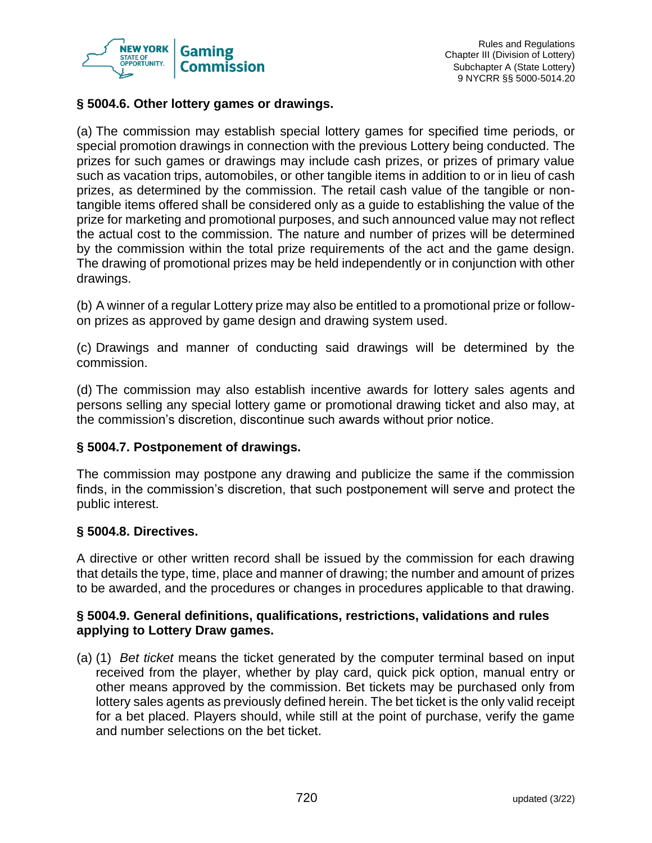

## **§ 5004.6. Other lottery games or drawings.**

(a) The commission may establish special lottery games for specified time periods, or special promotion drawings in connection with the previous Lottery being conducted. The prizes for such games or drawings may include cash prizes, or prizes of primary value such as vacation trips, automobiles, or other tangible items in addition to or in lieu of cash prizes, as determined by the commission. The retail cash value of the tangible or nontangible items offered shall be considered only as a guide to establishing the value of the prize for marketing and promotional purposes, and such announced value may not reflect the actual cost to the commission. The nature and number of prizes will be determined by the commission within the total prize requirements of the act and the game design. The drawing of promotional prizes may be held independently or in conjunction with other drawings.

(b) A winner of a regular Lottery prize may also be entitled to a promotional prize or followon prizes as approved by game design and drawing system used.

(c) Drawings and manner of conducting said drawings will be determined by the commission.

(d) The commission may also establish incentive awards for lottery sales agents and persons selling any special lottery game or promotional drawing ticket and also may, at the commission's discretion, discontinue such awards without prior notice.

## **§ 5004.7. Postponement of drawings.**

The commission may postpone any drawing and publicize the same if the commission finds, in the commission's discretion, that such postponement will serve and protect the public interest.

#### **§ 5004.8. Directives.**

A directive or other written record shall be issued by the commission for each drawing that details the type, time, place and manner of drawing; the number and amount of prizes to be awarded, and the procedures or changes in procedures applicable to that drawing.

## **§ 5004.9. General definitions, qualifications, restrictions, validations and rules applying to Lottery Draw games.**

(a) (1) *Bet ticket* means the ticket generated by the computer terminal based on input received from the player, whether by play card, quick pick option, manual entry or other means approved by the commission. Bet tickets may be purchased only from lottery sales agents as previously defined herein. The bet ticket is the only valid receipt for a bet placed. Players should, while still at the point of purchase, verify the game and number selections on the bet ticket.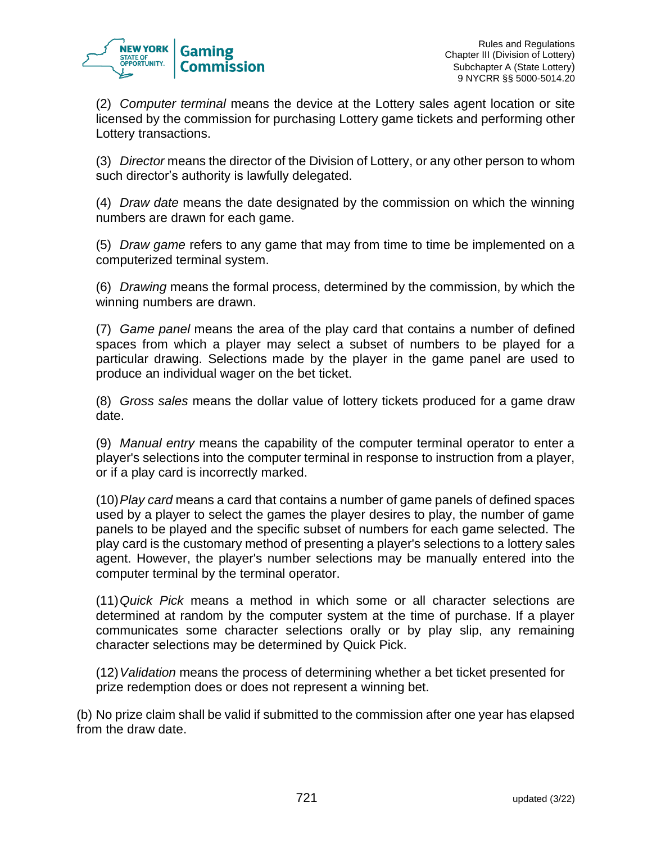

(2) *Computer terminal* means the device at the Lottery sales agent location or site licensed by the commission for purchasing Lottery game tickets and performing other Lottery transactions.

(3) *Director* means the director of the Division of Lottery, or any other person to whom such director's authority is lawfully delegated.

(4) *Draw date* means the date designated by the commission on which the winning numbers are drawn for each game.

(5) *Draw game* refers to any game that may from time to time be implemented on a computerized terminal system.

(6) *Drawing* means the formal process, determined by the commission, by which the winning numbers are drawn.

(7) *Game panel* means the area of the play card that contains a number of defined spaces from which a player may select a subset of numbers to be played for a particular drawing. Selections made by the player in the game panel are used to produce an individual wager on the bet ticket.

(8) *Gross sales* means the dollar value of lottery tickets produced for a game draw date.

(9) *Manual entry* means the capability of the computer terminal operator to enter a player's selections into the computer terminal in response to instruction from a player, or if a play card is incorrectly marked.

(10)*Play card* means a card that contains a number of game panels of defined spaces used by a player to select the games the player desires to play, the number of game panels to be played and the specific subset of numbers for each game selected. The play card is the customary method of presenting a player's selections to a lottery sales agent. However, the player's number selections may be manually entered into the computer terminal by the terminal operator.

(11)*Quick Pick* means a method in which some or all character selections are determined at random by the computer system at the time of purchase. If a player communicates some character selections orally or by play slip, any remaining character selections may be determined by Quick Pick.

(12)*Validation* means the process of determining whether a bet ticket presented for prize redemption does or does not represent a winning bet.

(b) No prize claim shall be valid if submitted to the commission after one year has elapsed from the draw date.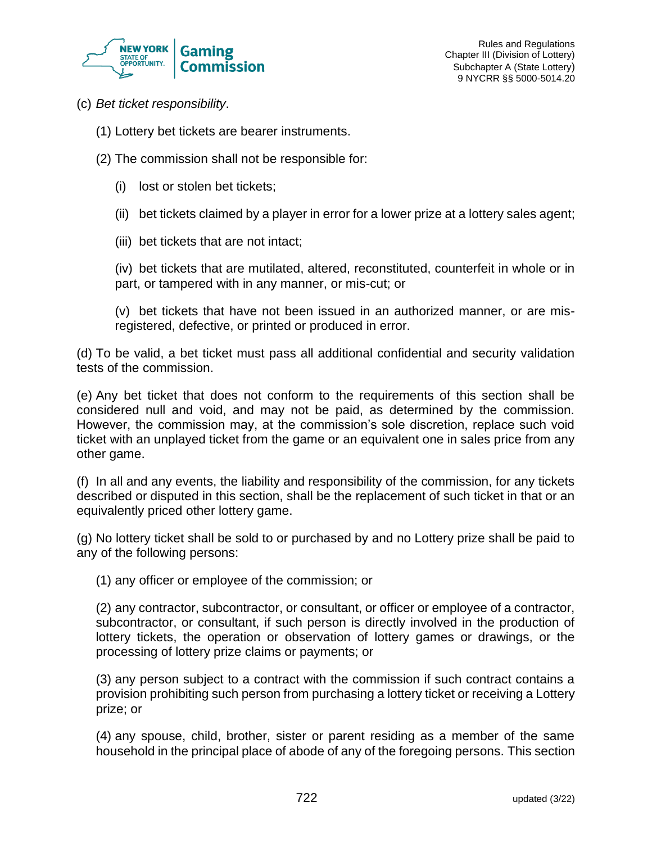

- (c) *Bet ticket responsibility*.
	- (1) Lottery bet tickets are bearer instruments.
	- (2) The commission shall not be responsible for:
		- (i) lost or stolen bet tickets;
		- (ii) bet tickets claimed by a player in error for a lower prize at a lottery sales agent;
		- (iii) bet tickets that are not intact;

(iv) bet tickets that are mutilated, altered, reconstituted, counterfeit in whole or in part, or tampered with in any manner, or mis-cut; or

(v) bet tickets that have not been issued in an authorized manner, or are misregistered, defective, or printed or produced in error.

(d) To be valid, a bet ticket must pass all additional confidential and security validation tests of the commission.

(e) Any bet ticket that does not conform to the requirements of this section shall be considered null and void, and may not be paid, as determined by the commission. However, the commission may, at the commission's sole discretion, replace such void ticket with an unplayed ticket from the game or an equivalent one in sales price from any other game.

(f) In all and any events, the liability and responsibility of the commission, for any tickets described or disputed in this section, shall be the replacement of such ticket in that or an equivalently priced other lottery game.

(g) No lottery ticket shall be sold to or purchased by and no Lottery prize shall be paid to any of the following persons:

(1) any officer or employee of the commission; or

(2) any contractor, subcontractor, or consultant, or officer or employee of a contractor, subcontractor, or consultant, if such person is directly involved in the production of lottery tickets, the operation or observation of lottery games or drawings, or the processing of lottery prize claims or payments; or

(3) any person subject to a contract with the commission if such contract contains a provision prohibiting such person from purchasing a lottery ticket or receiving a Lottery prize; or

(4) any spouse, child, brother, sister or parent residing as a member of the same household in the principal place of abode of any of the foregoing persons. This section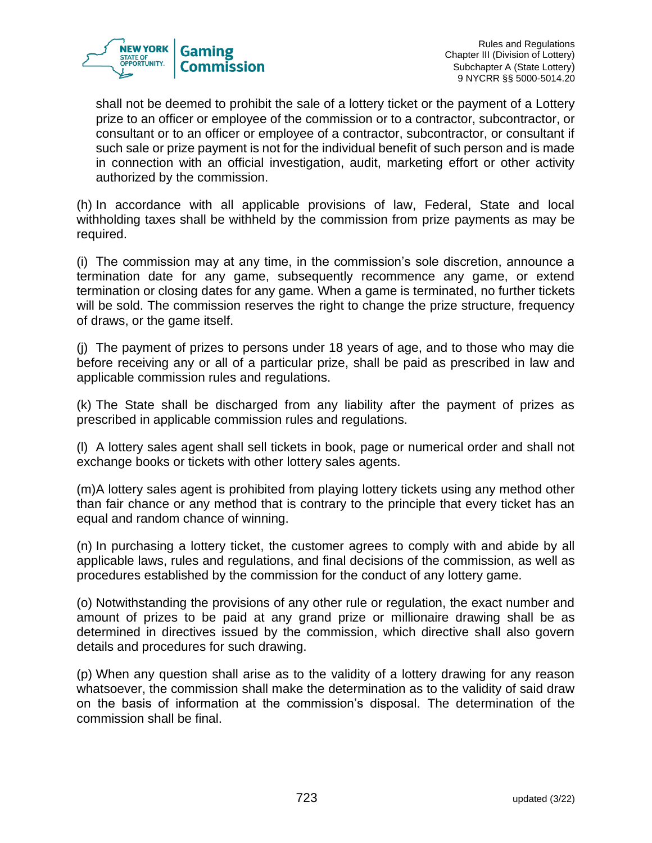

shall not be deemed to prohibit the sale of a lottery ticket or the payment of a Lottery prize to an officer or employee of the commission or to a contractor, subcontractor, or consultant or to an officer or employee of a contractor, subcontractor, or consultant if such sale or prize payment is not for the individual benefit of such person and is made in connection with an official investigation, audit, marketing effort or other activity authorized by the commission.

(h) In accordance with all applicable provisions of law, Federal, State and local withholding taxes shall be withheld by the commission from prize payments as may be required.

(i) The commission may at any time, in the commission's sole discretion, announce a termination date for any game, subsequently recommence any game, or extend termination or closing dates for any game. When a game is terminated, no further tickets will be sold. The commission reserves the right to change the prize structure, frequency of draws, or the game itself.

(j) The payment of prizes to persons under 18 years of age, and to those who may die before receiving any or all of a particular prize, shall be paid as prescribed in law and applicable commission rules and regulations.

(k) The State shall be discharged from any liability after the payment of prizes as prescribed in applicable commission rules and regulations.

(l) A lottery sales agent shall sell tickets in book, page or numerical order and shall not exchange books or tickets with other lottery sales agents.

(m)A lottery sales agent is prohibited from playing lottery tickets using any method other than fair chance or any method that is contrary to the principle that every ticket has an equal and random chance of winning.

(n) In purchasing a lottery ticket, the customer agrees to comply with and abide by all applicable laws, rules and regulations, and final decisions of the commission, as well as procedures established by the commission for the conduct of any lottery game.

(o) Notwithstanding the provisions of any other rule or regulation, the exact number and amount of prizes to be paid at any grand prize or millionaire drawing shall be as determined in directives issued by the commission, which directive shall also govern details and procedures for such drawing.

(p) When any question shall arise as to the validity of a lottery drawing for any reason whatsoever, the commission shall make the determination as to the validity of said draw on the basis of information at the commission's disposal. The determination of the commission shall be final.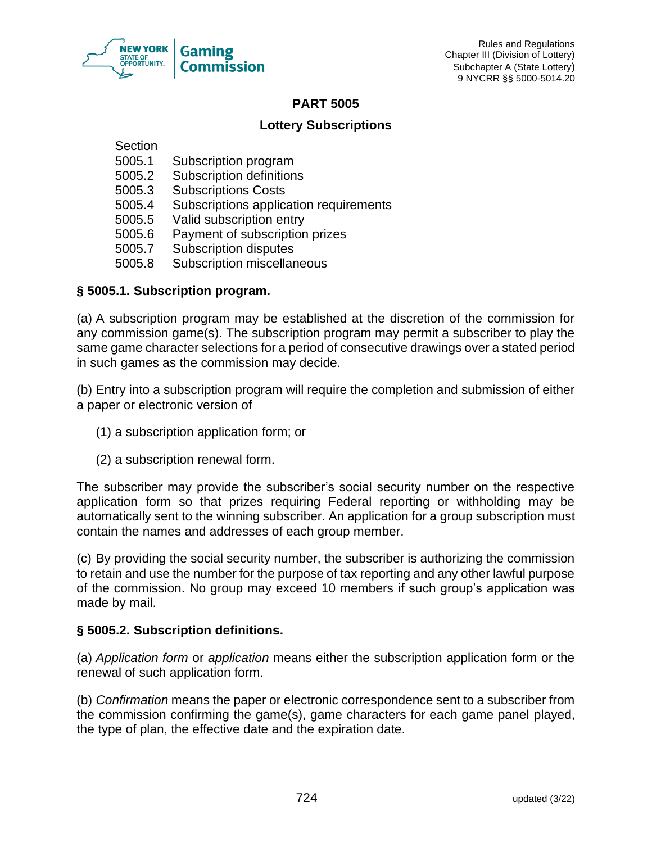

## **PART 5005**

## **Lottery Subscriptions**

**Section** 

- 5005.1 Subscription program
- 5005.2 Subscription definitions
- 5005.3 Subscriptions Costs
- 5005.4 Subscriptions application requirements
- 5005.5 Valid subscription entry
- 5005.6 Payment of subscription prizes
- 5005.7 Subscription disputes
- 5005.8 Subscription miscellaneous

## **§ 5005.1. Subscription program.**

(a) A subscription program may be established at the discretion of the commission for any commission game(s). The subscription program may permit a subscriber to play the same game character selections for a period of consecutive drawings over a stated period in such games as the commission may decide.

(b) Entry into a subscription program will require the completion and submission of either a paper or electronic version of

- (1) a subscription application form; or
- (2) a subscription renewal form.

The subscriber may provide the subscriber's social security number on the respective application form so that prizes requiring Federal reporting or withholding may be automatically sent to the winning subscriber. An application for a group subscription must contain the names and addresses of each group member.

(c) By providing the social security number, the subscriber is authorizing the commission to retain and use the number for the purpose of tax reporting and any other lawful purpose of the commission. No group may exceed 10 members if such group's application was made by mail.

## **§ 5005.2. Subscription definitions.**

(a) *Application form* or *application* means either the subscription application form or the renewal of such application form.

(b) *Confirmation* means the paper or electronic correspondence sent to a subscriber from the commission confirming the game(s), game characters for each game panel played, the type of plan, the effective date and the expiration date.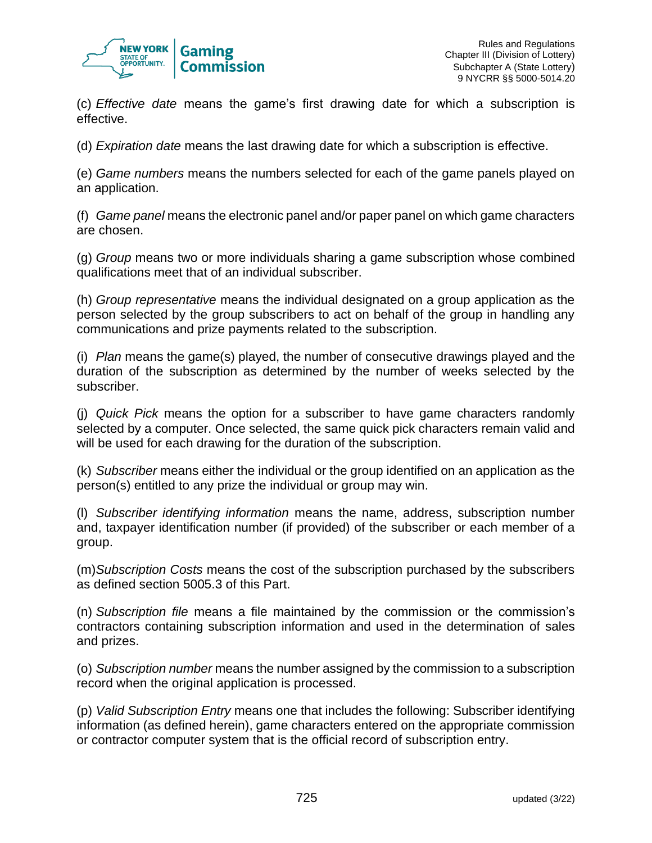

(c) *Effective date* means the game's first drawing date for which a subscription is effective.

(d) *Expiration date* means the last drawing date for which a subscription is effective.

(e) *Game numbers* means the numbers selected for each of the game panels played on an application.

(f) *Game panel* means the electronic panel and/or paper panel on which game characters are chosen.

(g) *Group* means two or more individuals sharing a game subscription whose combined qualifications meet that of an individual subscriber.

(h) *Group representative* means the individual designated on a group application as the person selected by the group subscribers to act on behalf of the group in handling any communications and prize payments related to the subscription.

(i) *Plan* means the game(s) played, the number of consecutive drawings played and the duration of the subscription as determined by the number of weeks selected by the subscriber.

(j) *Quick Pick* means the option for a subscriber to have game characters randomly selected by a computer. Once selected, the same quick pick characters remain valid and will be used for each drawing for the duration of the subscription.

(k) *Subscriber* means either the individual or the group identified on an application as the person(s) entitled to any prize the individual or group may win.

(l) *Subscriber identifying information* means the name, address, subscription number and, taxpayer identification number (if provided) of the subscriber or each member of a group.

(m)*Subscription Costs* means the cost of the subscription purchased by the subscribers as defined section 5005.3 of this Part.

(n) *Subscription file* means a file maintained by the commission or the commission's contractors containing subscription information and used in the determination of sales and prizes.

(o) *Subscription number* means the number assigned by the commission to a subscription record when the original application is processed.

(p) *Valid Subscription Entry* means one that includes the following: Subscriber identifying information (as defined herein), game characters entered on the appropriate commission or contractor computer system that is the official record of subscription entry.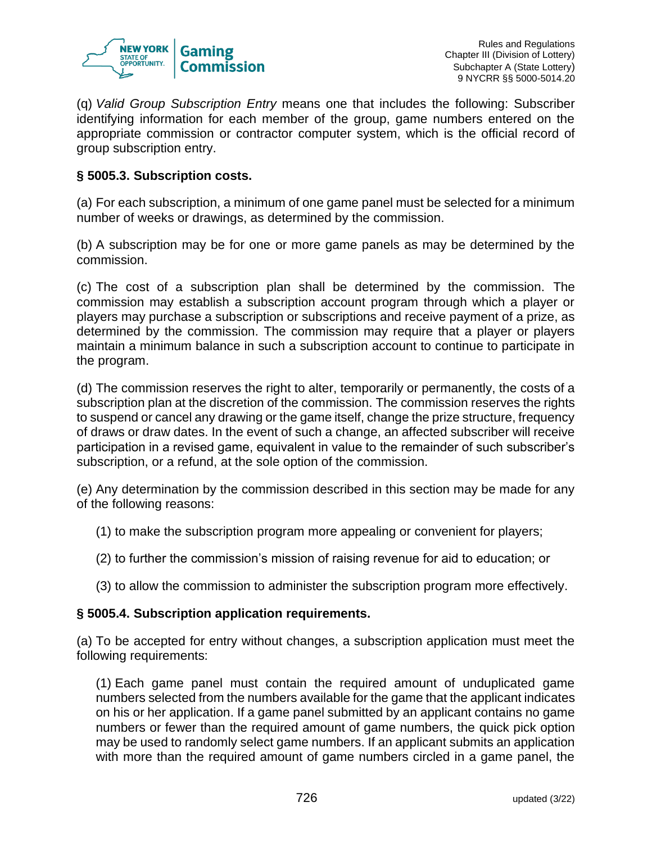

(q) *Valid Group Subscription Entry* means one that includes the following: Subscriber identifying information for each member of the group, game numbers entered on the appropriate commission or contractor computer system, which is the official record of group subscription entry.

## **§ 5005.3. Subscription costs.**

(a) For each subscription, a minimum of one game panel must be selected for a minimum number of weeks or drawings, as determined by the commission.

(b) A subscription may be for one or more game panels as may be determined by the commission.

(c) The cost of a subscription plan shall be determined by the commission. The commission may establish a subscription account program through which a player or players may purchase a subscription or subscriptions and receive payment of a prize, as determined by the commission. The commission may require that a player or players maintain a minimum balance in such a subscription account to continue to participate in the program.

(d) The commission reserves the right to alter, temporarily or permanently, the costs of a subscription plan at the discretion of the commission. The commission reserves the rights to suspend or cancel any drawing or the game itself, change the prize structure, frequency of draws or draw dates. In the event of such a change, an affected subscriber will receive participation in a revised game, equivalent in value to the remainder of such subscriber's subscription, or a refund, at the sole option of the commission.

(e) Any determination by the commission described in this section may be made for any of the following reasons:

(1) to make the subscription program more appealing or convenient for players;

- (2) to further the commission's mission of raising revenue for aid to education; or
- (3) to allow the commission to administer the subscription program more effectively.

## **§ 5005.4. Subscription application requirements.**

(a) To be accepted for entry without changes, a subscription application must meet the following requirements:

(1) Each game panel must contain the required amount of unduplicated game numbers selected from the numbers available for the game that the applicant indicates on his or her application. If a game panel submitted by an applicant contains no game numbers or fewer than the required amount of game numbers, the quick pick option may be used to randomly select game numbers. If an applicant submits an application with more than the required amount of game numbers circled in a game panel, the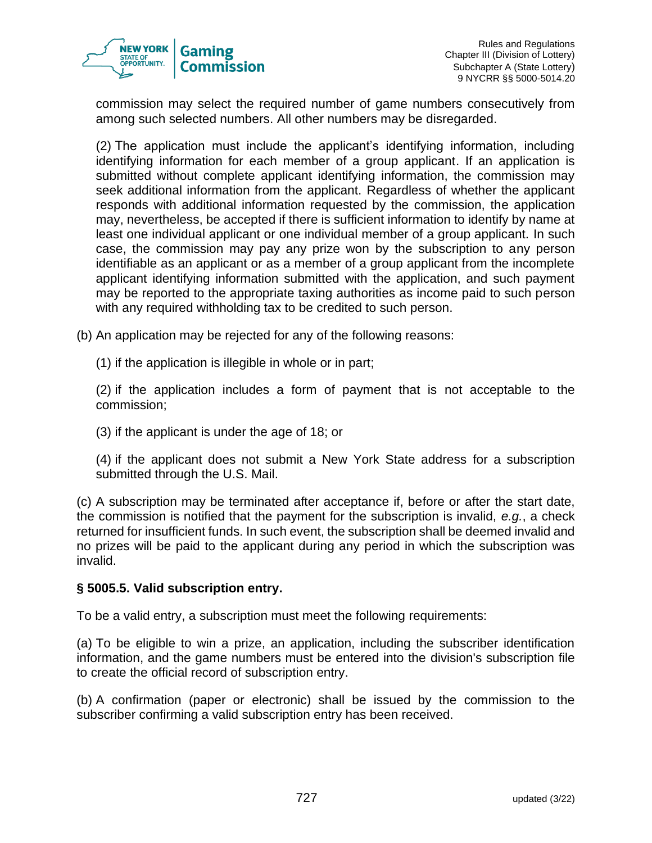

commission may select the required number of game numbers consecutively from among such selected numbers. All other numbers may be disregarded.

(2) The application must include the applicant's identifying information, including identifying information for each member of a group applicant. If an application is submitted without complete applicant identifying information, the commission may seek additional information from the applicant. Regardless of whether the applicant responds with additional information requested by the commission, the application may, nevertheless, be accepted if there is sufficient information to identify by name at least one individual applicant or one individual member of a group applicant. In such case, the commission may pay any prize won by the subscription to any person identifiable as an applicant or as a member of a group applicant from the incomplete applicant identifying information submitted with the application, and such payment may be reported to the appropriate taxing authorities as income paid to such person with any required withholding tax to be credited to such person.

(b) An application may be rejected for any of the following reasons:

(1) if the application is illegible in whole or in part;

(2) if the application includes a form of payment that is not acceptable to the commission;

(3) if the applicant is under the age of 18; or

(4) if the applicant does not submit a New York State address for a subscription submitted through the U.S. Mail.

(c) A subscription may be terminated after acceptance if, before or after the start date, the commission is notified that the payment for the subscription is invalid, *e.g.*, a check returned for insufficient funds. In such event, the subscription shall be deemed invalid and no prizes will be paid to the applicant during any period in which the subscription was invalid.

## **§ 5005.5. Valid subscription entry.**

To be a valid entry, a subscription must meet the following requirements:

(a) To be eligible to win a prize, an application, including the subscriber identification information, and the game numbers must be entered into the division's subscription file to create the official record of subscription entry.

(b) A confirmation (paper or electronic) shall be issued by the commission to the subscriber confirming a valid subscription entry has been received.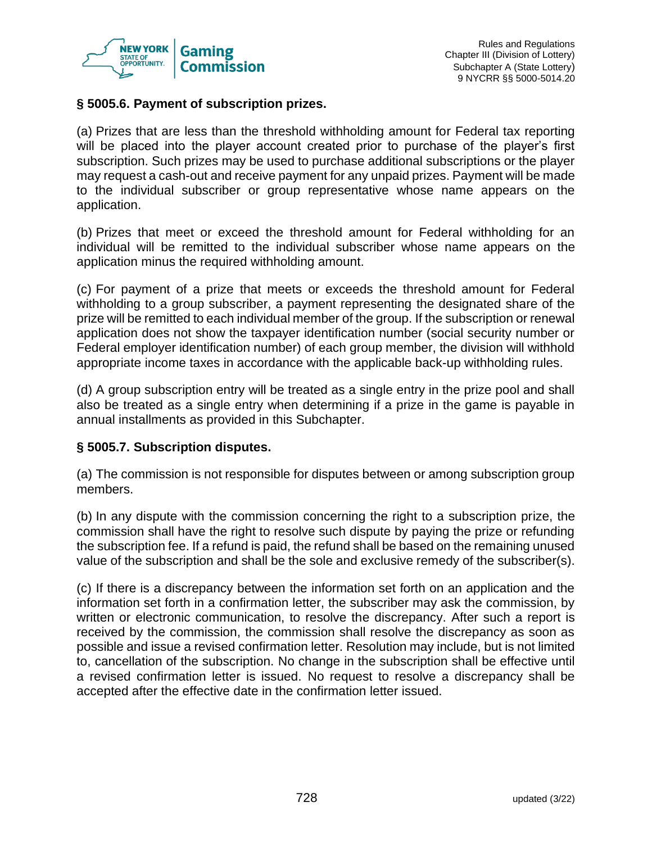

## **§ 5005.6. Payment of subscription prizes.**

(a) Prizes that are less than the threshold withholding amount for Federal tax reporting will be placed into the player account created prior to purchase of the player's first subscription. Such prizes may be used to purchase additional subscriptions or the player may request a cash-out and receive payment for any unpaid prizes. Payment will be made to the individual subscriber or group representative whose name appears on the application.

(b) Prizes that meet or exceed the threshold amount for Federal withholding for an individual will be remitted to the individual subscriber whose name appears on the application minus the required withholding amount.

(c) For payment of a prize that meets or exceeds the threshold amount for Federal withholding to a group subscriber, a payment representing the designated share of the prize will be remitted to each individual member of the group. If the subscription or renewal application does not show the taxpayer identification number (social security number or Federal employer identification number) of each group member, the division will withhold appropriate income taxes in accordance with the applicable back-up withholding rules.

(d) A group subscription entry will be treated as a single entry in the prize pool and shall also be treated as a single entry when determining if a prize in the game is payable in annual installments as provided in this Subchapter.

## **§ 5005.7. Subscription disputes.**

(a) The commission is not responsible for disputes between or among subscription group members.

(b) In any dispute with the commission concerning the right to a subscription prize, the commission shall have the right to resolve such dispute by paying the prize or refunding the subscription fee. If a refund is paid, the refund shall be based on the remaining unused value of the subscription and shall be the sole and exclusive remedy of the subscriber(s).

(c) If there is a discrepancy between the information set forth on an application and the information set forth in a confirmation letter, the subscriber may ask the commission, by written or electronic communication, to resolve the discrepancy. After such a report is received by the commission, the commission shall resolve the discrepancy as soon as possible and issue a revised confirmation letter. Resolution may include, but is not limited to, cancellation of the subscription. No change in the subscription shall be effective until a revised confirmation letter is issued. No request to resolve a discrepancy shall be accepted after the effective date in the confirmation letter issued.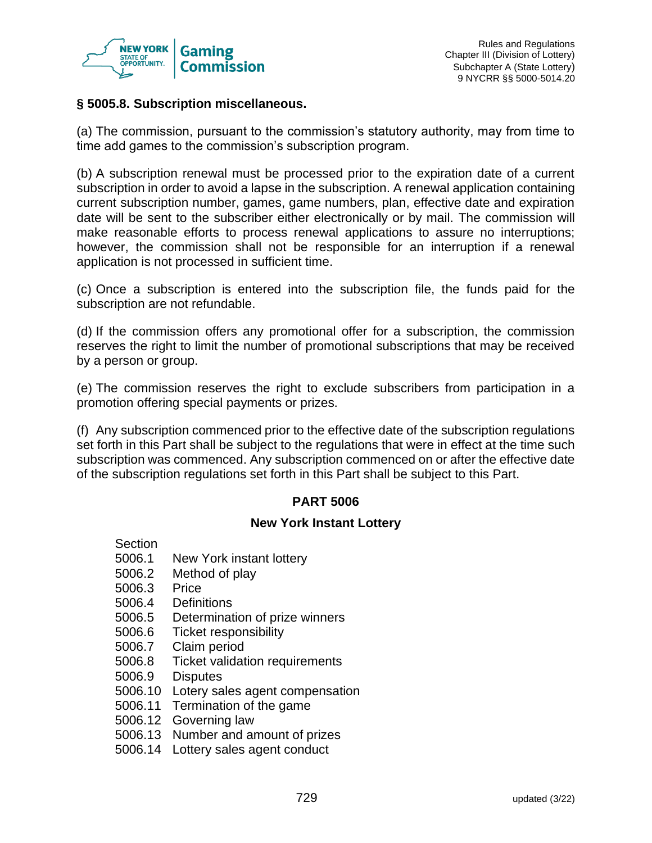

## **§ 5005.8. Subscription miscellaneous.**

(a) The commission, pursuant to the commission's statutory authority, may from time to time add games to the commission's subscription program.

(b) A subscription renewal must be processed prior to the expiration date of a current subscription in order to avoid a lapse in the subscription. A renewal application containing current subscription number, games, game numbers, plan, effective date and expiration date will be sent to the subscriber either electronically or by mail. The commission will make reasonable efforts to process renewal applications to assure no interruptions; however, the commission shall not be responsible for an interruption if a renewal application is not processed in sufficient time.

(c) Once a subscription is entered into the subscription file, the funds paid for the subscription are not refundable.

(d) If the commission offers any promotional offer for a subscription, the commission reserves the right to limit the number of promotional subscriptions that may be received by a person or group.

(e) The commission reserves the right to exclude subscribers from participation in a promotion offering special payments or prizes.

(f) Any subscription commenced prior to the effective date of the subscription regulations set forth in this Part shall be subject to the regulations that were in effect at the time such subscription was commenced. Any subscription commenced on or after the effective date of the subscription regulations set forth in this Part shall be subject to this Part.

## **PART 5006**

#### **New York Instant Lottery**

- Section
- 5006.1 New York instant lottery
- 5006.2 Method of play
- 5006.3 Price
- 5006.4 Definitions
- 5006.5 Determination of prize winners
- 5006.6 Ticket responsibility
- 5006.7 Claim period
- 5006.8 Ticket validation requirements
- 5006.9 Disputes
- 5006.10 Lotery sales agent compensation
- 5006.11 Termination of the game
- 5006.12 Governing law
- 5006.13 Number and amount of prizes
- 5006.14 Lottery sales agent conduct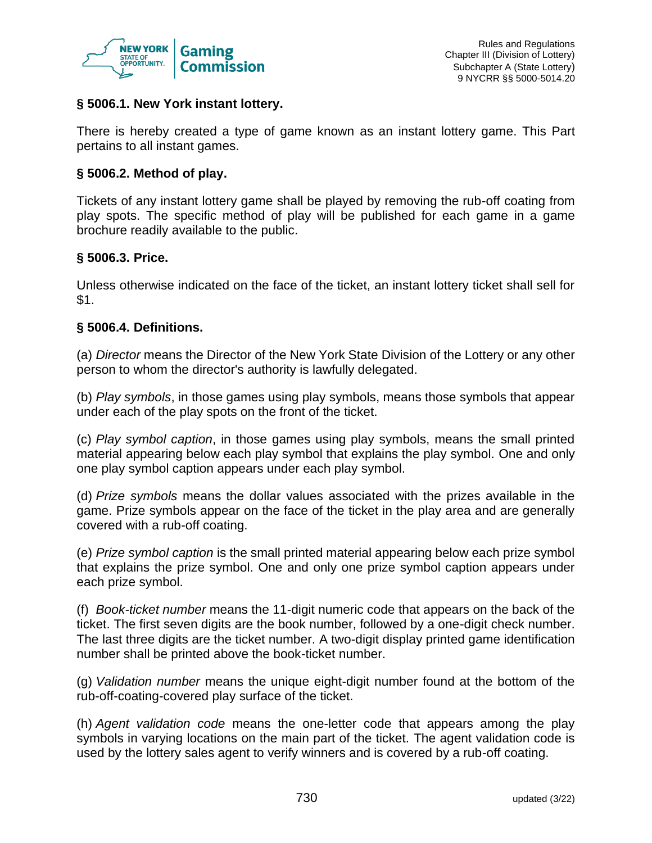

## **§ 5006.1. New York instant lottery.**

There is hereby created a type of game known as an instant lottery game. This Part pertains to all instant games.

## **§ 5006.2. Method of play.**

Tickets of any instant lottery game shall be played by removing the rub-off coating from play spots. The specific method of play will be published for each game in a game brochure readily available to the public.

## **§ 5006.3. Price.**

Unless otherwise indicated on the face of the ticket, an instant lottery ticket shall sell for \$1.

## **§ 5006.4. Definitions.**

(a) *Director* means the Director of the New York State Division of the Lottery or any other person to whom the director's authority is lawfully delegated.

(b) *Play symbols*, in those games using play symbols, means those symbols that appear under each of the play spots on the front of the ticket.

(c) *Play symbol caption*, in those games using play symbols, means the small printed material appearing below each play symbol that explains the play symbol. One and only one play symbol caption appears under each play symbol.

(d) *Prize symbols* means the dollar values associated with the prizes available in the game. Prize symbols appear on the face of the ticket in the play area and are generally covered with a rub-off coating.

(e) *Prize symbol caption* is the small printed material appearing below each prize symbol that explains the prize symbol. One and only one prize symbol caption appears under each prize symbol.

(f) *Book-ticket number* means the 11-digit numeric code that appears on the back of the ticket. The first seven digits are the book number, followed by a one-digit check number. The last three digits are the ticket number. A two-digit display printed game identification number shall be printed above the book-ticket number.

(g) *Validation number* means the unique eight-digit number found at the bottom of the rub-off-coating-covered play surface of the ticket.

(h) *Agent validation code* means the one-letter code that appears among the play symbols in varying locations on the main part of the ticket. The agent validation code is used by the lottery sales agent to verify winners and is covered by a rub-off coating.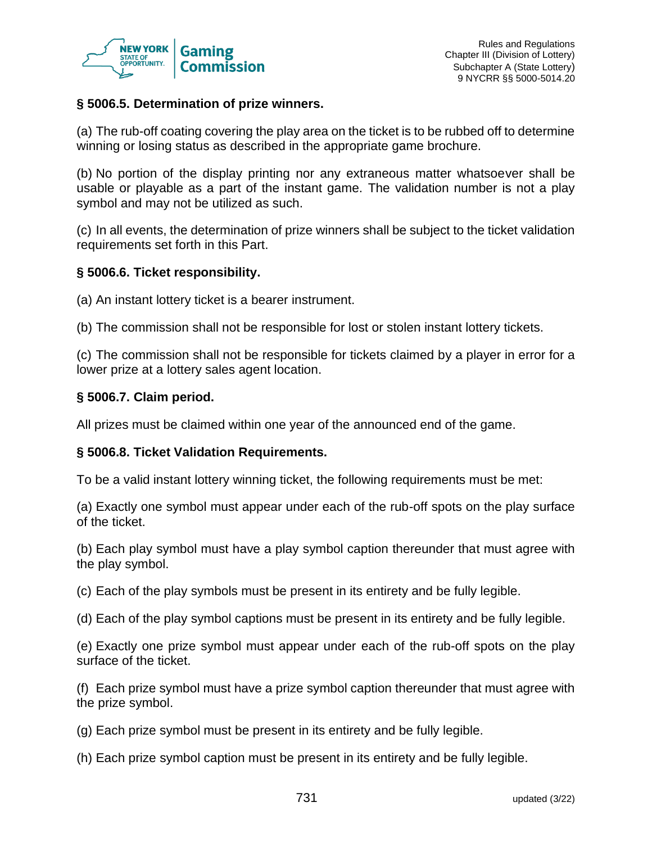

### **§ 5006.5. Determination of prize winners.**

(a) The rub-off coating covering the play area on the ticket is to be rubbed off to determine winning or losing status as described in the appropriate game brochure.

(b) No portion of the display printing nor any extraneous matter whatsoever shall be usable or playable as a part of the instant game. The validation number is not a play symbol and may not be utilized as such.

(c) In all events, the determination of prize winners shall be subject to the ticket validation requirements set forth in this Part.

#### **§ 5006.6. Ticket responsibility.**

(a) An instant lottery ticket is a bearer instrument.

(b) The commission shall not be responsible for lost or stolen instant lottery tickets.

(c) The commission shall not be responsible for tickets claimed by a player in error for a lower prize at a lottery sales agent location.

### **§ 5006.7. Claim period.**

All prizes must be claimed within one year of the announced end of the game.

#### **§ 5006.8. Ticket Validation Requirements.**

To be a valid instant lottery winning ticket, the following requirements must be met:

(a) Exactly one symbol must appear under each of the rub-off spots on the play surface of the ticket.

(b) Each play symbol must have a play symbol caption thereunder that must agree with the play symbol.

(c) Each of the play symbols must be present in its entirety and be fully legible.

(d) Each of the play symbol captions must be present in its entirety and be fully legible.

(e) Exactly one prize symbol must appear under each of the rub-off spots on the play surface of the ticket.

(f) Each prize symbol must have a prize symbol caption thereunder that must agree with the prize symbol.

- (g) Each prize symbol must be present in its entirety and be fully legible.
- (h) Each prize symbol caption must be present in its entirety and be fully legible.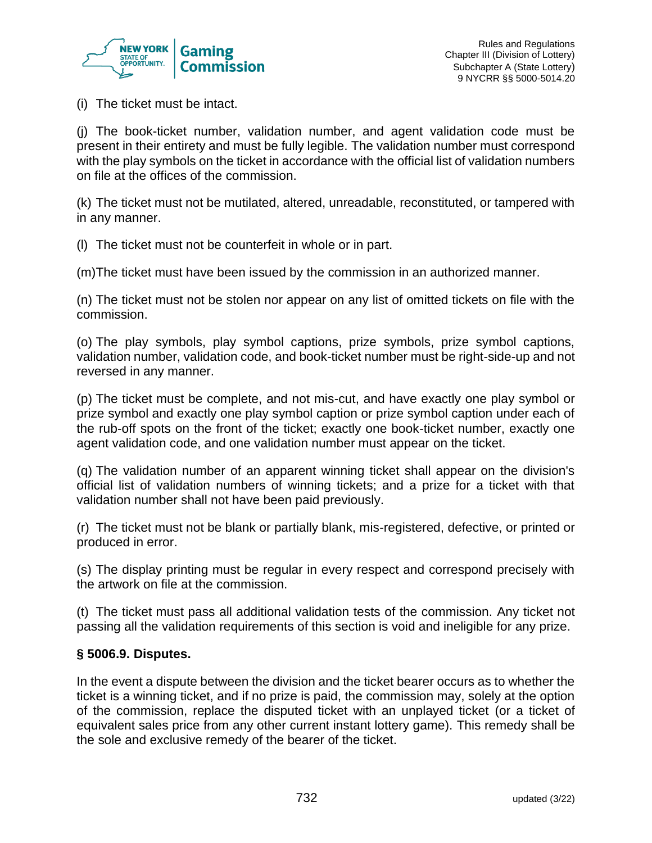

(i) The ticket must be intact.

(j) The book-ticket number, validation number, and agent validation code must be present in their entirety and must be fully legible. The validation number must correspond with the play symbols on the ticket in accordance with the official list of validation numbers on file at the offices of the commission.

(k) The ticket must not be mutilated, altered, unreadable, reconstituted, or tampered with in any manner.

(l) The ticket must not be counterfeit in whole or in part.

(m)The ticket must have been issued by the commission in an authorized manner.

(n) The ticket must not be stolen nor appear on any list of omitted tickets on file with the commission.

(o) The play symbols, play symbol captions, prize symbols, prize symbol captions, validation number, validation code, and book-ticket number must be right-side-up and not reversed in any manner.

(p) The ticket must be complete, and not mis-cut, and have exactly one play symbol or prize symbol and exactly one play symbol caption or prize symbol caption under each of the rub-off spots on the front of the ticket; exactly one book-ticket number, exactly one agent validation code, and one validation number must appear on the ticket.

(q) The validation number of an apparent winning ticket shall appear on the division's official list of validation numbers of winning tickets; and a prize for a ticket with that validation number shall not have been paid previously.

(r) The ticket must not be blank or partially blank, mis-registered, defective, or printed or produced in error.

(s) The display printing must be regular in every respect and correspond precisely with the artwork on file at the commission.

(t) The ticket must pass all additional validation tests of the commission. Any ticket not passing all the validation requirements of this section is void and ineligible for any prize.

### **§ 5006.9. Disputes.**

In the event a dispute between the division and the ticket bearer occurs as to whether the ticket is a winning ticket, and if no prize is paid, the commission may, solely at the option of the commission, replace the disputed ticket with an unplayed ticket (or a ticket of equivalent sales price from any other current instant lottery game). This remedy shall be the sole and exclusive remedy of the bearer of the ticket.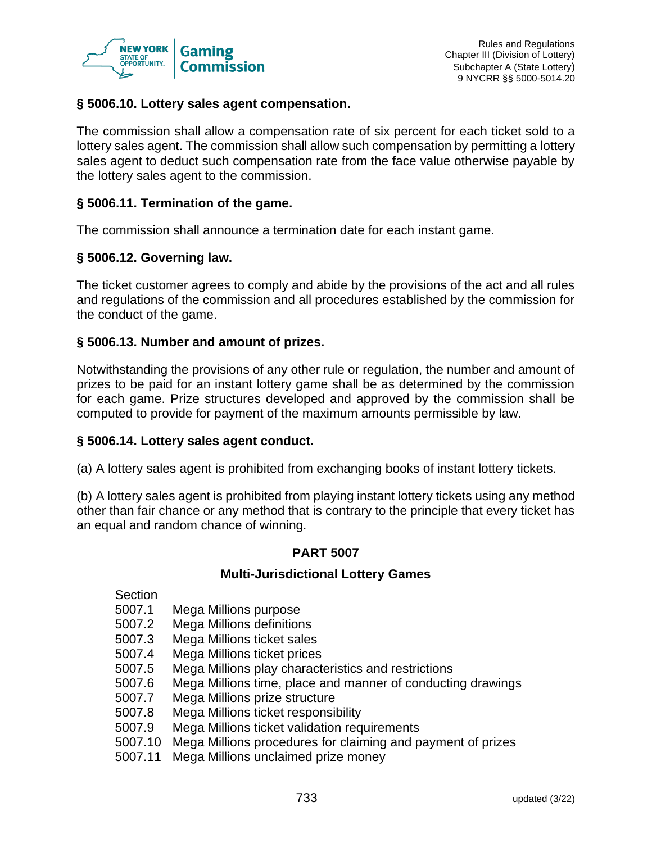

### **§ 5006.10. Lottery sales agent compensation.**

The commission shall allow a compensation rate of six percent for each ticket sold to a lottery sales agent. The commission shall allow such compensation by permitting a lottery sales agent to deduct such compensation rate from the face value otherwise payable by the lottery sales agent to the commission.

#### **§ 5006.11. Termination of the game.**

The commission shall announce a termination date for each instant game.

### **§ 5006.12. Governing law.**

The ticket customer agrees to comply and abide by the provisions of the act and all rules and regulations of the commission and all procedures established by the commission for the conduct of the game.

### **§ 5006.13. Number and amount of prizes.**

Notwithstanding the provisions of any other rule or regulation, the number and amount of prizes to be paid for an instant lottery game shall be as determined by the commission for each game. Prize structures developed and approved by the commission shall be computed to provide for payment of the maximum amounts permissible by law.

#### **§ 5006.14. Lottery sales agent conduct.**

(a) A lottery sales agent is prohibited from exchanging books of instant lottery tickets.

(b) A lottery sales agent is prohibited from playing instant lottery tickets using any method other than fair chance or any method that is contrary to the principle that every ticket has an equal and random chance of winning.

#### **PART 5007**

#### **Multi-Jurisdictional Lottery Games**

Section

- 5007.1 Mega Millions purpose
- 5007.2 Mega Millions definitions
- 5007.3 Mega Millions ticket sales
- 5007.4 Mega Millions ticket prices
- 5007.5 Mega Millions play characteristics and restrictions
- 5007.6 Mega Millions time, place and manner of conducting drawings
- 5007.7 Mega Millions prize structure
- 5007.8 Mega Millions ticket responsibility
- 5007.9 Mega Millions ticket validation requirements
- 5007.10 Mega Millions procedures for claiming and payment of prizes
- 5007.11 Mega Millions unclaimed prize money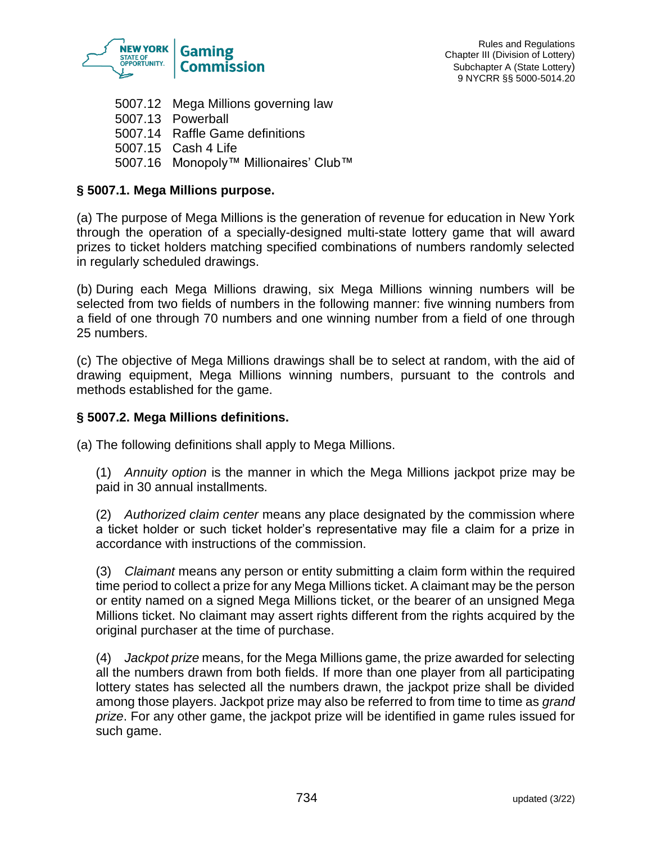

5007.12 Mega Millions governing law 5007.13 Powerball 5007.14 Raffle Game definitions 5007.15 Cash 4 Life 5007.16 Monopoly™ Millionaires' Club™

# **§ 5007.1. Mega Millions purpose.**

(a) The purpose of Mega Millions is the generation of revenue for education in New York through the operation of a specially-designed multi-state lottery game that will award prizes to ticket holders matching specified combinations of numbers randomly selected in regularly scheduled drawings.

(b) During each Mega Millions drawing, six Mega Millions winning numbers will be selected from two fields of numbers in the following manner: five winning numbers from a field of one through 70 numbers and one winning number from a field of one through 25 numbers.

(c) The objective of Mega Millions drawings shall be to select at random, with the aid of drawing equipment, Mega Millions winning numbers, pursuant to the controls and methods established for the game.

### **§ 5007.2. Mega Millions definitions.**

(a) The following definitions shall apply to Mega Millions.

(1) *Annuity option* is the manner in which the Mega Millions jackpot prize may be paid in 30 annual installments.

(2) *Authorized claim center* means any place designated by the commission where a ticket holder or such ticket holder's representative may file a claim for a prize in accordance with instructions of the commission.

(3) *Claimant* means any person or entity submitting a claim form within the required time period to collect a prize for any Mega Millions ticket. A claimant may be the person or entity named on a signed Mega Millions ticket, or the bearer of an unsigned Mega Millions ticket. No claimant may assert rights different from the rights acquired by the original purchaser at the time of purchase.

(4) *Jackpot prize* means, for the Mega Millions game, the prize awarded for selecting all the numbers drawn from both fields. If more than one player from all participating lottery states has selected all the numbers drawn, the jackpot prize shall be divided among those players. Jackpot prize may also be referred to from time to time as *grand prize*. For any other game, the jackpot prize will be identified in game rules issued for such game.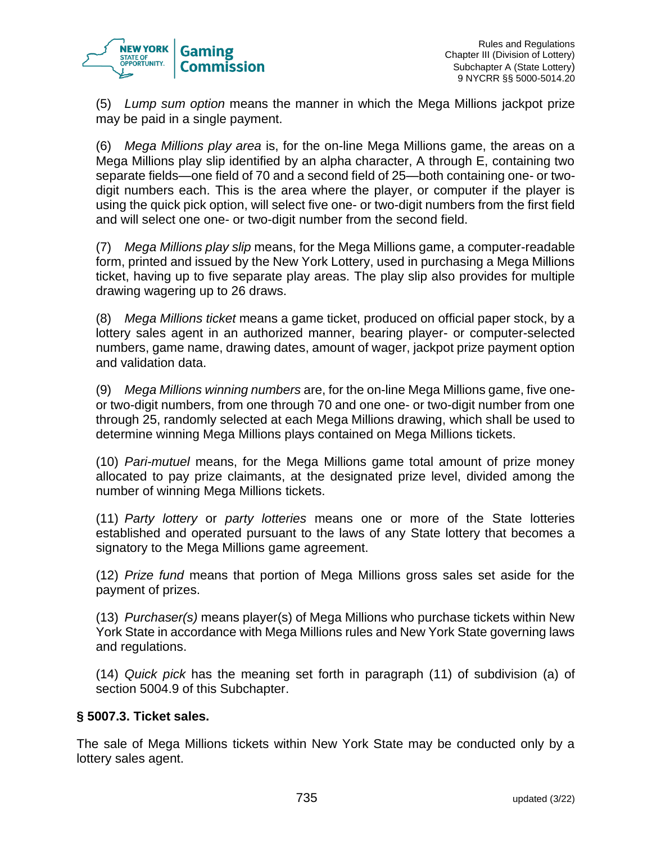

(5) *Lump sum option* means the manner in which the Mega Millions jackpot prize may be paid in a single payment.

(6) *Mega Millions play area* is, for the on-line Mega Millions game, the areas on a Mega Millions play slip identified by an alpha character, A through E, containing two separate fields—one field of 70 and a second field of 25—both containing one- or twodigit numbers each. This is the area where the player, or computer if the player is using the quick pick option, will select five one- or two-digit numbers from the first field and will select one one- or two-digit number from the second field.

(7) *Mega Millions play slip* means, for the Mega Millions game, a computer-readable form, printed and issued by the New York Lottery, used in purchasing a Mega Millions ticket, having up to five separate play areas. The play slip also provides for multiple drawing wagering up to 26 draws.

(8) *Mega Millions ticket* means a game ticket, produced on official paper stock, by a lottery sales agent in an authorized manner, bearing player- or computer-selected numbers, game name, drawing dates, amount of wager, jackpot prize payment option and validation data.

(9) *Mega Millions winning numbers* are, for the on-line Mega Millions game, five oneor two-digit numbers, from one through 70 and one one- or two-digit number from one through 25, randomly selected at each Mega Millions drawing, which shall be used to determine winning Mega Millions plays contained on Mega Millions tickets.

(10) *Pari-mutuel* means, for the Mega Millions game total amount of prize money allocated to pay prize claimants, at the designated prize level, divided among the number of winning Mega Millions tickets.

(11) *Party lottery* or *party lotteries* means one or more of the State lotteries established and operated pursuant to the laws of any State lottery that becomes a signatory to the Mega Millions game agreement.

(12) *Prize fund* means that portion of Mega Millions gross sales set aside for the payment of prizes.

(13) *Purchaser(s)* means player(s) of Mega Millions who purchase tickets within New York State in accordance with Mega Millions rules and New York State governing laws and regulations.

(14) *Quick pick* has the meaning set forth in paragraph (11) of subdivision (a) of section 5004.9 of this Subchapter.

### **§ 5007.3. Ticket sales.**

The sale of Mega Millions tickets within New York State may be conducted only by a lottery sales agent.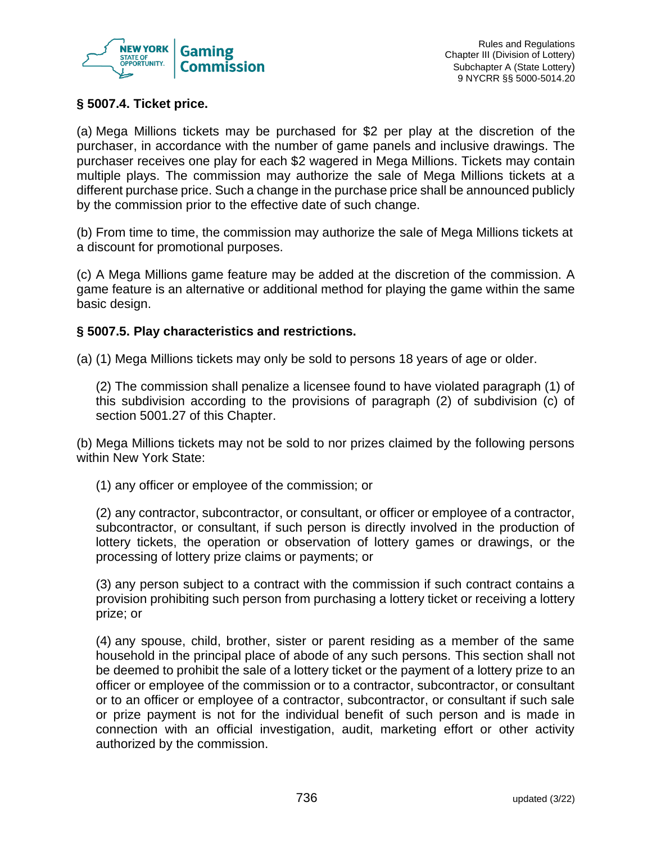

# **§ 5007.4. Ticket price.**

(a) Mega Millions tickets may be purchased for \$2 per play at the discretion of the purchaser, in accordance with the number of game panels and inclusive drawings. The purchaser receives one play for each \$2 wagered in Mega Millions. Tickets may contain multiple plays. The commission may authorize the sale of Mega Millions tickets at a different purchase price. Such a change in the purchase price shall be announced publicly by the commission prior to the effective date of such change.

(b) From time to time, the commission may authorize the sale of Mega Millions tickets at a discount for promotional purposes.

(c) A Mega Millions game feature may be added at the discretion of the commission. A game feature is an alternative or additional method for playing the game within the same basic design.

### **§ 5007.5. Play characteristics and restrictions.**

(a) (1) Mega Millions tickets may only be sold to persons 18 years of age or older.

(2) The commission shall penalize a licensee found to have violated paragraph (1) of this subdivision according to the provisions of paragraph (2) of subdivision (c) of section 5001.27 of this Chapter.

(b) Mega Millions tickets may not be sold to nor prizes claimed by the following persons within New York State:

(1) any officer or employee of the commission; or

(2) any contractor, subcontractor, or consultant, or officer or employee of a contractor, subcontractor, or consultant, if such person is directly involved in the production of lottery tickets, the operation or observation of lottery games or drawings, or the processing of lottery prize claims or payments; or

(3) any person subject to a contract with the commission if such contract contains a provision prohibiting such person from purchasing a lottery ticket or receiving a lottery prize; or

(4) any spouse, child, brother, sister or parent residing as a member of the same household in the principal place of abode of any such persons. This section shall not be deemed to prohibit the sale of a lottery ticket or the payment of a lottery prize to an officer or employee of the commission or to a contractor, subcontractor, or consultant or to an officer or employee of a contractor, subcontractor, or consultant if such sale or prize payment is not for the individual benefit of such person and is made in connection with an official investigation, audit, marketing effort or other activity authorized by the commission.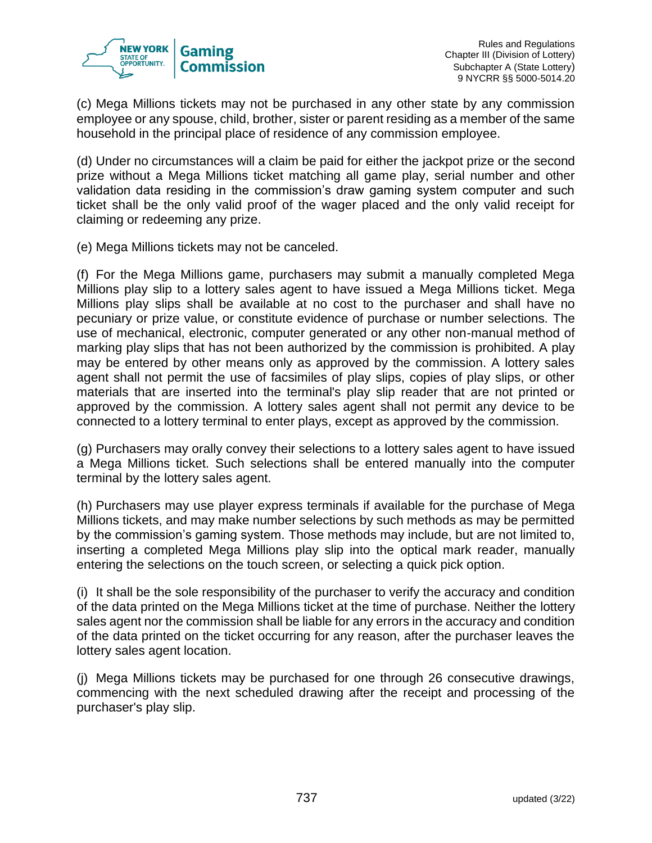

(c) Mega Millions tickets may not be purchased in any other state by any commission employee or any spouse, child, brother, sister or parent residing as a member of the same household in the principal place of residence of any commission employee.

(d) Under no circumstances will a claim be paid for either the jackpot prize or the second prize without a Mega Millions ticket matching all game play, serial number and other validation data residing in the commission's draw gaming system computer and such ticket shall be the only valid proof of the wager placed and the only valid receipt for claiming or redeeming any prize.

(e) Mega Millions tickets may not be canceled.

(f) For the Mega Millions game, purchasers may submit a manually completed Mega Millions play slip to a lottery sales agent to have issued a Mega Millions ticket. Mega Millions play slips shall be available at no cost to the purchaser and shall have no pecuniary or prize value, or constitute evidence of purchase or number selections. The use of mechanical, electronic, computer generated or any other non-manual method of marking play slips that has not been authorized by the commission is prohibited. A play may be entered by other means only as approved by the commission. A lottery sales agent shall not permit the use of facsimiles of play slips, copies of play slips, or other materials that are inserted into the terminal's play slip reader that are not printed or approved by the commission. A lottery sales agent shall not permit any device to be connected to a lottery terminal to enter plays, except as approved by the commission.

(g) Purchasers may orally convey their selections to a lottery sales agent to have issued a Mega Millions ticket. Such selections shall be entered manually into the computer terminal by the lottery sales agent.

(h) Purchasers may use player express terminals if available for the purchase of Mega Millions tickets, and may make number selections by such methods as may be permitted by the commission's gaming system. Those methods may include, but are not limited to, inserting a completed Mega Millions play slip into the optical mark reader, manually entering the selections on the touch screen, or selecting a quick pick option.

(i) It shall be the sole responsibility of the purchaser to verify the accuracy and condition of the data printed on the Mega Millions ticket at the time of purchase. Neither the lottery sales agent nor the commission shall be liable for any errors in the accuracy and condition of the data printed on the ticket occurring for any reason, after the purchaser leaves the lottery sales agent location.

(j) Mega Millions tickets may be purchased for one through 26 consecutive drawings, commencing with the next scheduled drawing after the receipt and processing of the purchaser's play slip.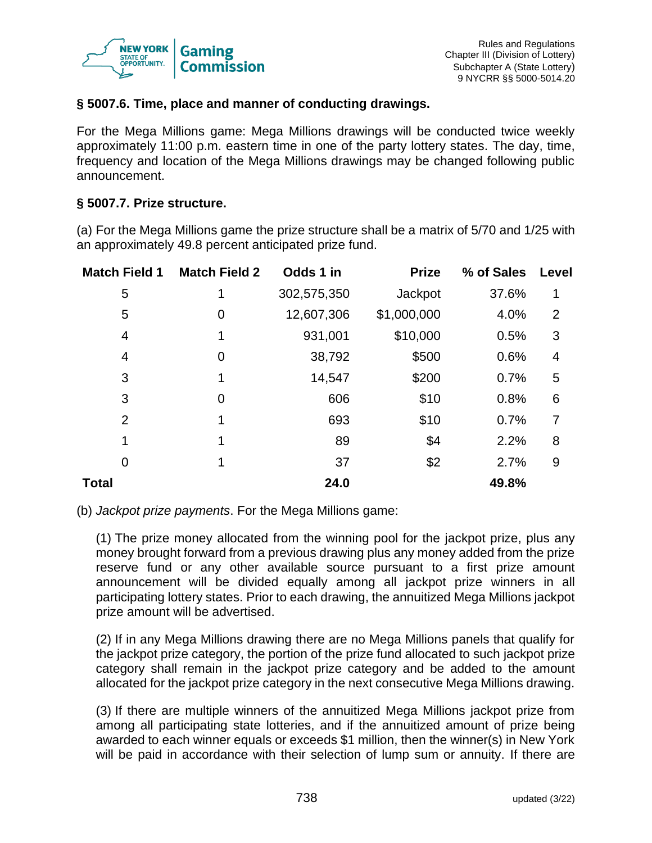

### **§ 5007.6. Time, place and manner of conducting drawings.**

For the Mega Millions game: Mega Millions drawings will be conducted twice weekly approximately 11:00 p.m. eastern time in one of the party lottery states. The day, time, frequency and location of the Mega Millions drawings may be changed following public announcement.

#### **§ 5007.7. Prize structure.**

(a) For the Mega Millions game the prize structure shall be a matrix of 5/70 and 1/25 with an approximately 49.8 percent anticipated prize fund.

| <b>Match Field 1</b> | <b>Match Field 2</b> | Odds 1 in   | <b>Prize</b> | % of Sales | Level |
|----------------------|----------------------|-------------|--------------|------------|-------|
| 5                    | 1                    | 302,575,350 | Jackpot      | 37.6%      | 1     |
| 5                    | 0                    | 12,607,306  | \$1,000,000  | 4.0%       | 2     |
| 4                    | 1                    | 931,001     | \$10,000     | 0.5%       | 3     |
| 4                    | 0                    | 38,792      | \$500        | 0.6%       | 4     |
| 3                    | 1                    | 14,547      | \$200        | 0.7%       | 5     |
| 3                    | $\overline{0}$       | 606         | \$10         | 0.8%       | 6     |
| $\overline{2}$       | 1                    | 693         | \$10         | 0.7%       | 7     |
| 1                    | 1                    | 89          | \$4          | 2.2%       | 8     |
| 0                    | 1                    | 37          | \$2          | 2.7%       | 9     |
| Total                |                      | 24.0        |              | 49.8%      |       |

#### (b) *Jackpot prize payments*. For the Mega Millions game:

(1) The prize money allocated from the winning pool for the jackpot prize, plus any money brought forward from a previous drawing plus any money added from the prize reserve fund or any other available source pursuant to a first prize amount announcement will be divided equally among all jackpot prize winners in all participating lottery states. Prior to each drawing, the annuitized Mega Millions jackpot prize amount will be advertised.

(2) If in any Mega Millions drawing there are no Mega Millions panels that qualify for the jackpot prize category, the portion of the prize fund allocated to such jackpot prize category shall remain in the jackpot prize category and be added to the amount allocated for the jackpot prize category in the next consecutive Mega Millions drawing.

(3) If there are multiple winners of the annuitized Mega Millions jackpot prize from among all participating state lotteries, and if the annuitized amount of prize being awarded to each winner equals or exceeds \$1 million, then the winner(s) in New York will be paid in accordance with their selection of lump sum or annuity. If there are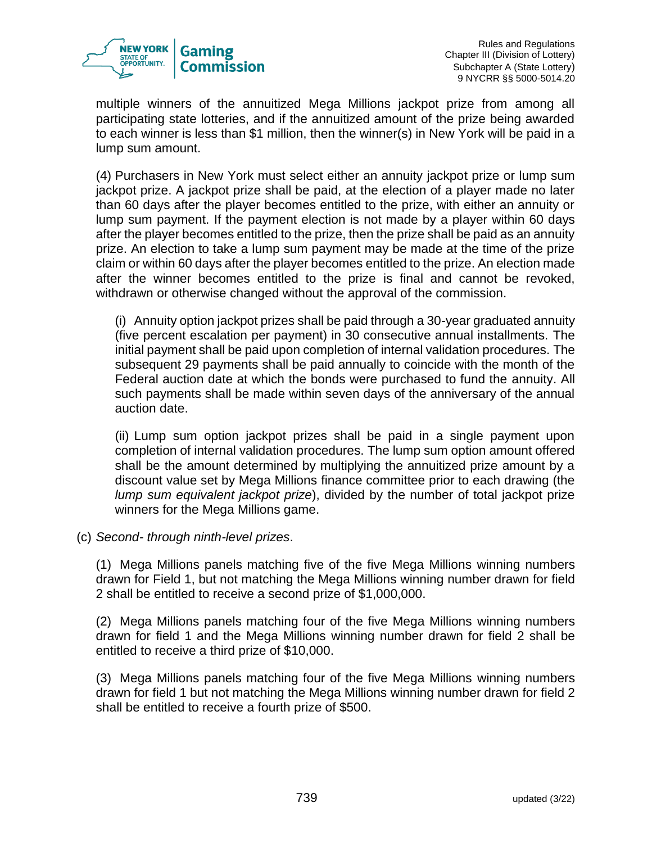

multiple winners of the annuitized Mega Millions jackpot prize from among all participating state lotteries, and if the annuitized amount of the prize being awarded to each winner is less than \$1 million, then the winner(s) in New York will be paid in a lump sum amount.

(4) Purchasers in New York must select either an annuity jackpot prize or lump sum jackpot prize. A jackpot prize shall be paid, at the election of a player made no later than 60 days after the player becomes entitled to the prize, with either an annuity or lump sum payment. If the payment election is not made by a player within 60 days after the player becomes entitled to the prize, then the prize shall be paid as an annuity prize. An election to take a lump sum payment may be made at the time of the prize claim or within 60 days after the player becomes entitled to the prize. An election made after the winner becomes entitled to the prize is final and cannot be revoked, withdrawn or otherwise changed without the approval of the commission.

(i) Annuity option jackpot prizes shall be paid through a 30-year graduated annuity (five percent escalation per payment) in 30 consecutive annual installments. The initial payment shall be paid upon completion of internal validation procedures. The subsequent 29 payments shall be paid annually to coincide with the month of the Federal auction date at which the bonds were purchased to fund the annuity. All such payments shall be made within seven days of the anniversary of the annual auction date.

(ii) Lump sum option jackpot prizes shall be paid in a single payment upon completion of internal validation procedures. The lump sum option amount offered shall be the amount determined by multiplying the annuitized prize amount by a discount value set by Mega Millions finance committee prior to each drawing (the *lump sum equivalent jackpot prize*), divided by the number of total jackpot prize winners for the Mega Millions game.

(c) *Second- through ninth-level prizes*.

(1) Mega Millions panels matching five of the five Mega Millions winning numbers drawn for Field 1, but not matching the Mega Millions winning number drawn for field 2 shall be entitled to receive a second prize of \$1,000,000.

(2) Mega Millions panels matching four of the five Mega Millions winning numbers drawn for field 1 and the Mega Millions winning number drawn for field 2 shall be entitled to receive a third prize of \$10,000.

(3) Mega Millions panels matching four of the five Mega Millions winning numbers drawn for field 1 but not matching the Mega Millions winning number drawn for field 2 shall be entitled to receive a fourth prize of \$500.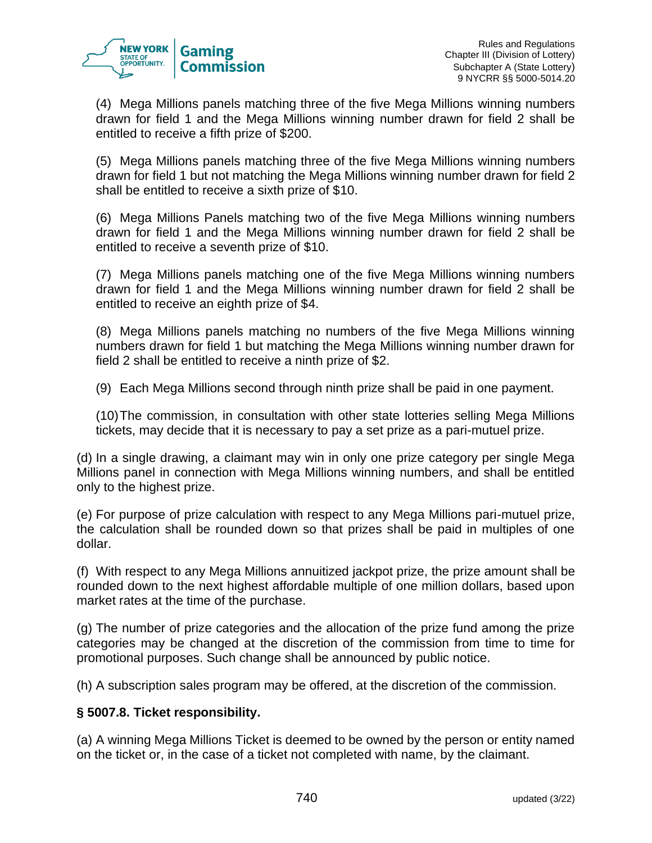

(4) Mega Millions panels matching three of the five Mega Millions winning numbers drawn for field 1 and the Mega Millions winning number drawn for field 2 shall be entitled to receive a fifth prize of \$200.

(5) Mega Millions panels matching three of the five Mega Millions winning numbers drawn for field 1 but not matching the Mega Millions winning number drawn for field 2 shall be entitled to receive a sixth prize of \$10.

(6) Mega Millions Panels matching two of the five Mega Millions winning numbers drawn for field 1 and the Mega Millions winning number drawn for field 2 shall be entitled to receive a seventh prize of \$10.

(7) Mega Millions panels matching one of the five Mega Millions winning numbers drawn for field 1 and the Mega Millions winning number drawn for field 2 shall be entitled to receive an eighth prize of \$4.

(8) Mega Millions panels matching no numbers of the five Mega Millions winning numbers drawn for field 1 but matching the Mega Millions winning number drawn for field 2 shall be entitled to receive a ninth prize of \$2.

(9) Each Mega Millions second through ninth prize shall be paid in one payment.

(10)The commission, in consultation with other state lotteries selling Mega Millions tickets, may decide that it is necessary to pay a set prize as a pari-mutuel prize.

(d) In a single drawing, a claimant may win in only one prize category per single Mega Millions panel in connection with Mega Millions winning numbers, and shall be entitled only to the highest prize.

(e) For purpose of prize calculation with respect to any Mega Millions pari-mutuel prize, the calculation shall be rounded down so that prizes shall be paid in multiples of one dollar.

(f) With respect to any Mega Millions annuitized jackpot prize, the prize amount shall be rounded down to the next highest affordable multiple of one million dollars, based upon market rates at the time of the purchase.

(g) The number of prize categories and the allocation of the prize fund among the prize categories may be changed at the discretion of the commission from time to time for promotional purposes. Such change shall be announced by public notice.

(h) A subscription sales program may be offered, at the discretion of the commission.

# **§ 5007.8. Ticket responsibility.**

(a) A winning Mega Millions Ticket is deemed to be owned by the person or entity named on the ticket or, in the case of a ticket not completed with name, by the claimant.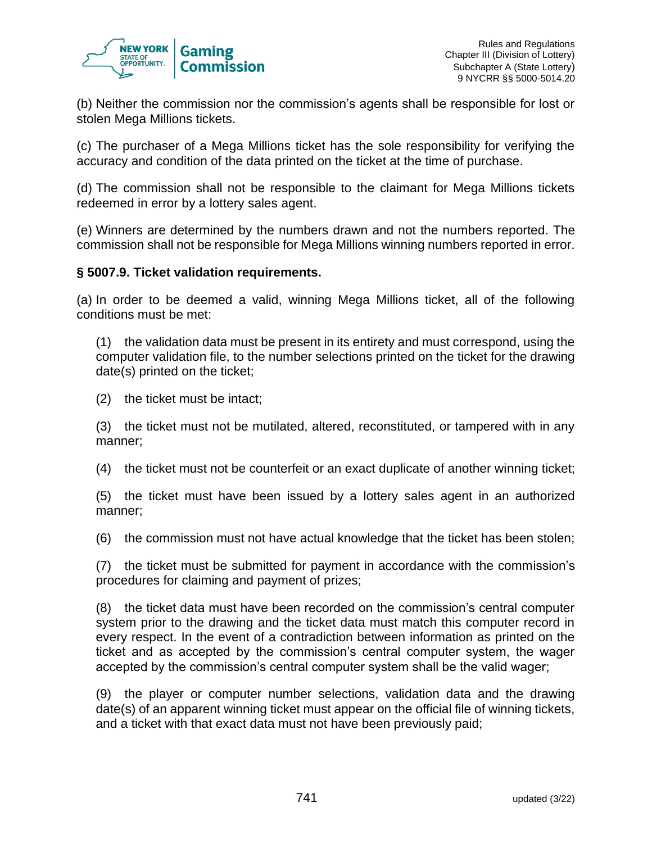

(b) Neither the commission nor the commission's agents shall be responsible for lost or stolen Mega Millions tickets.

(c) The purchaser of a Mega Millions ticket has the sole responsibility for verifying the accuracy and condition of the data printed on the ticket at the time of purchase.

(d) The commission shall not be responsible to the claimant for Mega Millions tickets redeemed in error by a lottery sales agent.

(e) Winners are determined by the numbers drawn and not the numbers reported. The commission shall not be responsible for Mega Millions winning numbers reported in error.

### **§ 5007.9. Ticket validation requirements.**

(a) In order to be deemed a valid, winning Mega Millions ticket, all of the following conditions must be met:

(1) the validation data must be present in its entirety and must correspond, using the computer validation file, to the number selections printed on the ticket for the drawing date(s) printed on the ticket;

(2) the ticket must be intact;

(3) the ticket must not be mutilated, altered, reconstituted, or tampered with in any manner;

(4) the ticket must not be counterfeit or an exact duplicate of another winning ticket;

(5) the ticket must have been issued by a lottery sales agent in an authorized manner;

(6) the commission must not have actual knowledge that the ticket has been stolen;

(7) the ticket must be submitted for payment in accordance with the commission's procedures for claiming and payment of prizes;

(8) the ticket data must have been recorded on the commission's central computer system prior to the drawing and the ticket data must match this computer record in every respect. In the event of a contradiction between information as printed on the ticket and as accepted by the commission's central computer system, the wager accepted by the commission's central computer system shall be the valid wager;

(9) the player or computer number selections, validation data and the drawing date(s) of an apparent winning ticket must appear on the official file of winning tickets, and a ticket with that exact data must not have been previously paid;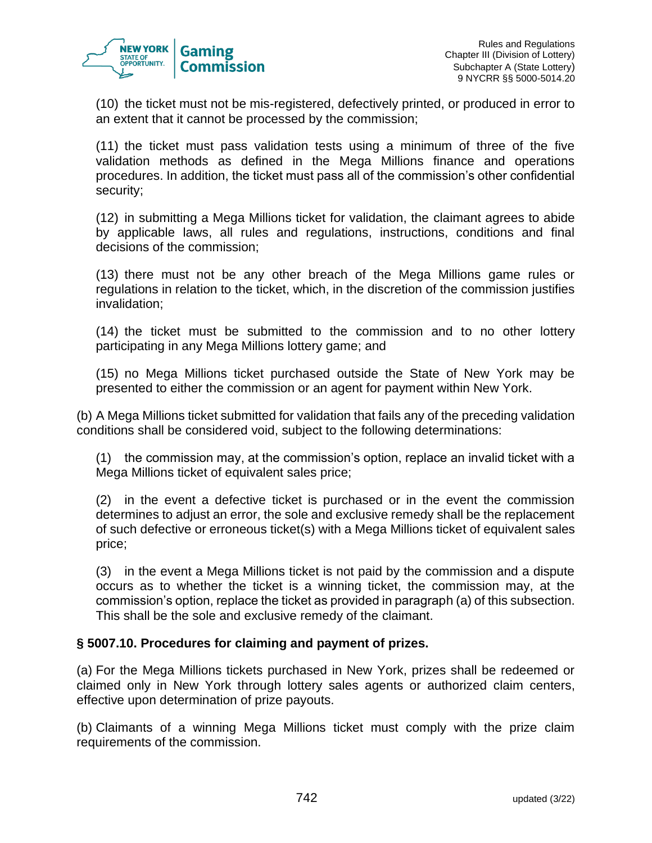

(10) the ticket must not be mis-registered, defectively printed, or produced in error to an extent that it cannot be processed by the commission;

(11) the ticket must pass validation tests using a minimum of three of the five validation methods as defined in the Mega Millions finance and operations procedures. In addition, the ticket must pass all of the commission's other confidential security;

(12) in submitting a Mega Millions ticket for validation, the claimant agrees to abide by applicable laws, all rules and regulations, instructions, conditions and final decisions of the commission;

(13) there must not be any other breach of the Mega Millions game rules or regulations in relation to the ticket, which, in the discretion of the commission justifies invalidation;

(14) the ticket must be submitted to the commission and to no other lottery participating in any Mega Millions lottery game; and

(15) no Mega Millions ticket purchased outside the State of New York may be presented to either the commission or an agent for payment within New York.

(b) A Mega Millions ticket submitted for validation that fails any of the preceding validation conditions shall be considered void, subject to the following determinations:

(1) the commission may, at the commission's option, replace an invalid ticket with a Mega Millions ticket of equivalent sales price;

(2) in the event a defective ticket is purchased or in the event the commission determines to adjust an error, the sole and exclusive remedy shall be the replacement of such defective or erroneous ticket(s) with a Mega Millions ticket of equivalent sales price;

(3) in the event a Mega Millions ticket is not paid by the commission and a dispute occurs as to whether the ticket is a winning ticket, the commission may, at the commission's option, replace the ticket as provided in paragraph (a) of this subsection. This shall be the sole and exclusive remedy of the claimant.

### **§ 5007.10. Procedures for claiming and payment of prizes.**

(a) For the Mega Millions tickets purchased in New York, prizes shall be redeemed or claimed only in New York through lottery sales agents or authorized claim centers, effective upon determination of prize payouts.

(b) Claimants of a winning Mega Millions ticket must comply with the prize claim requirements of the commission.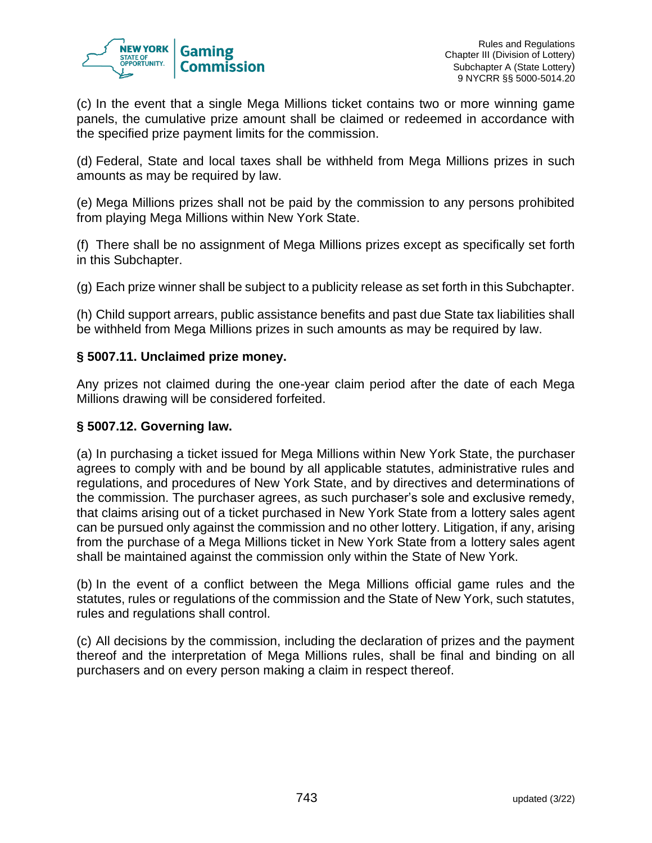

(c) In the event that a single Mega Millions ticket contains two or more winning game panels, the cumulative prize amount shall be claimed or redeemed in accordance with the specified prize payment limits for the commission.

(d) Federal, State and local taxes shall be withheld from Mega Millions prizes in such amounts as may be required by law.

(e) Mega Millions prizes shall not be paid by the commission to any persons prohibited from playing Mega Millions within New York State.

(f) There shall be no assignment of Mega Millions prizes except as specifically set forth in this Subchapter.

(g) Each prize winner shall be subject to a publicity release as set forth in this Subchapter.

(h) Child support arrears, public assistance benefits and past due State tax liabilities shall be withheld from Mega Millions prizes in such amounts as may be required by law.

### **§ 5007.11. Unclaimed prize money.**

Any prizes not claimed during the one-year claim period after the date of each Mega Millions drawing will be considered forfeited.

### **§ 5007.12. Governing law.**

(a) In purchasing a ticket issued for Mega Millions within New York State, the purchaser agrees to comply with and be bound by all applicable statutes, administrative rules and regulations, and procedures of New York State, and by directives and determinations of the commission. The purchaser agrees, as such purchaser's sole and exclusive remedy, that claims arising out of a ticket purchased in New York State from a lottery sales agent can be pursued only against the commission and no other lottery. Litigation, if any, arising from the purchase of a Mega Millions ticket in New York State from a lottery sales agent shall be maintained against the commission only within the State of New York.

(b) In the event of a conflict between the Mega Millions official game rules and the statutes, rules or regulations of the commission and the State of New York, such statutes, rules and regulations shall control.

(c) All decisions by the commission, including the declaration of prizes and the payment thereof and the interpretation of Mega Millions rules, shall be final and binding on all purchasers and on every person making a claim in respect thereof.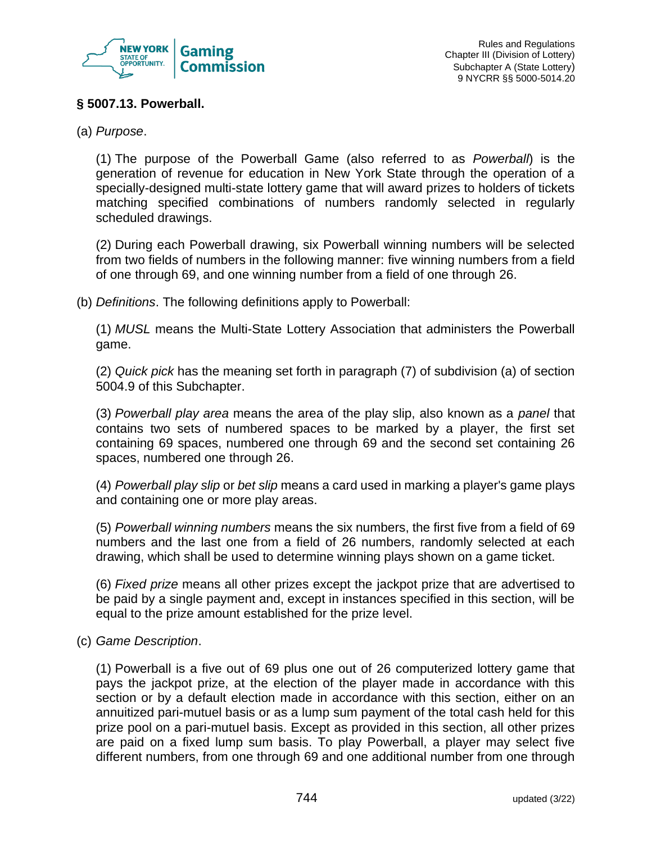

### **§ 5007.13. Powerball.**

(a) *Purpose*.

(1) The purpose of the Powerball Game (also referred to as *Powerball*) is the generation of revenue for education in New York State through the operation of a specially-designed multi-state lottery game that will award prizes to holders of tickets matching specified combinations of numbers randomly selected in regularly scheduled drawings.

(2) During each Powerball drawing, six Powerball winning numbers will be selected from two fields of numbers in the following manner: five winning numbers from a field of one through 69, and one winning number from a field of one through 26.

(b) *Definitions*. The following definitions apply to Powerball:

(1) *MUSL* means the Multi-State Lottery Association that administers the Powerball game.

(2) *Quick pick* has the meaning set forth in paragraph (7) of subdivision (a) of section 5004.9 of this Subchapter.

(3) *Powerball play area* means the area of the play slip, also known as a *panel* that contains two sets of numbered spaces to be marked by a player, the first set containing 69 spaces, numbered one through 69 and the second set containing 26 spaces, numbered one through 26.

(4) *Powerball play slip* or *bet slip* means a card used in marking a player's game plays and containing one or more play areas.

(5) *Powerball winning numbers* means the six numbers, the first five from a field of 69 numbers and the last one from a field of 26 numbers, randomly selected at each drawing, which shall be used to determine winning plays shown on a game ticket.

(6) *Fixed prize* means all other prizes except the jackpot prize that are advertised to be paid by a single payment and, except in instances specified in this section, will be equal to the prize amount established for the prize level.

(c) *Game Description*.

(1) Powerball is a five out of 69 plus one out of 26 computerized lottery game that pays the jackpot prize, at the election of the player made in accordance with this section or by a default election made in accordance with this section, either on an annuitized pari-mutuel basis or as a lump sum payment of the total cash held for this prize pool on a pari-mutuel basis. Except as provided in this section, all other prizes are paid on a fixed lump sum basis. To play Powerball, a player may select five different numbers, from one through 69 and one additional number from one through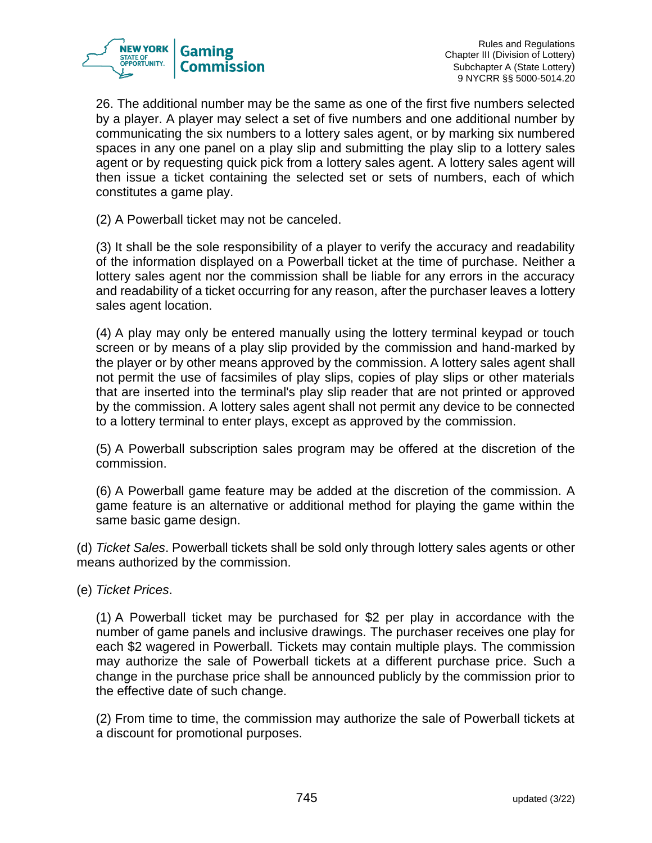

26. The additional number may be the same as one of the first five numbers selected by a player. A player may select a set of five numbers and one additional number by communicating the six numbers to a lottery sales agent, or by marking six numbered spaces in any one panel on a play slip and submitting the play slip to a lottery sales agent or by requesting quick pick from a lottery sales agent. A lottery sales agent will then issue a ticket containing the selected set or sets of numbers, each of which constitutes a game play.

(2) A Powerball ticket may not be canceled.

(3) It shall be the sole responsibility of a player to verify the accuracy and readability of the information displayed on a Powerball ticket at the time of purchase. Neither a lottery sales agent nor the commission shall be liable for any errors in the accuracy and readability of a ticket occurring for any reason, after the purchaser leaves a lottery sales agent location.

(4) A play may only be entered manually using the lottery terminal keypad or touch screen or by means of a play slip provided by the commission and hand-marked by the player or by other means approved by the commission. A lottery sales agent shall not permit the use of facsimiles of play slips, copies of play slips or other materials that are inserted into the terminal's play slip reader that are not printed or approved by the commission. A lottery sales agent shall not permit any device to be connected to a lottery terminal to enter plays, except as approved by the commission.

(5) A Powerball subscription sales program may be offered at the discretion of the commission.

(6) A Powerball game feature may be added at the discretion of the commission. A game feature is an alternative or additional method for playing the game within the same basic game design.

(d) *Ticket Sales*. Powerball tickets shall be sold only through lottery sales agents or other means authorized by the commission.

(e) *Ticket Prices*.

(1) A Powerball ticket may be purchased for \$2 per play in accordance with the number of game panels and inclusive drawings. The purchaser receives one play for each \$2 wagered in Powerball. Tickets may contain multiple plays. The commission may authorize the sale of Powerball tickets at a different purchase price. Such a change in the purchase price shall be announced publicly by the commission prior to the effective date of such change.

(2) From time to time, the commission may authorize the sale of Powerball tickets at a discount for promotional purposes.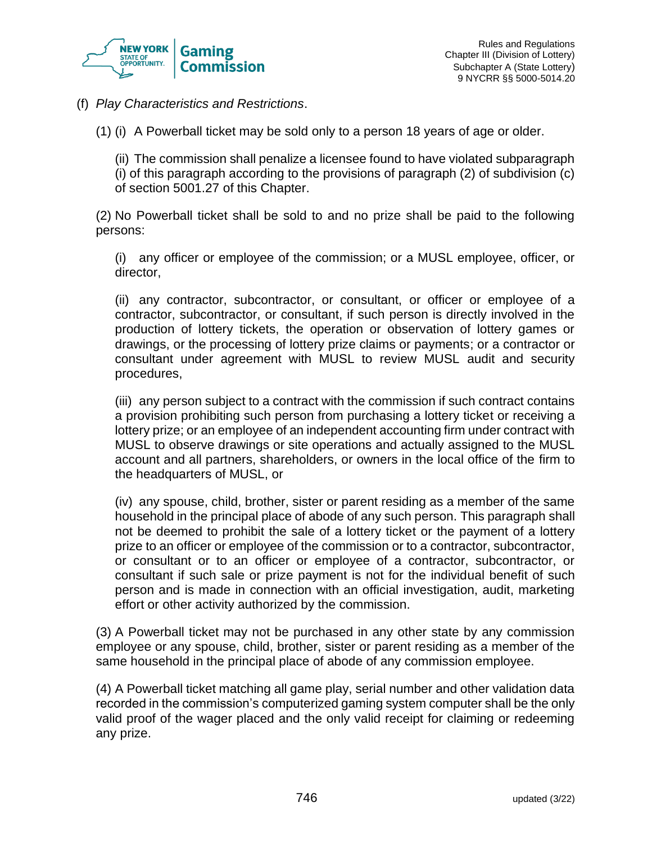

(f) *Play Characteristics and Restrictions*.

(1) (i) A Powerball ticket may be sold only to a person 18 years of age or older.

(ii) The commission shall penalize a licensee found to have violated subparagraph (i) of this paragraph according to the provisions of paragraph (2) of subdivision (c) of section 5001.27 of this Chapter.

(2) No Powerball ticket shall be sold to and no prize shall be paid to the following persons:

(i) any officer or employee of the commission; or a MUSL employee, officer, or director,

(ii) any contractor, subcontractor, or consultant, or officer or employee of a contractor, subcontractor, or consultant, if such person is directly involved in the production of lottery tickets, the operation or observation of lottery games or drawings, or the processing of lottery prize claims or payments; or a contractor or consultant under agreement with MUSL to review MUSL audit and security procedures,

(iii) any person subject to a contract with the commission if such contract contains a provision prohibiting such person from purchasing a lottery ticket or receiving a lottery prize; or an employee of an independent accounting firm under contract with MUSL to observe drawings or site operations and actually assigned to the MUSL account and all partners, shareholders, or owners in the local office of the firm to the headquarters of MUSL, or

(iv) any spouse, child, brother, sister or parent residing as a member of the same household in the principal place of abode of any such person. This paragraph shall not be deemed to prohibit the sale of a lottery ticket or the payment of a lottery prize to an officer or employee of the commission or to a contractor, subcontractor, or consultant or to an officer or employee of a contractor, subcontractor, or consultant if such sale or prize payment is not for the individual benefit of such person and is made in connection with an official investigation, audit, marketing effort or other activity authorized by the commission.

(3) A Powerball ticket may not be purchased in any other state by any commission employee or any spouse, child, brother, sister or parent residing as a member of the same household in the principal place of abode of any commission employee.

(4) A Powerball ticket matching all game play, serial number and other validation data recorded in the commission's computerized gaming system computer shall be the only valid proof of the wager placed and the only valid receipt for claiming or redeeming any prize.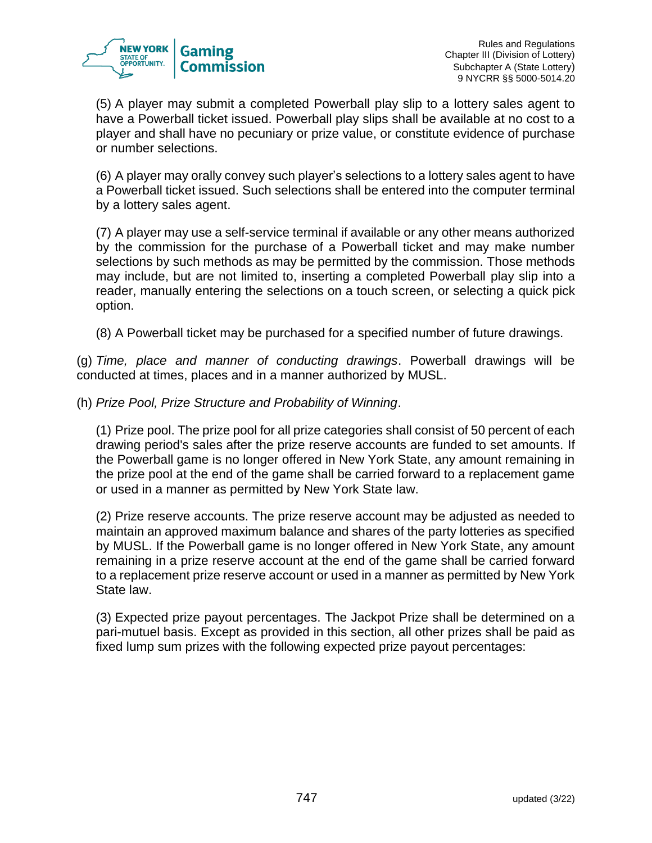

(5) A player may submit a completed Powerball play slip to a lottery sales agent to have a Powerball ticket issued. Powerball play slips shall be available at no cost to a player and shall have no pecuniary or prize value, or constitute evidence of purchase or number selections.

(6) A player may orally convey such player's selections to a lottery sales agent to have a Powerball ticket issued. Such selections shall be entered into the computer terminal by a lottery sales agent.

(7) A player may use a self-service terminal if available or any other means authorized by the commission for the purchase of a Powerball ticket and may make number selections by such methods as may be permitted by the commission. Those methods may include, but are not limited to, inserting a completed Powerball play slip into a reader, manually entering the selections on a touch screen, or selecting a quick pick option.

(8) A Powerball ticket may be purchased for a specified number of future drawings.

(g) *Time, place and manner of conducting drawings*. Powerball drawings will be conducted at times, places and in a manner authorized by MUSL.

(h) *Prize Pool, Prize Structure and Probability of Winning*.

(1) Prize pool. The prize pool for all prize categories shall consist of 50 percent of each drawing period's sales after the prize reserve accounts are funded to set amounts. If the Powerball game is no longer offered in New York State, any amount remaining in the prize pool at the end of the game shall be carried forward to a replacement game or used in a manner as permitted by New York State law.

(2) Prize reserve accounts. The prize reserve account may be adjusted as needed to maintain an approved maximum balance and shares of the party lotteries as specified by MUSL. If the Powerball game is no longer offered in New York State, any amount remaining in a prize reserve account at the end of the game shall be carried forward to a replacement prize reserve account or used in a manner as permitted by New York State law.

(3) Expected prize payout percentages. The Jackpot Prize shall be determined on a pari-mutuel basis. Except as provided in this section, all other prizes shall be paid as fixed lump sum prizes with the following expected prize payout percentages: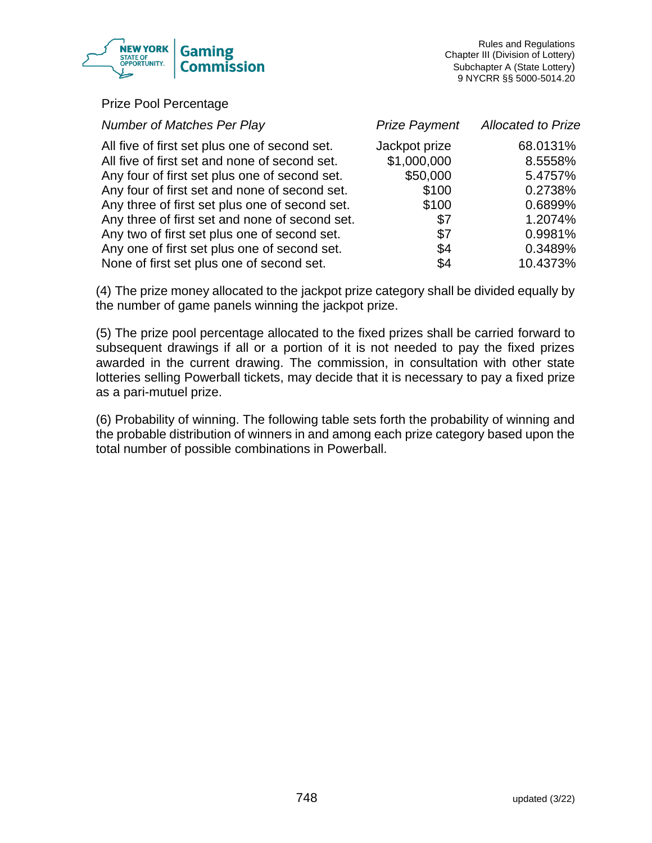

#### Prize Pool Percentage

| <b>Number of Matches Per Play</b>                                                              | <b>Prize Payment</b> | <b>Allocated to Prize</b> |
|------------------------------------------------------------------------------------------------|----------------------|---------------------------|
| All five of first set plus one of second set.                                                  | Jackpot prize        | 68.0131%                  |
| All five of first set and none of second set.                                                  | \$1,000,000          | 8.5558%                   |
| Any four of first set plus one of second set.<br>Any four of first set and none of second set. | \$50,000<br>\$100    | 5.4757%<br>0.2738%        |
| Any three of first set plus one of second set.                                                 | \$100                | 0.6899%                   |
| Any three of first set and none of second set.                                                 | \$7                  | 1.2074%                   |
| Any two of first set plus one of second set.                                                   | \$7                  | 0.9981%                   |
| Any one of first set plus one of second set.                                                   | \$4                  | 0.3489%                   |
| None of first set plus one of second set.                                                      | \$4                  | 10.4373%                  |

(4) The prize money allocated to the jackpot prize category shall be divided equally by the number of game panels winning the jackpot prize.

(5) The prize pool percentage allocated to the fixed prizes shall be carried forward to subsequent drawings if all or a portion of it is not needed to pay the fixed prizes awarded in the current drawing. The commission, in consultation with other state lotteries selling Powerball tickets, may decide that it is necessary to pay a fixed prize as a pari-mutuel prize.

(6) Probability of winning. The following table sets forth the probability of winning and the probable distribution of winners in and among each prize category based upon the total number of possible combinations in Powerball.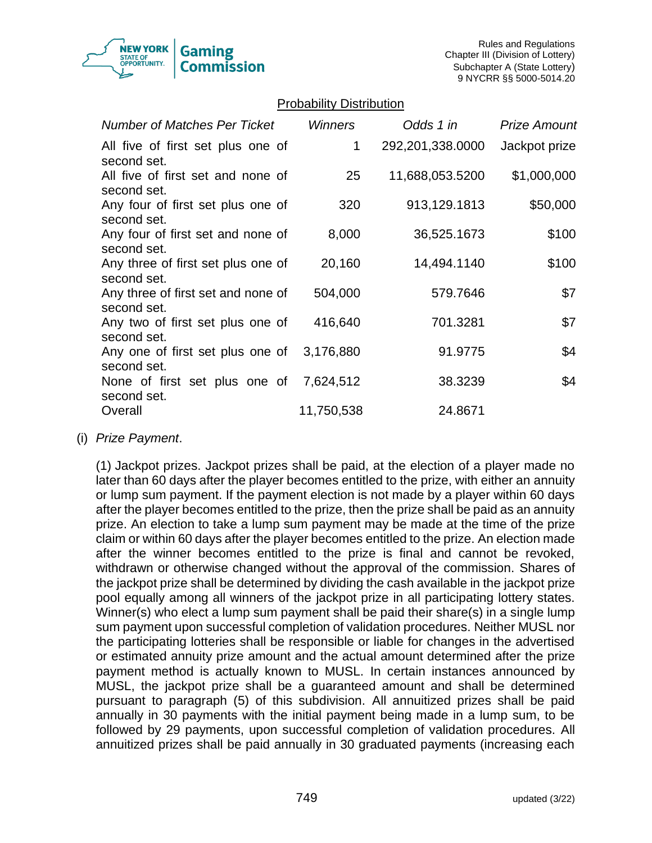

### Probability Distribution

| <b>Number of Matches Per Ticket</b>               | <b>Winners</b> | Odds 1 in        | <b>Prize Amount</b> |
|---------------------------------------------------|----------------|------------------|---------------------|
| All five of first set plus one of<br>second set.  | 1              | 292,201,338.0000 | Jackpot prize       |
| All five of first set and none of<br>second set.  | 25             | 11,688,053.5200  | \$1,000,000         |
| Any four of first set plus one of<br>second set.  | 320            | 913,129.1813     | \$50,000            |
| Any four of first set and none of<br>second set.  | 8,000          | 36,525.1673      | \$100               |
| Any three of first set plus one of<br>second set. | 20,160         | 14,494.1140      | \$100               |
| Any three of first set and none of<br>second set. | 504,000        | 579.7646         | \$7                 |
| Any two of first set plus one of<br>second set.   | 416,640        | 701.3281         | \$7                 |
| Any one of first set plus one of<br>second set.   | 3,176,880      | 91.9775          | \$4                 |
| None of first set plus one of<br>second set.      | 7,624,512      | 38.3239          | \$4                 |
| Overall                                           | 11,750,538     | 24.8671          |                     |

#### (i) *Prize Payment*.

(1) Jackpot prizes. Jackpot prizes shall be paid, at the election of a player made no later than 60 days after the player becomes entitled to the prize, with either an annuity or lump sum payment. If the payment election is not made by a player within 60 days after the player becomes entitled to the prize, then the prize shall be paid as an annuity prize. An election to take a lump sum payment may be made at the time of the prize claim or within 60 days after the player becomes entitled to the prize. An election made after the winner becomes entitled to the prize is final and cannot be revoked, withdrawn or otherwise changed without the approval of the commission. Shares of the jackpot prize shall be determined by dividing the cash available in the jackpot prize pool equally among all winners of the jackpot prize in all participating lottery states. Winner(s) who elect a lump sum payment shall be paid their share(s) in a single lump sum payment upon successful completion of validation procedures. Neither MUSL nor the participating lotteries shall be responsible or liable for changes in the advertised or estimated annuity prize amount and the actual amount determined after the prize payment method is actually known to MUSL. In certain instances announced by MUSL, the jackpot prize shall be a guaranteed amount and shall be determined pursuant to paragraph (5) of this subdivision. All annuitized prizes shall be paid annually in 30 payments with the initial payment being made in a lump sum, to be followed by 29 payments, upon successful completion of validation procedures. All annuitized prizes shall be paid annually in 30 graduated payments (increasing each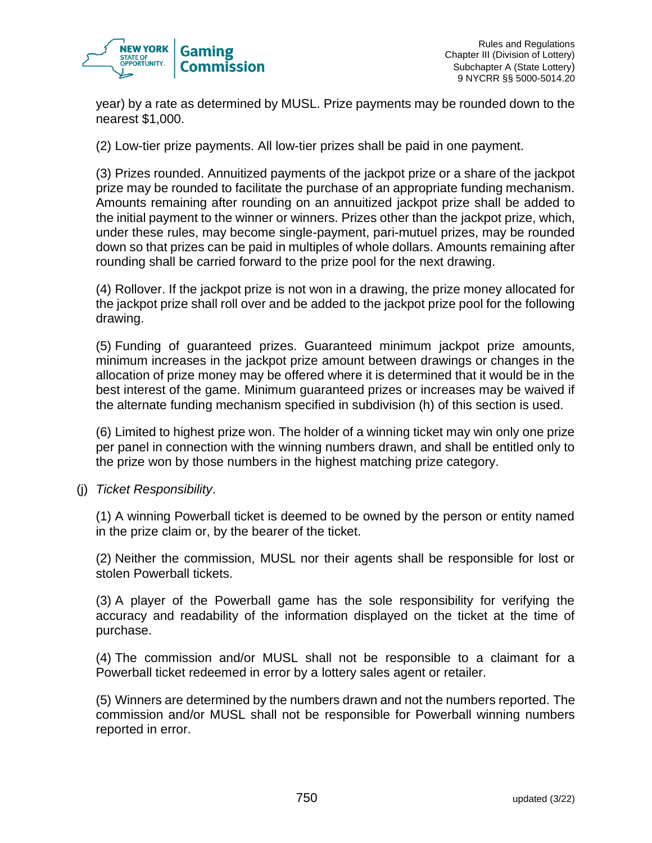

year) by a rate as determined by MUSL. Prize payments may be rounded down to the nearest \$1,000.

(2) Low-tier prize payments. All low-tier prizes shall be paid in one payment.

(3) Prizes rounded. Annuitized payments of the jackpot prize or a share of the jackpot prize may be rounded to facilitate the purchase of an appropriate funding mechanism. Amounts remaining after rounding on an annuitized jackpot prize shall be added to the initial payment to the winner or winners. Prizes other than the jackpot prize, which, under these rules, may become single-payment, pari-mutuel prizes, may be rounded down so that prizes can be paid in multiples of whole dollars. Amounts remaining after rounding shall be carried forward to the prize pool for the next drawing.

(4) Rollover. If the jackpot prize is not won in a drawing, the prize money allocated for the jackpot prize shall roll over and be added to the jackpot prize pool for the following drawing.

(5) Funding of guaranteed prizes. Guaranteed minimum jackpot prize amounts, minimum increases in the jackpot prize amount between drawings or changes in the allocation of prize money may be offered where it is determined that it would be in the best interest of the game. Minimum guaranteed prizes or increases may be waived if the alternate funding mechanism specified in subdivision (h) of this section is used.

(6) Limited to highest prize won. The holder of a winning ticket may win only one prize per panel in connection with the winning numbers drawn, and shall be entitled only to the prize won by those numbers in the highest matching prize category.

(j) *Ticket Responsibility*.

(1) A winning Powerball ticket is deemed to be owned by the person or entity named in the prize claim or, by the bearer of the ticket.

(2) Neither the commission, MUSL nor their agents shall be responsible for lost or stolen Powerball tickets.

(3) A player of the Powerball game has the sole responsibility for verifying the accuracy and readability of the information displayed on the ticket at the time of purchase.

(4) The commission and/or MUSL shall not be responsible to a claimant for a Powerball ticket redeemed in error by a lottery sales agent or retailer.

(5) Winners are determined by the numbers drawn and not the numbers reported. The commission and/or MUSL shall not be responsible for Powerball winning numbers reported in error.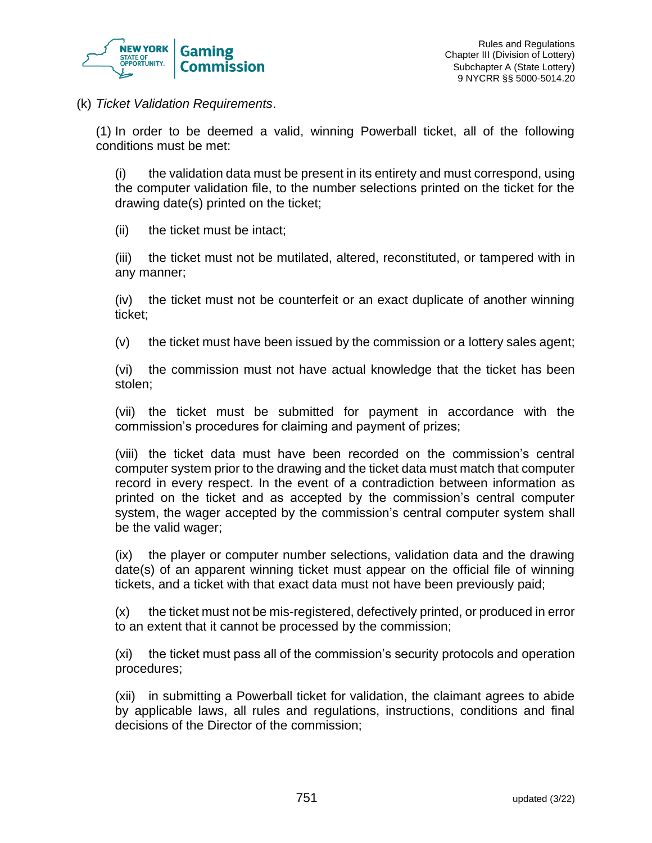

(k) *Ticket Validation Requirements*.

(1) In order to be deemed a valid, winning Powerball ticket, all of the following conditions must be met:

(i) the validation data must be present in its entirety and must correspond, using the computer validation file, to the number selections printed on the ticket for the drawing date(s) printed on the ticket;

(ii) the ticket must be intact;

(iii) the ticket must not be mutilated, altered, reconstituted, or tampered with in any manner;

(iv) the ticket must not be counterfeit or an exact duplicate of another winning ticket;

(v) the ticket must have been issued by the commission or a lottery sales agent;

(vi) the commission must not have actual knowledge that the ticket has been stolen;

(vii) the ticket must be submitted for payment in accordance with the commission's procedures for claiming and payment of prizes;

(viii) the ticket data must have been recorded on the commission's central computer system prior to the drawing and the ticket data must match that computer record in every respect. In the event of a contradiction between information as printed on the ticket and as accepted by the commission's central computer system, the wager accepted by the commission's central computer system shall be the valid wager;

(ix) the player or computer number selections, validation data and the drawing date(s) of an apparent winning ticket must appear on the official file of winning tickets, and a ticket with that exact data must not have been previously paid;

(x) the ticket must not be mis-registered, defectively printed, or produced in error to an extent that it cannot be processed by the commission;

(xi) the ticket must pass all of the commission's security protocols and operation procedures;

(xii) in submitting a Powerball ticket for validation, the claimant agrees to abide by applicable laws, all rules and regulations, instructions, conditions and final decisions of the Director of the commission;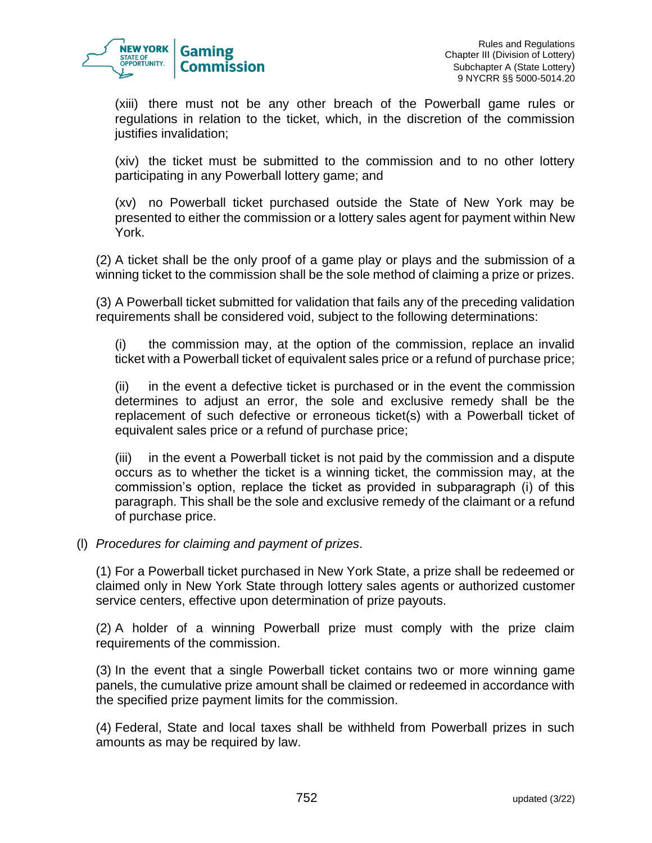

(xiii) there must not be any other breach of the Powerball game rules or regulations in relation to the ticket, which, in the discretion of the commission justifies invalidation;

(xiv) the ticket must be submitted to the commission and to no other lottery participating in any Powerball lottery game; and

(xv) no Powerball ticket purchased outside the State of New York may be presented to either the commission or a lottery sales agent for payment within New York.

(2) A ticket shall be the only proof of a game play or plays and the submission of a winning ticket to the commission shall be the sole method of claiming a prize or prizes.

(3) A Powerball ticket submitted for validation that fails any of the preceding validation requirements shall be considered void, subject to the following determinations:

(i) the commission may, at the option of the commission, replace an invalid ticket with a Powerball ticket of equivalent sales price or a refund of purchase price;

(ii) in the event a defective ticket is purchased or in the event the commission determines to adjust an error, the sole and exclusive remedy shall be the replacement of such defective or erroneous ticket(s) with a Powerball ticket of equivalent sales price or a refund of purchase price;

(iii) in the event a Powerball ticket is not paid by the commission and a dispute occurs as to whether the ticket is a winning ticket, the commission may, at the commission's option, replace the ticket as provided in subparagraph (i) of this paragraph. This shall be the sole and exclusive remedy of the claimant or a refund of purchase price.

### (l) *Procedures for claiming and payment of prizes*.

(1) For a Powerball ticket purchased in New York State, a prize shall be redeemed or claimed only in New York State through lottery sales agents or authorized customer service centers, effective upon determination of prize payouts.

(2) A holder of a winning Powerball prize must comply with the prize claim requirements of the commission.

(3) In the event that a single Powerball ticket contains two or more winning game panels, the cumulative prize amount shall be claimed or redeemed in accordance with the specified prize payment limits for the commission.

(4) Federal, State and local taxes shall be withheld from Powerball prizes in such amounts as may be required by law.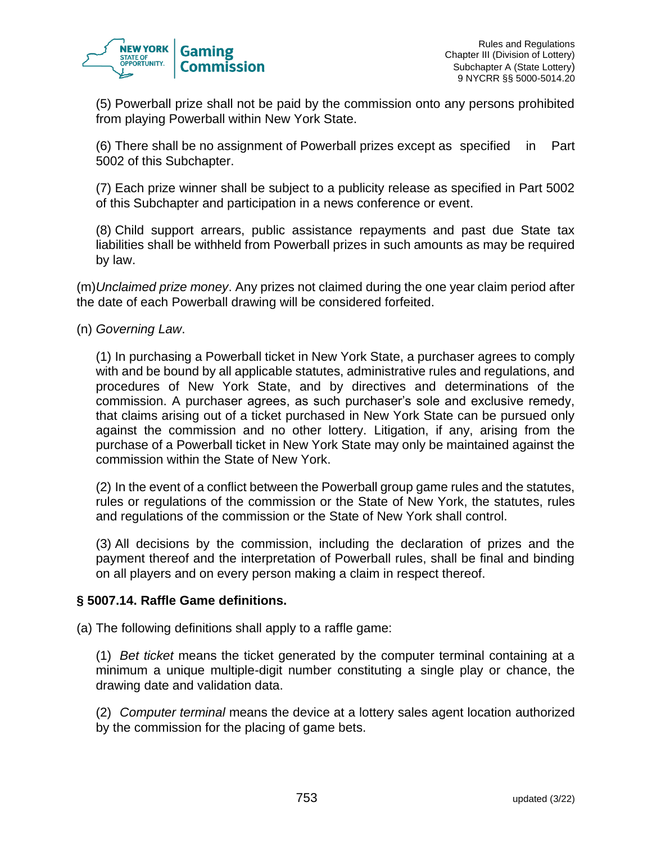

(5) Powerball prize shall not be paid by the commission onto any persons prohibited from playing Powerball within New York State.

(6) There shall be no assignment of Powerball prizes except as specified in Part 5002 of this Subchapter.

(7) Each prize winner shall be subject to a publicity release as specified in Part 5002 of this Subchapter and participation in a news conference or event.

(8) Child support arrears, public assistance repayments and past due State tax liabilities shall be withheld from Powerball prizes in such amounts as may be required by law.

(m)*Unclaimed prize money*. Any prizes not claimed during the one year claim period after the date of each Powerball drawing will be considered forfeited.

(n) *Governing Law*.

(1) In purchasing a Powerball ticket in New York State, a purchaser agrees to comply with and be bound by all applicable statutes, administrative rules and regulations, and procedures of New York State, and by directives and determinations of the commission. A purchaser agrees, as such purchaser's sole and exclusive remedy, that claims arising out of a ticket purchased in New York State can be pursued only against the commission and no other lottery. Litigation, if any, arising from the purchase of a Powerball ticket in New York State may only be maintained against the commission within the State of New York.

(2) In the event of a conflict between the Powerball group game rules and the statutes, rules or regulations of the commission or the State of New York, the statutes, rules and regulations of the commission or the State of New York shall control.

(3) All decisions by the commission, including the declaration of prizes and the payment thereof and the interpretation of Powerball rules, shall be final and binding on all players and on every person making a claim in respect thereof.

### **§ 5007.14. Raffle Game definitions.**

(a) The following definitions shall apply to a raffle game:

(1) *Bet ticket* means the ticket generated by the computer terminal containing at a minimum a unique multiple-digit number constituting a single play or chance, the drawing date and validation data.

(2) *Computer terminal* means the device at a lottery sales agent location authorized by the commission for the placing of game bets.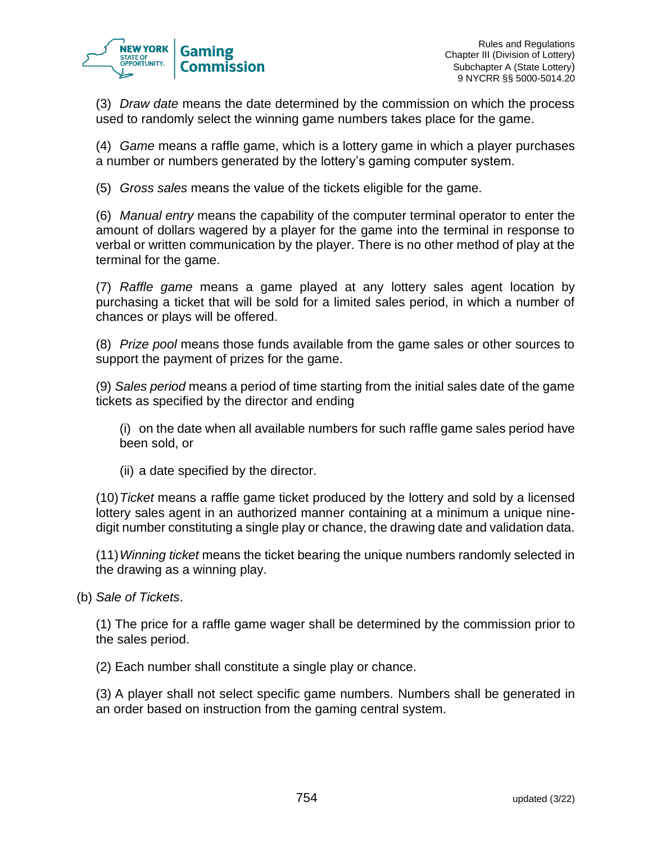

(3) *Draw date* means the date determined by the commission on which the process used to randomly select the winning game numbers takes place for the game.

(4) *Game* means a raffle game, which is a lottery game in which a player purchases a number or numbers generated by the lottery's gaming computer system.

(5) *Gross sales* means the value of the tickets eligible for the game.

(6) *Manual entry* means the capability of the computer terminal operator to enter the amount of dollars wagered by a player for the game into the terminal in response to verbal or written communication by the player. There is no other method of play at the terminal for the game.

(7) *Raffle game* means a game played at any lottery sales agent location by purchasing a ticket that will be sold for a limited sales period, in which a number of chances or plays will be offered.

(8) *Prize pool* means those funds available from the game sales or other sources to support the payment of prizes for the game.

(9) *Sales period* means a period of time starting from the initial sales date of the game tickets as specified by the director and ending

(i) on the date when all available numbers for such raffle game sales period have been sold, or

(ii) a date specified by the director.

(10)*Ticket* means a raffle game ticket produced by the lottery and sold by a licensed lottery sales agent in an authorized manner containing at a minimum a unique ninedigit number constituting a single play or chance, the drawing date and validation data.

(11)*Winning ticket* means the ticket bearing the unique numbers randomly selected in the drawing as a winning play.

(b) *Sale of Tickets*.

(1) The price for a raffle game wager shall be determined by the commission prior to the sales period.

(2) Each number shall constitute a single play or chance.

(3) A player shall not select specific game numbers. Numbers shall be generated in an order based on instruction from the gaming central system.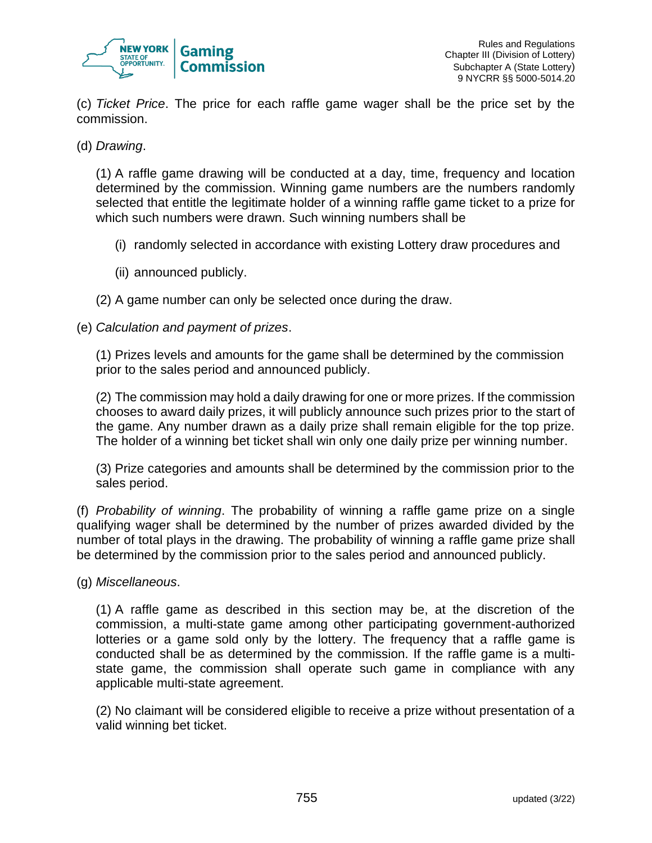

(c) *Ticket Price*. The price for each raffle game wager shall be the price set by the commission.

### (d) *Drawing*.

(1) A raffle game drawing will be conducted at a day, time, frequency and location determined by the commission. Winning game numbers are the numbers randomly selected that entitle the legitimate holder of a winning raffle game ticket to a prize for which such numbers were drawn. Such winning numbers shall be

- (i) randomly selected in accordance with existing Lottery draw procedures and
- (ii) announced publicly.
- (2) A game number can only be selected once during the draw.

### (e) *Calculation and payment of prizes*.

(1) Prizes levels and amounts for the game shall be determined by the commission prior to the sales period and announced publicly.

(2) The commission may hold a daily drawing for one or more prizes. If the commission chooses to award daily prizes, it will publicly announce such prizes prior to the start of the game. Any number drawn as a daily prize shall remain eligible for the top prize. The holder of a winning bet ticket shall win only one daily prize per winning number.

(3) Prize categories and amounts shall be determined by the commission prior to the sales period.

(f) *Probability of winning*. The probability of winning a raffle game prize on a single qualifying wager shall be determined by the number of prizes awarded divided by the number of total plays in the drawing. The probability of winning a raffle game prize shall be determined by the commission prior to the sales period and announced publicly.

(g) *Miscellaneous*.

(1) A raffle game as described in this section may be, at the discretion of the commission, a multi-state game among other participating government-authorized lotteries or a game sold only by the lottery. The frequency that a raffle game is conducted shall be as determined by the commission. If the raffle game is a multistate game, the commission shall operate such game in compliance with any applicable multi-state agreement.

(2) No claimant will be considered eligible to receive a prize without presentation of a valid winning bet ticket.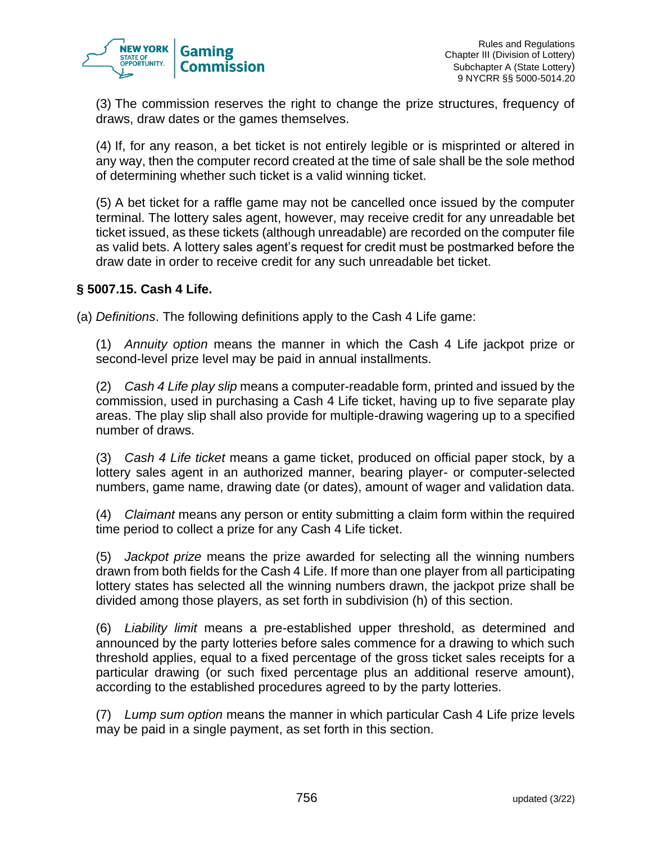

(3) The commission reserves the right to change the prize structures, frequency of draws, draw dates or the games themselves.

(4) If, for any reason, a bet ticket is not entirely legible or is misprinted or altered in any way, then the computer record created at the time of sale shall be the sole method of determining whether such ticket is a valid winning ticket.

(5) A bet ticket for a raffle game may not be cancelled once issued by the computer terminal. The lottery sales agent, however, may receive credit for any unreadable bet ticket issued, as these tickets (although unreadable) are recorded on the computer file as valid bets. A lottery sales agent's request for credit must be postmarked before the draw date in order to receive credit for any such unreadable bet ticket.

### **§ 5007.15. Cash 4 Life.**

(a) *Definitions*. The following definitions apply to the Cash 4 Life game:

(1) *Annuity option* means the manner in which the Cash 4 Life jackpot prize or second-level prize level may be paid in annual installments.

(2) *Cash 4 Life play slip* means a computer-readable form, printed and issued by the commission, used in purchasing a Cash 4 Life ticket, having up to five separate play areas. The play slip shall also provide for multiple-drawing wagering up to a specified number of draws.

(3) *Cash 4 Life ticket* means a game ticket, produced on official paper stock, by a lottery sales agent in an authorized manner, bearing player- or computer-selected numbers, game name, drawing date (or dates), amount of wager and validation data.

(4) *Claimant* means any person or entity submitting a claim form within the required time period to collect a prize for any Cash 4 Life ticket.

(5) *Jackpot prize* means the prize awarded for selecting all the winning numbers drawn from both fields for the Cash 4 Life. If more than one player from all participating lottery states has selected all the winning numbers drawn, the jackpot prize shall be divided among those players, as set forth in subdivision (h) of this section.

(6) *Liability limit* means a pre-established upper threshold, as determined and announced by the party lotteries before sales commence for a drawing to which such threshold applies, equal to a fixed percentage of the gross ticket sales receipts for a particular drawing (or such fixed percentage plus an additional reserve amount), according to the established procedures agreed to by the party lotteries.

(7) *Lump sum option* means the manner in which particular Cash 4 Life prize levels may be paid in a single payment, as set forth in this section.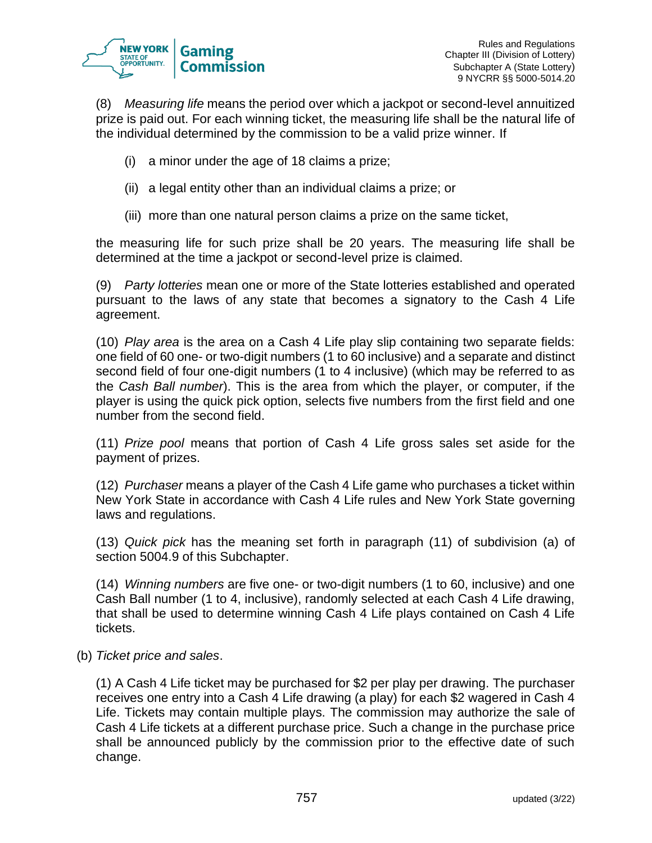

(8) *Measuring life* means the period over which a jackpot or second-level annuitized prize is paid out. For each winning ticket, the measuring life shall be the natural life of the individual determined by the commission to be a valid prize winner. If

- (i) a minor under the age of 18 claims a prize;
- (ii) a legal entity other than an individual claims a prize; or
- (iii) more than one natural person claims a prize on the same ticket,

the measuring life for such prize shall be 20 years. The measuring life shall be determined at the time a jackpot or second-level prize is claimed.

(9) *Party lotteries* mean one or more of the State lotteries established and operated pursuant to the laws of any state that becomes a signatory to the Cash 4 Life agreement.

(10) *Play area* is the area on a Cash 4 Life play slip containing two separate fields: one field of 60 one- or two-digit numbers (1 to 60 inclusive) and a separate and distinct second field of four one-digit numbers (1 to 4 inclusive) (which may be referred to as the *Cash Ball number*). This is the area from which the player, or computer, if the player is using the quick pick option, selects five numbers from the first field and one number from the second field.

(11) *Prize pool* means that portion of Cash 4 Life gross sales set aside for the payment of prizes.

(12) *Purchaser* means a player of the Cash 4 Life game who purchases a ticket within New York State in accordance with Cash 4 Life rules and New York State governing laws and regulations.

(13) *Quick pick* has the meaning set forth in paragraph (11) of subdivision (a) of section 5004.9 of this Subchapter.

(14) *Winning numbers* are five one- or two-digit numbers (1 to 60, inclusive) and one Cash Ball number (1 to 4, inclusive), randomly selected at each Cash 4 Life drawing, that shall be used to determine winning Cash 4 Life plays contained on Cash 4 Life tickets.

(b) *Ticket price and sales*.

(1) A Cash 4 Life ticket may be purchased for \$2 per play per drawing. The purchaser receives one entry into a Cash 4 Life drawing (a play) for each \$2 wagered in Cash 4 Life. Tickets may contain multiple plays. The commission may authorize the sale of Cash 4 Life tickets at a different purchase price. Such a change in the purchase price shall be announced publicly by the commission prior to the effective date of such change.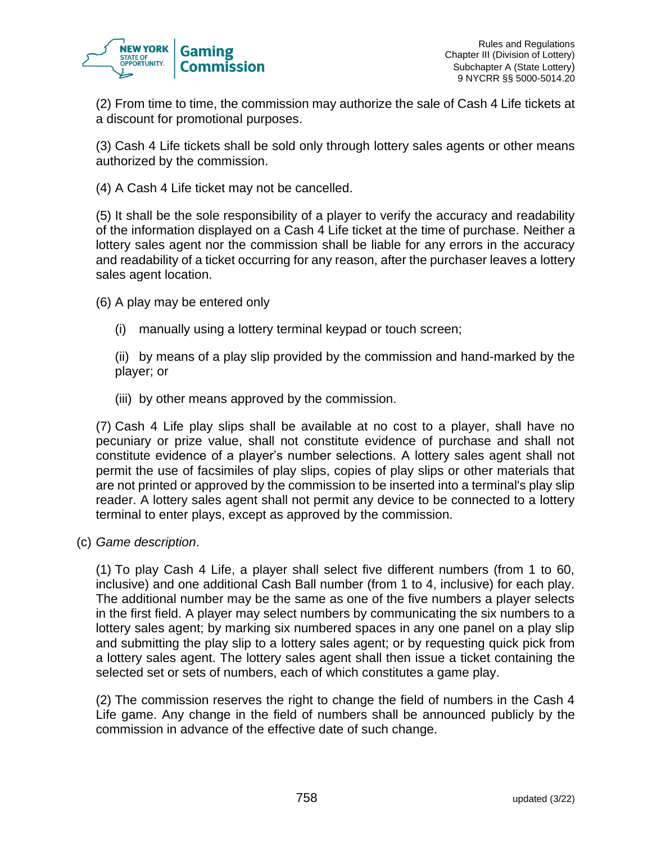

(2) From time to time, the commission may authorize the sale of Cash 4 Life tickets at a discount for promotional purposes.

(3) Cash 4 Life tickets shall be sold only through lottery sales agents or other means authorized by the commission.

(4) A Cash 4 Life ticket may not be cancelled.

(5) It shall be the sole responsibility of a player to verify the accuracy and readability of the information displayed on a Cash 4 Life ticket at the time of purchase. Neither a lottery sales agent nor the commission shall be liable for any errors in the accuracy and readability of a ticket occurring for any reason, after the purchaser leaves a lottery sales agent location.

(6) A play may be entered only

(i) manually using a lottery terminal keypad or touch screen;

(ii) by means of a play slip provided by the commission and hand-marked by the player; or

(iii) by other means approved by the commission.

(7) Cash 4 Life play slips shall be available at no cost to a player, shall have no pecuniary or prize value, shall not constitute evidence of purchase and shall not constitute evidence of a player's number selections. A lottery sales agent shall not permit the use of facsimiles of play slips, copies of play slips or other materials that are not printed or approved by the commission to be inserted into a terminal's play slip reader. A lottery sales agent shall not permit any device to be connected to a lottery terminal to enter plays, except as approved by the commission.

(c) *Game description*.

(1) To play Cash 4 Life, a player shall select five different numbers (from 1 to 60, inclusive) and one additional Cash Ball number (from 1 to 4, inclusive) for each play. The additional number may be the same as one of the five numbers a player selects in the first field. A player may select numbers by communicating the six numbers to a lottery sales agent; by marking six numbered spaces in any one panel on a play slip and submitting the play slip to a lottery sales agent; or by requesting quick pick from a lottery sales agent. The lottery sales agent shall then issue a ticket containing the selected set or sets of numbers, each of which constitutes a game play.

(2) The commission reserves the right to change the field of numbers in the Cash 4 Life game. Any change in the field of numbers shall be announced publicly by the commission in advance of the effective date of such change.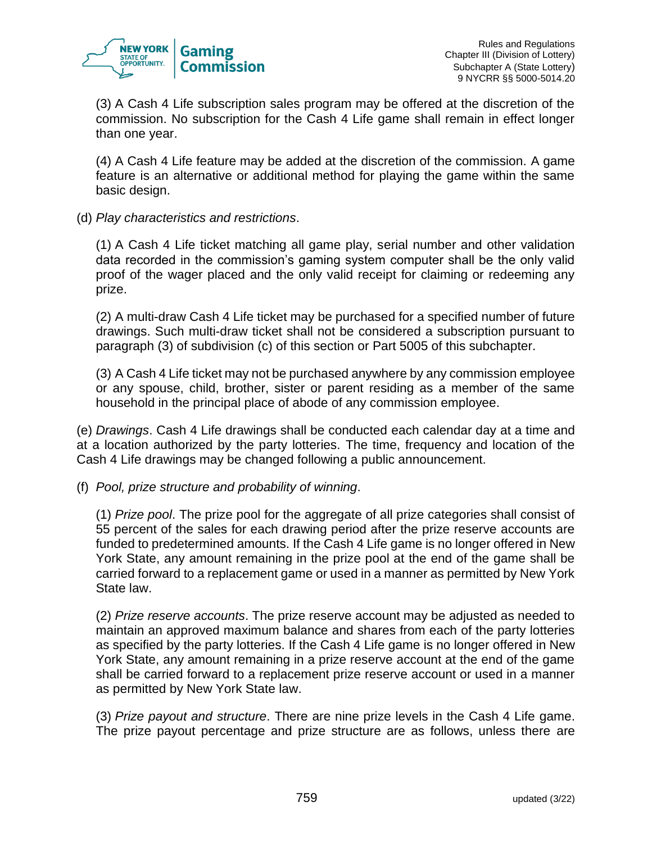

(3) A Cash 4 Life subscription sales program may be offered at the discretion of the commission. No subscription for the Cash 4 Life game shall remain in effect longer than one year.

(4) A Cash 4 Life feature may be added at the discretion of the commission. A game feature is an alternative or additional method for playing the game within the same basic design.

(d) *Play characteristics and restrictions*.

(1) A Cash 4 Life ticket matching all game play, serial number and other validation data recorded in the commission's gaming system computer shall be the only valid proof of the wager placed and the only valid receipt for claiming or redeeming any prize.

(2) A multi-draw Cash 4 Life ticket may be purchased for a specified number of future drawings. Such multi-draw ticket shall not be considered a subscription pursuant to paragraph (3) of subdivision (c) of this section or Part 5005 of this subchapter.

(3) A Cash 4 Life ticket may not be purchased anywhere by any commission employee or any spouse, child, brother, sister or parent residing as a member of the same household in the principal place of abode of any commission employee.

(e) *Drawings*. Cash 4 Life drawings shall be conducted each calendar day at a time and at a location authorized by the party lotteries. The time, frequency and location of the Cash 4 Life drawings may be changed following a public announcement.

(f) *Pool, prize structure and probability of winning*.

(1) *Prize pool*. The prize pool for the aggregate of all prize categories shall consist of 55 percent of the sales for each drawing period after the prize reserve accounts are funded to predetermined amounts. If the Cash 4 Life game is no longer offered in New York State, any amount remaining in the prize pool at the end of the game shall be carried forward to a replacement game or used in a manner as permitted by New York State law.

(2) *Prize reserve accounts*. The prize reserve account may be adjusted as needed to maintain an approved maximum balance and shares from each of the party lotteries as specified by the party lotteries. If the Cash 4 Life game is no longer offered in New York State, any amount remaining in a prize reserve account at the end of the game shall be carried forward to a replacement prize reserve account or used in a manner as permitted by New York State law.

(3) *Prize payout and structure*. There are nine prize levels in the Cash 4 Life game. The prize payout percentage and prize structure are as follows, unless there are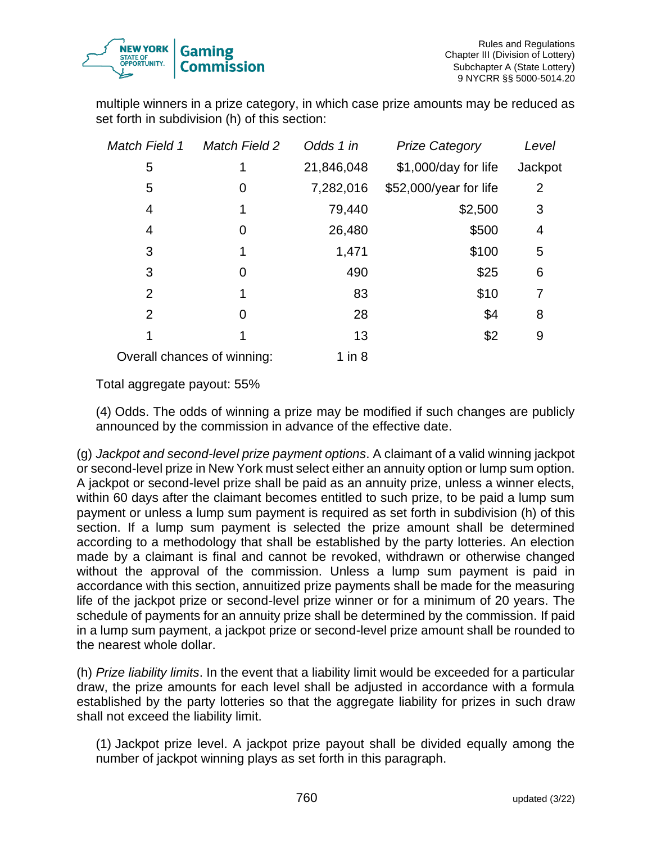

multiple winners in a prize category, in which case prize amounts may be reduced as set forth in subdivision (h) of this section:

| <b>Match Field 1</b> | <b>Match Field 2</b>        | Odds 1 in  | <b>Prize Category</b>  | Level   |
|----------------------|-----------------------------|------------|------------------------|---------|
| 5                    | 1                           | 21,846,048 | \$1,000/day for life   | Jackpot |
| 5                    | 0                           | 7,282,016  | \$52,000/year for life | 2       |
| 4                    | 1                           | 79,440     | \$2,500                | 3       |
| 4                    | 0                           | 26,480     | \$500                  | 4       |
| 3                    | 1                           | 1,471      | \$100                  | 5       |
| 3                    | 0                           | 490        | \$25                   | 6       |
| $\overline{2}$       | 1                           | 83         | \$10                   | 7       |
| $\overline{2}$       | 0                           | 28         | \$4                    | 8       |
|                      | 1                           | 13         | \$2                    | 9       |
|                      | Overall chances of winning: | $1$ in $8$ |                        |         |

Total aggregate payout: 55%

(4) Odds. The odds of winning a prize may be modified if such changes are publicly announced by the commission in advance of the effective date.

(g) *Jackpot and second-level prize payment options*. A claimant of a valid winning jackpot or second-level prize in New York must select either an annuity option or lump sum option. A jackpot or second-level prize shall be paid as an annuity prize, unless a winner elects, within 60 days after the claimant becomes entitled to such prize, to be paid a lump sum payment or unless a lump sum payment is required as set forth in subdivision (h) of this section. If a lump sum payment is selected the prize amount shall be determined according to a methodology that shall be established by the party lotteries. An election made by a claimant is final and cannot be revoked, withdrawn or otherwise changed without the approval of the commission. Unless a lump sum payment is paid in accordance with this section, annuitized prize payments shall be made for the measuring life of the jackpot prize or second-level prize winner or for a minimum of 20 years. The schedule of payments for an annuity prize shall be determined by the commission. If paid in a lump sum payment, a jackpot prize or second-level prize amount shall be rounded to the nearest whole dollar.

(h) *Prize liability limits*. In the event that a liability limit would be exceeded for a particular draw, the prize amounts for each level shall be adjusted in accordance with a formula established by the party lotteries so that the aggregate liability for prizes in such draw shall not exceed the liability limit.

(1) Jackpot prize level. A jackpot prize payout shall be divided equally among the number of jackpot winning plays as set forth in this paragraph.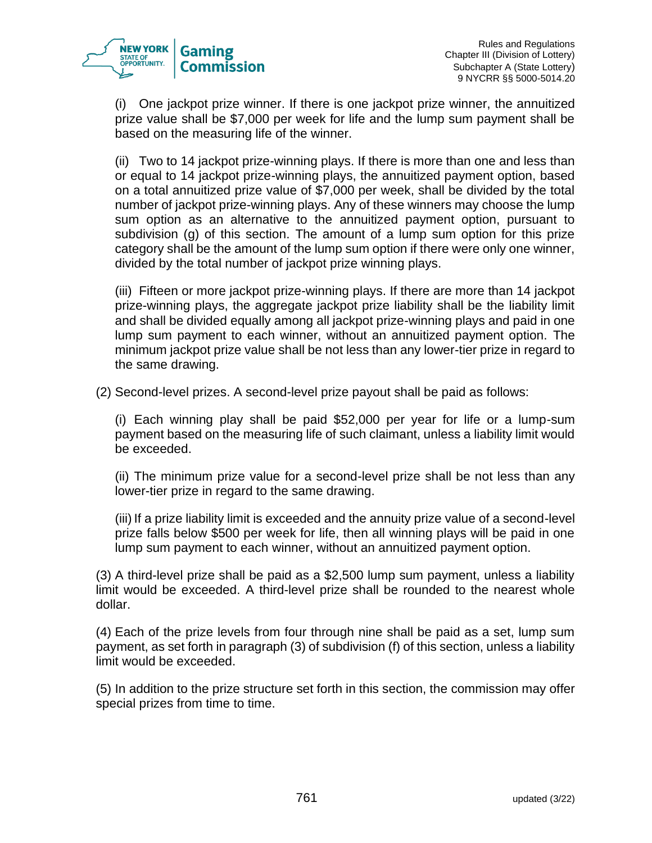

(i) One jackpot prize winner. If there is one jackpot prize winner, the annuitized prize value shall be \$7,000 per week for life and the lump sum payment shall be based on the measuring life of the winner.

(ii) Two to 14 jackpot prize-winning plays. If there is more than one and less than or equal to 14 jackpot prize-winning plays, the annuitized payment option, based on a total annuitized prize value of \$7,000 per week, shall be divided by the total number of jackpot prize-winning plays. Any of these winners may choose the lump sum option as an alternative to the annuitized payment option, pursuant to subdivision (g) of this section. The amount of a lump sum option for this prize category shall be the amount of the lump sum option if there were only one winner, divided by the total number of jackpot prize winning plays.

(iii) Fifteen or more jackpot prize-winning plays. If there are more than 14 jackpot prize-winning plays, the aggregate jackpot prize liability shall be the liability limit and shall be divided equally among all jackpot prize-winning plays and paid in one lump sum payment to each winner, without an annuitized payment option. The minimum jackpot prize value shall be not less than any lower-tier prize in regard to the same drawing.

(2) Second-level prizes. A second-level prize payout shall be paid as follows:

(i) Each winning play shall be paid \$52,000 per year for life or a lump-sum payment based on the measuring life of such claimant, unless a liability limit would be exceeded.

(ii) The minimum prize value for a second-level prize shall be not less than any lower-tier prize in regard to the same drawing.

(iii) If a prize liability limit is exceeded and the annuity prize value of a second-level prize falls below \$500 per week for life, then all winning plays will be paid in one lump sum payment to each winner, without an annuitized payment option.

(3) A third-level prize shall be paid as a \$2,500 lump sum payment, unless a liability limit would be exceeded. A third-level prize shall be rounded to the nearest whole dollar.

(4) Each of the prize levels from four through nine shall be paid as a set, lump sum payment, as set forth in paragraph (3) of subdivision (f) of this section, unless a liability limit would be exceeded.

(5) In addition to the prize structure set forth in this section, the commission may offer special prizes from time to time.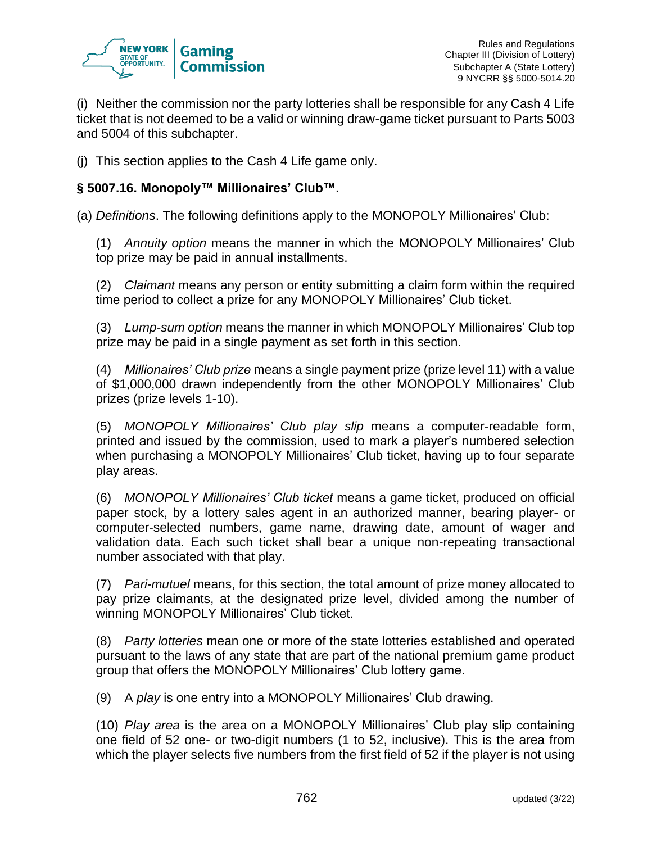

(i) Neither the commission nor the party lotteries shall be responsible for any Cash 4 Life ticket that is not deemed to be a valid or winning draw-game ticket pursuant to Parts 5003 and 5004 of this subchapter.

(j) This section applies to the Cash 4 Life game only.

# **§ 5007.16. Monopoly™ Millionaires' Club™.**

(a) *Definitions*. The following definitions apply to the MONOPOLY Millionaires' Club:

(1) *Annuity option* means the manner in which the MONOPOLY Millionaires' Club top prize may be paid in annual installments.

(2) *Claimant* means any person or entity submitting a claim form within the required time period to collect a prize for any MONOPOLY Millionaires' Club ticket.

(3) *Lump-sum option* means the manner in which MONOPOLY Millionaires' Club top prize may be paid in a single payment as set forth in this section.

(4) *Millionaires' Club prize* means a single payment prize (prize level 11) with a value of \$1,000,000 drawn independently from the other MONOPOLY Millionaires' Club prizes (prize levels 1-10).

(5) *MONOPOLY Millionaires' Club play slip* means a computer-readable form, printed and issued by the commission, used to mark a player's numbered selection when purchasing a MONOPOLY Millionaires' Club ticket, having up to four separate play areas.

(6) *MONOPOLY Millionaires' Club ticket* means a game ticket, produced on official paper stock, by a lottery sales agent in an authorized manner, bearing player- or computer-selected numbers, game name, drawing date, amount of wager and validation data. Each such ticket shall bear a unique non-repeating transactional number associated with that play.

(7) *Pari-mutuel* means, for this section, the total amount of prize money allocated to pay prize claimants, at the designated prize level, divided among the number of winning MONOPOLY Millionaires' Club ticket.

(8) *Party lotteries* mean one or more of the state lotteries established and operated pursuant to the laws of any state that are part of the national premium game product group that offers the MONOPOLY Millionaires' Club lottery game.

(9) A *play* is one entry into a MONOPOLY Millionaires' Club drawing.

(10) *Play area* is the area on a MONOPOLY Millionaires' Club play slip containing one field of 52 one- or two-digit numbers (1 to 52, inclusive). This is the area from which the player selects five numbers from the first field of 52 if the player is not using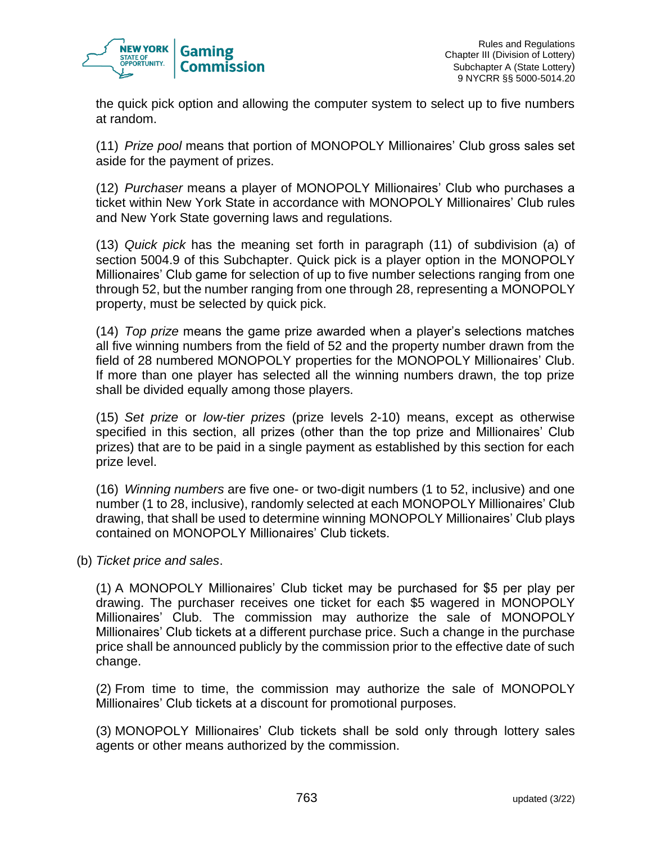

the quick pick option and allowing the computer system to select up to five numbers at random.

(11) *Prize pool* means that portion of MONOPOLY Millionaires' Club gross sales set aside for the payment of prizes.

(12) *Purchaser* means a player of MONOPOLY Millionaires' Club who purchases a ticket within New York State in accordance with MONOPOLY Millionaires' Club rules and New York State governing laws and regulations.

(13) *Quick pick* has the meaning set forth in paragraph (11) of subdivision (a) of section 5004.9 of this Subchapter. Quick pick is a player option in the MONOPOLY Millionaires' Club game for selection of up to five number selections ranging from one through 52, but the number ranging from one through 28, representing a MONOPOLY property, must be selected by quick pick.

(14) *Top prize* means the game prize awarded when a player's selections matches all five winning numbers from the field of 52 and the property number drawn from the field of 28 numbered MONOPOLY properties for the MONOPOLY Millionaires' Club. If more than one player has selected all the winning numbers drawn, the top prize shall be divided equally among those players.

(15) *Set prize* or *low-tier prizes* (prize levels 2-10) means, except as otherwise specified in this section, all prizes (other than the top prize and Millionaires' Club prizes) that are to be paid in a single payment as established by this section for each prize level.

(16) *Winning numbers* are five one- or two-digit numbers (1 to 52, inclusive) and one number (1 to 28, inclusive), randomly selected at each MONOPOLY Millionaires' Club drawing, that shall be used to determine winning MONOPOLY Millionaires' Club plays contained on MONOPOLY Millionaires' Club tickets.

(b) *Ticket price and sales*.

(1) A MONOPOLY Millionaires' Club ticket may be purchased for \$5 per play per drawing. The purchaser receives one ticket for each \$5 wagered in MONOPOLY Millionaires' Club. The commission may authorize the sale of MONOPOLY Millionaires' Club tickets at a different purchase price. Such a change in the purchase price shall be announced publicly by the commission prior to the effective date of such change.

(2) From time to time, the commission may authorize the sale of MONOPOLY Millionaires' Club tickets at a discount for promotional purposes.

(3) MONOPOLY Millionaires' Club tickets shall be sold only through lottery sales agents or other means authorized by the commission.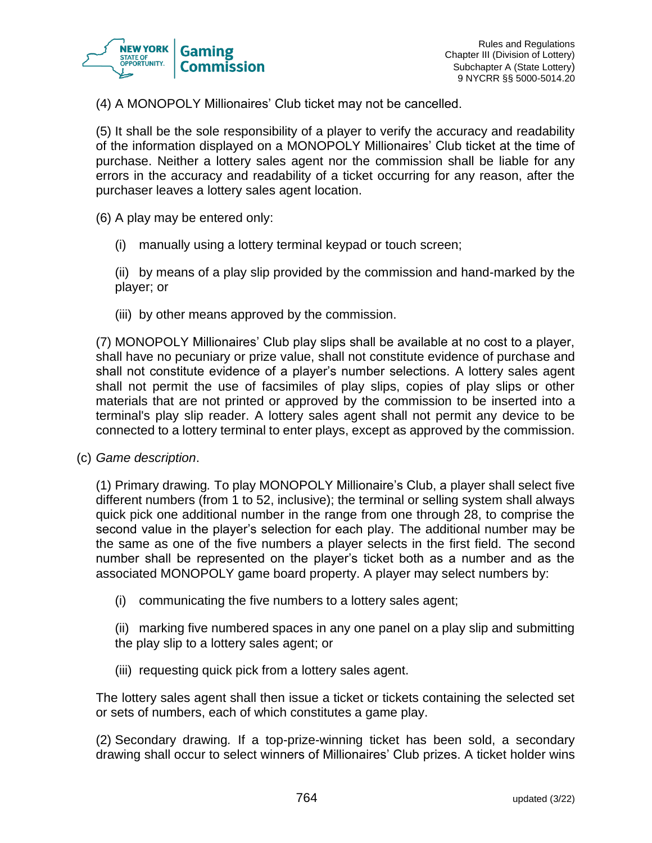

(4) A MONOPOLY Millionaires' Club ticket may not be cancelled.

(5) It shall be the sole responsibility of a player to verify the accuracy and readability of the information displayed on a MONOPOLY Millionaires' Club ticket at the time of purchase. Neither a lottery sales agent nor the commission shall be liable for any errors in the accuracy and readability of a ticket occurring for any reason, after the purchaser leaves a lottery sales agent location.

(6) A play may be entered only:

(i) manually using a lottery terminal keypad or touch screen;

(ii) by means of a play slip provided by the commission and hand-marked by the player; or

(iii) by other means approved by the commission.

(7) MONOPOLY Millionaires' Club play slips shall be available at no cost to a player, shall have no pecuniary or prize value, shall not constitute evidence of purchase and shall not constitute evidence of a player's number selections. A lottery sales agent shall not permit the use of facsimiles of play slips, copies of play slips or other materials that are not printed or approved by the commission to be inserted into a terminal's play slip reader. A lottery sales agent shall not permit any device to be connected to a lottery terminal to enter plays, except as approved by the commission.

(c) *Game description*.

(1) Primary drawing*.* To play MONOPOLY Millionaire's Club, a player shall select five different numbers (from 1 to 52, inclusive); the terminal or selling system shall always quick pick one additional number in the range from one through 28, to comprise the second value in the player's selection for each play. The additional number may be the same as one of the five numbers a player selects in the first field. The second number shall be represented on the player's ticket both as a number and as the associated MONOPOLY game board property. A player may select numbers by:

(i) communicating the five numbers to a lottery sales agent;

(ii) marking five numbered spaces in any one panel on a play slip and submitting the play slip to a lottery sales agent; or

(iii) requesting quick pick from a lottery sales agent.

The lottery sales agent shall then issue a ticket or tickets containing the selected set or sets of numbers, each of which constitutes a game play.

(2) Secondary drawing*.* If a top-prize-winning ticket has been sold, a secondary drawing shall occur to select winners of Millionaires' Club prizes. A ticket holder wins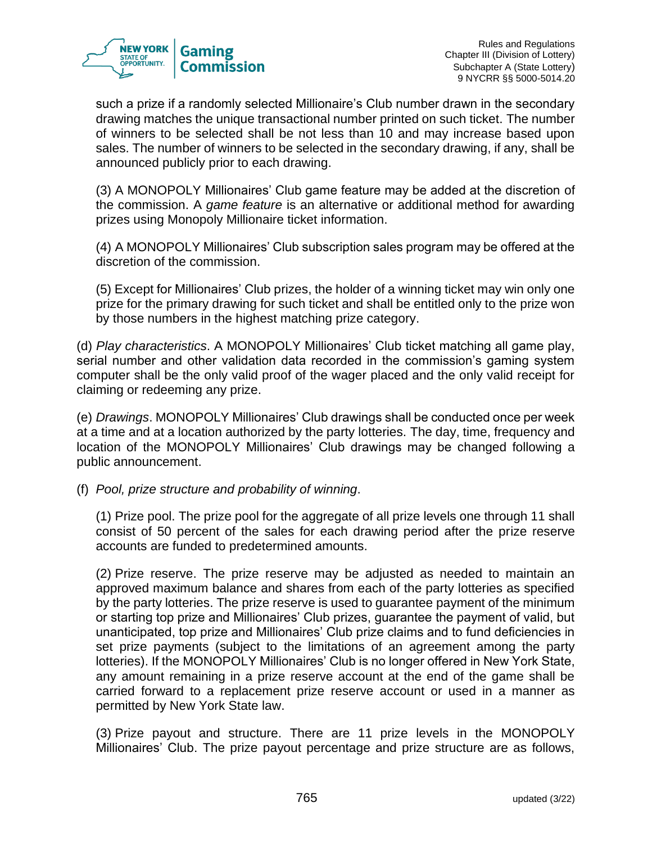

such a prize if a randomly selected Millionaire's Club number drawn in the secondary drawing matches the unique transactional number printed on such ticket. The number of winners to be selected shall be not less than 10 and may increase based upon sales. The number of winners to be selected in the secondary drawing, if any, shall be announced publicly prior to each drawing.

(3) A MONOPOLY Millionaires' Club game feature may be added at the discretion of the commission. A *game feature* is an alternative or additional method for awarding prizes using Monopoly Millionaire ticket information.

(4) A MONOPOLY Millionaires' Club subscription sales program may be offered at the discretion of the commission.

(5) Except for Millionaires' Club prizes, the holder of a winning ticket may win only one prize for the primary drawing for such ticket and shall be entitled only to the prize won by those numbers in the highest matching prize category.

(d) *Play characteristics*. A MONOPOLY Millionaires' Club ticket matching all game play, serial number and other validation data recorded in the commission's gaming system computer shall be the only valid proof of the wager placed and the only valid receipt for claiming or redeeming any prize.

(e) *Drawings*. MONOPOLY Millionaires' Club drawings shall be conducted once per week at a time and at a location authorized by the party lotteries. The day, time, frequency and location of the MONOPOLY Millionaires' Club drawings may be changed following a public announcement.

(f) *Pool, prize structure and probability of winning*.

(1) Prize pool. The prize pool for the aggregate of all prize levels one through 11 shall consist of 50 percent of the sales for each drawing period after the prize reserve accounts are funded to predetermined amounts.

(2) Prize reserve. The prize reserve may be adjusted as needed to maintain an approved maximum balance and shares from each of the party lotteries as specified by the party lotteries. The prize reserve is used to guarantee payment of the minimum or starting top prize and Millionaires' Club prizes, guarantee the payment of valid, but unanticipated, top prize and Millionaires' Club prize claims and to fund deficiencies in set prize payments (subject to the limitations of an agreement among the party lotteries). If the MONOPOLY Millionaires' Club is no longer offered in New York State, any amount remaining in a prize reserve account at the end of the game shall be carried forward to a replacement prize reserve account or used in a manner as permitted by New York State law.

(3) Prize payout and structure. There are 11 prize levels in the MONOPOLY Millionaires' Club. The prize payout percentage and prize structure are as follows,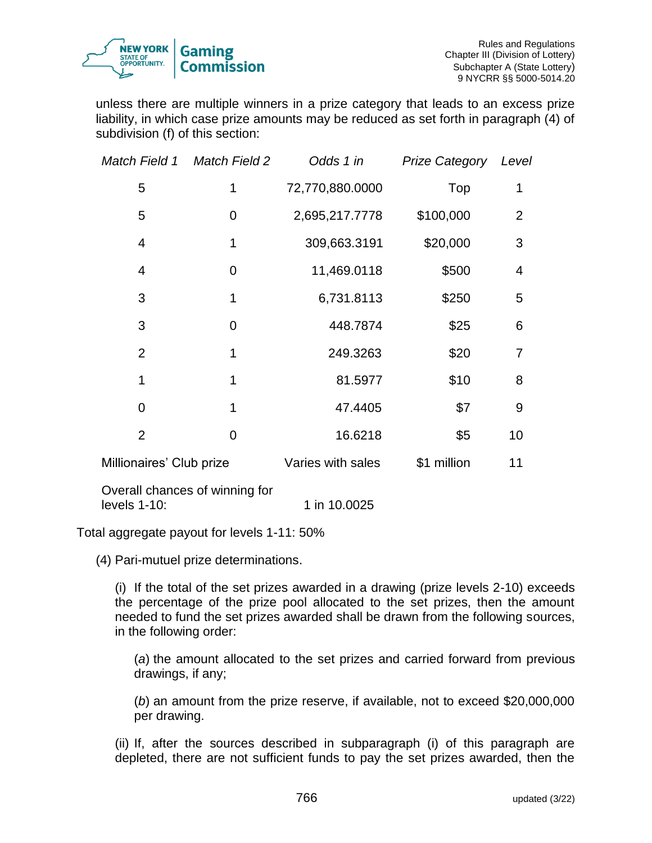

unless there are multiple winners in a prize category that leads to an excess prize liability, in which case prize amounts may be reduced as set forth in paragraph (4) of subdivision (f) of this section:

|                          | Match Field 1 Match Field 2    | Odds 1 in         | <b>Prize Category</b> | Level          |
|--------------------------|--------------------------------|-------------------|-----------------------|----------------|
| 5                        | 1                              | 72,770,880.0000   | Top                   | 1              |
| 5                        | 0                              | 2,695,217.7778    | \$100,000             | $\overline{2}$ |
| 4                        | 1                              | 309,663.3191      | \$20,000              | 3              |
| 4                        | 0                              | 11,469.0118       | \$500                 | 4              |
| 3                        | 1                              | 6,731.8113        | \$250                 | 5              |
| 3                        | $\overline{0}$                 | 448.7874          | \$25                  | 6              |
| $\overline{2}$           | 1                              | 249.3263          | \$20                  | 7              |
| 1                        | 1                              | 81.5977           | \$10                  | 8              |
| $\overline{0}$           | 1                              | 47.4405           | \$7                   | 9              |
| $\overline{2}$           | $\overline{0}$                 | 16.6218           | \$5                   | 10             |
| Millionaires' Club prize |                                | Varies with sales | \$1 million           | 11             |
|                          | Overall chances of winning for |                   |                       |                |

levels 1-10: 1 in 10.0025

Total aggregate payout for levels 1-11: 50%

(4) Pari-mutuel prize determinations.

(i) If the total of the set prizes awarded in a drawing (prize levels 2-10) exceeds the percentage of the prize pool allocated to the set prizes, then the amount needed to fund the set prizes awarded shall be drawn from the following sources, in the following order:

(*a*) the amount allocated to the set prizes and carried forward from previous drawings, if any;

(*b*) an amount from the prize reserve, if available, not to exceed \$20,000,000 per drawing.

(ii) If, after the sources described in subparagraph (i) of this paragraph are depleted, there are not sufficient funds to pay the set prizes awarded, then the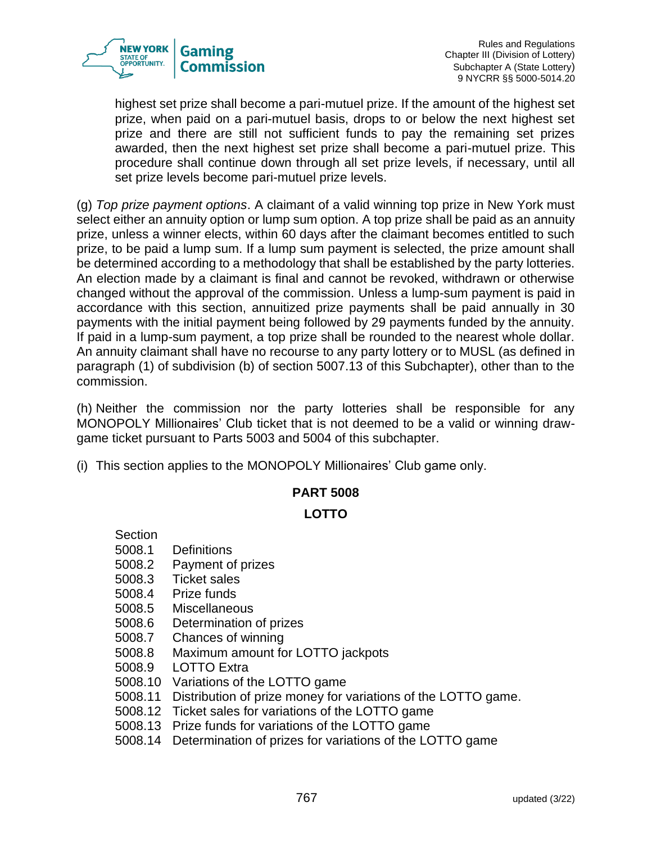

highest set prize shall become a pari-mutuel prize. If the amount of the highest set prize, when paid on a pari-mutuel basis, drops to or below the next highest set prize and there are still not sufficient funds to pay the remaining set prizes awarded, then the next highest set prize shall become a pari-mutuel prize. This procedure shall continue down through all set prize levels, if necessary, until all set prize levels become pari-mutuel prize levels.

(g) *Top prize payment options*. A claimant of a valid winning top prize in New York must select either an annuity option or lump sum option. A top prize shall be paid as an annuity prize, unless a winner elects, within 60 days after the claimant becomes entitled to such prize, to be paid a lump sum. If a lump sum payment is selected, the prize amount shall be determined according to a methodology that shall be established by the party lotteries. An election made by a claimant is final and cannot be revoked, withdrawn or otherwise changed without the approval of the commission. Unless a lump-sum payment is paid in accordance with this section, annuitized prize payments shall be paid annually in 30 payments with the initial payment being followed by 29 payments funded by the annuity. If paid in a lump-sum payment, a top prize shall be rounded to the nearest whole dollar. An annuity claimant shall have no recourse to any party lottery or to MUSL (as defined in paragraph (1) of subdivision (b) of section 5007.13 of this Subchapter), other than to the commission.

(h) Neither the commission nor the party lotteries shall be responsible for any MONOPOLY Millionaires' Club ticket that is not deemed to be a valid or winning drawgame ticket pursuant to Parts 5003 and 5004 of this subchapter.

(i) This section applies to the MONOPOLY Millionaires' Club game only.

# **PART 5008**

## **LOTTO**

Section 5008.1 Definitions 5008.2 Payment of prizes 5008.3 Ticket sales 5008.4 Prize funds 5008.5 Miscellaneous 5008.6 Determination of prizes 5008.7 Chances of winning 5008.8 Maximum amount for LOTTO jackpots 5008.9 LOTTO Extra 5008.10 Variations of the LOTTO game 5008.11 Distribution of prize money for variations of the LOTTO game. 5008.12 Ticket sales for variations of the LOTTO game 5008.13 Prize funds for variations of the LOTTO game 5008.14 Determination of prizes for variations of the LOTTO game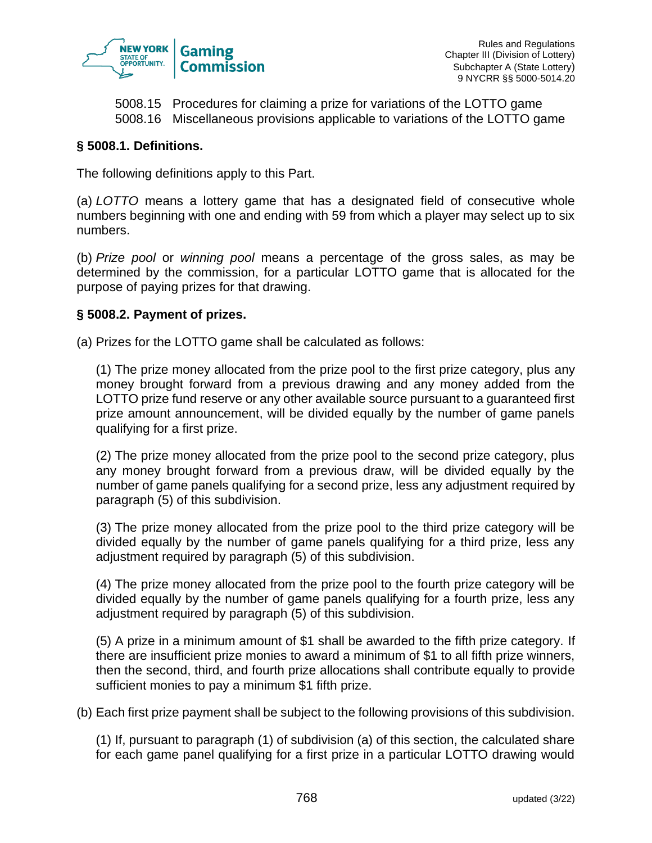

5008.15 Procedures for claiming a prize for variations of the LOTTO game 5008.16 Miscellaneous provisions applicable to variations of the LOTTO game

## **§ 5008.1. Definitions.**

The following definitions apply to this Part.

(a) *LOTTO* means a lottery game that has a designated field of consecutive whole numbers beginning with one and ending with 59 from which a player may select up to six numbers.

(b) *Prize pool* or *winning pool* means a percentage of the gross sales, as may be determined by the commission, for a particular LOTTO game that is allocated for the purpose of paying prizes for that drawing.

## **§ 5008.2. Payment of prizes.**

(a) Prizes for the LOTTO game shall be calculated as follows:

(1) The prize money allocated from the prize pool to the first prize category, plus any money brought forward from a previous drawing and any money added from the LOTTO prize fund reserve or any other available source pursuant to a guaranteed first prize amount announcement, will be divided equally by the number of game panels qualifying for a first prize.

(2) The prize money allocated from the prize pool to the second prize category, plus any money brought forward from a previous draw, will be divided equally by the number of game panels qualifying for a second prize, less any adjustment required by paragraph (5) of this subdivision.

(3) The prize money allocated from the prize pool to the third prize category will be divided equally by the number of game panels qualifying for a third prize, less any adjustment required by paragraph (5) of this subdivision.

(4) The prize money allocated from the prize pool to the fourth prize category will be divided equally by the number of game panels qualifying for a fourth prize, less any adjustment required by paragraph (5) of this subdivision.

(5) A prize in a minimum amount of \$1 shall be awarded to the fifth prize category. If there are insufficient prize monies to award a minimum of \$1 to all fifth prize winners, then the second, third, and fourth prize allocations shall contribute equally to provide sufficient monies to pay a minimum \$1 fifth prize.

(b) Each first prize payment shall be subject to the following provisions of this subdivision.

(1) If, pursuant to paragraph (1) of subdivision (a) of this section, the calculated share for each game panel qualifying for a first prize in a particular LOTTO drawing would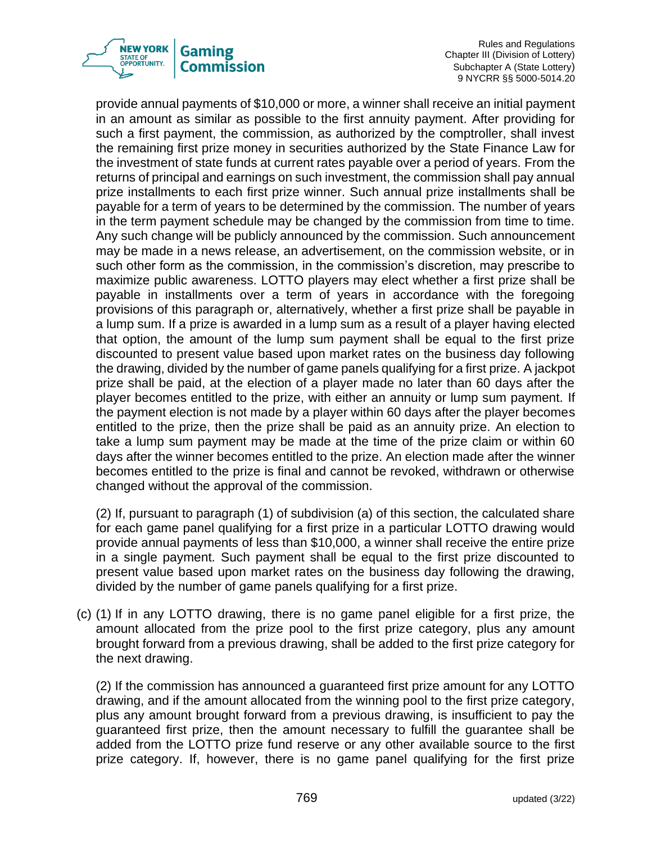

Rules and Regulations Chapter III (Division of Lottery) Subchapter A (State Lottery) 9 NYCRR §§ 5000-5014.20

provide annual payments of \$10,000 or more, a winner shall receive an initial payment in an amount as similar as possible to the first annuity payment. After providing for such a first payment, the commission, as authorized by the comptroller, shall invest the remaining first prize money in securities authorized by the State Finance Law for the investment of state funds at current rates payable over a period of years. From the returns of principal and earnings on such investment, the commission shall pay annual prize installments to each first prize winner. Such annual prize installments shall be payable for a term of years to be determined by the commission. The number of years in the term payment schedule may be changed by the commission from time to time. Any such change will be publicly announced by the commission. Such announcement may be made in a news release, an advertisement, on the commission website, or in such other form as the commission, in the commission's discretion, may prescribe to maximize public awareness. LOTTO players may elect whether a first prize shall be payable in installments over a term of years in accordance with the foregoing provisions of this paragraph or, alternatively, whether a first prize shall be payable in a lump sum. If a prize is awarded in a lump sum as a result of a player having elected that option, the amount of the lump sum payment shall be equal to the first prize discounted to present value based upon market rates on the business day following the drawing, divided by the number of game panels qualifying for a first prize. A jackpot prize shall be paid, at the election of a player made no later than 60 days after the player becomes entitled to the prize, with either an annuity or lump sum payment. If the payment election is not made by a player within 60 days after the player becomes entitled to the prize, then the prize shall be paid as an annuity prize. An election to take a lump sum payment may be made at the time of the prize claim or within 60 days after the winner becomes entitled to the prize. An election made after the winner becomes entitled to the prize is final and cannot be revoked, withdrawn or otherwise changed without the approval of the commission.

(2) If, pursuant to paragraph (1) of subdivision (a) of this section, the calculated share for each game panel qualifying for a first prize in a particular LOTTO drawing would provide annual payments of less than \$10,000, a winner shall receive the entire prize in a single payment. Such payment shall be equal to the first prize discounted to present value based upon market rates on the business day following the drawing, divided by the number of game panels qualifying for a first prize.

(c) (1) If in any LOTTO drawing, there is no game panel eligible for a first prize, the amount allocated from the prize pool to the first prize category, plus any amount brought forward from a previous drawing, shall be added to the first prize category for the next drawing.

(2) If the commission has announced a guaranteed first prize amount for any LOTTO drawing, and if the amount allocated from the winning pool to the first prize category, plus any amount brought forward from a previous drawing, is insufficient to pay the guaranteed first prize, then the amount necessary to fulfill the guarantee shall be added from the LOTTO prize fund reserve or any other available source to the first prize category. If, however, there is no game panel qualifying for the first prize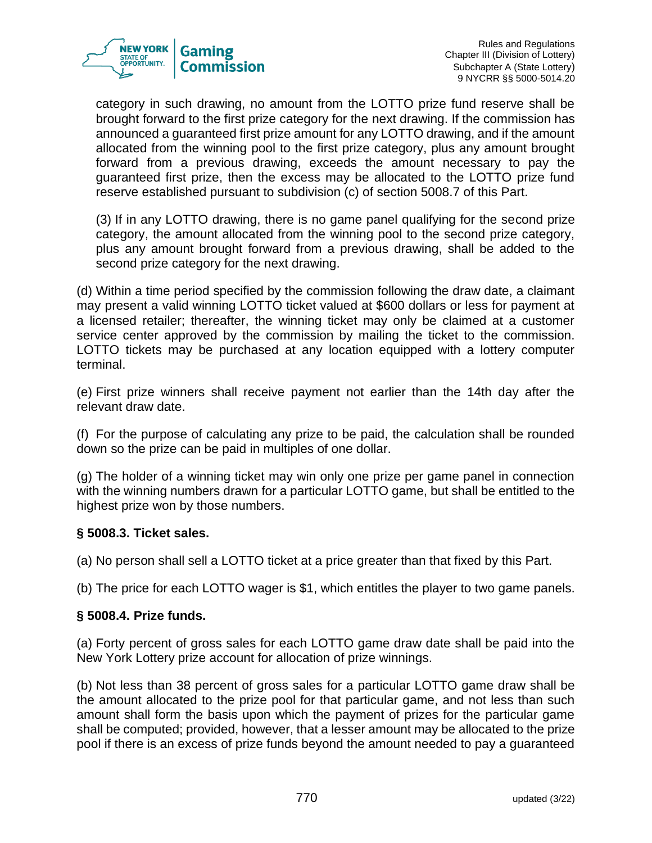

category in such drawing, no amount from the LOTTO prize fund reserve shall be brought forward to the first prize category for the next drawing. If the commission has announced a guaranteed first prize amount for any LOTTO drawing, and if the amount allocated from the winning pool to the first prize category, plus any amount brought forward from a previous drawing, exceeds the amount necessary to pay the guaranteed first prize, then the excess may be allocated to the LOTTO prize fund reserve established pursuant to subdivision (c) of section 5008.7 of this Part.

(3) If in any LOTTO drawing, there is no game panel qualifying for the second prize category, the amount allocated from the winning pool to the second prize category, plus any amount brought forward from a previous drawing, shall be added to the second prize category for the next drawing.

(d) Within a time period specified by the commission following the draw date, a claimant may present a valid winning LOTTO ticket valued at \$600 dollars or less for payment at a licensed retailer; thereafter, the winning ticket may only be claimed at a customer service center approved by the commission by mailing the ticket to the commission. LOTTO tickets may be purchased at any location equipped with a lottery computer terminal.

(e) First prize winners shall receive payment not earlier than the 14th day after the relevant draw date.

(f) For the purpose of calculating any prize to be paid, the calculation shall be rounded down so the prize can be paid in multiples of one dollar.

(g) The holder of a winning ticket may win only one prize per game panel in connection with the winning numbers drawn for a particular LOTTO game, but shall be entitled to the highest prize won by those numbers.

## **§ 5008.3. Ticket sales.**

(a) No person shall sell a LOTTO ticket at a price greater than that fixed by this Part.

(b) The price for each LOTTO wager is \$1, which entitles the player to two game panels.

#### **§ 5008.4. Prize funds.**

(a) Forty percent of gross sales for each LOTTO game draw date shall be paid into the New York Lottery prize account for allocation of prize winnings.

(b) Not less than 38 percent of gross sales for a particular LOTTO game draw shall be the amount allocated to the prize pool for that particular game, and not less than such amount shall form the basis upon which the payment of prizes for the particular game shall be computed; provided, however, that a lesser amount may be allocated to the prize pool if there is an excess of prize funds beyond the amount needed to pay a guaranteed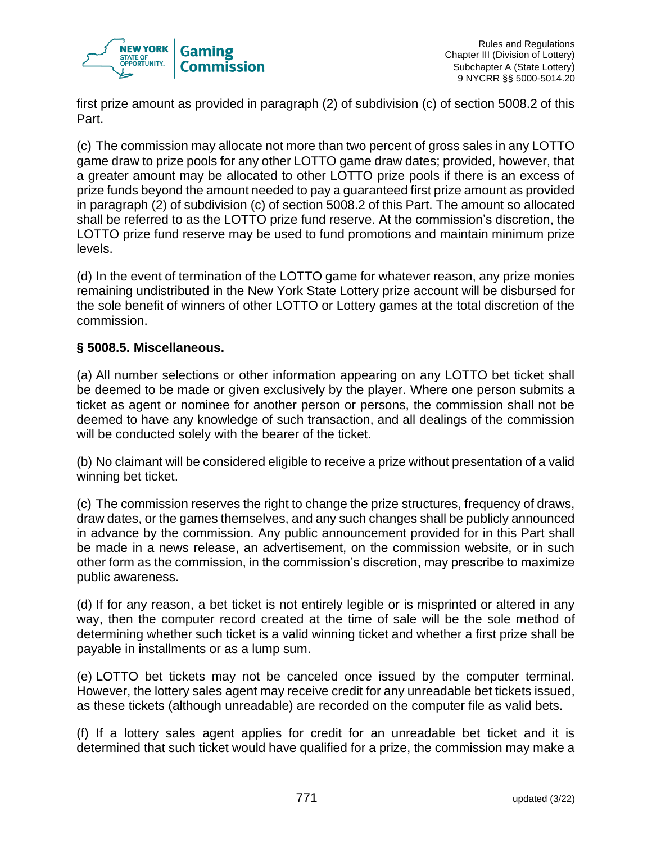

first prize amount as provided in paragraph (2) of subdivision (c) of section 5008.2 of this Part.

(c) The commission may allocate not more than two percent of gross sales in any LOTTO game draw to prize pools for any other LOTTO game draw dates; provided, however, that a greater amount may be allocated to other LOTTO prize pools if there is an excess of prize funds beyond the amount needed to pay a guaranteed first prize amount as provided in paragraph (2) of subdivision (c) of section 5008.2 of this Part. The amount so allocated shall be referred to as the LOTTO prize fund reserve. At the commission's discretion, the LOTTO prize fund reserve may be used to fund promotions and maintain minimum prize levels.

(d) In the event of termination of the LOTTO game for whatever reason, any prize monies remaining undistributed in the New York State Lottery prize account will be disbursed for the sole benefit of winners of other LOTTO or Lottery games at the total discretion of the commission.

# **§ 5008.5. Miscellaneous.**

(a) All number selections or other information appearing on any LOTTO bet ticket shall be deemed to be made or given exclusively by the player. Where one person submits a ticket as agent or nominee for another person or persons, the commission shall not be deemed to have any knowledge of such transaction, and all dealings of the commission will be conducted solely with the bearer of the ticket.

(b) No claimant will be considered eligible to receive a prize without presentation of a valid winning bet ticket.

(c) The commission reserves the right to change the prize structures, frequency of draws, draw dates, or the games themselves, and any such changes shall be publicly announced in advance by the commission. Any public announcement provided for in this Part shall be made in a news release, an advertisement, on the commission website, or in such other form as the commission, in the commission's discretion, may prescribe to maximize public awareness.

(d) If for any reason, a bet ticket is not entirely legible or is misprinted or altered in any way, then the computer record created at the time of sale will be the sole method of determining whether such ticket is a valid winning ticket and whether a first prize shall be payable in installments or as a lump sum.

(e) LOTTO bet tickets may not be canceled once issued by the computer terminal. However, the lottery sales agent may receive credit for any unreadable bet tickets issued, as these tickets (although unreadable) are recorded on the computer file as valid bets.

(f) If a lottery sales agent applies for credit for an unreadable bet ticket and it is determined that such ticket would have qualified for a prize, the commission may make a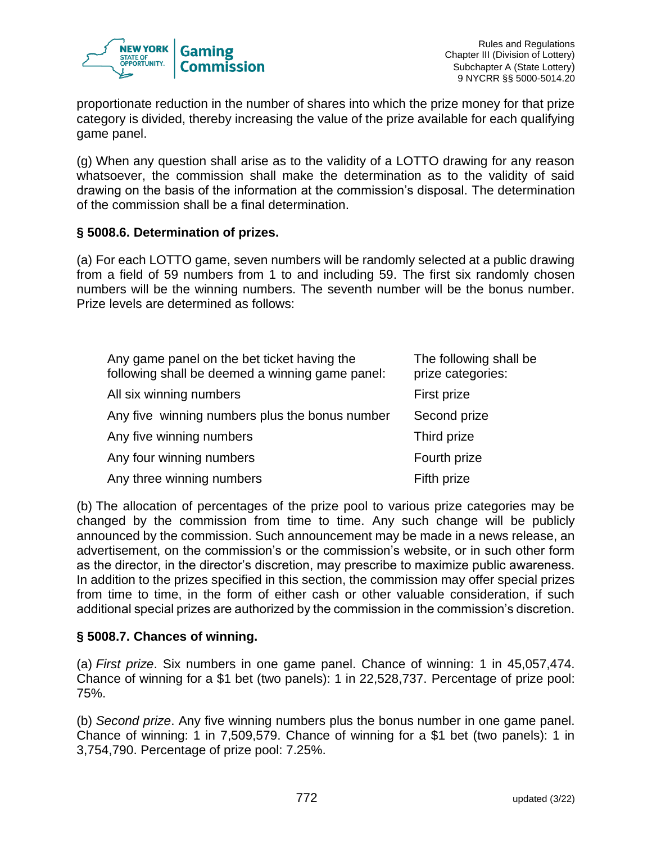

proportionate reduction in the number of shares into which the prize money for that prize category is divided, thereby increasing the value of the prize available for each qualifying game panel.

(g) When any question shall arise as to the validity of a LOTTO drawing for any reason whatsoever, the commission shall make the determination as to the validity of said drawing on the basis of the information at the commission's disposal. The determination of the commission shall be a final determination.

## **§ 5008.6. Determination of prizes.**

(a) For each LOTTO game, seven numbers will be randomly selected at a public drawing from a field of 59 numbers from 1 to and including 59. The first six randomly chosen numbers will be the winning numbers. The seventh number will be the bonus number. Prize levels are determined as follows:

| Any game panel on the bet ticket having the<br>following shall be deemed a winning game panel: | The following shall be<br>prize categories: |
|------------------------------------------------------------------------------------------------|---------------------------------------------|
| All six winning numbers                                                                        | First prize                                 |
| Any five winning numbers plus the bonus number                                                 | Second prize                                |
| Any five winning numbers                                                                       | Third prize                                 |
| Any four winning numbers                                                                       | Fourth prize                                |
| Any three winning numbers                                                                      | Fifth prize                                 |

(b) The allocation of percentages of the prize pool to various prize categories may be changed by the commission from time to time. Any such change will be publicly announced by the commission. Such announcement may be made in a news release, an advertisement, on the commission's or the commission's website, or in such other form as the director, in the director's discretion, may prescribe to maximize public awareness. In addition to the prizes specified in this section, the commission may offer special prizes from time to time, in the form of either cash or other valuable consideration, if such additional special prizes are authorized by the commission in the commission's discretion.

## **§ 5008.7. Chances of winning.**

(a) *First prize*. Six numbers in one game panel. Chance of winning: 1 in 45,057,474. Chance of winning for a \$1 bet (two panels): 1 in 22,528,737. Percentage of prize pool: 75%.

(b) *Second prize*. Any five winning numbers plus the bonus number in one game panel. Chance of winning: 1 in 7,509,579. Chance of winning for a \$1 bet (two panels): 1 in 3,754,790. Percentage of prize pool: 7.25%.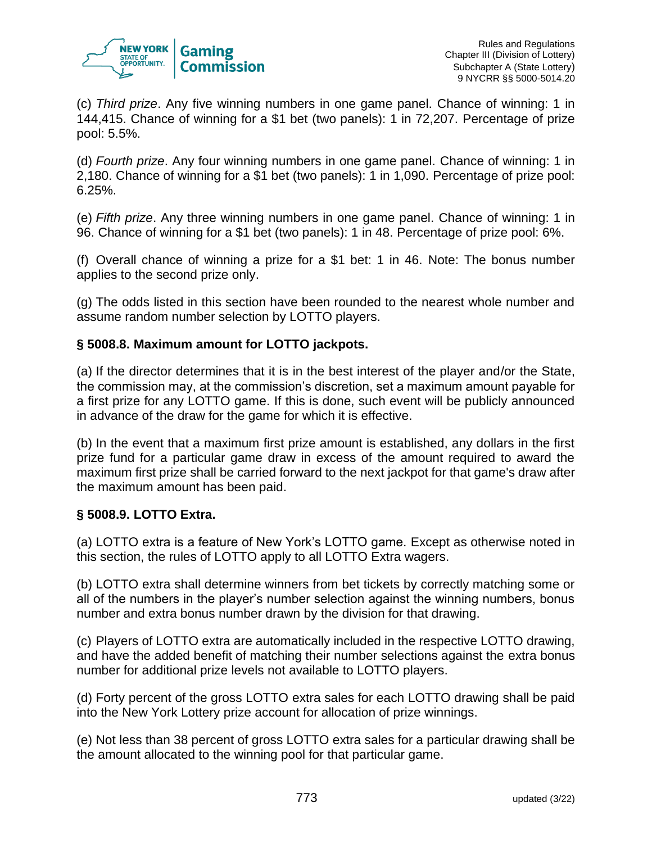

(c) *Third prize*. Any five winning numbers in one game panel. Chance of winning: 1 in 144,415. Chance of winning for a \$1 bet (two panels): 1 in 72,207. Percentage of prize pool: 5.5%.

(d) *Fourth prize*. Any four winning numbers in one game panel. Chance of winning: 1 in 2,180. Chance of winning for a \$1 bet (two panels): 1 in 1,090. Percentage of prize pool: 6.25%.

(e) *Fifth prize*. Any three winning numbers in one game panel. Chance of winning: 1 in 96. Chance of winning for a \$1 bet (two panels): 1 in 48. Percentage of prize pool: 6%.

(f) Overall chance of winning a prize for a \$1 bet: 1 in 46. Note: The bonus number applies to the second prize only.

(g) The odds listed in this section have been rounded to the nearest whole number and assume random number selection by LOTTO players.

# **§ 5008.8. Maximum amount for LOTTO jackpots.**

(a) If the director determines that it is in the best interest of the player and/or the State, the commission may, at the commission's discretion, set a maximum amount payable for a first prize for any LOTTO game. If this is done, such event will be publicly announced in advance of the draw for the game for which it is effective.

(b) In the event that a maximum first prize amount is established, any dollars in the first prize fund for a particular game draw in excess of the amount required to award the maximum first prize shall be carried forward to the next jackpot for that game's draw after the maximum amount has been paid.

## **§ 5008.9. LOTTO Extra.**

(a) LOTTO extra is a feature of New York's LOTTO game. Except as otherwise noted in this section, the rules of LOTTO apply to all LOTTO Extra wagers.

(b) LOTTO extra shall determine winners from bet tickets by correctly matching some or all of the numbers in the player's number selection against the winning numbers, bonus number and extra bonus number drawn by the division for that drawing.

(c) Players of LOTTO extra are automatically included in the respective LOTTO drawing, and have the added benefit of matching their number selections against the extra bonus number for additional prize levels not available to LOTTO players.

(d) Forty percent of the gross LOTTO extra sales for each LOTTO drawing shall be paid into the New York Lottery prize account for allocation of prize winnings.

(e) Not less than 38 percent of gross LOTTO extra sales for a particular drawing shall be the amount allocated to the winning pool for that particular game.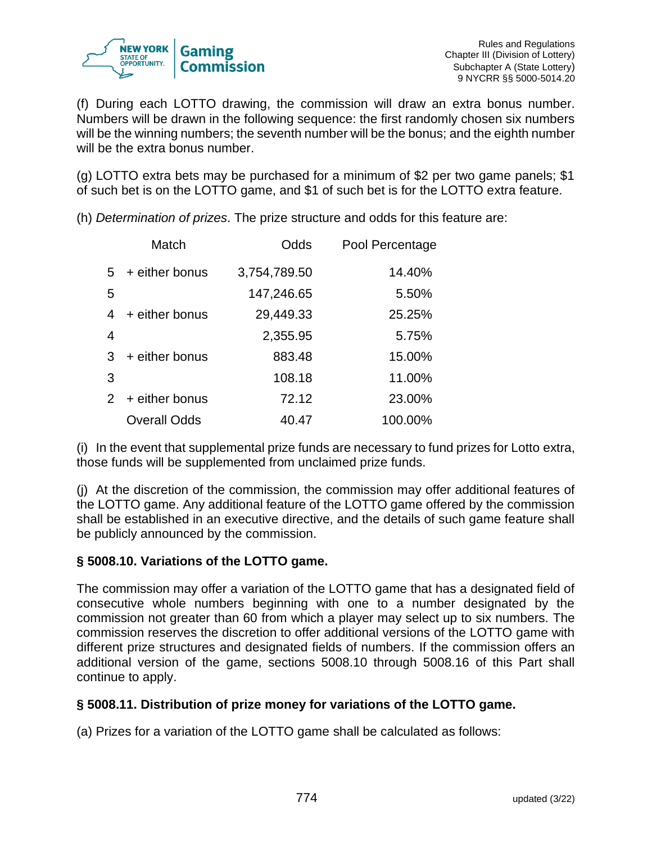

(f) During each LOTTO drawing, the commission will draw an extra bonus number. Numbers will be drawn in the following sequence: the first randomly chosen six numbers will be the winning numbers; the seventh number will be the bonus; and the eighth number will be the extra bonus number.

(g) LOTTO extra bets may be purchased for a minimum of \$2 per two game panels; \$1 of such bet is on the LOTTO game, and \$1 of such bet is for the LOTTO extra feature.

(h) *Determination of prizes*. The prize structure and odds for this feature are:

|   | Match               | Odds         | Pool Percentage |
|---|---------------------|--------------|-----------------|
| 5 | + either bonus      | 3,754,789.50 | 14.40%          |
| 5 |                     | 147,246.65   | 5.50%           |
| 4 | + either bonus      | 29,449.33    | 25.25%          |
| 4 |                     | 2,355.95     | 5.75%           |
| 3 | + either bonus      | 883.48       | 15.00%          |
| 3 |                     | 108.18       | 11.00%          |
|   | 2 + either bonus    | 72.12        | 23.00%          |
|   | <b>Overall Odds</b> | 40.47        | 100.00%         |

(i) In the event that supplemental prize funds are necessary to fund prizes for Lotto extra, those funds will be supplemented from unclaimed prize funds.

(j) At the discretion of the commission, the commission may offer additional features of the LOTTO game. Any additional feature of the LOTTO game offered by the commission shall be established in an executive directive, and the details of such game feature shall be publicly announced by the commission.

# **§ 5008.10. Variations of the LOTTO game.**

The commission may offer a variation of the LOTTO game that has a designated field of consecutive whole numbers beginning with one to a number designated by the commission not greater than 60 from which a player may select up to six numbers. The commission reserves the discretion to offer additional versions of the LOTTO game with different prize structures and designated fields of numbers. If the commission offers an additional version of the game, sections 5008.10 through 5008.16 of this Part shall continue to apply.

## **§ 5008.11. Distribution of prize money for variations of the LOTTO game.**

(a) Prizes for a variation of the LOTTO game shall be calculated as follows: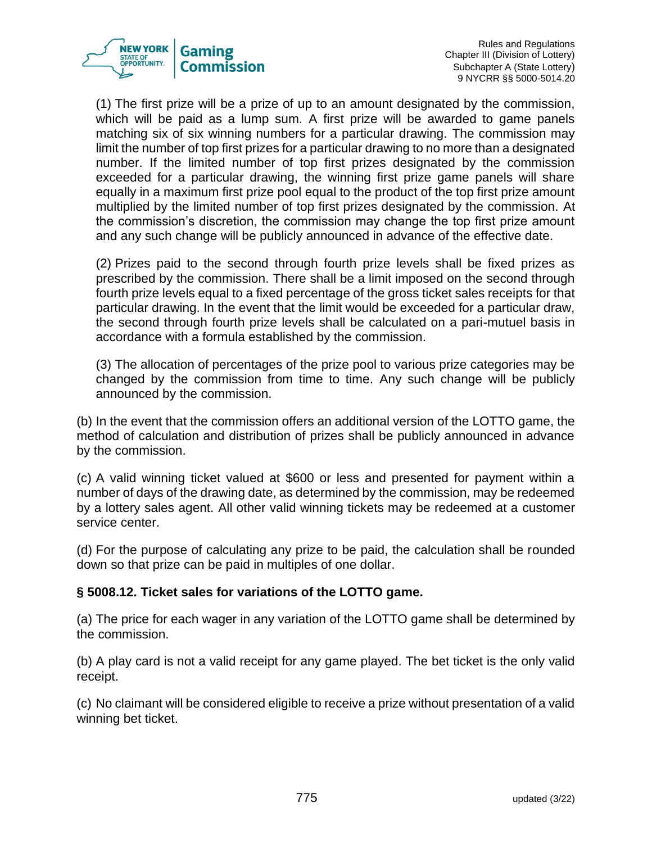

(1) The first prize will be a prize of up to an amount designated by the commission, which will be paid as a lump sum. A first prize will be awarded to game panels matching six of six winning numbers for a particular drawing. The commission may limit the number of top first prizes for a particular drawing to no more than a designated number. If the limited number of top first prizes designated by the commission exceeded for a particular drawing, the winning first prize game panels will share equally in a maximum first prize pool equal to the product of the top first prize amount multiplied by the limited number of top first prizes designated by the commission. At the commission's discretion, the commission may change the top first prize amount and any such change will be publicly announced in advance of the effective date.

(2) Prizes paid to the second through fourth prize levels shall be fixed prizes as prescribed by the commission. There shall be a limit imposed on the second through fourth prize levels equal to a fixed percentage of the gross ticket sales receipts for that particular drawing. In the event that the limit would be exceeded for a particular draw, the second through fourth prize levels shall be calculated on a pari-mutuel basis in accordance with a formula established by the commission.

(3) The allocation of percentages of the prize pool to various prize categories may be changed by the commission from time to time. Any such change will be publicly announced by the commission.

(b) In the event that the commission offers an additional version of the LOTTO game, the method of calculation and distribution of prizes shall be publicly announced in advance by the commission.

(c) A valid winning ticket valued at \$600 or less and presented for payment within a number of days of the drawing date, as determined by the commission, may be redeemed by a lottery sales agent. All other valid winning tickets may be redeemed at a customer service center.

(d) For the purpose of calculating any prize to be paid, the calculation shall be rounded down so that prize can be paid in multiples of one dollar.

## **§ 5008.12. Ticket sales for variations of the LOTTO game.**

(a) The price for each wager in any variation of the LOTTO game shall be determined by the commission.

(b) A play card is not a valid receipt for any game played. The bet ticket is the only valid receipt.

(c) No claimant will be considered eligible to receive a prize without presentation of a valid winning bet ticket.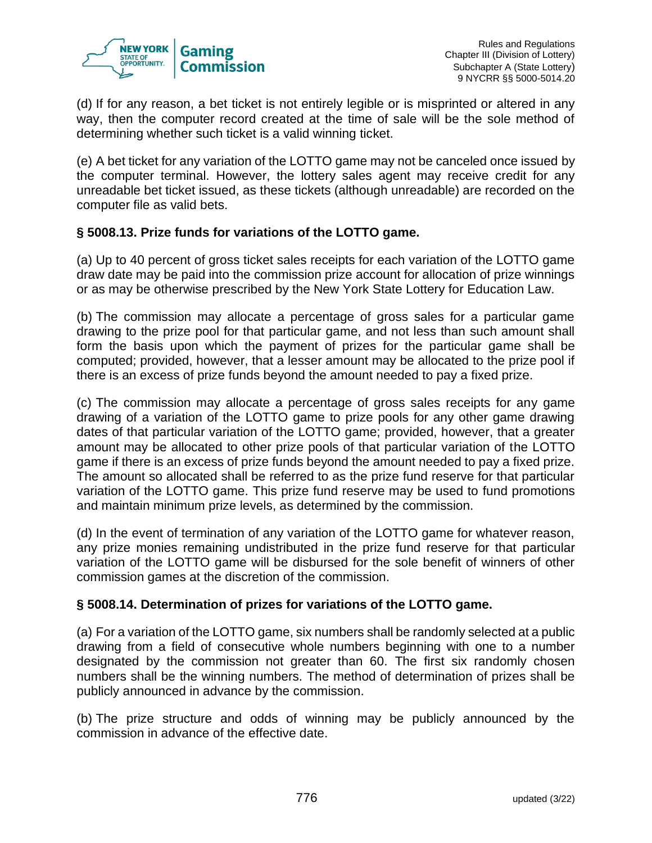

(d) If for any reason, a bet ticket is not entirely legible or is misprinted or altered in any way, then the computer record created at the time of sale will be the sole method of determining whether such ticket is a valid winning ticket.

(e) A bet ticket for any variation of the LOTTO game may not be canceled once issued by the computer terminal. However, the lottery sales agent may receive credit for any unreadable bet ticket issued, as these tickets (although unreadable) are recorded on the computer file as valid bets.

# **§ 5008.13. Prize funds for variations of the LOTTO game.**

(a) Up to 40 percent of gross ticket sales receipts for each variation of the LOTTO game draw date may be paid into the commission prize account for allocation of prize winnings or as may be otherwise prescribed by the New York State Lottery for Education Law.

(b) The commission may allocate a percentage of gross sales for a particular game drawing to the prize pool for that particular game, and not less than such amount shall form the basis upon which the payment of prizes for the particular game shall be computed; provided, however, that a lesser amount may be allocated to the prize pool if there is an excess of prize funds beyond the amount needed to pay a fixed prize.

(c) The commission may allocate a percentage of gross sales receipts for any game drawing of a variation of the LOTTO game to prize pools for any other game drawing dates of that particular variation of the LOTTO game; provided, however, that a greater amount may be allocated to other prize pools of that particular variation of the LOTTO game if there is an excess of prize funds beyond the amount needed to pay a fixed prize. The amount so allocated shall be referred to as the prize fund reserve for that particular variation of the LOTTO game. This prize fund reserve may be used to fund promotions and maintain minimum prize levels, as determined by the commission.

(d) In the event of termination of any variation of the LOTTO game for whatever reason, any prize monies remaining undistributed in the prize fund reserve for that particular variation of the LOTTO game will be disbursed for the sole benefit of winners of other commission games at the discretion of the commission.

## **§ 5008.14. Determination of prizes for variations of the LOTTO game.**

(a) For a variation of the LOTTO game, six numbers shall be randomly selected at a public drawing from a field of consecutive whole numbers beginning with one to a number designated by the commission not greater than 60. The first six randomly chosen numbers shall be the winning numbers. The method of determination of prizes shall be publicly announced in advance by the commission.

(b) The prize structure and odds of winning may be publicly announced by the commission in advance of the effective date.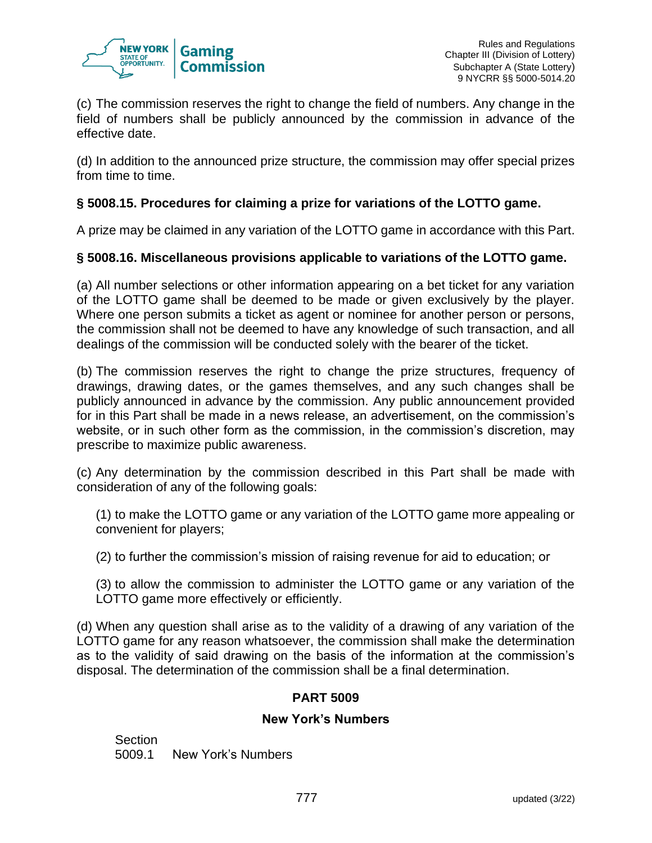

(c) The commission reserves the right to change the field of numbers. Any change in the field of numbers shall be publicly announced by the commission in advance of the effective date.

(d) In addition to the announced prize structure, the commission may offer special prizes from time to time.

## **§ 5008.15. Procedures for claiming a prize for variations of the LOTTO game.**

A prize may be claimed in any variation of the LOTTO game in accordance with this Part.

## **§ 5008.16. Miscellaneous provisions applicable to variations of the LOTTO game.**

(a) All number selections or other information appearing on a bet ticket for any variation of the LOTTO game shall be deemed to be made or given exclusively by the player. Where one person submits a ticket as agent or nominee for another person or persons, the commission shall not be deemed to have any knowledge of such transaction, and all dealings of the commission will be conducted solely with the bearer of the ticket.

(b) The commission reserves the right to change the prize structures, frequency of drawings, drawing dates, or the games themselves, and any such changes shall be publicly announced in advance by the commission. Any public announcement provided for in this Part shall be made in a news release, an advertisement, on the commission's website, or in such other form as the commission, in the commission's discretion, may prescribe to maximize public awareness.

(c) Any determination by the commission described in this Part shall be made with consideration of any of the following goals:

(1) to make the LOTTO game or any variation of the LOTTO game more appealing or convenient for players;

(2) to further the commission's mission of raising revenue for aid to education; or

(3) to allow the commission to administer the LOTTO game or any variation of the LOTTO game more effectively or efficiently.

(d) When any question shall arise as to the validity of a drawing of any variation of the LOTTO game for any reason whatsoever, the commission shall make the determination as to the validity of said drawing on the basis of the information at the commission's disposal. The determination of the commission shall be a final determination.

## **PART 5009**

## **New York's Numbers**

Section 5009.1 New York's Numbers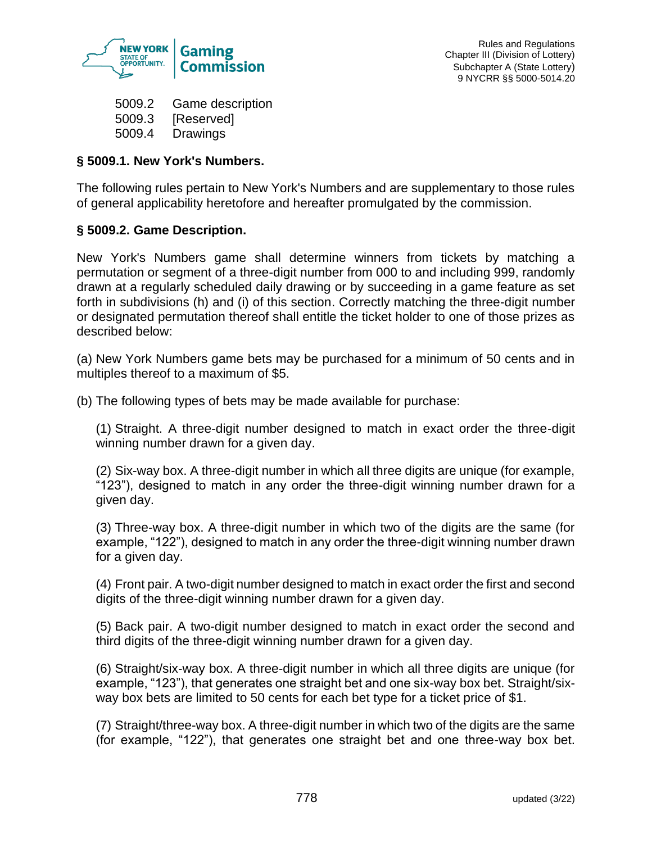

5009.2 Game description 5009.3 [Reserved] 5009.4 Drawings

## **§ 5009.1. New York's Numbers.**

The following rules pertain to New York's Numbers and are supplementary to those rules of general applicability heretofore and hereafter promulgated by the commission.

## **§ 5009.2. Game Description.**

New York's Numbers game shall determine winners from tickets by matching a permutation or segment of a three-digit number from 000 to and including 999, randomly drawn at a regularly scheduled daily drawing or by succeeding in a game feature as set forth in subdivisions (h) and (i) of this section. Correctly matching the three-digit number or designated permutation thereof shall entitle the ticket holder to one of those prizes as described below:

(a) New York Numbers game bets may be purchased for a minimum of 50 cents and in multiples thereof to a maximum of \$5.

(b) The following types of bets may be made available for purchase:

(1) Straight. A three-digit number designed to match in exact order the three-digit winning number drawn for a given day.

(2) Six-way box. A three-digit number in which all three digits are unique (for example, "123"), designed to match in any order the three-digit winning number drawn for a given day.

(3) Three-way box. A three-digit number in which two of the digits are the same (for example, "122"), designed to match in any order the three-digit winning number drawn for a given day.

(4) Front pair. A two-digit number designed to match in exact order the first and second digits of the three-digit winning number drawn for a given day.

(5) Back pair. A two-digit number designed to match in exact order the second and third digits of the three-digit winning number drawn for a given day.

(6) Straight/six-way box. A three-digit number in which all three digits are unique (for example, "123"), that generates one straight bet and one six-way box bet. Straight/sixway box bets are limited to 50 cents for each bet type for a ticket price of \$1.

(7) Straight/three-way box. A three-digit number in which two of the digits are the same (for example, "122"), that generates one straight bet and one three-way box bet.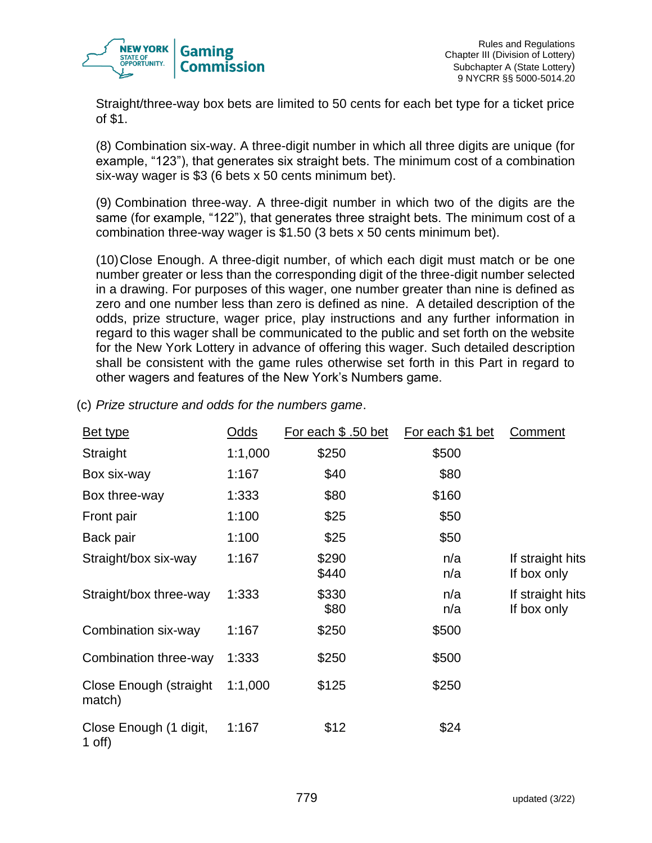

Straight/three-way box bets are limited to 50 cents for each bet type for a ticket price of \$1.

(8) Combination six-way. A three-digit number in which all three digits are unique (for example, "123"), that generates six straight bets. The minimum cost of a combination six-way wager is \$3 (6 bets x 50 cents minimum bet).

(9) Combination three-way. A three-digit number in which two of the digits are the same (for example, "122"), that generates three straight bets. The minimum cost of a combination three-way wager is \$1.50 (3 bets x 50 cents minimum bet).

(10)Close Enough. A three-digit number, of which each digit must match or be one number greater or less than the corresponding digit of the three-digit number selected in a drawing. For purposes of this wager, one number greater than nine is defined as zero and one number less than zero is defined as nine. A detailed description of the odds, prize structure, wager price, play instructions and any further information in regard to this wager shall be communicated to the public and set forth on the website for the New York Lottery in advance of offering this wager. Such detailed description shall be consistent with the game rules otherwise set forth in this Part in regard to other wagers and features of the New York's Numbers game.

| <u>Bet type</u>                  | Odds    | For each \$ .50 bet | For each \$1 bet | Comment                         |
|----------------------------------|---------|---------------------|------------------|---------------------------------|
| Straight                         | 1:1,000 | \$250               | \$500            |                                 |
| Box six-way                      | 1:167   | \$40                | \$80             |                                 |
| Box three-way                    | 1:333   | \$80                | \$160            |                                 |
| Front pair                       | 1:100   | \$25                | \$50             |                                 |
| Back pair                        | 1:100   | \$25                | \$50             |                                 |
| Straight/box six-way             | 1:167   | \$290<br>\$440      | n/a<br>n/a       | If straight hits<br>If box only |
| Straight/box three-way           | 1:333   | \$330<br>\$80       | n/a<br>n/a       | If straight hits<br>If box only |
| Combination six-way              | 1:167   | \$250               | \$500            |                                 |
| Combination three-way            | 1:333   | \$250               | \$500            |                                 |
| Close Enough (straight<br>match) | 1:1,000 | \$125               | \$250            |                                 |
| Close Enough (1 digit,<br>1 off) | 1:167   | \$12                | \$24             |                                 |

(c) *Prize structure and odds for the numbers game*.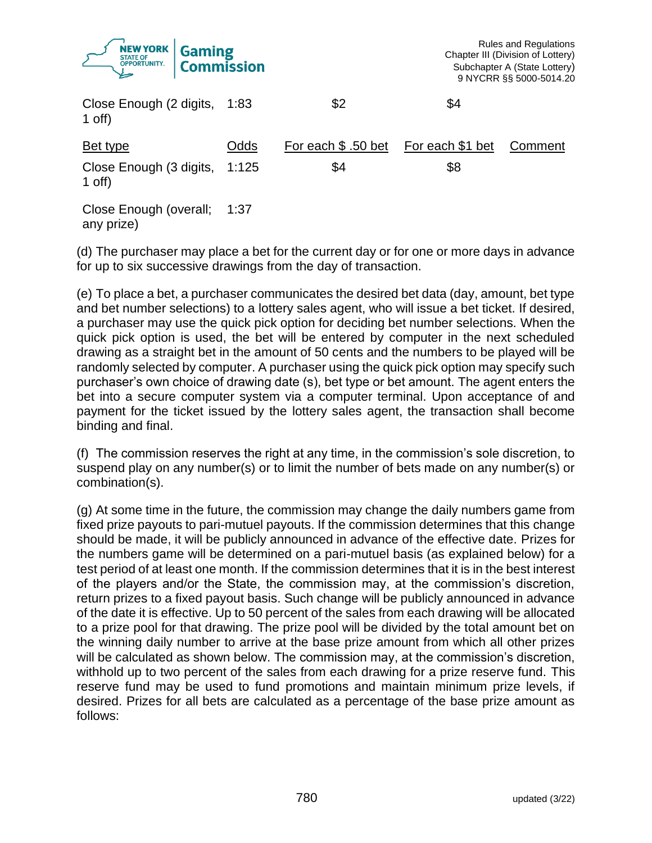|                              | <b>NEW YORK Gaming</b> |    |
|------------------------------|------------------------|----|
| Close Enough (2 digits, 1:83 |                        | ፍን |

| Close Enough (2 digits, 1:83<br>1 off)  |      | \$2                 | \$4              |         |
|-----------------------------------------|------|---------------------|------------------|---------|
| Bet type                                | Odds | For each \$ .50 bet | For each \$1 bet | Comment |
| Close Enough (3 digits, 1:125<br>1 off) |      | \$4                 | \$8              |         |
| Close Enough (overall;                  | 1:37 |                     |                  |         |

any prize)

(d) The purchaser may place a bet for the current day or for one or more days in advance for up to six successive drawings from the day of transaction.

(e) To place a bet, a purchaser communicates the desired bet data (day, amount, bet type and bet number selections) to a lottery sales agent, who will issue a bet ticket. If desired, a purchaser may use the quick pick option for deciding bet number selections. When the quick pick option is used, the bet will be entered by computer in the next scheduled drawing as a straight bet in the amount of 50 cents and the numbers to be played will be randomly selected by computer. A purchaser using the quick pick option may specify such purchaser's own choice of drawing date (s), bet type or bet amount. The agent enters the bet into a secure computer system via a computer terminal. Upon acceptance of and payment for the ticket issued by the lottery sales agent, the transaction shall become binding and final.

(f) The commission reserves the right at any time, in the commission's sole discretion, to suspend play on any number(s) or to limit the number of bets made on any number(s) or combination(s).

(g) At some time in the future, the commission may change the daily numbers game from fixed prize payouts to pari-mutuel payouts. If the commission determines that this change should be made, it will be publicly announced in advance of the effective date. Prizes for the numbers game will be determined on a pari-mutuel basis (as explained below) for a test period of at least one month. If the commission determines that it is in the best interest of the players and/or the State, the commission may, at the commission's discretion, return prizes to a fixed payout basis. Such change will be publicly announced in advance of the date it is effective. Up to 50 percent of the sales from each drawing will be allocated to a prize pool for that drawing. The prize pool will be divided by the total amount bet on the winning daily number to arrive at the base prize amount from which all other prizes will be calculated as shown below. The commission may, at the commission's discretion, withhold up to two percent of the sales from each drawing for a prize reserve fund. This reserve fund may be used to fund promotions and maintain minimum prize levels, if desired. Prizes for all bets are calculated as a percentage of the base prize amount as follows: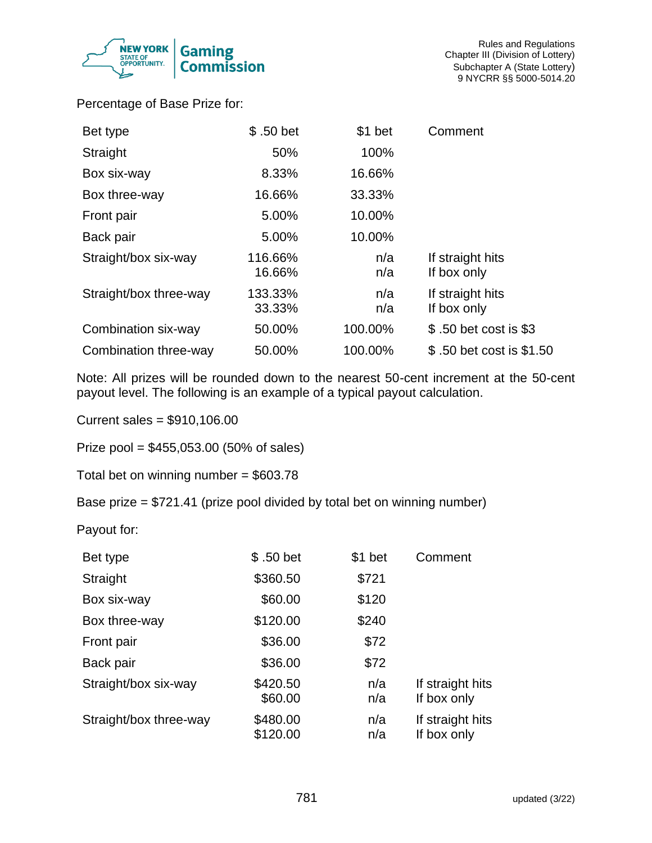

Percentage of Base Prize for:

| Bet type               | \$.50 bet         | \$1 bet    | Comment                         |
|------------------------|-------------------|------------|---------------------------------|
| Straight               | 50%               | 100%       |                                 |
| Box six-way            | 8.33%             | 16.66%     |                                 |
| Box three-way          | 16.66%            | 33.33%     |                                 |
| Front pair             | 5.00%             | 10.00%     |                                 |
| Back pair              | 5.00%             | 10.00%     |                                 |
| Straight/box six-way   | 116.66%<br>16.66% | n/a<br>n/a | If straight hits<br>If box only |
| Straight/box three-way | 133.33%<br>33.33% | n/a<br>n/a | If straight hits<br>If box only |
| Combination six-way    | 50.00%            | 100.00%    | \$.50 bet cost is \$3           |
| Combination three-way  | 50.00%            | 100.00%    | \$.50 bet cost is \$1.50        |

Note: All prizes will be rounded down to the nearest 50-cent increment at the 50-cent payout level. The following is an example of a typical payout calculation.

Current sales = \$910,106.00

Prize pool = \$455,053.00 (50% of sales)

Total bet on winning number = \$603.78

Base prize = \$721.41 (prize pool divided by total bet on winning number)

Payout for:

| Bet type               | \$.50 bet            | \$1 bet    | Comment                         |
|------------------------|----------------------|------------|---------------------------------|
| Straight               | \$360.50             | \$721      |                                 |
| Box six-way            | \$60.00              | \$120      |                                 |
| Box three-way          | \$120.00             | \$240      |                                 |
| Front pair             | \$36.00              | \$72       |                                 |
| Back pair              | \$36.00              | \$72       |                                 |
| Straight/box six-way   | \$420.50<br>\$60.00  | n/a<br>n/a | If straight hits<br>If box only |
| Straight/box three-way | \$480.00<br>\$120.00 | n/a<br>n/a | If straight hits<br>If box only |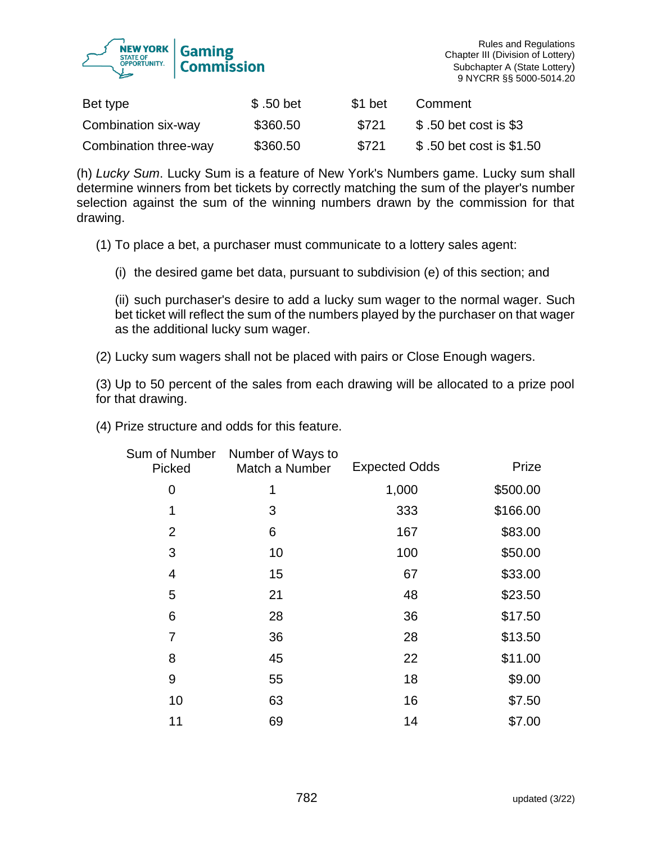

| Bet type              | \$ .50 bet | \$1 bet | Comment                  |
|-----------------------|------------|---------|--------------------------|
| Combination six-way   | \$360.50   | \$721   | \$.50 bet cost is \$3    |
| Combination three-way | \$360.50   | \$721   | \$ 50 bet cost is \$1.50 |

(h) *Lucky Sum*. Lucky Sum is a feature of New York's Numbers game. Lucky sum shall determine winners from bet tickets by correctly matching the sum of the player's number selection against the sum of the winning numbers drawn by the commission for that drawing.

(1) To place a bet, a purchaser must communicate to a lottery sales agent:

(i) the desired game bet data, pursuant to subdivision (e) of this section; and

(ii) such purchaser's desire to add a lucky sum wager to the normal wager. Such bet ticket will reflect the sum of the numbers played by the purchaser on that wager as the additional lucky sum wager.

(2) Lucky sum wagers shall not be placed with pairs or Close Enough wagers.

(3) Up to 50 percent of the sales from each drawing will be allocated to a prize pool for that drawing.

(4) Prize structure and odds for this feature.

| Sum of Number<br>Picked | Number of Ways to<br>Match a Number | <b>Expected Odds</b> | Prize    |
|-------------------------|-------------------------------------|----------------------|----------|
| 0                       |                                     | 1,000                | \$500.00 |
| 1                       | 3                                   | 333                  | \$166.00 |
| $\overline{2}$          | 6                                   | 167                  | \$83.00  |
| $\mathfrak{B}$          | 10                                  | 100                  | \$50.00  |
| 4                       | 15                                  | 67                   | \$33.00  |
| 5                       | 21                                  | 48                   | \$23.50  |
| 6                       | 28                                  | 36                   | \$17.50  |
| 7                       | 36                                  | 28                   | \$13.50  |
| 8                       | 45                                  | 22                   | \$11.00  |
| 9                       | 55                                  | 18                   | \$9.00   |
| 10                      | 63                                  | 16                   | \$7.50   |
| 11                      | 69                                  | 14                   | \$7.00   |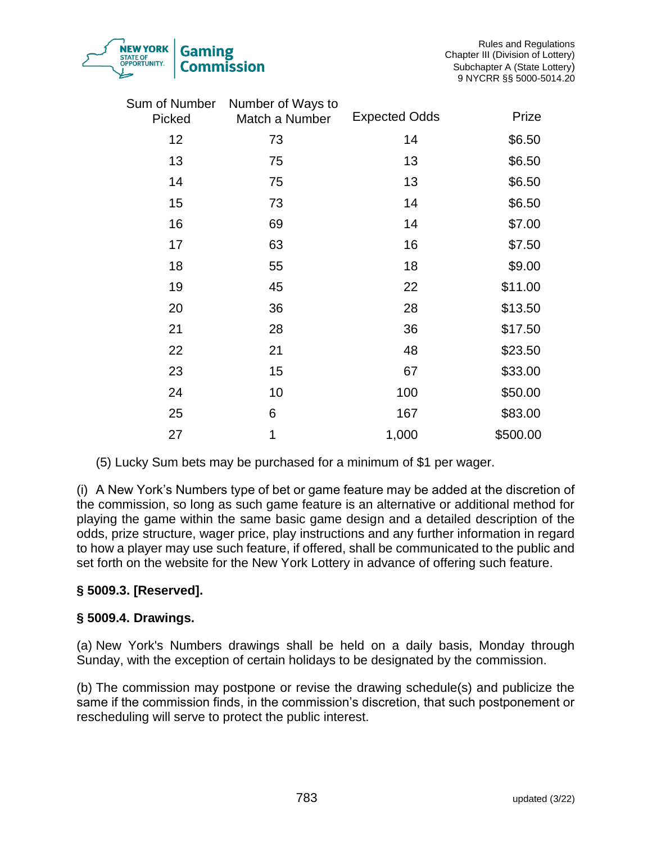| 783 | updated (3/22) |  |
|-----|----------------|--|
|     |                |  |

|                         | .                                   |                      | 9 NYCRR §§ 5000-5014  |
|-------------------------|-------------------------------------|----------------------|-----------------------|
| Sum of Number<br>Picked | Number of Ways to<br>Match a Number | <b>Expected Odds</b> | Prize                 |
| 12                      | 73                                  | 14                   | \$6.50                |
| 13                      | 75                                  | 13                   | \$6.50                |
| 14                      | 75                                  | 13                   | \$6.50                |
| 15                      | 73                                  | 14                   | \$6.50                |
| 16                      | 69                                  | 14                   | \$7.00                |
| 17                      | 63                                  | 16                   | \$7.50                |
| 18                      | 55                                  | 18                   | \$9.00                |
| 19                      | 45                                  | 22                   | \$11.00               |
| 20                      | 36                                  | 28                   | \$13.50               |
| $\sim$ $\sim$           | ^^                                  | $\sim$               | $\sim$ $ \sim$ $\sim$ |

| 17 | 63 | 16    | \$7.50   |
|----|----|-------|----------|
| 18 | 55 | 18    | \$9.00   |
| 19 | 45 | 22    | \$11.00  |
| 20 | 36 | 28    | \$13.50  |
| 21 | 28 | 36    | \$17.50  |
| 22 | 21 | 48    | \$23.50  |
| 23 | 15 | 67    | \$33.00  |
| 24 | 10 | 100   | \$50.00  |
| 25 | 6  | 167   | \$83.00  |
| 27 | 1  | 1,000 | \$500.00 |

(5) Lucky Sum bets may be purchased for a minimum of \$1 per wager.

(i) A New York's Numbers type of bet or game feature may be added at the discretion of the commission, so long as such game feature is an alternative or additional method for playing the game within the same basic game design and a detailed description of the odds, prize structure, wager price, play instructions and any further information in regard to how a player may use such feature, if offered, shall be communicated to the public and set forth on the website for the New York Lottery in advance of offering such feature.

## **§ 5009.3. [Reserved].**

## **§ 5009.4. Drawings.**

(a) New York's Numbers drawings shall be held on a daily basis, Monday through Sunday, with the exception of certain holidays to be designated by the commission.

(b) The commission may postpone or revise the drawing schedule(s) and publicize the same if the commission finds, in the commission's discretion, that such postponement or rescheduling will serve to protect the public interest.

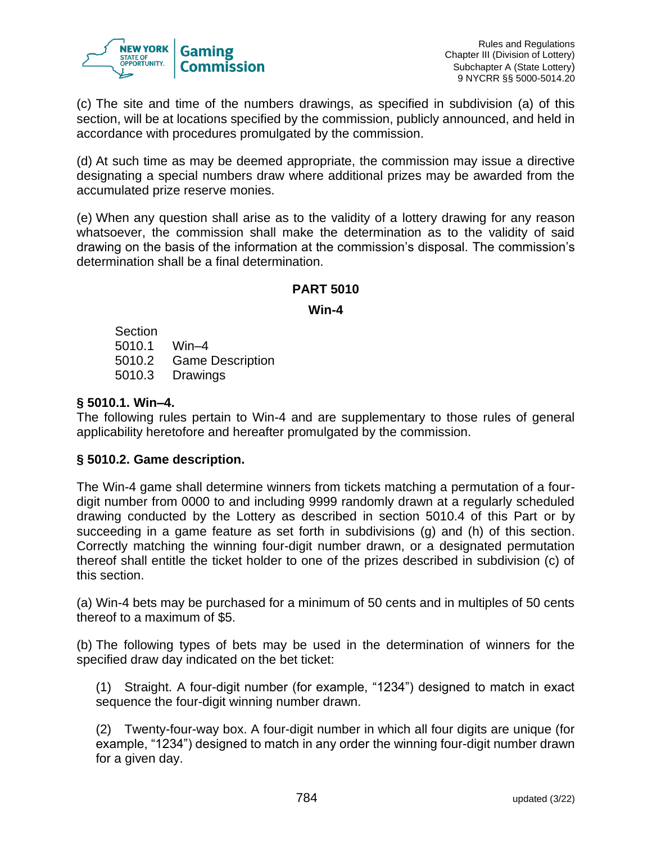

(c) The site and time of the numbers drawings, as specified in subdivision (a) of this section, will be at locations specified by the commission, publicly announced, and held in accordance with procedures promulgated by the commission.

(d) At such time as may be deemed appropriate, the commission may issue a directive designating a special numbers draw where additional prizes may be awarded from the accumulated prize reserve monies.

(e) When any question shall arise as to the validity of a lottery drawing for any reason whatsoever, the commission shall make the determination as to the validity of said drawing on the basis of the information at the commission's disposal. The commission's determination shall be a final determination.

## **PART 5010**

**Win-4**

Section 5010.1 Win–4 5010.2 Game Description 5010.3 Drawings

# **§ 5010.1. Win–4.**

The following rules pertain to Win-4 and are supplementary to those rules of general applicability heretofore and hereafter promulgated by the commission.

## **§ 5010.2. Game description.**

The Win-4 game shall determine winners from tickets matching a permutation of a fourdigit number from 0000 to and including 9999 randomly drawn at a regularly scheduled drawing conducted by the Lottery as described in section 5010.4 of this Part or by succeeding in a game feature as set forth in subdivisions (g) and (h) of this section. Correctly matching the winning four-digit number drawn, or a designated permutation thereof shall entitle the ticket holder to one of the prizes described in subdivision (c) of this section.

(a) Win-4 bets may be purchased for a minimum of 50 cents and in multiples of 50 cents thereof to a maximum of \$5.

(b) The following types of bets may be used in the determination of winners for the specified draw day indicated on the bet ticket:

(1) Straight. A four-digit number (for example, "1234") designed to match in exact sequence the four-digit winning number drawn.

(2) Twenty-four-way box. A four-digit number in which all four digits are unique (for example, "1234") designed to match in any order the winning four-digit number drawn for a given day.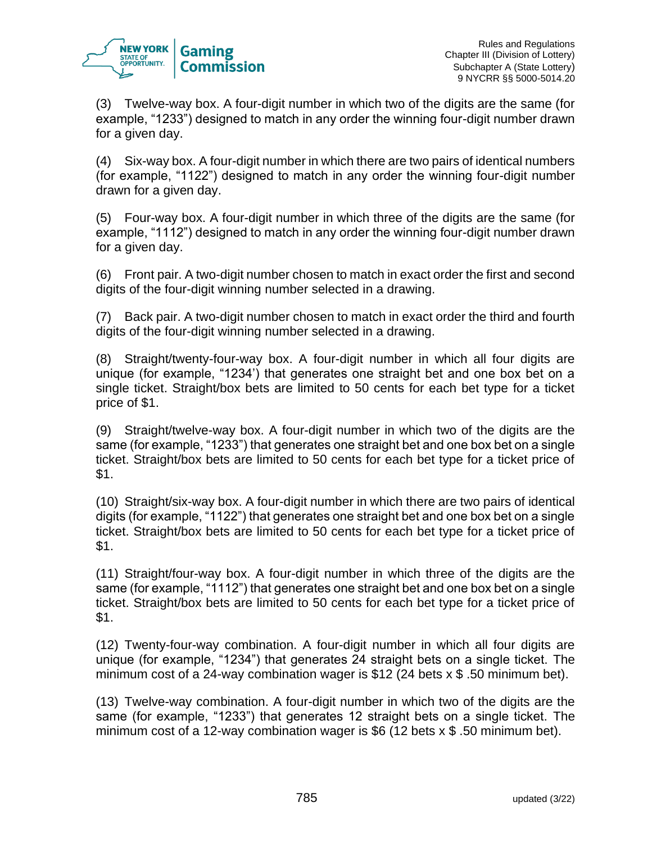

(3) Twelve-way box. A four-digit number in which two of the digits are the same (for example, "1233") designed to match in any order the winning four-digit number drawn for a given day.

(4) Six-way box. A four-digit number in which there are two pairs of identical numbers (for example, "1122") designed to match in any order the winning four-digit number drawn for a given day.

(5) Four-way box. A four-digit number in which three of the digits are the same (for example, "1112") designed to match in any order the winning four-digit number drawn for a given day.

(6) Front pair. A two-digit number chosen to match in exact order the first and second digits of the four-digit winning number selected in a drawing.

(7) Back pair. A two-digit number chosen to match in exact order the third and fourth digits of the four-digit winning number selected in a drawing.

(8) Straight/twenty-four-way box. A four-digit number in which all four digits are unique (for example, "1234') that generates one straight bet and one box bet on a single ticket. Straight/box bets are limited to 50 cents for each bet type for a ticket price of \$1.

(9) Straight/twelve-way box. A four-digit number in which two of the digits are the same (for example, "1233") that generates one straight bet and one box bet on a single ticket. Straight/box bets are limited to 50 cents for each bet type for a ticket price of \$1.

(10) Straight/six-way box. A four-digit number in which there are two pairs of identical digits (for example, "1122") that generates one straight bet and one box bet on a single ticket. Straight/box bets are limited to 50 cents for each bet type for a ticket price of \$1.

(11) Straight/four-way box. A four-digit number in which three of the digits are the same (for example, "1112") that generates one straight bet and one box bet on a single ticket. Straight/box bets are limited to 50 cents for each bet type for a ticket price of \$1.

(12) Twenty-four-way combination. A four-digit number in which all four digits are unique (for example, "1234") that generates 24 straight bets on a single ticket. The minimum cost of a 24-way combination wager is \$12 (24 bets x \$ .50 minimum bet).

(13) Twelve-way combination. A four-digit number in which two of the digits are the same (for example, "1233") that generates 12 straight bets on a single ticket. The minimum cost of a 12-way combination wager is \$6 (12 bets x \$ .50 minimum bet).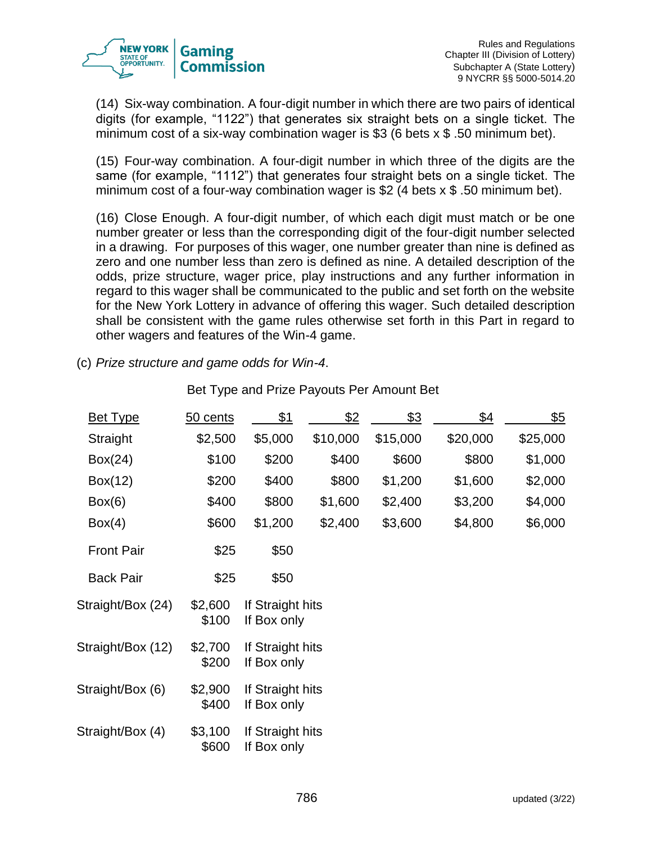

(14) Six-way combination. A four-digit number in which there are two pairs of identical digits (for example, "1122") that generates six straight bets on a single ticket. The minimum cost of a six-way combination wager is \$3 (6 bets  $\times$  \$ .50 minimum bet).

(15) Four-way combination. A four-digit number in which three of the digits are the same (for example, "1112") that generates four straight bets on a single ticket. The minimum cost of a four-way combination wager is \$2 (4 bets x \$ .50 minimum bet).

(16) Close Enough. A four-digit number, of which each digit must match or be one number greater or less than the corresponding digit of the four-digit number selected in a drawing. For purposes of this wager, one number greater than nine is defined as zero and one number less than zero is defined as nine. A detailed description of the odds, prize structure, wager price, play instructions and any further information in regard to this wager shall be communicated to the public and set forth on the website for the New York Lottery in advance of offering this wager. Such detailed description shall be consistent with the game rules otherwise set forth in this Part in regard to other wagers and features of the Win-4 game.

(c) *Prize structure and game odds for Win-4*.

| <b>Bet Type</b>   | 50 cents         | \$1                             | <u>\$2</u> | <u>\$3</u> | \$4      | <u>\$5</u> |
|-------------------|------------------|---------------------------------|------------|------------|----------|------------|
| Straight          | \$2,500          | \$5,000                         | \$10,000   | \$15,000   | \$20,000 | \$25,000   |
| Box(24)           | \$100            | \$200                           | \$400      | \$600      | \$800    | \$1,000    |
| Box(12)           | \$200            | \$400                           | \$800      | \$1,200    | \$1,600  | \$2,000    |
| Box(6)            | \$400            | \$800                           | \$1,600    | \$2,400    | \$3,200  | \$4,000    |
| Box(4)            | \$600            | \$1,200                         | \$2,400    | \$3,600    | \$4,800  | \$6,000    |
| <b>Front Pair</b> | \$25             | \$50                            |            |            |          |            |
| <b>Back Pair</b>  | \$25             | \$50                            |            |            |          |            |
| Straight/Box (24) | \$2,600<br>\$100 | If Straight hits<br>If Box only |            |            |          |            |
| Straight/Box (12) | \$2,700<br>\$200 | If Straight hits<br>If Box only |            |            |          |            |
| Straight/Box (6)  | \$2,900<br>\$400 | If Straight hits<br>If Box only |            |            |          |            |
| Straight/Box (4)  | \$3,100<br>\$600 | If Straight hits<br>If Box only |            |            |          |            |

Bet Type and Prize Payouts Per Amount Bet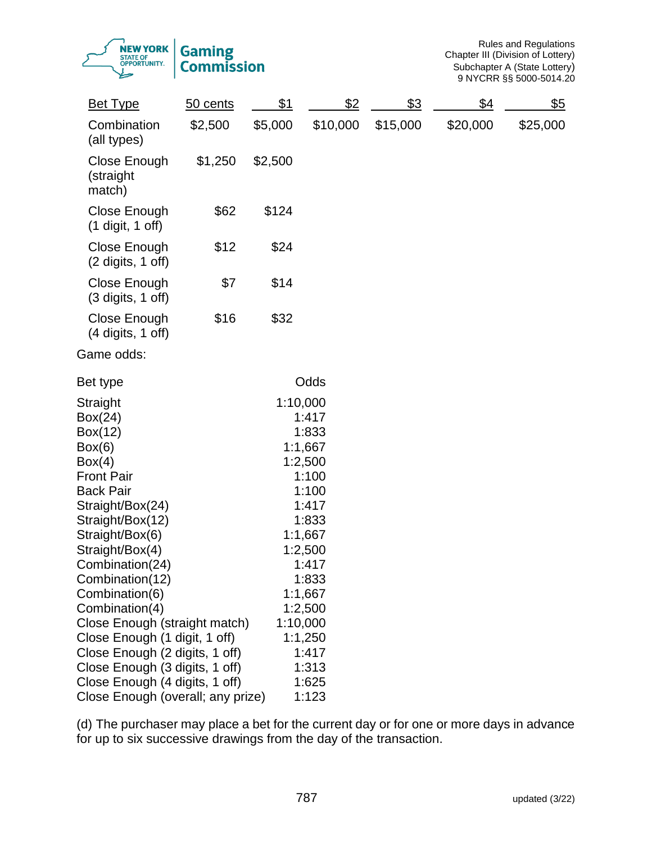Rules and Regulations Chapter III (Division of Lottery) Subchapter A (State Lottery) 9 NYCRR §§ 5000-5014.20

| <b>Bet Type</b>                                     | 50 cents | <u>\$1</u> | \$2                | <u>\$3</u> | $\frac{$4}{}$ | <u>\$5</u> |
|-----------------------------------------------------|----------|------------|--------------------|------------|---------------|------------|
| Combination<br>(all types)                          | \$2,500  | \$5,000    | \$10,000           | \$15,000   | \$20,000      | \$25,000   |
| Close Enough<br>(straight<br>match)                 | \$1,250  | \$2,500    |                    |            |               |            |
| Close Enough<br>(1 digit, 1 off)                    | \$62     | \$124      |                    |            |               |            |
| Close Enough<br>$(2 \text{ digits}, 1 \text{ off})$ | \$12     | \$24       |                    |            |               |            |
| Close Enough<br>$(3 \text{ digits}, 1 \text{ off})$ | \$7      | \$14       |                    |            |               |            |
| Close Enough<br>$(4 \text{ digits}, 1 \text{ off})$ | \$16     | \$32       |                    |            |               |            |
| Game odds:                                          |          |            |                    |            |               |            |
| Bet type                                            |          |            | Odds               |            |               |            |
| Straight                                            |          | 1:10,000   |                    |            |               |            |
| Box(24)                                             |          |            | 1:417              |            |               |            |
| Box(12)                                             |          |            | 1:833              |            |               |            |
| Box(6)                                              |          |            | 1:1,667            |            |               |            |
| Box(4)                                              |          |            | 1:2,500            |            |               |            |
| <b>Front Pair</b>                                   |          |            | 1:100              |            |               |            |
| <b>Back Pair</b>                                    |          |            | 1:100              |            |               |            |
| Straight/Box(24)                                    |          |            | 1:417              |            |               |            |
| Straight/Box(12)                                    |          |            | 1:833              |            |               |            |
| Straight/Box(6)                                     |          |            | 1:1,667<br>1:2,500 |            |               |            |
| Straight/Box(4)<br>Combination(24)                  |          |            | 1:417              |            |               |            |
| Combination(12)                                     |          |            | 1:833              |            |               |            |
| Combination(6)                                      |          |            | 1:1,667            |            |               |            |
| Combination(4)                                      |          |            | 1:2,500            |            |               |            |
| Close Enough (straight match)                       |          | 1:10,000   |                    |            |               |            |
| Close Enough (1 digit, 1 off)                       |          |            | 1:1,250            |            |               |            |
| Close Enough (2 digits, 1 off)                      |          |            | 1:417              |            |               |            |
| Close Enough (3 digits, 1 off)                      |          |            | 1:313              |            |               |            |
| Close Enough (4 digits, 1 off)                      |          |            | 1:625              |            |               |            |
| Close Enough (overall; any prize)                   |          |            | 1:123              |            |               |            |

(d) The purchaser may place a bet for the current day or for one or more days in advance for up to six successive drawings from the day of the transaction.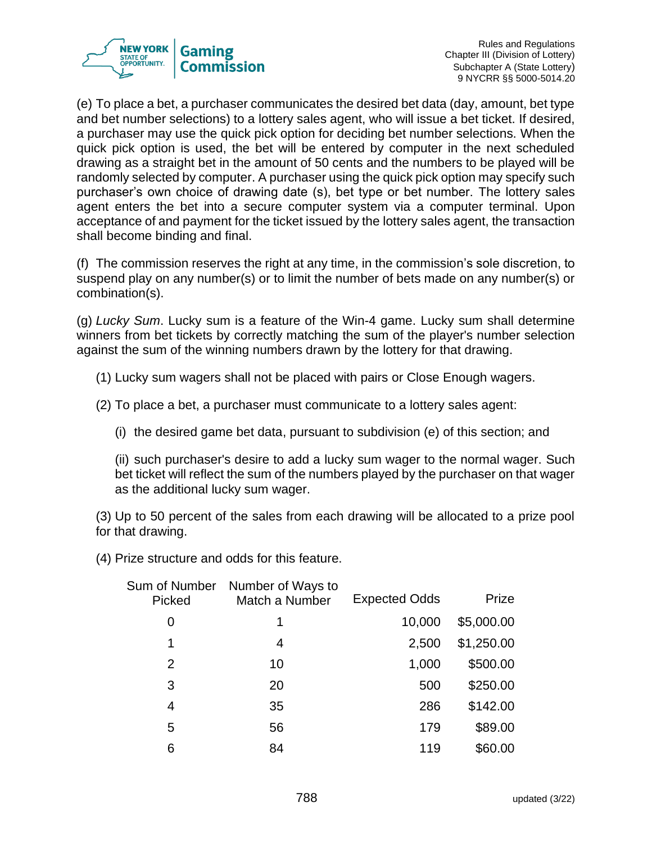

(e) To place a bet, a purchaser communicates the desired bet data (day, amount, bet type and bet number selections) to a lottery sales agent, who will issue a bet ticket. If desired, a purchaser may use the quick pick option for deciding bet number selections. When the quick pick option is used, the bet will be entered by computer in the next scheduled drawing as a straight bet in the amount of 50 cents and the numbers to be played will be randomly selected by computer. A purchaser using the quick pick option may specify such purchaser's own choice of drawing date (s), bet type or bet number. The lottery sales agent enters the bet into a secure computer system via a computer terminal. Upon acceptance of and payment for the ticket issued by the lottery sales agent, the transaction shall become binding and final.

(f) The commission reserves the right at any time, in the commission's sole discretion, to suspend play on any number(s) or to limit the number of bets made on any number(s) or combination(s).

(g) *Lucky Sum*. Lucky sum is a feature of the Win-4 game. Lucky sum shall determine winners from bet tickets by correctly matching the sum of the player's number selection against the sum of the winning numbers drawn by the lottery for that drawing.

- (1) Lucky sum wagers shall not be placed with pairs or Close Enough wagers.
- (2) To place a bet, a purchaser must communicate to a lottery sales agent:
	- (i) the desired game bet data, pursuant to subdivision (e) of this section; and

(ii) such purchaser's desire to add a lucky sum wager to the normal wager. Such bet ticket will reflect the sum of the numbers played by the purchaser on that wager as the additional lucky sum wager.

(3) Up to 50 percent of the sales from each drawing will be allocated to a prize pool for that drawing.

(4) Prize structure and odds for this feature.

| Number of Ways to<br>Match a Number | <b>Expected Odds</b> | Prize      |
|-------------------------------------|----------------------|------------|
| 1                                   | 10,000               | \$5,000.00 |
| 4                                   | 2,500                | \$1,250.00 |
| 10                                  | 1,000                | \$500.00   |
| 20                                  | 500                  | \$250.00   |
| 35                                  | 286                  | \$142.00   |
| 56                                  | 179                  | \$89.00    |
| 84                                  | 119                  | \$60.00    |
|                                     |                      |            |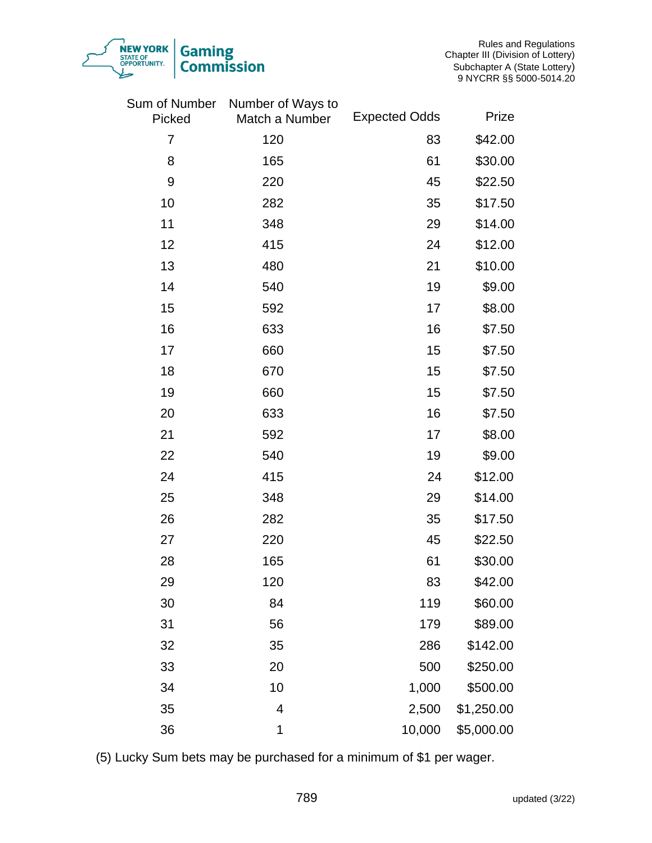

| Sum of Number<br>Picked | Number of Ways to<br>Match a Number | <b>Expected Odds</b> | Prize      |
|-------------------------|-------------------------------------|----------------------|------------|
| 7                       | 120                                 | 83                   | \$42.00    |
| 8                       | 165                                 | 61                   | \$30.00    |
| $9$                     | 220                                 | 45                   | \$22.50    |
| 10                      | 282                                 | 35                   | \$17.50    |
| 11                      | 348                                 | 29                   | \$14.00    |
| 12                      | 415                                 | 24                   | \$12.00    |
| 13                      | 480                                 | 21                   | \$10.00    |
| 14                      | 540                                 | 19                   | \$9.00     |
| 15                      | 592                                 | 17                   | \$8.00     |
| 16                      | 633                                 | 16                   | \$7.50     |
| 17                      | 660                                 | 15                   | \$7.50     |
| 18                      | 670                                 | 15                   | \$7.50     |
| 19                      | 660                                 | 15                   | \$7.50     |
| 20                      | 633                                 | 16                   | \$7.50     |
| 21                      | 592                                 | 17                   | \$8.00     |
| 22                      | 540                                 | 19                   | \$9.00     |
| 24                      | 415                                 | 24                   | \$12.00    |
| 25                      | 348                                 | 29                   | \$14.00    |
| 26                      | 282                                 | 35                   | \$17.50    |
| 27                      | 220                                 | 45                   | \$22.50    |
| 28                      | 165                                 | 61                   | \$30.00    |
| 29                      | 120                                 | 83                   | \$42.00    |
| 30                      | 84                                  | 119                  | \$60.00    |
| 31                      | 56                                  | 179                  | \$89.00    |
| 32                      | 35                                  | 286                  | \$142.00   |
| 33                      | 20                                  | 500                  | \$250.00   |
| 34                      | 10                                  | 1,000                | \$500.00   |
| 35                      | 4                                   | 2,500                | \$1,250.00 |
| 36                      | 1                                   | 10,000               | \$5,000.00 |

NEW YORK

**Gaming** 

**Commission** 

(5) Lucky Sum bets may be purchased for a minimum of \$1 per wager.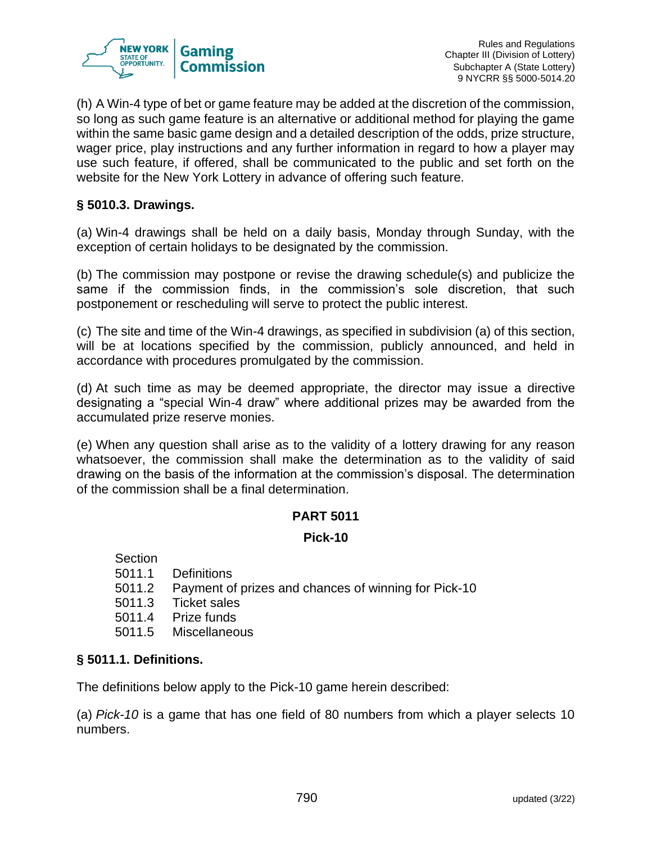

(h) A Win-4 type of bet or game feature may be added at the discretion of the commission, so long as such game feature is an alternative or additional method for playing the game within the same basic game design and a detailed description of the odds, prize structure, wager price, play instructions and any further information in regard to how a player may use such feature, if offered, shall be communicated to the public and set forth on the website for the New York Lottery in advance of offering such feature.

## **§ 5010.3. Drawings.**

(a) Win-4 drawings shall be held on a daily basis, Monday through Sunday, with the exception of certain holidays to be designated by the commission.

(b) The commission may postpone or revise the drawing schedule(s) and publicize the same if the commission finds, in the commission's sole discretion, that such postponement or rescheduling will serve to protect the public interest.

(c) The site and time of the Win-4 drawings, as specified in subdivision (a) of this section, will be at locations specified by the commission, publicly announced, and held in accordance with procedures promulgated by the commission.

(d) At such time as may be deemed appropriate, the director may issue a directive designating a "special Win-4 draw" where additional prizes may be awarded from the accumulated prize reserve monies.

(e) When any question shall arise as to the validity of a lottery drawing for any reason whatsoever, the commission shall make the determination as to the validity of said drawing on the basis of the information at the commission's disposal. The determination of the commission shall be a final determination.

## **PART 5011**

## **Pick-10**

**Section** 

- 5011.1 Definitions
- 5011.2 Payment of prizes and chances of winning for Pick-10
- 5011.3 Ticket sales
- 5011.4 Prize funds
- 5011.5 Miscellaneous

## **§ 5011.1. Definitions.**

The definitions below apply to the Pick-10 game herein described:

(a) *Pick-10* is a game that has one field of 80 numbers from which a player selects 10 numbers.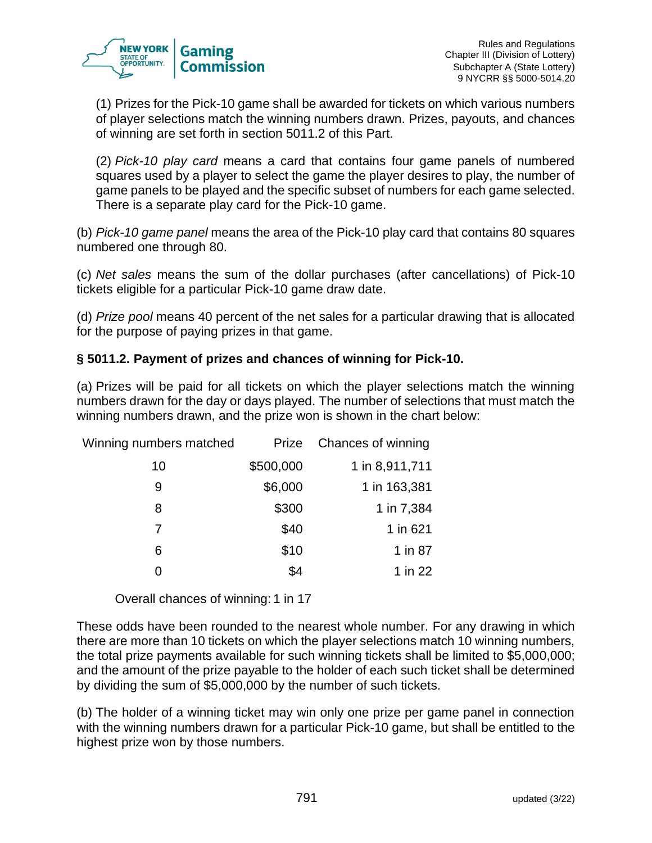

(1) Prizes for the Pick-10 game shall be awarded for tickets on which various numbers of player selections match the winning numbers drawn. Prizes, payouts, and chances of winning are set forth in section 5011.2 of this Part.

(2) *Pick-10 play card* means a card that contains four game panels of numbered squares used by a player to select the game the player desires to play, the number of game panels to be played and the specific subset of numbers for each game selected. There is a separate play card for the Pick-10 game.

(b) *Pick-10 game panel* means the area of the Pick-10 play card that contains 80 squares numbered one through 80.

(c) *Net sales* means the sum of the dollar purchases (after cancellations) of Pick-10 tickets eligible for a particular Pick-10 game draw date.

(d) *Prize pool* means 40 percent of the net sales for a particular drawing that is allocated for the purpose of paying prizes in that game.

# **§ 5011.2. Payment of prizes and chances of winning for Pick-10.**

(a) Prizes will be paid for all tickets on which the player selections match the winning numbers drawn for the day or days played. The number of selections that must match the winning numbers drawn, and the prize won is shown in the chart below:

| Winning numbers matched | Prize     | Chances of winning |
|-------------------------|-----------|--------------------|
| 10                      | \$500,000 | 1 in 8,911,711     |
| 9                       | \$6,000   | 1 in 163,381       |
| 8                       | \$300     | 1 in 7,384         |
|                         | \$40      | 1 in 621           |
| 6                       | \$10      | 1 in 87            |
|                         | \$4       | 1 in 22            |

Overall chances of winning: 1 in 17

These odds have been rounded to the nearest whole number. For any drawing in which there are more than 10 tickets on which the player selections match 10 winning numbers, the total prize payments available for such winning tickets shall be limited to \$5,000,000; and the amount of the prize payable to the holder of each such ticket shall be determined by dividing the sum of \$5,000,000 by the number of such tickets.

(b) The holder of a winning ticket may win only one prize per game panel in connection with the winning numbers drawn for a particular Pick-10 game, but shall be entitled to the highest prize won by those numbers.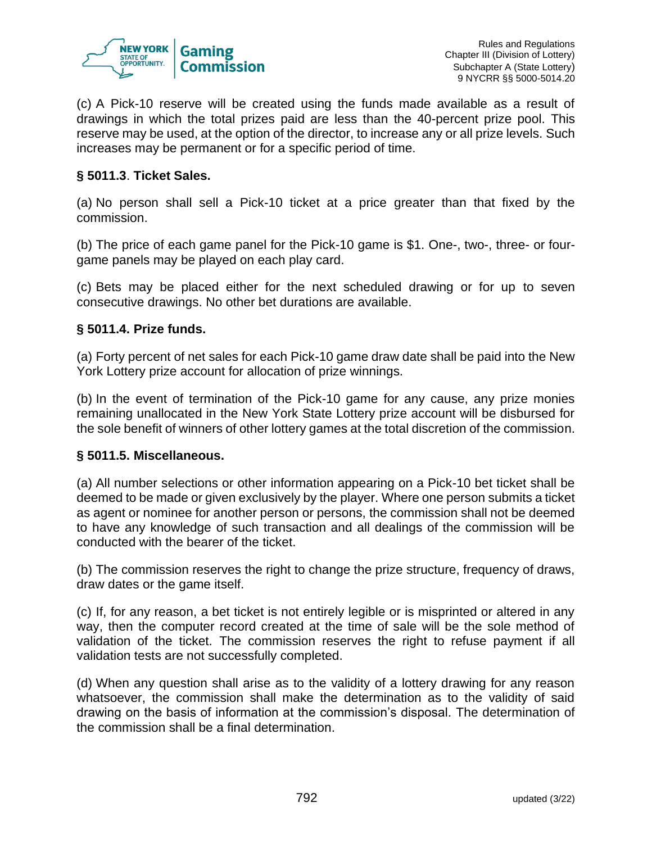

(c) A Pick-10 reserve will be created using the funds made available as a result of drawings in which the total prizes paid are less than the 40-percent prize pool. This reserve may be used, at the option of the director, to increase any or all prize levels. Such increases may be permanent or for a specific period of time.

## **§ 5011.3**. **Ticket Sales.**

(a) No person shall sell a Pick-10 ticket at a price greater than that fixed by the commission.

(b) The price of each game panel for the Pick-10 game is \$1. One-, two-, three- or fourgame panels may be played on each play card.

(c) Bets may be placed either for the next scheduled drawing or for up to seven consecutive drawings. No other bet durations are available.

## **§ 5011.4. Prize funds.**

(a) Forty percent of net sales for each Pick-10 game draw date shall be paid into the New York Lottery prize account for allocation of prize winnings.

(b) In the event of termination of the Pick-10 game for any cause, any prize monies remaining unallocated in the New York State Lottery prize account will be disbursed for the sole benefit of winners of other lottery games at the total discretion of the commission.

#### **§ 5011.5. Miscellaneous.**

(a) All number selections or other information appearing on a Pick-10 bet ticket shall be deemed to be made or given exclusively by the player. Where one person submits a ticket as agent or nominee for another person or persons, the commission shall not be deemed to have any knowledge of such transaction and all dealings of the commission will be conducted with the bearer of the ticket.

(b) The commission reserves the right to change the prize structure, frequency of draws, draw dates or the game itself.

(c) If, for any reason, a bet ticket is not entirely legible or is misprinted or altered in any way, then the computer record created at the time of sale will be the sole method of validation of the ticket. The commission reserves the right to refuse payment if all validation tests are not successfully completed.

(d) When any question shall arise as to the validity of a lottery drawing for any reason whatsoever, the commission shall make the determination as to the validity of said drawing on the basis of information at the commission's disposal. The determination of the commission shall be a final determination.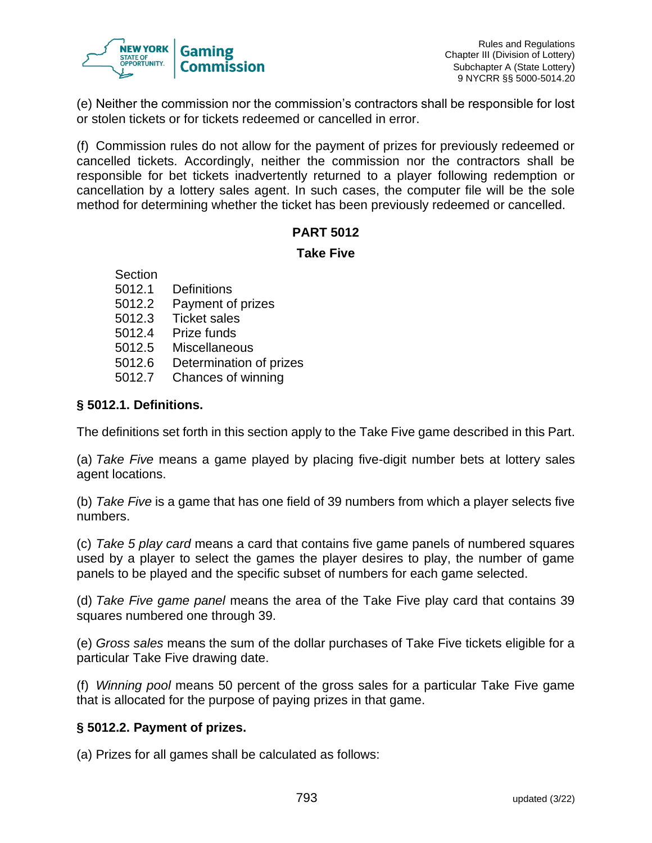

(e) Neither the commission nor the commission's contractors shall be responsible for lost or stolen tickets or for tickets redeemed or cancelled in error.

(f) Commission rules do not allow for the payment of prizes for previously redeemed or cancelled tickets. Accordingly, neither the commission nor the contractors shall be responsible for bet tickets inadvertently returned to a player following redemption or cancellation by a lottery sales agent. In such cases, the computer file will be the sole method for determining whether the ticket has been previously redeemed or cancelled.

# **PART 5012**

#### **Take Five**

Section

- 5012.1 Definitions
- 5012.2 Payment of prizes
- 5012.3 Ticket sales
- 5012.4 Prize funds
- 5012.5 Miscellaneous
- 5012.6 Determination of prizes
- 5012.7 Chances of winning

# **§ 5012.1. Definitions.**

The definitions set forth in this section apply to the Take Five game described in this Part.

(a) *Take Five* means a game played by placing five-digit number bets at lottery sales agent locations.

(b) *Take Five* is a game that has one field of 39 numbers from which a player selects five numbers.

(c) *Take 5 play card* means a card that contains five game panels of numbered squares used by a player to select the games the player desires to play, the number of game panels to be played and the specific subset of numbers for each game selected.

(d) *Take Five game panel* means the area of the Take Five play card that contains 39 squares numbered one through 39.

(e) *Gross sales* means the sum of the dollar purchases of Take Five tickets eligible for a particular Take Five drawing date.

(f) *Winning pool* means 50 percent of the gross sales for a particular Take Five game that is allocated for the purpose of paying prizes in that game.

## **§ 5012.2. Payment of prizes.**

(a) Prizes for all games shall be calculated as follows: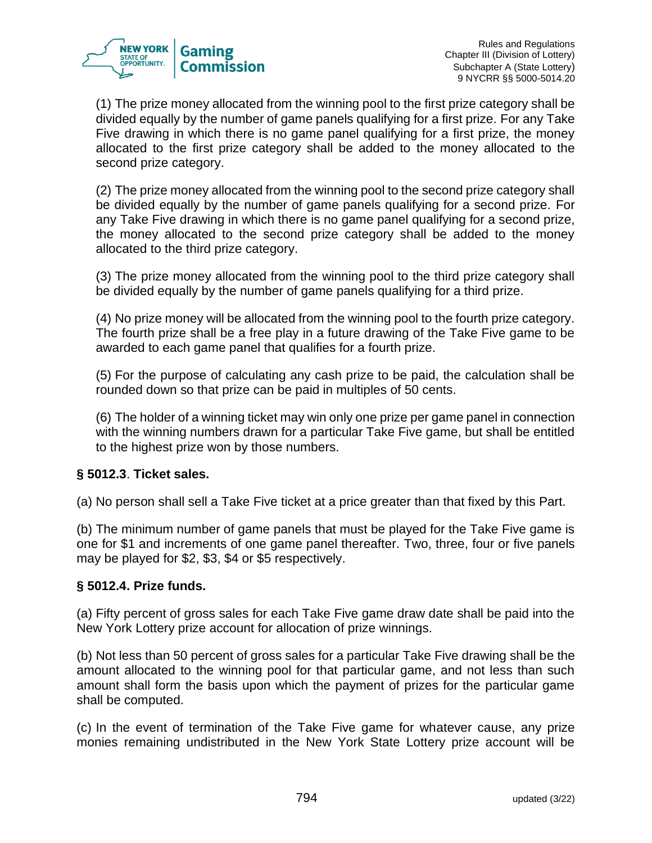

(1) The prize money allocated from the winning pool to the first prize category shall be divided equally by the number of game panels qualifying for a first prize. For any Take Five drawing in which there is no game panel qualifying for a first prize, the money allocated to the first prize category shall be added to the money allocated to the second prize category.

(2) The prize money allocated from the winning pool to the second prize category shall be divided equally by the number of game panels qualifying for a second prize. For any Take Five drawing in which there is no game panel qualifying for a second prize, the money allocated to the second prize category shall be added to the money allocated to the third prize category.

(3) The prize money allocated from the winning pool to the third prize category shall be divided equally by the number of game panels qualifying for a third prize.

(4) No prize money will be allocated from the winning pool to the fourth prize category. The fourth prize shall be a free play in a future drawing of the Take Five game to be awarded to each game panel that qualifies for a fourth prize.

(5) For the purpose of calculating any cash prize to be paid, the calculation shall be rounded down so that prize can be paid in multiples of 50 cents.

(6) The holder of a winning ticket may win only one prize per game panel in connection with the winning numbers drawn for a particular Take Five game, but shall be entitled to the highest prize won by those numbers.

## **§ 5012.3**. **Ticket sales.**

(a) No person shall sell a Take Five ticket at a price greater than that fixed by this Part.

(b) The minimum number of game panels that must be played for the Take Five game is one for \$1 and increments of one game panel thereafter. Two, three, four or five panels may be played for \$2, \$3, \$4 or \$5 respectively.

## **§ 5012.4. Prize funds.**

(a) Fifty percent of gross sales for each Take Five game draw date shall be paid into the New York Lottery prize account for allocation of prize winnings.

(b) Not less than 50 percent of gross sales for a particular Take Five drawing shall be the amount allocated to the winning pool for that particular game, and not less than such amount shall form the basis upon which the payment of prizes for the particular game shall be computed.

(c) In the event of termination of the Take Five game for whatever cause, any prize monies remaining undistributed in the New York State Lottery prize account will be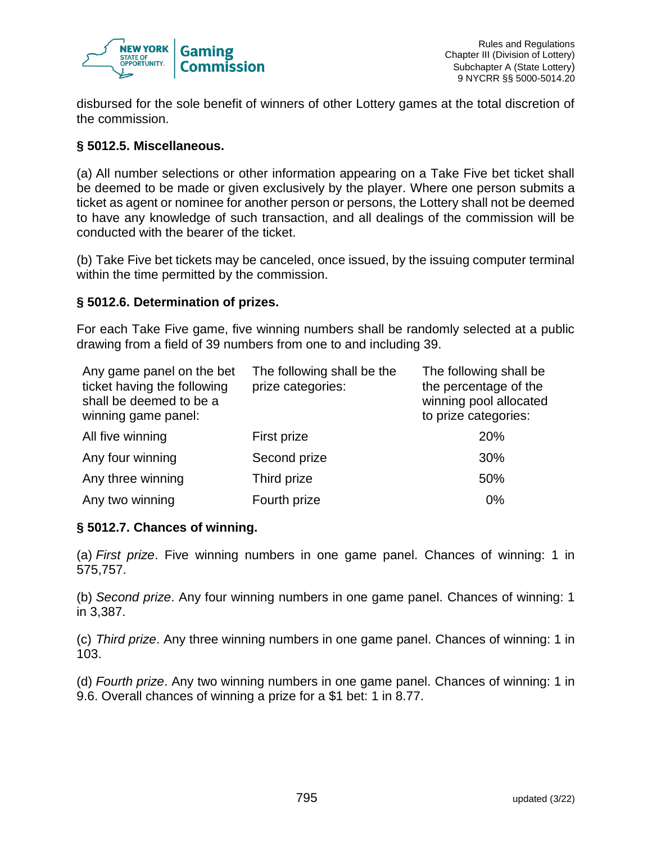

disbursed for the sole benefit of winners of other Lottery games at the total discretion of the commission.

#### **§ 5012.5. Miscellaneous.**

(a) All number selections or other information appearing on a Take Five bet ticket shall be deemed to be made or given exclusively by the player. Where one person submits a ticket as agent or nominee for another person or persons, the Lottery shall not be deemed to have any knowledge of such transaction, and all dealings of the commission will be conducted with the bearer of the ticket.

(b) Take Five bet tickets may be canceled, once issued, by the issuing computer terminal within the time permitted by the commission.

#### **§ 5012.6. Determination of prizes.**

For each Take Five game, five winning numbers shall be randomly selected at a public drawing from a field of 39 numbers from one to and including 39.

| Any game panel on the bet<br>ticket having the following<br>shall be deemed to be a<br>winning game panel: | The following shall be the<br>prize categories: | The following shall be<br>the percentage of the<br>winning pool allocated<br>to prize categories: |
|------------------------------------------------------------------------------------------------------------|-------------------------------------------------|---------------------------------------------------------------------------------------------------|
| All five winning                                                                                           | First prize                                     | 20%                                                                                               |
| Any four winning                                                                                           | Second prize                                    | 30%                                                                                               |
| Any three winning                                                                                          | Third prize                                     | 50%                                                                                               |
| Any two winning                                                                                            | Fourth prize                                    | 0%                                                                                                |

#### **§ 5012.7. Chances of winning.**

(a) *First prize*. Five winning numbers in one game panel. Chances of winning: 1 in 575,757.

(b) *Second prize*. Any four winning numbers in one game panel. Chances of winning: 1 in 3,387.

(c) *Third prize*. Any three winning numbers in one game panel. Chances of winning: 1 in 103.

(d) *Fourth prize*. Any two winning numbers in one game panel. Chances of winning: 1 in 9.6. Overall chances of winning a prize for a \$1 bet: 1 in 8.77.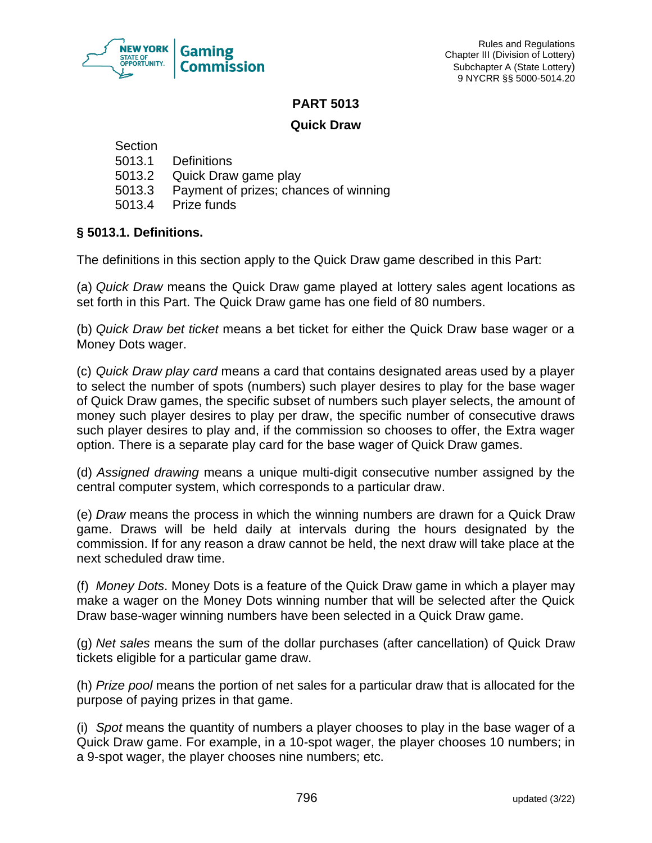

#### **PART 5013**

## **Quick Draw**

**Section** 

- 5013.1 Definitions
- 5013.2 Quick Draw game play
- 5013.3 Payment of prizes; chances of winning
- 5013.4 Prize funds

# **§ 5013.1. Definitions.**

The definitions in this section apply to the Quick Draw game described in this Part:

(a) *Quick Draw* means the Quick Draw game played at lottery sales agent locations as set forth in this Part. The Quick Draw game has one field of 80 numbers.

(b) *Quick Draw bet ticket* means a bet ticket for either the Quick Draw base wager or a Money Dots wager.

(c) *Quick Draw play card* means a card that contains designated areas used by a player to select the number of spots (numbers) such player desires to play for the base wager of Quick Draw games, the specific subset of numbers such player selects, the amount of money such player desires to play per draw, the specific number of consecutive draws such player desires to play and, if the commission so chooses to offer, the Extra wager option. There is a separate play card for the base wager of Quick Draw games.

(d) *Assigned drawing* means a unique multi-digit consecutive number assigned by the central computer system, which corresponds to a particular draw.

(e) *Draw* means the process in which the winning numbers are drawn for a Quick Draw game. Draws will be held daily at intervals during the hours designated by the commission. If for any reason a draw cannot be held, the next draw will take place at the next scheduled draw time.

(f) *Money Dots*. Money Dots is a feature of the Quick Draw game in which a player may make a wager on the Money Dots winning number that will be selected after the Quick Draw base-wager winning numbers have been selected in a Quick Draw game.

(g) *Net sales* means the sum of the dollar purchases (after cancellation) of Quick Draw tickets eligible for a particular game draw.

(h) *Prize pool* means the portion of net sales for a particular draw that is allocated for the purpose of paying prizes in that game.

(i) *Spot* means the quantity of numbers a player chooses to play in the base wager of a Quick Draw game. For example, in a 10-spot wager, the player chooses 10 numbers; in a 9-spot wager, the player chooses nine numbers; etc.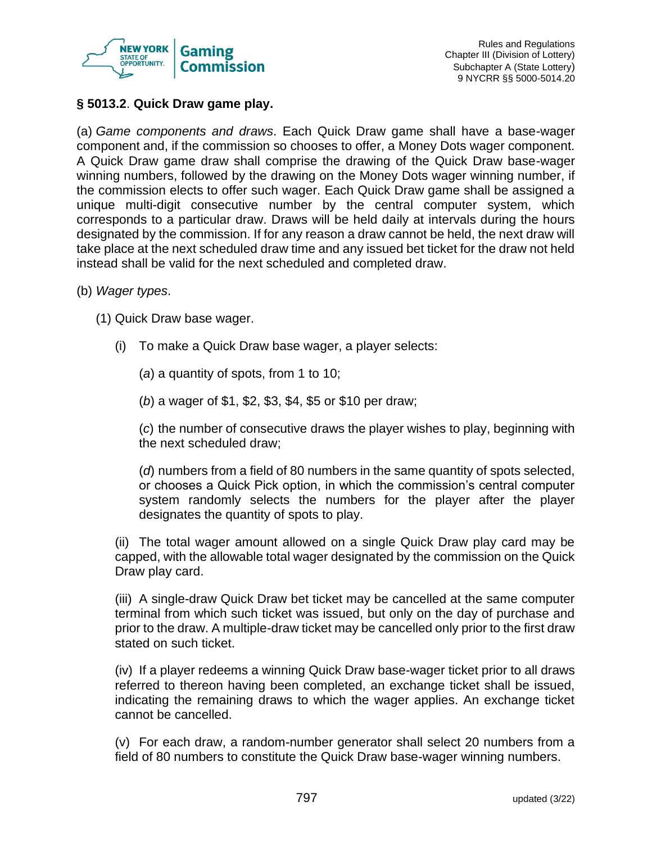

## **§ 5013.2**. **Quick Draw game play.**

(a) *Game components and draws*. Each Quick Draw game shall have a base-wager component and, if the commission so chooses to offer, a Money Dots wager component. A Quick Draw game draw shall comprise the drawing of the Quick Draw base-wager winning numbers, followed by the drawing on the Money Dots wager winning number, if the commission elects to offer such wager. Each Quick Draw game shall be assigned a unique multi-digit consecutive number by the central computer system, which corresponds to a particular draw. Draws will be held daily at intervals during the hours designated by the commission. If for any reason a draw cannot be held, the next draw will take place at the next scheduled draw time and any issued bet ticket for the draw not held instead shall be valid for the next scheduled and completed draw.

(b) *Wager types*.

(1) Quick Draw base wager.

(i) To make a Quick Draw base wager, a player selects:

(*a*) a quantity of spots, from 1 to 10;

(*b*) a wager of \$1, \$2, \$3, \$4, \$5 or \$10 per draw;

(*c*) the number of consecutive draws the player wishes to play, beginning with the next scheduled draw;

(*d*) numbers from a field of 80 numbers in the same quantity of spots selected, or chooses a Quick Pick option, in which the commission's central computer system randomly selects the numbers for the player after the player designates the quantity of spots to play.

(ii) The total wager amount allowed on a single Quick Draw play card may be capped, with the allowable total wager designated by the commission on the Quick Draw play card.

(iii) A single-draw Quick Draw bet ticket may be cancelled at the same computer terminal from which such ticket was issued, but only on the day of purchase and prior to the draw. A multiple-draw ticket may be cancelled only prior to the first draw stated on such ticket.

(iv) If a player redeems a winning Quick Draw base-wager ticket prior to all draws referred to thereon having been completed, an exchange ticket shall be issued, indicating the remaining draws to which the wager applies. An exchange ticket cannot be cancelled.

(v) For each draw, a random-number generator shall select 20 numbers from a field of 80 numbers to constitute the Quick Draw base-wager winning numbers.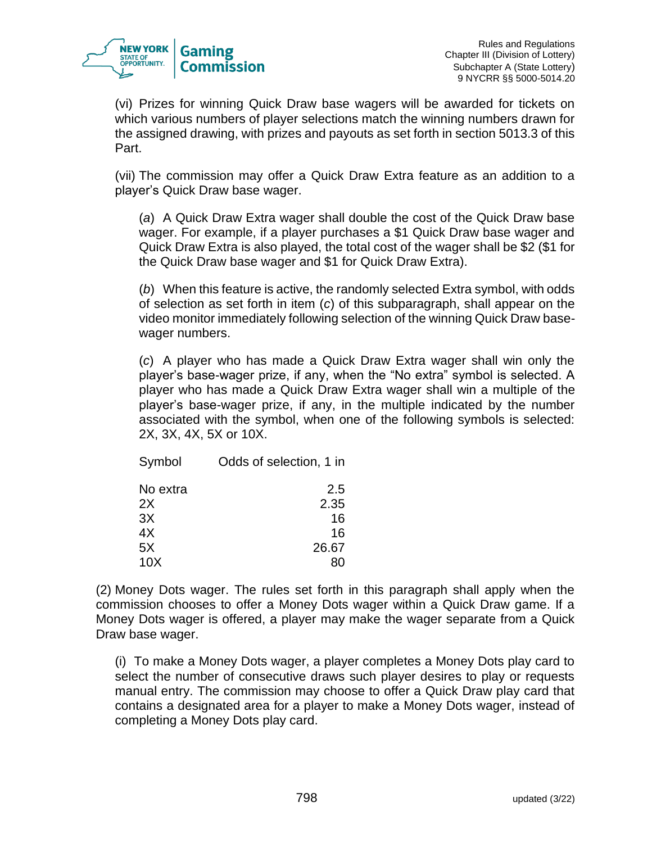

(vi) Prizes for winning Quick Draw base wagers will be awarded for tickets on which various numbers of player selections match the winning numbers drawn for the assigned drawing, with prizes and payouts as set forth in section 5013.3 of this Part.

(vii) The commission may offer a Quick Draw Extra feature as an addition to a player's Quick Draw base wager.

(*a*) A Quick Draw Extra wager shall double the cost of the Quick Draw base wager. For example, if a player purchases a \$1 Quick Draw base wager and Quick Draw Extra is also played, the total cost of the wager shall be \$2 (\$1 for the Quick Draw base wager and \$1 for Quick Draw Extra).

(*b*) When this feature is active, the randomly selected Extra symbol, with odds of selection as set forth in item (*c*) of this subparagraph, shall appear on the video monitor immediately following selection of the winning Quick Draw basewager numbers.

(*c*) A player who has made a Quick Draw Extra wager shall win only the player's base-wager prize, if any, when the "No extra" symbol is selected. A player who has made a Quick Draw Extra wager shall win a multiple of the player's base-wager prize, if any, in the multiple indicated by the number associated with the symbol, when one of the following symbols is selected: 2X, 3X, 4X, 5X or 10X.

| Symbol          | Odds of selection, 1 in |
|-----------------|-------------------------|
| No extra        | 2.5                     |
| 2X              | 2.35                    |
| 3X              | 16                      |
| 4X              | 16                      |
| 5X              | 26.67                   |
| 10 <sub>X</sub> |                         |

(2) Money Dots wager. The rules set forth in this paragraph shall apply when the commission chooses to offer a Money Dots wager within a Quick Draw game. If a Money Dots wager is offered, a player may make the wager separate from a Quick Draw base wager.

(i) To make a Money Dots wager, a player completes a Money Dots play card to select the number of consecutive draws such player desires to play or requests manual entry. The commission may choose to offer a Quick Draw play card that contains a designated area for a player to make a Money Dots wager, instead of completing a Money Dots play card.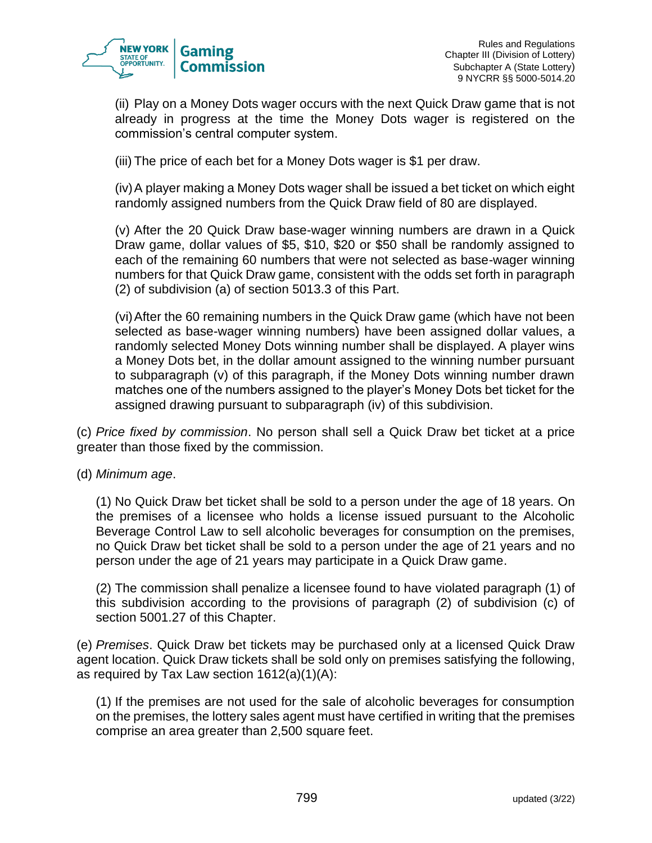

(ii) Play on a Money Dots wager occurs with the next Quick Draw game that is not already in progress at the time the Money Dots wager is registered on the commission's central computer system.

(iii) The price of each bet for a Money Dots wager is \$1 per draw.

(iv)A player making a Money Dots wager shall be issued a bet ticket on which eight randomly assigned numbers from the Quick Draw field of 80 are displayed.

(v) After the 20 Quick Draw base-wager winning numbers are drawn in a Quick Draw game, dollar values of \$5, \$10, \$20 or \$50 shall be randomly assigned to each of the remaining 60 numbers that were not selected as base-wager winning numbers for that Quick Draw game, consistent with the odds set forth in paragraph (2) of subdivision (a) of section 5013.3 of this Part.

(vi)After the 60 remaining numbers in the Quick Draw game (which have not been selected as base-wager winning numbers) have been assigned dollar values, a randomly selected Money Dots winning number shall be displayed. A player wins a Money Dots bet, in the dollar amount assigned to the winning number pursuant to subparagraph (v) of this paragraph, if the Money Dots winning number drawn matches one of the numbers assigned to the player's Money Dots bet ticket for the assigned drawing pursuant to subparagraph (iv) of this subdivision.

(c) *Price fixed by commission*. No person shall sell a Quick Draw bet ticket at a price greater than those fixed by the commission.

(d) *Minimum age*.

(1) No Quick Draw bet ticket shall be sold to a person under the age of 18 years. On the premises of a licensee who holds a license issued pursuant to the Alcoholic Beverage Control Law to sell alcoholic beverages for consumption on the premises, no Quick Draw bet ticket shall be sold to a person under the age of 21 years and no person under the age of 21 years may participate in a Quick Draw game.

(2) The commission shall penalize a licensee found to have violated paragraph (1) of this subdivision according to the provisions of paragraph (2) of subdivision (c) of section 5001.27 of this Chapter.

(e) *Premises*. Quick Draw bet tickets may be purchased only at a licensed Quick Draw agent location. Quick Draw tickets shall be sold only on premises satisfying the following, as required by Tax Law section 1612(a)(1)(A):

(1) If the premises are not used for the sale of alcoholic beverages for consumption on the premises, the lottery sales agent must have certified in writing that the premises comprise an area greater than 2,500 square feet.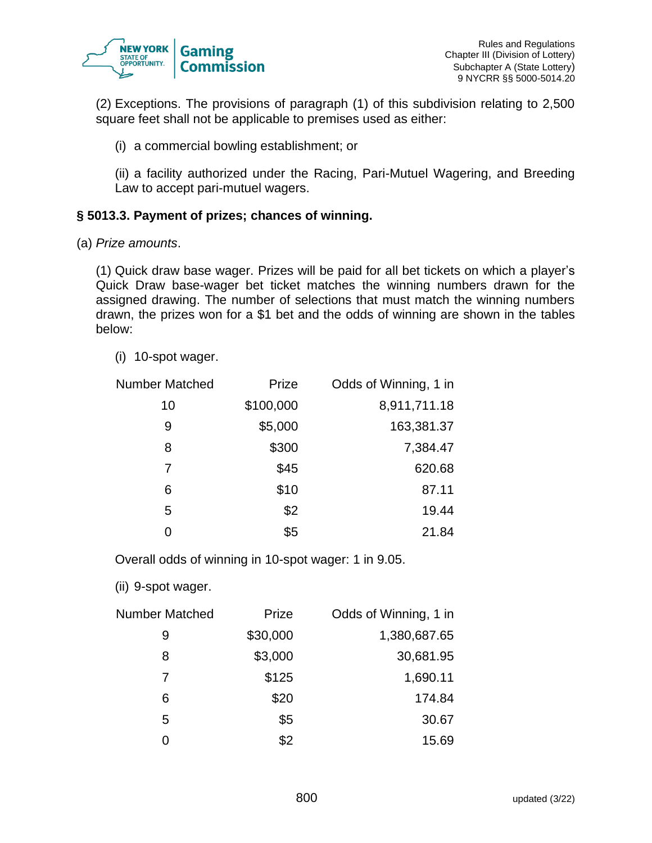

(2) Exceptions. The provisions of paragraph (1) of this subdivision relating to 2,500 square feet shall not be applicable to premises used as either:

(i) a commercial bowling establishment; or

(ii) a facility authorized under the Racing, Pari-Mutuel Wagering, and Breeding Law to accept pari-mutuel wagers.

## **§ 5013.3. Payment of prizes; chances of winning.**

(a) *Prize amounts*.

(1) Quick draw base wager. Prizes will be paid for all bet tickets on which a player's Quick Draw base-wager bet ticket matches the winning numbers drawn for the assigned drawing. The number of selections that must match the winning numbers drawn, the prizes won for a \$1 bet and the odds of winning are shown in the tables below:

(i) 10-spot wager.

| <b>Number Matched</b> | Prize     | Odds of Winning, 1 in |
|-----------------------|-----------|-----------------------|
| 10                    | \$100,000 | 8,911,711.18          |
| 9                     | \$5,000   | 163,381.37            |
| 8                     | \$300     | 7,384.47              |
| 7                     | \$45      | 620.68                |
| 6                     | \$10      | 87.11                 |
| 5                     | \$2       | 19.44                 |
|                       | \$5       | 21.84                 |

Overall odds of winning in 10-spot wager: 1 in 9.05.

(ii) 9-spot wager.

| <b>Number Matched</b> | Prize    | Odds of Winning, 1 in |
|-----------------------|----------|-----------------------|
| 9                     | \$30,000 | 1,380,687.65          |
| 8                     | \$3,000  | 30,681.95             |
| 7                     | \$125    | 1,690.11              |
| 6                     | \$20     | 174.84                |
| 5                     | \$5      | 30.67                 |
| ი                     | \$2      | 15.69                 |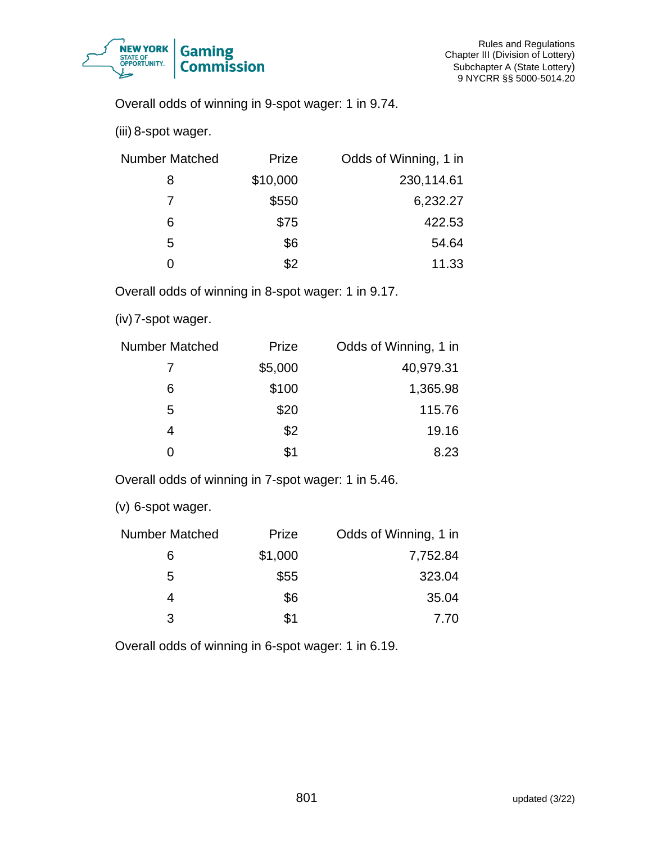

Overall odds of winning in 9-spot wager: 1 in 9.74.

(iii) 8-spot wager.

| <b>Number Matched</b> | Prize    | Odds of Winning, 1 in |
|-----------------------|----------|-----------------------|
| 8                     | \$10,000 | 230,114.61            |
| 7                     | \$550    | 6,232.27              |
| 6                     | \$75     | 422.53                |
| 5                     | \$6      | 54.64                 |
| O                     | \$2      | 11.33                 |

Overall odds of winning in 8-spot wager: 1 in 9.17.

(iv)7-spot wager.

| <b>Number Matched</b> | Prize   | Odds of Winning, 1 in |
|-----------------------|---------|-----------------------|
|                       | \$5,000 | 40,979.31             |
| 6                     | \$100   | 1,365.98              |
| 5                     | \$20    | 115.76                |
| 4                     | \$2     | 19.16                 |
| ი                     | \$1     | 8.23                  |

Overall odds of winning in 7-spot wager: 1 in 5.46.

(v) 6-spot wager.

| <b>Number Matched</b> | Prize   | Odds of Winning, 1 in |
|-----------------------|---------|-----------------------|
| 6                     | \$1,000 | 7,752.84              |
| 5                     | \$55    | 323.04                |
| 4                     | \$6     | 35.04                 |
| 3                     | \$1     | 7.70                  |

Overall odds of winning in 6-spot wager: 1 in 6.19.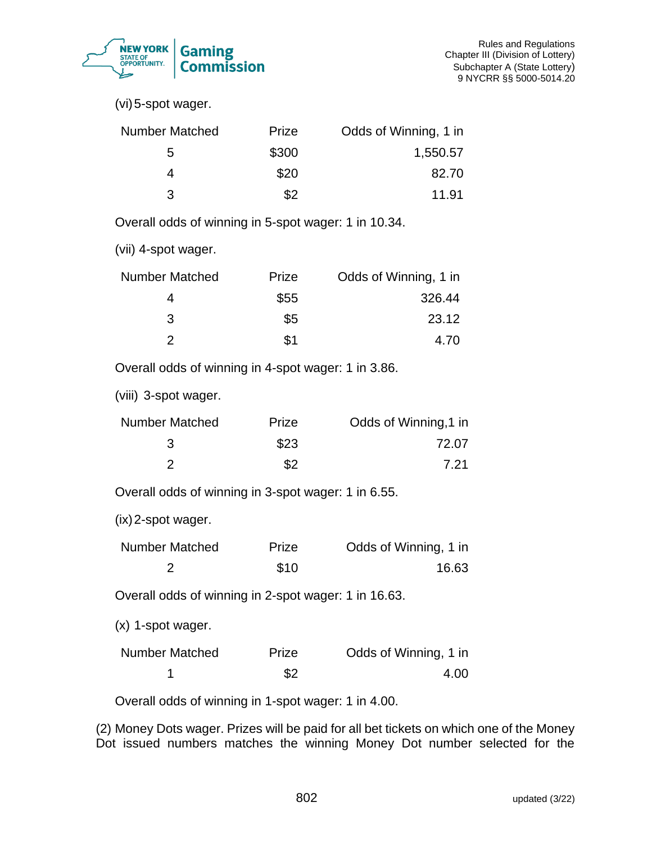

(vi)5-spot wager.

| <b>Number Matched</b> | Prize | Odds of Winning, 1 in |
|-----------------------|-------|-----------------------|
| 5                     | \$300 | 1,550.57              |
|                       | \$20  | 82.70                 |
| 3                     | \$2   | 11.91                 |

Overall odds of winning in 5-spot wager: 1 in 10.34.

(vii) 4-spot wager.

| <b>Number Matched</b> | Prize | Odds of Winning, 1 in |
|-----------------------|-------|-----------------------|
|                       | \$55  | 326.44                |
| 3                     | \$5   | 23.12                 |
|                       | \$1   | 4.70                  |

Overall odds of winning in 4-spot wager: 1 in 3.86.

(viii) 3-spot wager.

| <b>Number Matched</b> | Prize | Odds of Winning, 1 in |
|-----------------------|-------|-----------------------|
|                       | \$23  | 72.07                 |
|                       | \$2   | 7.21                  |

Overall odds of winning in 3-spot wager: 1 in 6.55.

(ix)2-spot wager.

| Number Matched | Prize | Odds of Winning, 1 in |
|----------------|-------|-----------------------|
|                | \$10  | 16.63                 |

Overall odds of winning in 2-spot wager: 1 in 16.63.

(x) 1-spot wager.

| Number Matched | Prize | Odds of Winning, 1 in |
|----------------|-------|-----------------------|
|                | \$2   | 4.00                  |

Overall odds of winning in 1-spot wager: 1 in 4.00.

(2) Money Dots wager. Prizes will be paid for all bet tickets on which one of the Money Dot issued numbers matches the winning Money Dot number selected for the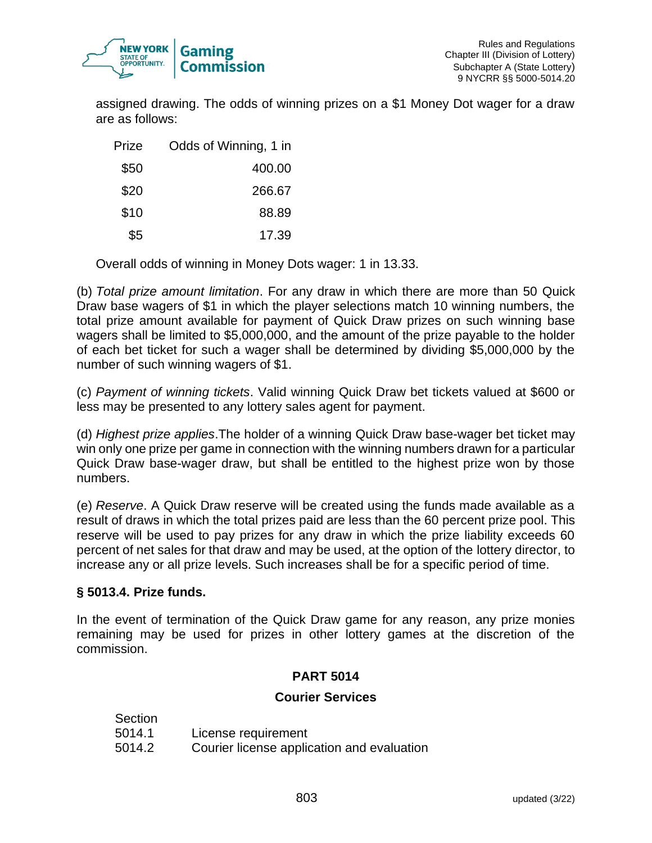

assigned drawing. The odds of winning prizes on a \$1 Money Dot wager for a draw are as follows:

| Prize | Odds of Winning, 1 in |
|-------|-----------------------|
| \$50  | 400.00                |
| \$20  | 266.67                |
| \$10  | 88.89                 |
| \$5   | 17.39                 |

Overall odds of winning in Money Dots wager: 1 in 13.33.

(b) *Total prize amount limitation*. For any draw in which there are more than 50 Quick Draw base wagers of \$1 in which the player selections match 10 winning numbers, the total prize amount available for payment of Quick Draw prizes on such winning base wagers shall be limited to \$5,000,000, and the amount of the prize payable to the holder of each bet ticket for such a wager shall be determined by dividing \$5,000,000 by the number of such winning wagers of \$1.

(c) *Payment of winning tickets*. Valid winning Quick Draw bet tickets valued at \$600 or less may be presented to any lottery sales agent for payment.

(d) *Highest prize applies*.The holder of a winning Quick Draw base-wager bet ticket may win only one prize per game in connection with the winning numbers drawn for a particular Quick Draw base-wager draw, but shall be entitled to the highest prize won by those numbers.

(e) *Reserve*. A Quick Draw reserve will be created using the funds made available as a result of draws in which the total prizes paid are less than the 60 percent prize pool. This reserve will be used to pay prizes for any draw in which the prize liability exceeds 60 percent of net sales for that draw and may be used, at the option of the lottery director, to increase any or all prize levels. Such increases shall be for a specific period of time.

# **§ 5013.4. Prize funds.**

In the event of termination of the Quick Draw game for any reason, any prize monies remaining may be used for prizes in other lottery games at the discretion of the commission.

# **PART 5014**

#### **Courier Services**

| Section |                                            |
|---------|--------------------------------------------|
| 5014.1  | License requirement                        |
| 5014.2  | Courier license application and evaluation |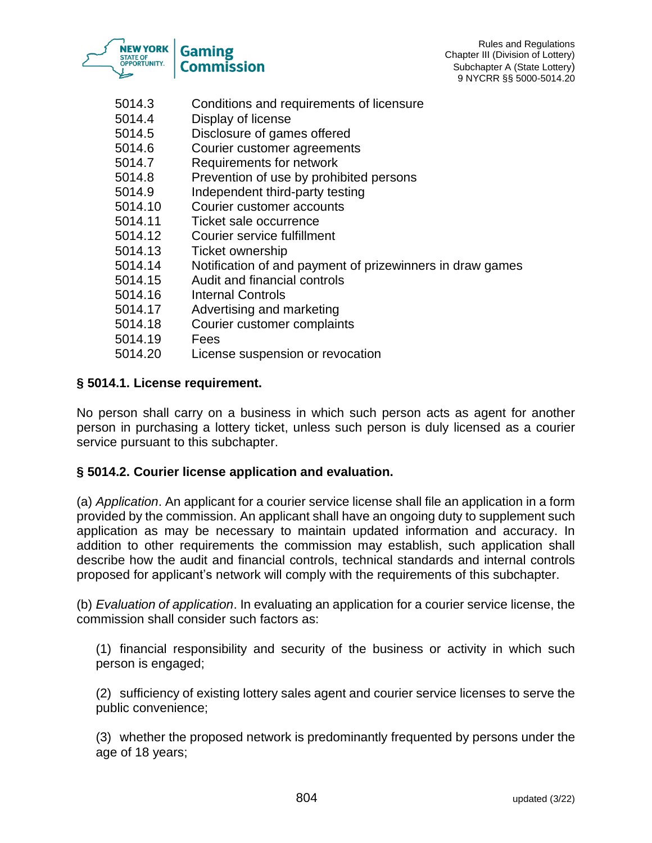

- 5014.3 Conditions and requirements of licensure
- 5014.4 Display of license
- 5014.5 Disclosure of games offered
- 5014.6 Courier customer agreements
- 5014.7 Requirements for network
- 5014.8 Prevention of use by prohibited persons
- 5014.9 Independent third-party testing
- 5014.10 Courier customer accounts
- 5014.11 Ticket sale occurrence
- 5014.12 Courier service fulfillment
- 5014.13 Ticket ownership
- 5014.14 Notification of and payment of prizewinners in draw games
- 5014.15 Audit and financial controls
- 5014.16 Internal Controls
- 5014.17 Advertising and marketing
- 5014.18 Courier customer complaints
- 5014.19 Fees
- 5014.20 License suspension or revocation

#### **§ 5014.1. License requirement.**

No person shall carry on a business in which such person acts as agent for another person in purchasing a lottery ticket, unless such person is duly licensed as a courier service pursuant to this subchapter.

#### **§ 5014.2. Courier license application and evaluation.**

(a) *Application*. An applicant for a courier service license shall file an application in a form provided by the commission. An applicant shall have an ongoing duty to supplement such application as may be necessary to maintain updated information and accuracy. In addition to other requirements the commission may establish, such application shall describe how the audit and financial controls, technical standards and internal controls proposed for applicant's network will comply with the requirements of this subchapter.

(b) *Evaluation of application*. In evaluating an application for a courier service license, the commission shall consider such factors as:

(1) financial responsibility and security of the business or activity in which such person is engaged;

(2) sufficiency of existing lottery sales agent and courier service licenses to serve the public convenience;

(3) whether the proposed network is predominantly frequented by persons under the age of 18 years;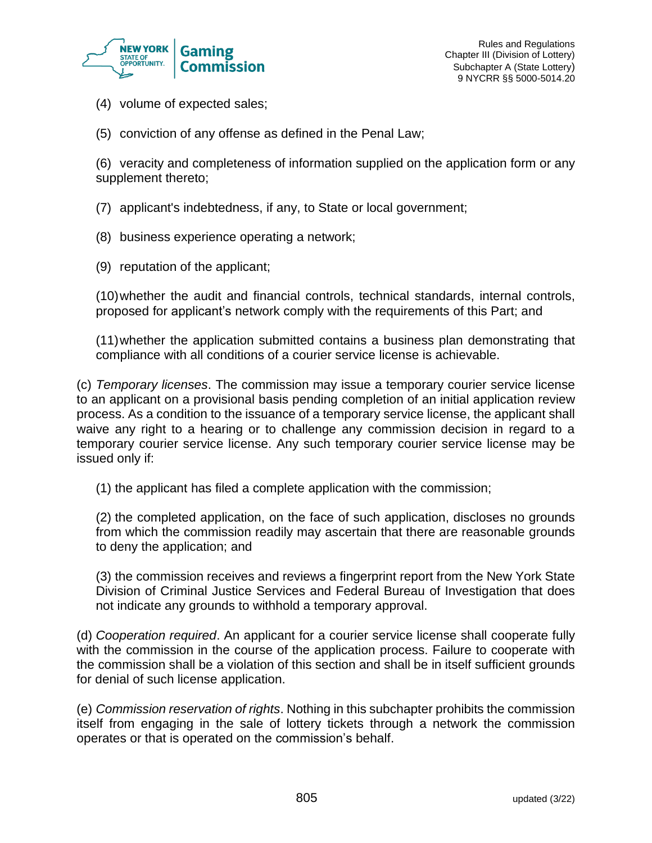

- (4) volume of expected sales;
- (5) conviction of any offense as defined in the Penal Law;

(6) veracity and completeness of information supplied on the application form or any supplement thereto;

- (7) applicant's indebtedness, if any, to State or local government;
- (8) business experience operating a network;
- (9) reputation of the applicant;

(10)whether the audit and financial controls, technical standards, internal controls, proposed for applicant's network comply with the requirements of this Part; and

(11)whether the application submitted contains a business plan demonstrating that compliance with all conditions of a courier service license is achievable.

(c) *Temporary licenses*. The commission may issue a temporary courier service license to an applicant on a provisional basis pending completion of an initial application review process. As a condition to the issuance of a temporary service license, the applicant shall waive any right to a hearing or to challenge any commission decision in regard to a temporary courier service license. Any such temporary courier service license may be issued only if:

(1) the applicant has filed a complete application with the commission;

(2) the completed application, on the face of such application, discloses no grounds from which the commission readily may ascertain that there are reasonable grounds to deny the application; and

(3) the commission receives and reviews a fingerprint report from the New York State Division of Criminal Justice Services and Federal Bureau of Investigation that does not indicate any grounds to withhold a temporary approval.

(d) *Cooperation required*. An applicant for a courier service license shall cooperate fully with the commission in the course of the application process. Failure to cooperate with the commission shall be a violation of this section and shall be in itself sufficient grounds for denial of such license application.

(e) *Commission reservation of rights*. Nothing in this subchapter prohibits the commission itself from engaging in the sale of lottery tickets through a network the commission operates or that is operated on the commission's behalf.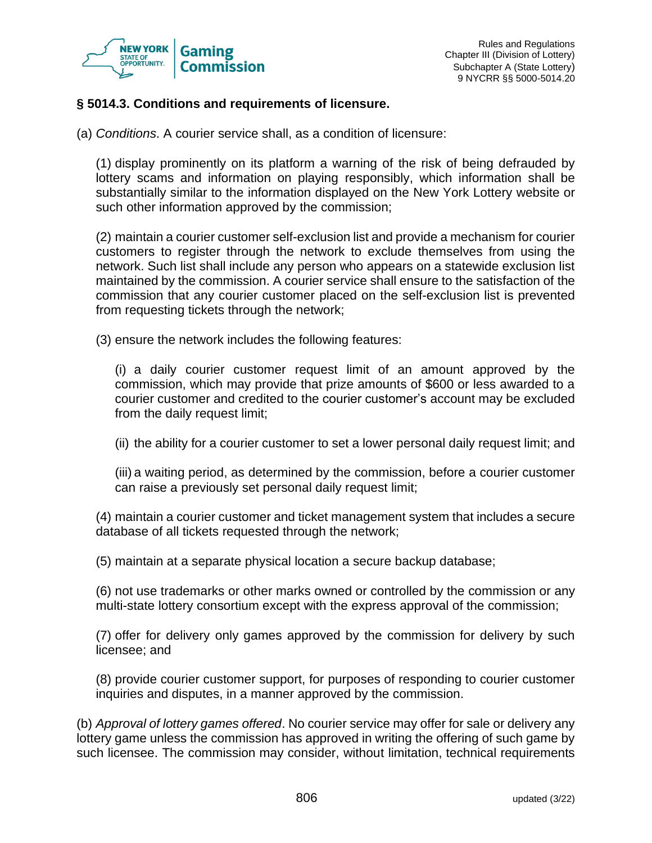

#### **§ 5014.3. Conditions and requirements of licensure.**

(a) *Conditions*. A courier service shall, as a condition of licensure:

(1) display prominently on its platform a warning of the risk of being defrauded by lottery scams and information on playing responsibly, which information shall be substantially similar to the information displayed on the New York Lottery website or such other information approved by the commission;

(2) maintain a courier customer self-exclusion list and provide a mechanism for courier customers to register through the network to exclude themselves from using the network. Such list shall include any person who appears on a statewide exclusion list maintained by the commission. A courier service shall ensure to the satisfaction of the commission that any courier customer placed on the self-exclusion list is prevented from requesting tickets through the network;

(3) ensure the network includes the following features:

(i) a daily courier customer request limit of an amount approved by the commission, which may provide that prize amounts of \$600 or less awarded to a courier customer and credited to the courier customer's account may be excluded from the daily request limit;

(ii) the ability for a courier customer to set a lower personal daily request limit; and

(iii) a waiting period, as determined by the commission, before a courier customer can raise a previously set personal daily request limit;

(4) maintain a courier customer and ticket management system that includes a secure database of all tickets requested through the network;

(5) maintain at a separate physical location a secure backup database;

(6) not use trademarks or other marks owned or controlled by the commission or any multi-state lottery consortium except with the express approval of the commission;

(7) offer for delivery only games approved by the commission for delivery by such licensee; and

(8) provide courier customer support, for purposes of responding to courier customer inquiries and disputes, in a manner approved by the commission.

(b) *Approval of lottery games offered*. No courier service may offer for sale or delivery any lottery game unless the commission has approved in writing the offering of such game by such licensee. The commission may consider, without limitation, technical requirements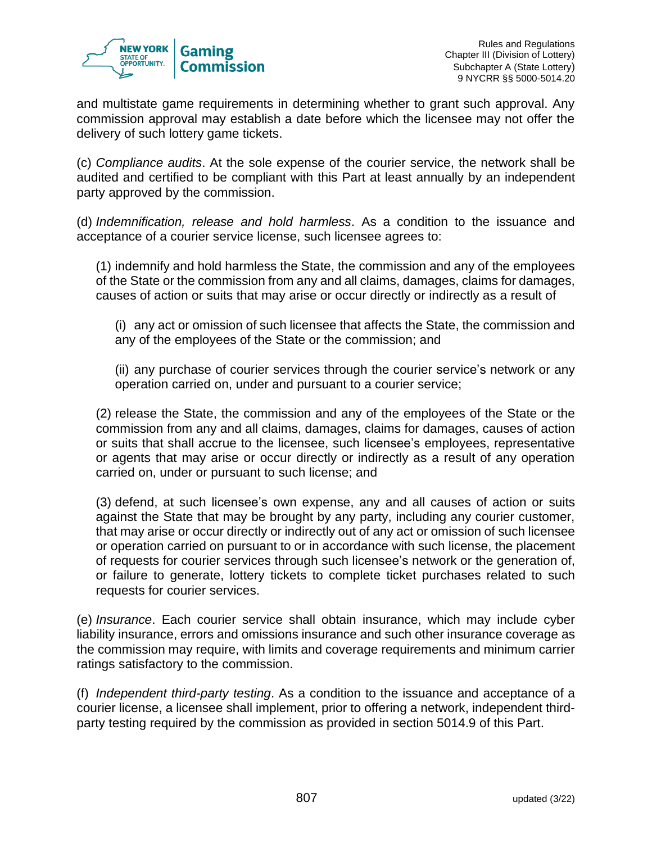

and multistate game requirements in determining whether to grant such approval. Any commission approval may establish a date before which the licensee may not offer the delivery of such lottery game tickets.

(c) *Compliance audits*. At the sole expense of the courier service, the network shall be audited and certified to be compliant with this Part at least annually by an independent party approved by the commission.

(d) *Indemnification, release and hold harmless*. As a condition to the issuance and acceptance of a courier service license, such licensee agrees to:

(1) indemnify and hold harmless the State, the commission and any of the employees of the State or the commission from any and all claims, damages, claims for damages, causes of action or suits that may arise or occur directly or indirectly as a result of

(i) any act or omission of such licensee that affects the State, the commission and any of the employees of the State or the commission; and

(ii) any purchase of courier services through the courier service's network or any operation carried on, under and pursuant to a courier service;

(2) release the State, the commission and any of the employees of the State or the commission from any and all claims, damages, claims for damages, causes of action or suits that shall accrue to the licensee, such licensee's employees, representative or agents that may arise or occur directly or indirectly as a result of any operation carried on, under or pursuant to such license; and

(3) defend, at such licensee's own expense, any and all causes of action or suits against the State that may be brought by any party, including any courier customer, that may arise or occur directly or indirectly out of any act or omission of such licensee or operation carried on pursuant to or in accordance with such license, the placement of requests for courier services through such licensee's network or the generation of, or failure to generate, lottery tickets to complete ticket purchases related to such requests for courier services.

(e) *Insurance*. Each courier service shall obtain insurance, which may include cyber liability insurance, errors and omissions insurance and such other insurance coverage as the commission may require, with limits and coverage requirements and minimum carrier ratings satisfactory to the commission.

(f) *Independent third-party testing*. As a condition to the issuance and acceptance of a courier license, a licensee shall implement, prior to offering a network, independent thirdparty testing required by the commission as provided in section 5014.9 of this Part.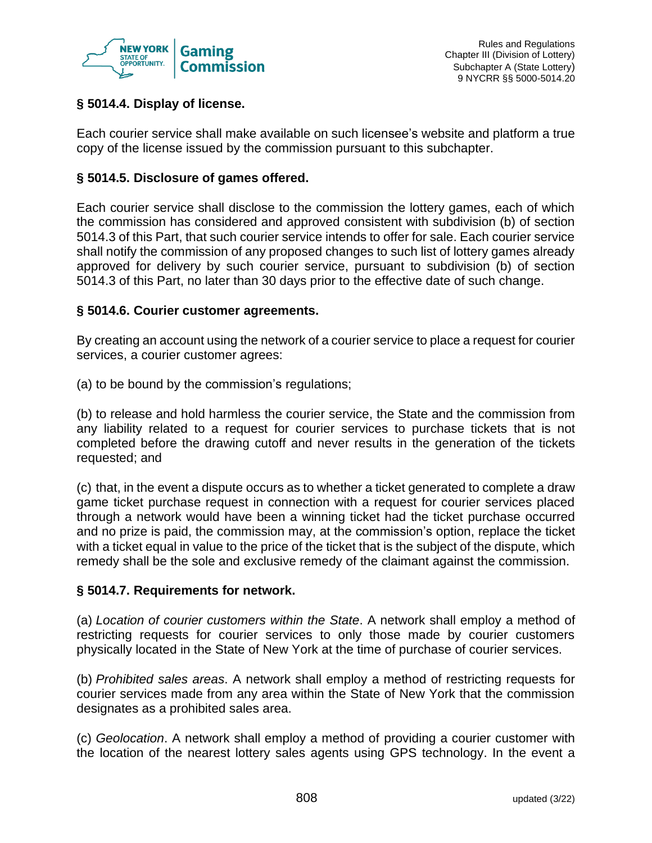

# **§ 5014.4. Display of license.**

Each courier service shall make available on such licensee's website and platform a true copy of the license issued by the commission pursuant to this subchapter.

# **§ 5014.5. Disclosure of games offered.**

Each courier service shall disclose to the commission the lottery games, each of which the commission has considered and approved consistent with subdivision (b) of section 5014.3 of this Part, that such courier service intends to offer for sale. Each courier service shall notify the commission of any proposed changes to such list of lottery games already approved for delivery by such courier service, pursuant to subdivision (b) of section 5014.3 of this Part, no later than 30 days prior to the effective date of such change.

# **§ 5014.6. Courier customer agreements.**

By creating an account using the network of a courier service to place a request for courier services, a courier customer agrees:

(a) to be bound by the commission's regulations;

(b) to release and hold harmless the courier service, the State and the commission from any liability related to a request for courier services to purchase tickets that is not completed before the drawing cutoff and never results in the generation of the tickets requested; and

(c) that, in the event a dispute occurs as to whether a ticket generated to complete a draw game ticket purchase request in connection with a request for courier services placed through a network would have been a winning ticket had the ticket purchase occurred and no prize is paid, the commission may, at the commission's option, replace the ticket with a ticket equal in value to the price of the ticket that is the subject of the dispute, which remedy shall be the sole and exclusive remedy of the claimant against the commission.

# **§ 5014.7. Requirements for network.**

(a) *Location of courier customers within the State*. A network shall employ a method of restricting requests for courier services to only those made by courier customers physically located in the State of New York at the time of purchase of courier services.

(b) *Prohibited sales areas*. A network shall employ a method of restricting requests for courier services made from any area within the State of New York that the commission designates as a prohibited sales area.

(c) *Geolocation*. A network shall employ a method of providing a courier customer with the location of the nearest lottery sales agents using GPS technology. In the event a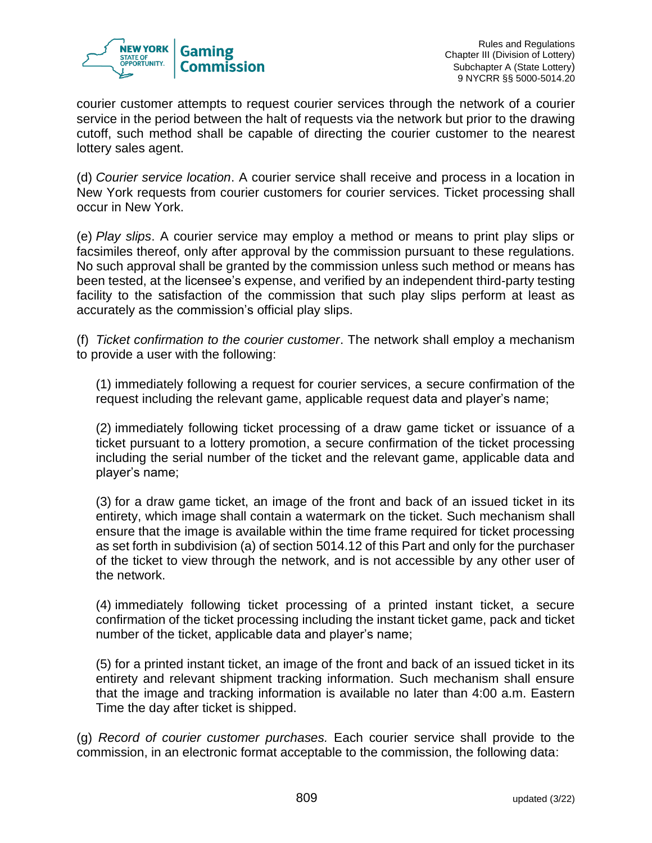

courier customer attempts to request courier services through the network of a courier service in the period between the halt of requests via the network but prior to the drawing cutoff, such method shall be capable of directing the courier customer to the nearest lottery sales agent.

(d) *Courier service location*. A courier service shall receive and process in a location in New York requests from courier customers for courier services. Ticket processing shall occur in New York.

(e) *Play slips*. A courier service may employ a method or means to print play slips or facsimiles thereof, only after approval by the commission pursuant to these regulations. No such approval shall be granted by the commission unless such method or means has been tested, at the licensee's expense, and verified by an independent third-party testing facility to the satisfaction of the commission that such play slips perform at least as accurately as the commission's official play slips.

(f) *Ticket confirmation to the courier customer*. The network shall employ a mechanism to provide a user with the following:

(1) immediately following a request for courier services, a secure confirmation of the request including the relevant game, applicable request data and player's name;

(2) immediately following ticket processing of a draw game ticket or issuance of a ticket pursuant to a lottery promotion, a secure confirmation of the ticket processing including the serial number of the ticket and the relevant game, applicable data and player's name;

(3) for a draw game ticket, an image of the front and back of an issued ticket in its entirety, which image shall contain a watermark on the ticket. Such mechanism shall ensure that the image is available within the time frame required for ticket processing as set forth in subdivision (a) of section 5014.12 of this Part and only for the purchaser of the ticket to view through the network, and is not accessible by any other user of the network.

(4) immediately following ticket processing of a printed instant ticket, a secure confirmation of the ticket processing including the instant ticket game, pack and ticket number of the ticket, applicable data and player's name;

(5) for a printed instant ticket, an image of the front and back of an issued ticket in its entirety and relevant shipment tracking information. Such mechanism shall ensure that the image and tracking information is available no later than 4:00 a.m. Eastern Time the day after ticket is shipped.

(g) *Record of courier customer purchases.* Each courier service shall provide to the commission, in an electronic format acceptable to the commission, the following data: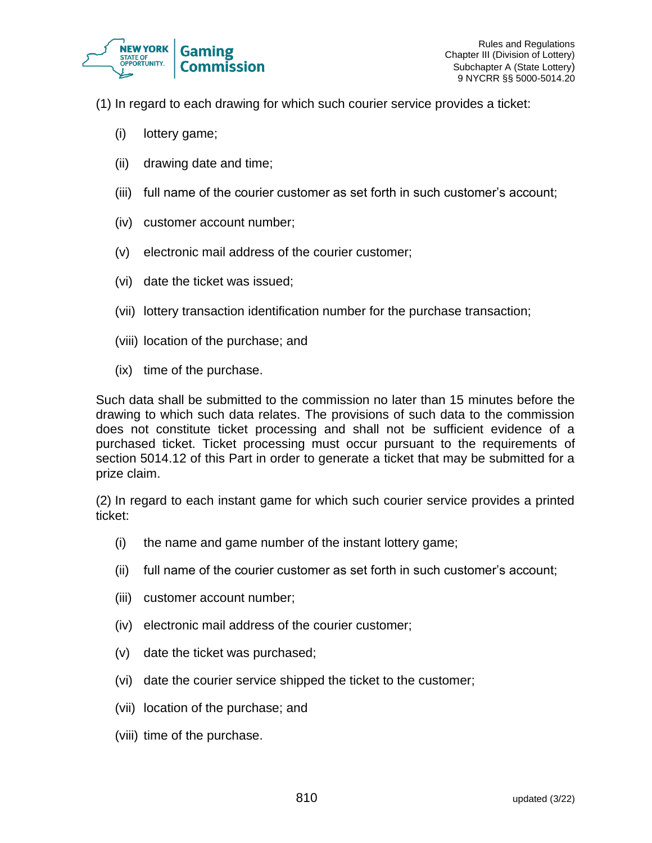

- (1) In regard to each drawing for which such courier service provides a ticket:
	- (i) lottery game;
	- (ii) drawing date and time;
	- (iii) full name of the courier customer as set forth in such customer's account;
	- (iv) customer account number;
	- (v) electronic mail address of the courier customer;
	- (vi) date the ticket was issued;
	- (vii) lottery transaction identification number for the purchase transaction;
	- (viii) location of the purchase; and
	- (ix) time of the purchase.

Such data shall be submitted to the commission no later than 15 minutes before the drawing to which such data relates. The provisions of such data to the commission does not constitute ticket processing and shall not be sufficient evidence of a purchased ticket. Ticket processing must occur pursuant to the requirements of section 5014.12 of this Part in order to generate a ticket that may be submitted for a prize claim.

(2) In regard to each instant game for which such courier service provides a printed ticket:

- (i) the name and game number of the instant lottery game;
- (ii) full name of the courier customer as set forth in such customer's account;
- (iii) customer account number;
- (iv) electronic mail address of the courier customer;
- (v) date the ticket was purchased;
- (vi) date the courier service shipped the ticket to the customer;
- (vii) location of the purchase; and
- (viii) time of the purchase.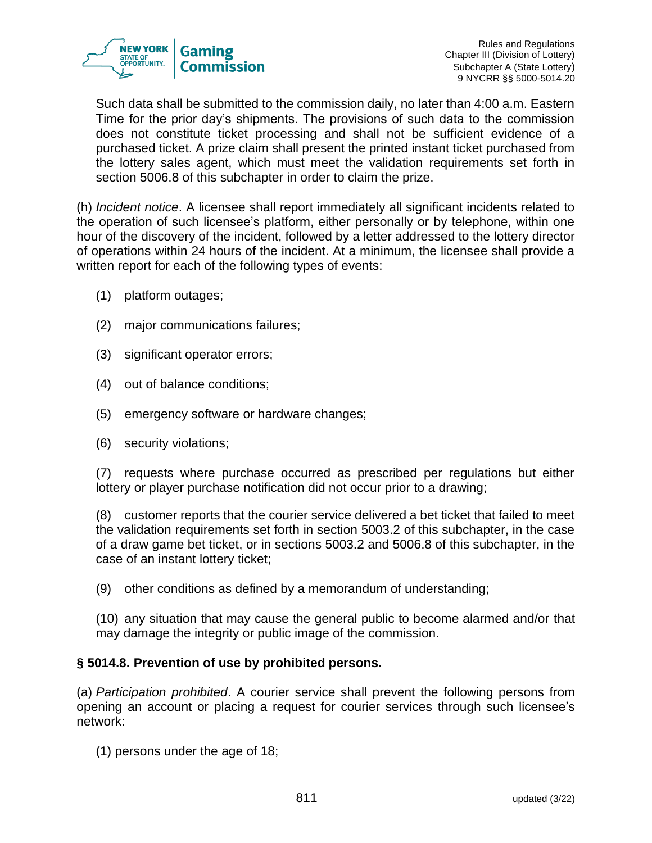

Such data shall be submitted to the commission daily, no later than 4:00 a.m. Eastern Time for the prior day's shipments. The provisions of such data to the commission does not constitute ticket processing and shall not be sufficient evidence of a purchased ticket. A prize claim shall present the printed instant ticket purchased from the lottery sales agent, which must meet the validation requirements set forth in section 5006.8 of this subchapter in order to claim the prize.

(h) *Incident notice*. A licensee shall report immediately all significant incidents related to the operation of such licensee's platform, either personally or by telephone, within one hour of the discovery of the incident, followed by a letter addressed to the lottery director of operations within 24 hours of the incident. At a minimum, the licensee shall provide a written report for each of the following types of events:

- (1) platform outages;
- (2) major communications failures;
- (3) significant operator errors;
- (4) out of balance conditions;
- (5) emergency software or hardware changes;
- (6) security violations;

(7) requests where purchase occurred as prescribed per regulations but either lottery or player purchase notification did not occur prior to a drawing;

(8) customer reports that the courier service delivered a bet ticket that failed to meet the validation requirements set forth in section 5003.2 of this subchapter, in the case of a draw game bet ticket, or in sections 5003.2 and 5006.8 of this subchapter, in the case of an instant lottery ticket;

(9) other conditions as defined by a memorandum of understanding;

(10) any situation that may cause the general public to become alarmed and/or that may damage the integrity or public image of the commission.

#### **§ 5014.8. Prevention of use by prohibited persons.**

(a) *Participation prohibited*. A courier service shall prevent the following persons from opening an account or placing a request for courier services through such licensee's network:

(1) persons under the age of 18;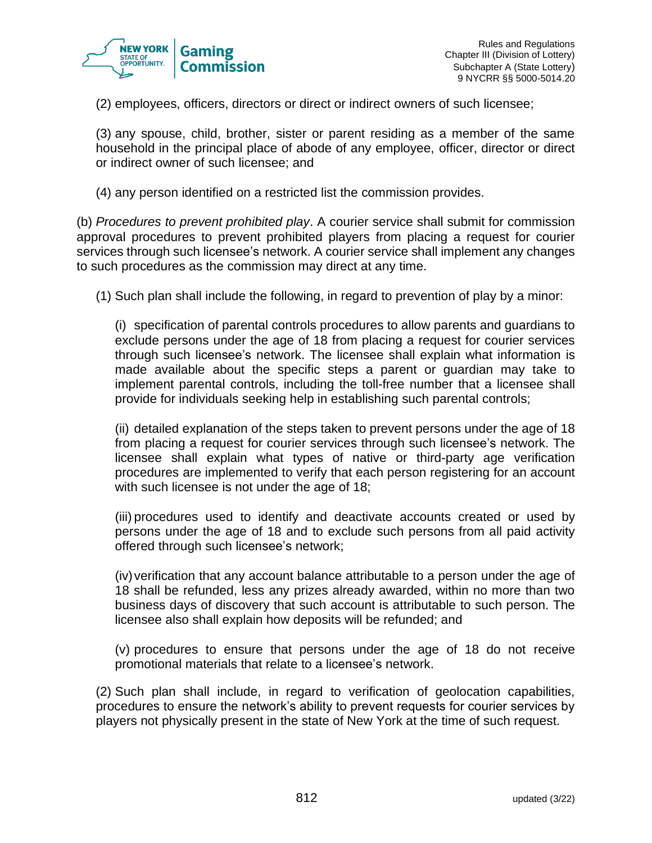

(2) employees, officers, directors or direct or indirect owners of such licensee;

(3) any spouse, child, brother, sister or parent residing as a member of the same household in the principal place of abode of any employee, officer, director or direct or indirect owner of such licensee; and

(4) any person identified on a restricted list the commission provides.

(b) *Procedures to prevent prohibited play*. A courier service shall submit for commission approval procedures to prevent prohibited players from placing a request for courier services through such licensee's network. A courier service shall implement any changes to such procedures as the commission may direct at any time.

(1) Such plan shall include the following, in regard to prevention of play by a minor:

(i) specification of parental controls procedures to allow parents and guardians to exclude persons under the age of 18 from placing a request for courier services through such licensee's network. The licensee shall explain what information is made available about the specific steps a parent or guardian may take to implement parental controls, including the toll-free number that a licensee shall provide for individuals seeking help in establishing such parental controls;

(ii) detailed explanation of the steps taken to prevent persons under the age of 18 from placing a request for courier services through such licensee's network. The licensee shall explain what types of native or third-party age verification procedures are implemented to verify that each person registering for an account with such licensee is not under the age of 18;

(iii) procedures used to identify and deactivate accounts created or used by persons under the age of 18 and to exclude such persons from all paid activity offered through such licensee's network;

 $(iv)$  verification that any account balance attributable to a person under the age of 18 shall be refunded, less any prizes already awarded, within no more than two business days of discovery that such account is attributable to such person. The licensee also shall explain how deposits will be refunded; and

(v) procedures to ensure that persons under the age of 18 do not receive promotional materials that relate to a licensee's network.

(2) Such plan shall include, in regard to verification of geolocation capabilities, procedures to ensure the network's ability to prevent requests for courier services by players not physically present in the state of New York at the time of such request.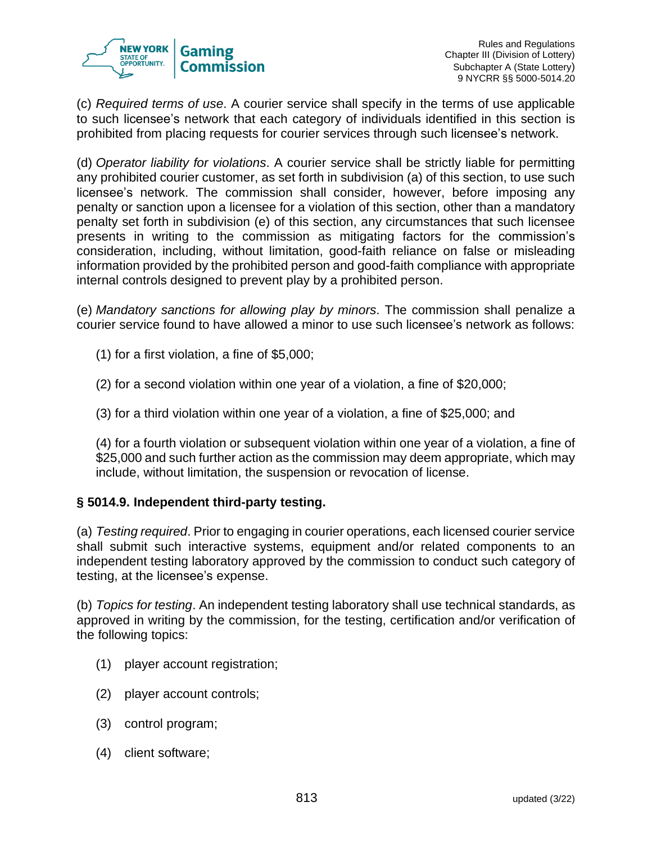

(c) *Required terms of use*. A courier service shall specify in the terms of use applicable to such licensee's network that each category of individuals identified in this section is prohibited from placing requests for courier services through such licensee's network.

(d) *Operator liability for violations*. A courier service shall be strictly liable for permitting any prohibited courier customer, as set forth in subdivision (a) of this section, to use such licensee's network. The commission shall consider, however, before imposing any penalty or sanction upon a licensee for a violation of this section, other than a mandatory penalty set forth in subdivision (e) of this section, any circumstances that such licensee presents in writing to the commission as mitigating factors for the commission's consideration, including, without limitation, good-faith reliance on false or misleading information provided by the prohibited person and good-faith compliance with appropriate internal controls designed to prevent play by a prohibited person.

(e) *Mandatory sanctions for allowing play by minors*. The commission shall penalize a courier service found to have allowed a minor to use such licensee's network as follows:

(1) for a first violation, a fine of \$5,000;

- (2) for a second violation within one year of a violation, a fine of \$20,000;
- (3) for a third violation within one year of a violation, a fine of \$25,000; and

(4) for a fourth violation or subsequent violation within one year of a violation, a fine of \$25,000 and such further action as the commission may deem appropriate, which may include, without limitation, the suspension or revocation of license.

# **§ 5014.9. Independent third-party testing.**

(a) *Testing required*. Prior to engaging in courier operations, each licensed courier service shall submit such interactive systems, equipment and/or related components to an independent testing laboratory approved by the commission to conduct such category of testing, at the licensee's expense.

(b) *Topics for testing*. An independent testing laboratory shall use technical standards, as approved in writing by the commission, for the testing, certification and/or verification of the following topics:

- (1) player account registration;
- (2) player account controls;
- (3) control program;
- (4) client software;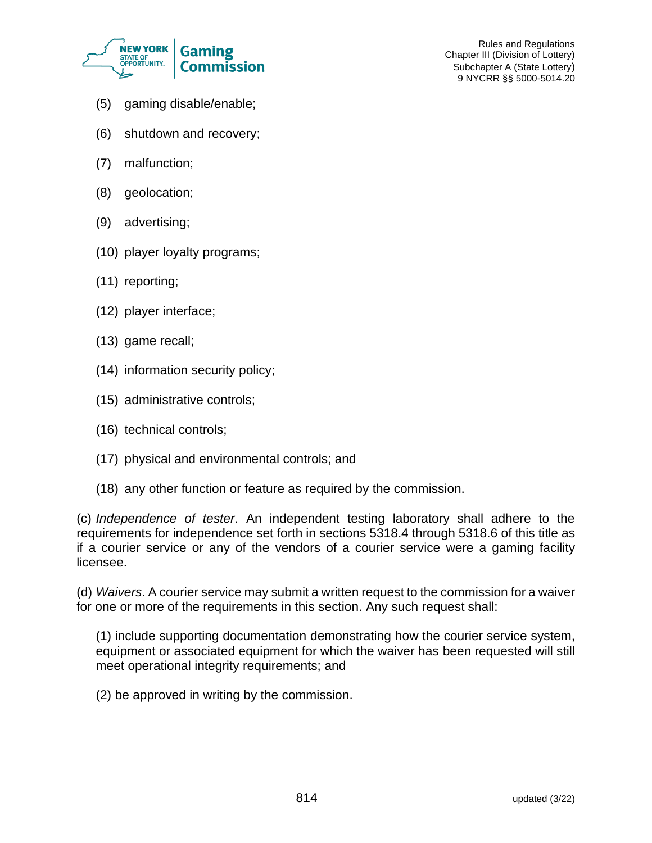

Rules and Regulations Chapter III (Division of Lottery) Subchapter A (State Lottery) 9 NYCRR §§ 5000-5014.20

- (5) gaming disable/enable;
- (6) shutdown and recovery;
- (7) malfunction;
- (8) geolocation;
- (9) advertising;
- (10) player loyalty programs;
- (11) reporting;
- (12) player interface;
- (13) game recall;
- (14) information security policy;
- (15) administrative controls;
- (16) technical controls;
- (17) physical and environmental controls; and
- (18) any other function or feature as required by the commission.

(c) *Independence of tester*. An independent testing laboratory shall adhere to the requirements for independence set forth in sections 5318.4 through 5318.6 of this title as if a courier service or any of the vendors of a courier service were a gaming facility licensee.

(d) *Waivers*. A courier service may submit a written request to the commission for a waiver for one or more of the requirements in this section. Any such request shall:

(1) include supporting documentation demonstrating how the courier service system, equipment or associated equipment for which the waiver has been requested will still meet operational integrity requirements; and

(2) be approved in writing by the commission.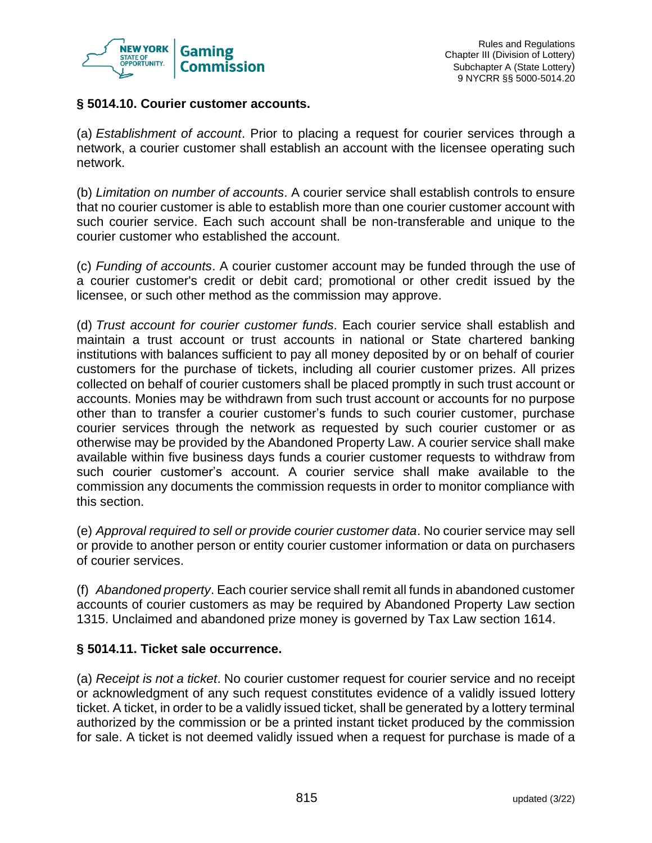

# **§ 5014.10. Courier customer accounts.**

(a) *Establishment of account*. Prior to placing a request for courier services through a network, a courier customer shall establish an account with the licensee operating such network.

(b) *Limitation on number of accounts*. A courier service shall establish controls to ensure that no courier customer is able to establish more than one courier customer account with such courier service. Each such account shall be non-transferable and unique to the courier customer who established the account.

(c) *Funding of accounts*. A courier customer account may be funded through the use of a courier customer's credit or debit card; promotional or other credit issued by the licensee, or such other method as the commission may approve.

(d) *Trust account for courier customer funds*. Each courier service shall establish and maintain a trust account or trust accounts in national or State chartered banking institutions with balances sufficient to pay all money deposited by or on behalf of courier customers for the purchase of tickets, including all courier customer prizes. All prizes collected on behalf of courier customers shall be placed promptly in such trust account or accounts. Monies may be withdrawn from such trust account or accounts for no purpose other than to transfer a courier customer's funds to such courier customer, purchase courier services through the network as requested by such courier customer or as otherwise may be provided by the Abandoned Property Law. A courier service shall make available within five business days funds a courier customer requests to withdraw from such courier customer's account. A courier service shall make available to the commission any documents the commission requests in order to monitor compliance with this section.

(e) *Approval required to sell or provide courier customer data*. No courier service may sell or provide to another person or entity courier customer information or data on purchasers of courier services.

(f) *Abandoned property*. Each courier service shall remit all funds in abandoned customer accounts of courier customers as may be required by Abandoned Property Law section 1315. Unclaimed and abandoned prize money is governed by Tax Law section 1614.

# **§ 5014.11. Ticket sale occurrence.**

(a) *Receipt is not a ticket*. No courier customer request for courier service and no receipt or acknowledgment of any such request constitutes evidence of a validly issued lottery ticket. A ticket, in order to be a validly issued ticket, shall be generated by a lottery terminal authorized by the commission or be a printed instant ticket produced by the commission for sale. A ticket is not deemed validly issued when a request for purchase is made of a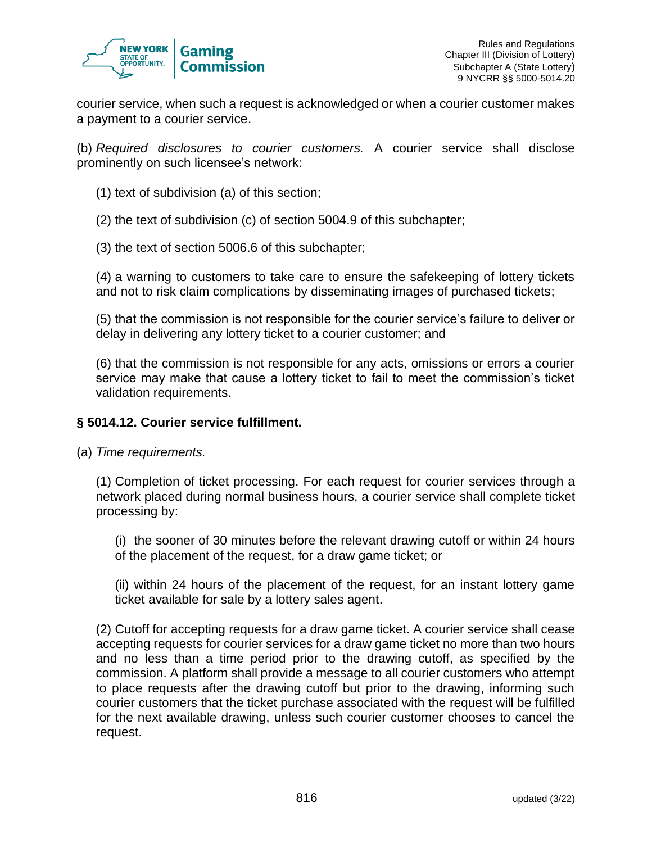

courier service, when such a request is acknowledged or when a courier customer makes a payment to a courier service.

(b) *Required disclosures to courier customers.* A courier service shall disclose prominently on such licensee's network:

(1) text of subdivision (a) of this section;

(2) the text of subdivision (c) of section 5004.9 of this subchapter;

(3) the text of section 5006.6 of this subchapter;

(4) a warning to customers to take care to ensure the safekeeping of lottery tickets and not to risk claim complications by disseminating images of purchased tickets;

(5) that the commission is not responsible for the courier service's failure to deliver or delay in delivering any lottery ticket to a courier customer; and

(6) that the commission is not responsible for any acts, omissions or errors a courier service may make that cause a lottery ticket to fail to meet the commission's ticket validation requirements.

#### **§ 5014.12. Courier service fulfillment.**

(a) *Time requirements.*

(1) Completion of ticket processing. For each request for courier services through a network placed during normal business hours, a courier service shall complete ticket processing by:

(i) the sooner of 30 minutes before the relevant drawing cutoff or within 24 hours of the placement of the request, for a draw game ticket; or

(ii) within 24 hours of the placement of the request, for an instant lottery game ticket available for sale by a lottery sales agent.

(2) Cutoff for accepting requests for a draw game ticket. A courier service shall cease accepting requests for courier services for a draw game ticket no more than two hours and no less than a time period prior to the drawing cutoff, as specified by the commission. A platform shall provide a message to all courier customers who attempt to place requests after the drawing cutoff but prior to the drawing, informing such courier customers that the ticket purchase associated with the request will be fulfilled for the next available drawing, unless such courier customer chooses to cancel the request.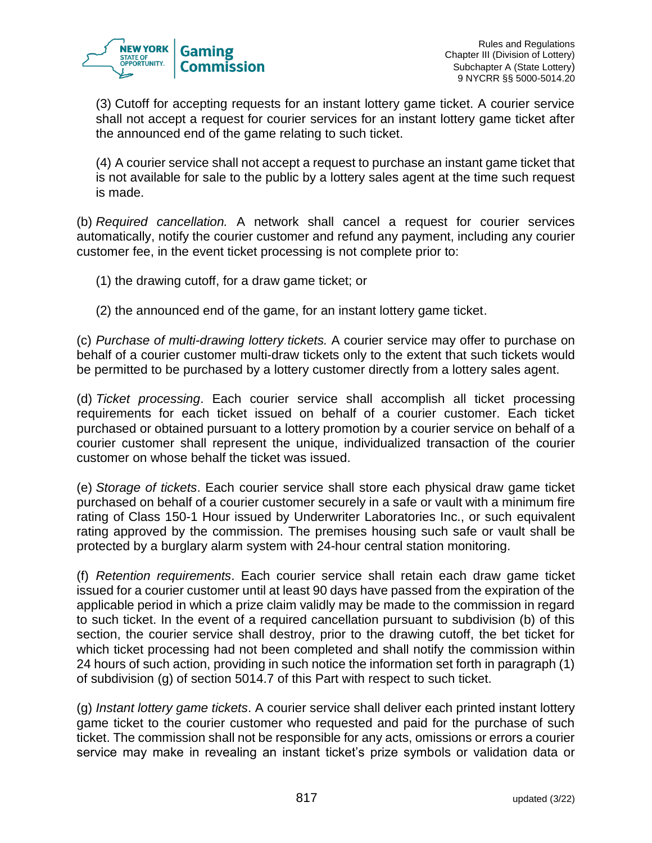

(3) Cutoff for accepting requests for an instant lottery game ticket. A courier service shall not accept a request for courier services for an instant lottery game ticket after the announced end of the game relating to such ticket.

(4) A courier service shall not accept a request to purchase an instant game ticket that is not available for sale to the public by a lottery sales agent at the time such request is made.

(b) *Required cancellation.* A network shall cancel a request for courier services automatically, notify the courier customer and refund any payment, including any courier customer fee, in the event ticket processing is not complete prior to:

- (1) the drawing cutoff, for a draw game ticket; or
- (2) the announced end of the game, for an instant lottery game ticket.

(c) *Purchase of multi-drawing lottery tickets.* A courier service may offer to purchase on behalf of a courier customer multi-draw tickets only to the extent that such tickets would be permitted to be purchased by a lottery customer directly from a lottery sales agent.

(d) *Ticket processing*. Each courier service shall accomplish all ticket processing requirements for each ticket issued on behalf of a courier customer. Each ticket purchased or obtained pursuant to a lottery promotion by a courier service on behalf of a courier customer shall represent the unique, individualized transaction of the courier customer on whose behalf the ticket was issued.

(e) *Storage of tickets*. Each courier service shall store each physical draw game ticket purchased on behalf of a courier customer securely in a safe or vault with a minimum fire rating of Class 150-1 Hour issued by Underwriter Laboratories Inc., or such equivalent rating approved by the commission. The premises housing such safe or vault shall be protected by a burglary alarm system with 24-hour central station monitoring.

(f) *Retention requirements*. Each courier service shall retain each draw game ticket issued for a courier customer until at least 90 days have passed from the expiration of the applicable period in which a prize claim validly may be made to the commission in regard to such ticket. In the event of a required cancellation pursuant to subdivision (b) of this section, the courier service shall destroy, prior to the drawing cutoff, the bet ticket for which ticket processing had not been completed and shall notify the commission within 24 hours of such action, providing in such notice the information set forth in paragraph (1) of subdivision (g) of section 5014.7 of this Part with respect to such ticket.

(g) *Instant lottery game tickets*. A courier service shall deliver each printed instant lottery game ticket to the courier customer who requested and paid for the purchase of such ticket. The commission shall not be responsible for any acts, omissions or errors a courier service may make in revealing an instant ticket's prize symbols or validation data or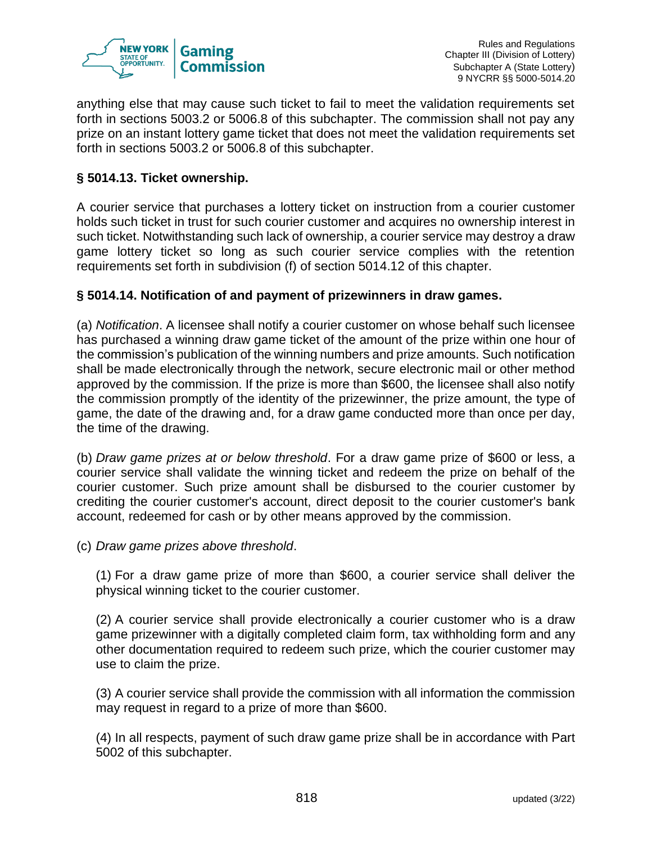

anything else that may cause such ticket to fail to meet the validation requirements set forth in sections 5003.2 or 5006.8 of this subchapter. The commission shall not pay any prize on an instant lottery game ticket that does not meet the validation requirements set forth in sections 5003.2 or 5006.8 of this subchapter.

# **§ 5014.13. Ticket ownership.**

A courier service that purchases a lottery ticket on instruction from a courier customer holds such ticket in trust for such courier customer and acquires no ownership interest in such ticket. Notwithstanding such lack of ownership, a courier service may destroy a draw game lottery ticket so long as such courier service complies with the retention requirements set forth in subdivision (f) of section 5014.12 of this chapter.

# **§ 5014.14. Notification of and payment of prizewinners in draw games.**

(a) *Notification*. A licensee shall notify a courier customer on whose behalf such licensee has purchased a winning draw game ticket of the amount of the prize within one hour of the commission's publication of the winning numbers and prize amounts. Such notification shall be made electronically through the network, secure electronic mail or other method approved by the commission. If the prize is more than \$600, the licensee shall also notify the commission promptly of the identity of the prizewinner, the prize amount, the type of game, the date of the drawing and, for a draw game conducted more than once per day, the time of the drawing.

(b) *Draw game prizes at or below threshold*. For a draw game prize of \$600 or less, a courier service shall validate the winning ticket and redeem the prize on behalf of the courier customer. Such prize amount shall be disbursed to the courier customer by crediting the courier customer's account, direct deposit to the courier customer's bank account, redeemed for cash or by other means approved by the commission.

(c) *Draw game prizes above threshold*.

(1) For a draw game prize of more than \$600, a courier service shall deliver the physical winning ticket to the courier customer.

(2) A courier service shall provide electronically a courier customer who is a draw game prizewinner with a digitally completed claim form, tax withholding form and any other documentation required to redeem such prize, which the courier customer may use to claim the prize.

(3) A courier service shall provide the commission with all information the commission may request in regard to a prize of more than \$600.

(4) In all respects, payment of such draw game prize shall be in accordance with Part 5002 of this subchapter.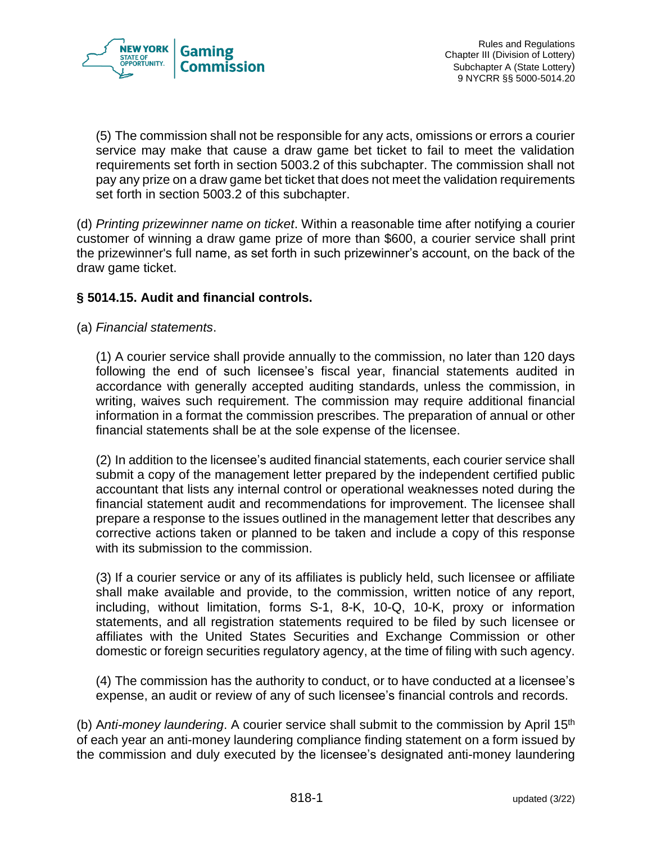

(5) The commission shall not be responsible for any acts, omissions or errors a courier service may make that cause a draw game bet ticket to fail to meet the validation requirements set forth in section 5003.2 of this subchapter. The commission shall not pay any prize on a draw game bet ticket that does not meet the validation requirements set forth in section 5003.2 of this subchapter.

(d) *Printing prizewinner name on ticket*. Within a reasonable time after notifying a courier customer of winning a draw game prize of more than \$600, a courier service shall print the prizewinner's full name, as set forth in such prizewinner's account, on the back of the draw game ticket.

# **§ 5014.15. Audit and financial controls.**

(a) *Financial statements*.

(1) A courier service shall provide annually to the commission, no later than 120 days following the end of such licensee's fiscal year, financial statements audited in accordance with generally accepted auditing standards, unless the commission, in writing, waives such requirement. The commission may require additional financial information in a format the commission prescribes. The preparation of annual or other financial statements shall be at the sole expense of the licensee.

(2) In addition to the licensee's audited financial statements, each courier service shall submit a copy of the management letter prepared by the independent certified public accountant that lists any internal control or operational weaknesses noted during the financial statement audit and recommendations for improvement. The licensee shall prepare a response to the issues outlined in the management letter that describes any corrective actions taken or planned to be taken and include a copy of this response with its submission to the commission.

(3) If a courier service or any of its affiliates is publicly held, such licensee or affiliate shall make available and provide, to the commission, written notice of any report, including, without limitation, forms S-1, 8-K, 10-Q, 10-K, proxy or information statements, and all registration statements required to be filed by such licensee or affiliates with the United States Securities and Exchange Commission or other domestic or foreign securities regulatory agency, at the time of filing with such agency.

(4) The commission has the authority to conduct, or to have conducted at a licensee's expense, an audit or review of any of such licensee's financial controls and records.

(b) A*nti-money laundering*. A courier service shall submit to the commission by April 15th of each year an anti-money laundering compliance finding statement on a form issued by the commission and duly executed by the licensee's designated anti-money laundering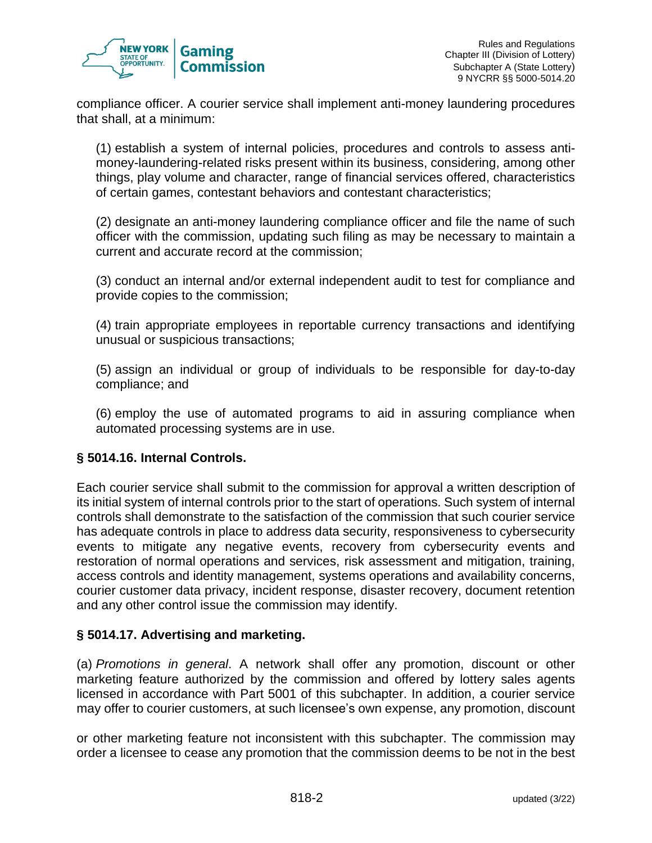

compliance officer. A courier service shall implement anti-money laundering procedures that shall, at a minimum:

(1) establish a system of internal policies, procedures and controls to assess antimoney-laundering-related risks present within its business, considering, among other things, play volume and character, range of financial services offered, characteristics of certain games, contestant behaviors and contestant characteristics;

(2) designate an anti-money laundering compliance officer and file the name of such officer with the commission, updating such filing as may be necessary to maintain a current and accurate record at the commission;

(3) conduct an internal and/or external independent audit to test for compliance and provide copies to the commission;

(4) train appropriate employees in reportable currency transactions and identifying unusual or suspicious transactions;

(5) assign an individual or group of individuals to be responsible for day-to-day compliance; and

(6) employ the use of automated programs to aid in assuring compliance when automated processing systems are in use.

# **§ 5014.16. Internal Controls.**

Each courier service shall submit to the commission for approval a written description of its initial system of internal controls prior to the start of operations. Such system of internal controls shall demonstrate to the satisfaction of the commission that such courier service has adequate controls in place to address data security, responsiveness to cybersecurity events to mitigate any negative events, recovery from cybersecurity events and restoration of normal operations and services, risk assessment and mitigation, training, access controls and identity management, systems operations and availability concerns, courier customer data privacy, incident response, disaster recovery, document retention and any other control issue the commission may identify.

# **§ 5014.17. Advertising and marketing.**

(a) *Promotions in general*. A network shall offer any promotion, discount or other marketing feature authorized by the commission and offered by lottery sales agents licensed in accordance with Part 5001 of this subchapter. In addition, a courier service may offer to courier customers, at such licensee's own expense, any promotion, discount

or other marketing feature not inconsistent with this subchapter. The commission may order a licensee to cease any promotion that the commission deems to be not in the best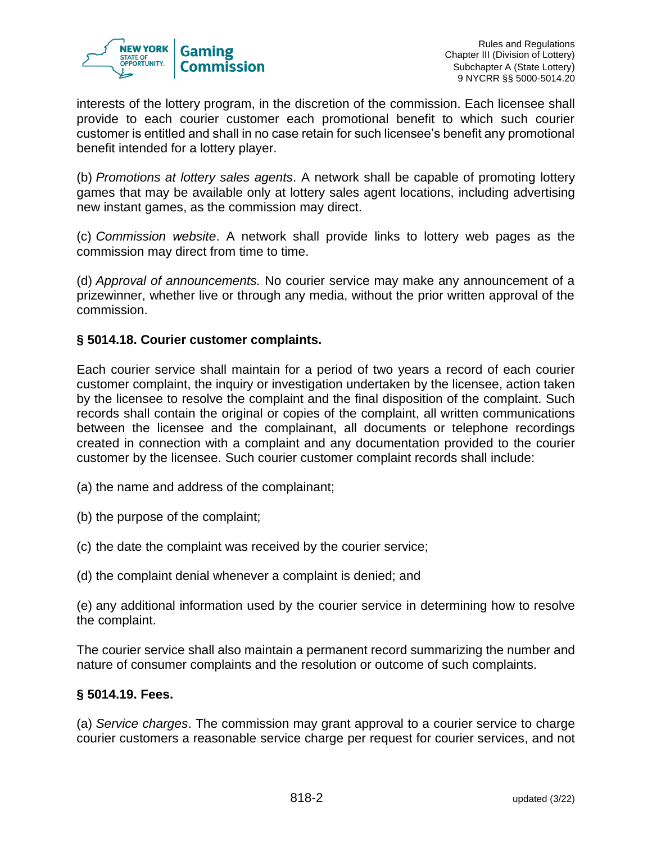

interests of the lottery program, in the discretion of the commission. Each licensee shall provide to each courier customer each promotional benefit to which such courier customer is entitled and shall in no case retain for such licensee's benefit any promotional benefit intended for a lottery player.

(b) *Promotions at lottery sales agents*. A network shall be capable of promoting lottery games that may be available only at lottery sales agent locations, including advertising new instant games, as the commission may direct.

(c) *Commission website*. A network shall provide links to lottery web pages as the commission may direct from time to time.

(d) *Approval of announcements.* No courier service may make any announcement of a prizewinner, whether live or through any media, without the prior written approval of the commission.

# **§ 5014.18. Courier customer complaints.**

Each courier service shall maintain for a period of two years a record of each courier customer complaint, the inquiry or investigation undertaken by the licensee, action taken by the licensee to resolve the complaint and the final disposition of the complaint. Such records shall contain the original or copies of the complaint, all written communications between the licensee and the complainant, all documents or telephone recordings created in connection with a complaint and any documentation provided to the courier customer by the licensee. Such courier customer complaint records shall include:

- (a) the name and address of the complainant;
- (b) the purpose of the complaint;
- (c) the date the complaint was received by the courier service;
- (d) the complaint denial whenever a complaint is denied; and

(e) any additional information used by the courier service in determining how to resolve the complaint.

The courier service shall also maintain a permanent record summarizing the number and nature of consumer complaints and the resolution or outcome of such complaints.

#### **§ 5014.19. Fees.**

(a) *Service charges*. The commission may grant approval to a courier service to charge courier customers a reasonable service charge per request for courier services, and not